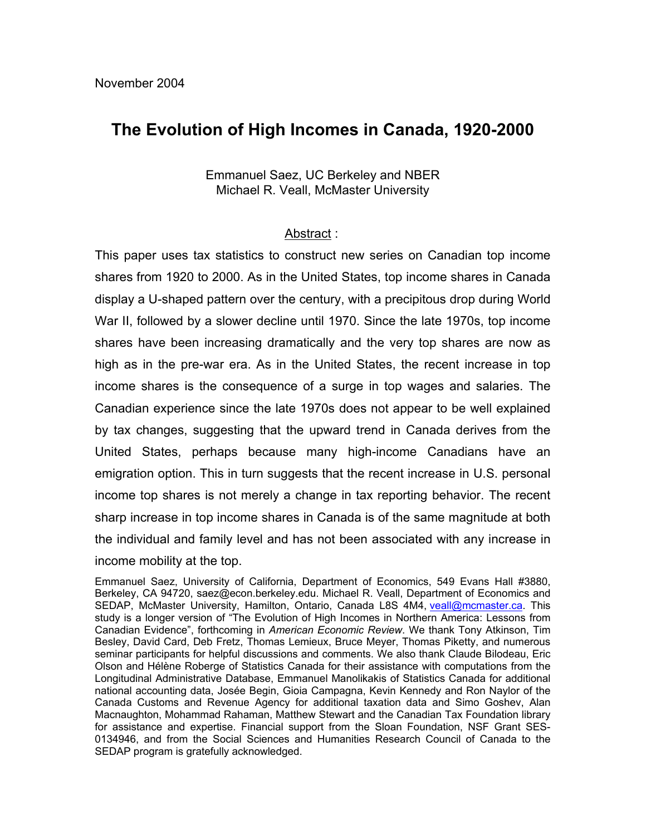# **The Evolution of High Incomes in Canada, 1920-2000**

Emmanuel Saez, UC Berkeley and NBER Michael R. Veall, McMaster University

# Abstract :

This paper uses tax statistics to construct new series on Canadian top income shares from 1920 to 2000. As in the United States, top income shares in Canada display a U-shaped pattern over the century, with a precipitous drop during World War II, followed by a slower decline until 1970. Since the late 1970s, top income shares have been increasing dramatically and the very top shares are now as high as in the pre-war era. As in the United States, the recent increase in top income shares is the consequence of a surge in top wages and salaries. The Canadian experience since the late 1970s does not appear to be well explained by tax changes, suggesting that the upward trend in Canada derives from the United States, perhaps because many high-income Canadians have an emigration option. This in turn suggests that the recent increase in U.S. personal income top shares is not merely a change in tax reporting behavior. The recent sharp increase in top income shares in Canada is of the same magnitude at both the individual and family level and has not been associated with any increase in income mobility at the top.

Emmanuel Saez, University of California, Department of Economics, 549 Evans Hall #3880, Berkeley, CA 94720, saez@econ.berkeley.edu. Michael R. Veall, Department of Economics and SEDAP, McMaster University, Hamilton, Ontario, Canada L8S 4M4, veall@mcmaster.ca. This study is a longer version of "The Evolution of High Incomes in Northern America: Lessons from Canadian Evidence", forthcoming in *American Economic Review*. We thank Tony Atkinson, Tim Besley, David Card, Deb Fretz, Thomas Lemieux, Bruce Meyer, Thomas Piketty, and numerous seminar participants for helpful discussions and comments. We also thank Claude Bilodeau, Eric Olson and Hélène Roberge of Statistics Canada for their assistance with computations from the Longitudinal Administrative Database, Emmanuel Manolikakis of Statistics Canada for additional national accounting data, Josée Begin, Gioia Campagna, Kevin Kennedy and Ron Naylor of the Canada Customs and Revenue Agency for additional taxation data and Simo Goshev, Alan Macnaughton, Mohammad Rahaman, Matthew Stewart and the Canadian Tax Foundation library for assistance and expertise. Financial support from the Sloan Foundation, NSF Grant SES-0134946, and from the Social Sciences and Humanities Research Council of Canada to the SEDAP program is gratefully acknowledged.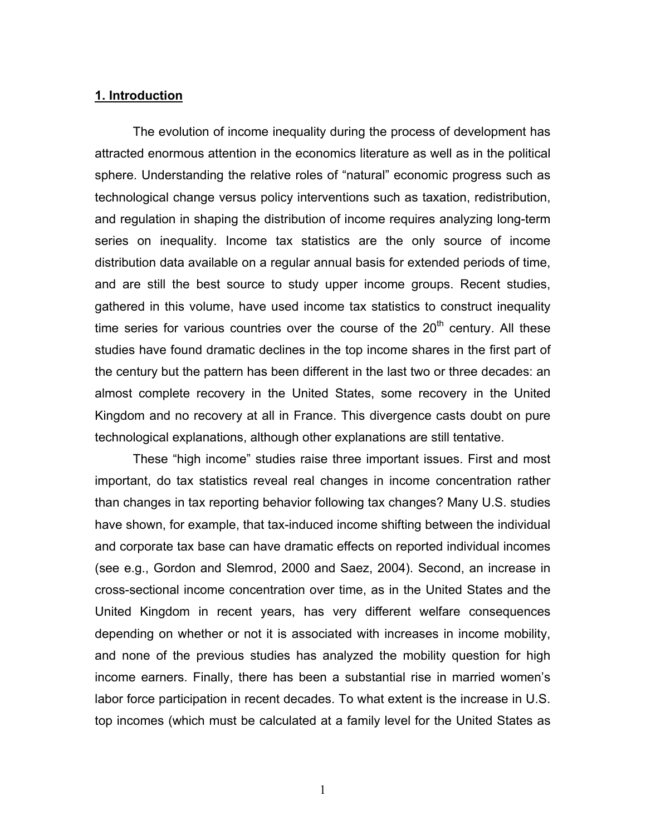#### **1. Introduction**

The evolution of income inequality during the process of development has attracted enormous attention in the economics literature as well as in the political sphere. Understanding the relative roles of "natural" economic progress such as technological change versus policy interventions such as taxation, redistribution, and regulation in shaping the distribution of income requires analyzing long-term series on inequality. Income tax statistics are the only source of income distribution data available on a regular annual basis for extended periods of time, and are still the best source to study upper income groups. Recent studies, gathered in this volume, have used income tax statistics to construct inequality time series for various countries over the course of the  $20<sup>th</sup>$  century. All these studies have found dramatic declines in the top income shares in the first part of the century but the pattern has been different in the last two or three decades: an almost complete recovery in the United States, some recovery in the United Kingdom and no recovery at all in France. This divergence casts doubt on pure technological explanations, although other explanations are still tentative.

These "high income" studies raise three important issues. First and most important, do tax statistics reveal real changes in income concentration rather than changes in tax reporting behavior following tax changes? Many U.S. studies have shown, for example, that tax-induced income shifting between the individual and corporate tax base can have dramatic effects on reported individual incomes (see e.g., Gordon and Slemrod, 2000 and Saez, 2004). Second, an increase in cross-sectional income concentration over time, as in the United States and the United Kingdom in recent years, has very different welfare consequences depending on whether or not it is associated with increases in income mobility, and none of the previous studies has analyzed the mobility question for high income earners. Finally, there has been a substantial rise in married women's labor force participation in recent decades. To what extent is the increase in U.S. top incomes (which must be calculated at a family level for the United States as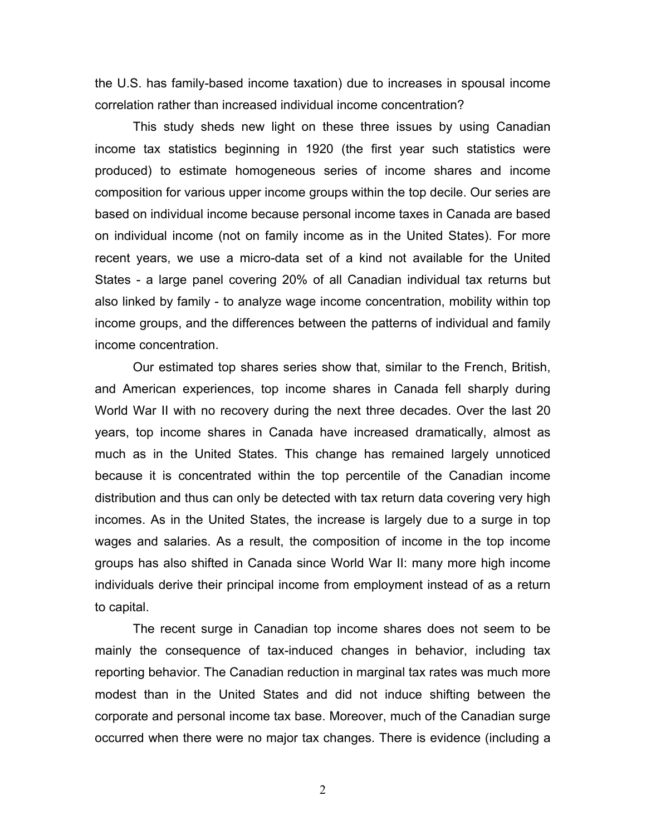the U.S. has family-based income taxation) due to increases in spousal income correlation rather than increased individual income concentration?

This study sheds new light on these three issues by using Canadian income tax statistics beginning in 1920 (the first year such statistics were produced) to estimate homogeneous series of income shares and income composition for various upper income groups within the top decile. Our series are based on individual income because personal income taxes in Canada are based on individual income (not on family income as in the United States). For more recent years, we use a micro-data set of a kind not available for the United States - a large panel covering 20% of all Canadian individual tax returns but also linked by family - to analyze wage income concentration, mobility within top income groups, and the differences between the patterns of individual and family income concentration.

Our estimated top shares series show that, similar to the French, British, and American experiences, top income shares in Canada fell sharply during World War II with no recovery during the next three decades. Over the last 20 years, top income shares in Canada have increased dramatically, almost as much as in the United States. This change has remained largely unnoticed because it is concentrated within the top percentile of the Canadian income distribution and thus can only be detected with tax return data covering very high incomes. As in the United States, the increase is largely due to a surge in top wages and salaries. As a result, the composition of income in the top income groups has also shifted in Canada since World War II: many more high income individuals derive their principal income from employment instead of as a return to capital.

The recent surge in Canadian top income shares does not seem to be mainly the consequence of tax-induced changes in behavior, including tax reporting behavior. The Canadian reduction in marginal tax rates was much more modest than in the United States and did not induce shifting between the corporate and personal income tax base. Moreover, much of the Canadian surge occurred when there were no major tax changes. There is evidence (including a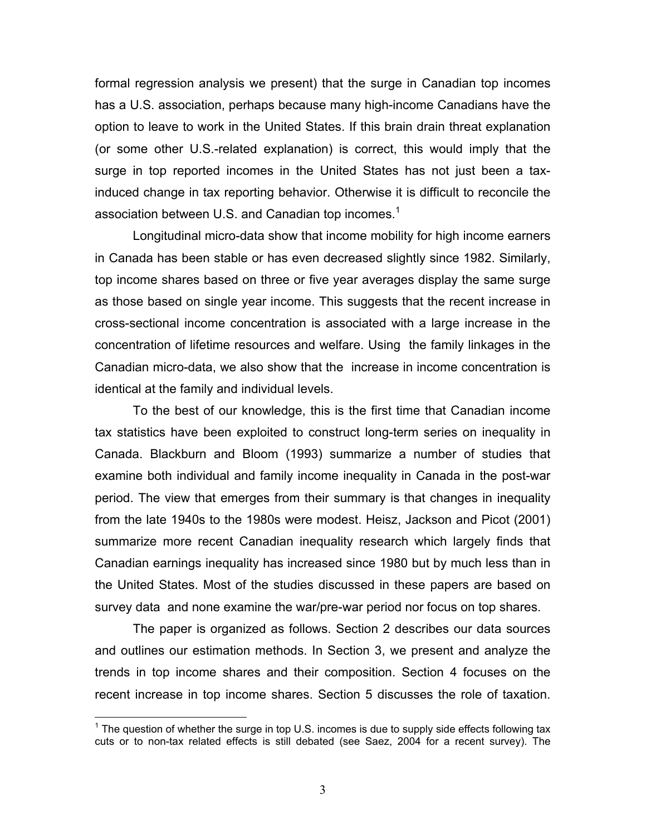formal regression analysis we present) that the surge in Canadian top incomes has a U.S. association, perhaps because many high-income Canadians have the option to leave to work in the United States. If this brain drain threat explanation (or some other U.S.-related explanation) is correct, this would imply that the surge in top reported incomes in the United States has not just been a taxinduced change in tax reporting behavior. Otherwise it is difficult to reconcile the association between U.S. and Canadian top incomes.<sup>1</sup>

Longitudinal micro-data show that income mobility for high income earners in Canada has been stable or has even decreased slightly since 1982. Similarly, top income shares based on three or five year averages display the same surge as those based on single year income. This suggests that the recent increase in cross-sectional income concentration is associated with a large increase in the concentration of lifetime resources and welfare. Using the family linkages in the Canadian micro-data, we also show that the increase in income concentration is identical at the family and individual levels.

To the best of our knowledge, this is the first time that Canadian income tax statistics have been exploited to construct long-term series on inequality in Canada. Blackburn and Bloom (1993) summarize a number of studies that examine both individual and family income inequality in Canada in the post-war period. The view that emerges from their summary is that changes in inequality from the late 1940s to the 1980s were modest. Heisz, Jackson and Picot (2001) summarize more recent Canadian inequality research which largely finds that Canadian earnings inequality has increased since 1980 but by much less than in the United States. Most of the studies discussed in these papers are based on survey data and none examine the war/pre-war period nor focus on top shares.

The paper is organized as follows. Section 2 describes our data sources and outlines our estimation methods. In Section 3, we present and analyze the trends in top income shares and their composition. Section 4 focuses on the recent increase in top income shares. Section 5 discusses the role of taxation.

 $1$  The question of whether the surge in top U.S. incomes is due to supply side effects following tax cuts or to non-tax related effects is still debated (see Saez, 2004 for a recent survey). The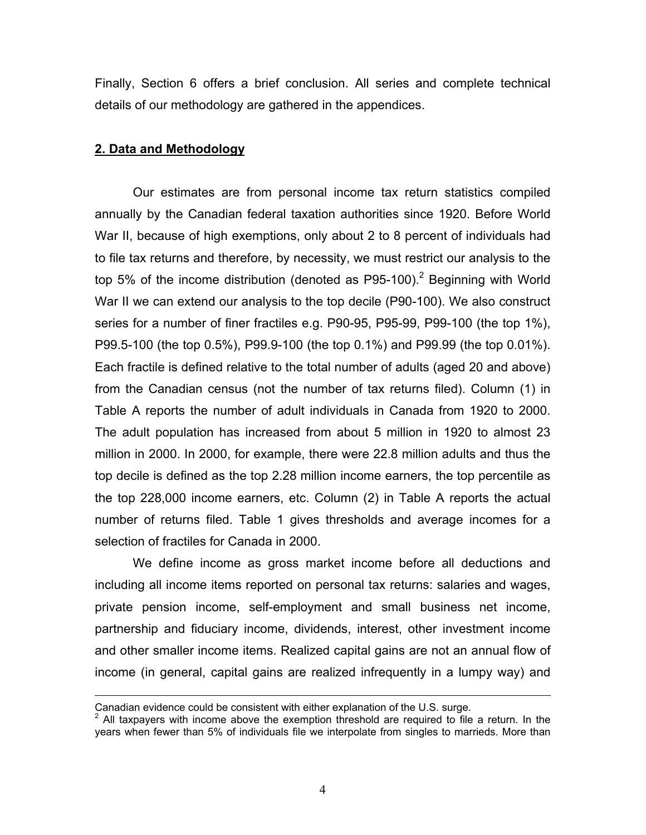Finally, Section 6 offers a brief conclusion. All series and complete technical details of our methodology are gathered in the appendices.

#### **2. Data and Methodology**

 $\overline{a}$ 

Our estimates are from personal income tax return statistics compiled annually by the Canadian federal taxation authorities since 1920. Before World War II, because of high exemptions, only about 2 to 8 percent of individuals had to file tax returns and therefore, by necessity, we must restrict our analysis to the top 5% of the income distribution (denoted as P95-100).<sup>2</sup> Beginning with World War II we can extend our analysis to the top decile (P90-100). We also construct series for a number of finer fractiles e.g. P90-95, P95-99, P99-100 (the top 1%), P99.5-100 (the top 0.5%), P99.9-100 (the top 0.1%) and P99.99 (the top 0.01%). Each fractile is defined relative to the total number of adults (aged 20 and above) from the Canadian census (not the number of tax returns filed). Column (1) in Table A reports the number of adult individuals in Canada from 1920 to 2000. The adult population has increased from about 5 million in 1920 to almost 23 million in 2000. In 2000, for example, there were 22.8 million adults and thus the top decile is defined as the top 2.28 million income earners, the top percentile as the top 228,000 income earners, etc. Column (2) in Table A reports the actual number of returns filed. Table 1 gives thresholds and average incomes for a selection of fractiles for Canada in 2000.

We define income as gross market income before all deductions and including all income items reported on personal tax returns: salaries and wages, private pension income, self-employment and small business net income, partnership and fiduciary income, dividends, interest, other investment income and other smaller income items. Realized capital gains are not an annual flow of income (in general, capital gains are realized infrequently in a lumpy way) and

Canadian evidence could be consistent with either explanation of the U.S. surge.  $\frac{2}{3}$  All to required to file.

All taxpayers with income above the exemption threshold are required to file a return. In the years when fewer than 5% of individuals file we interpolate from singles to marrieds. More than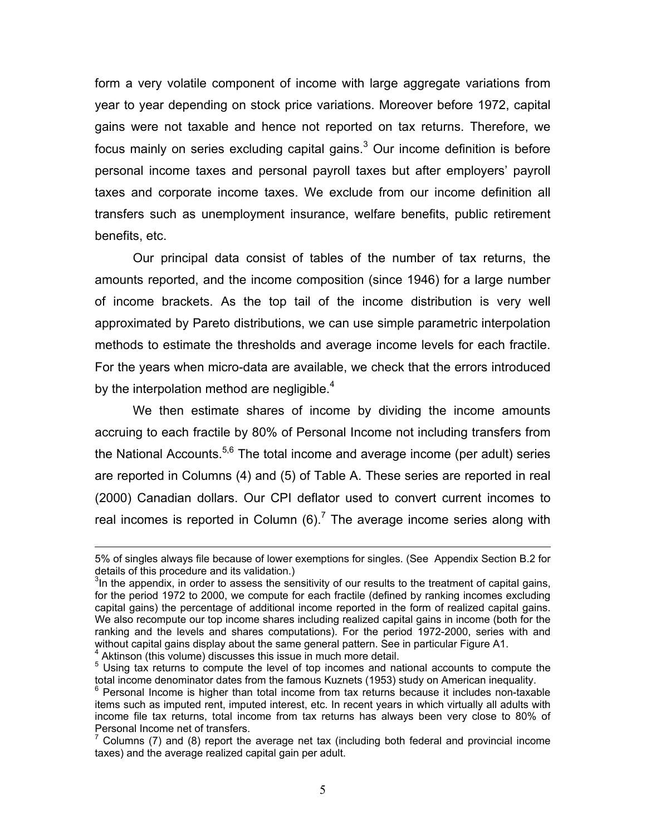form a very volatile component of income with large aggregate variations from year to year depending on stock price variations. Moreover before 1972, capital gains were not taxable and hence not reported on tax returns. Therefore, we focus mainly on series excluding capital gains. $3$  Our income definition is before personal income taxes and personal payroll taxes but after employers' payroll taxes and corporate income taxes. We exclude from our income definition all transfers such as unemployment insurance, welfare benefits, public retirement benefits, etc.

Our principal data consist of tables of the number of tax returns, the amounts reported, and the income composition (since 1946) for a large number of income brackets. As the top tail of the income distribution is very well approximated by Pareto distributions, we can use simple parametric interpolation methods to estimate the thresholds and average income levels for each fractile. For the years when micro-data are available, we check that the errors introduced by the interpolation method are negligible. $4$ 

We then estimate shares of income by dividing the income amounts accruing to each fractile by 80% of Personal Income not including transfers from the National Accounts.<sup>5,6</sup> The total income and average income (per adult) series are reported in Columns (4) and (5) of Table A. These series are reported in real (2000) Canadian dollars. Our CPI deflator used to convert current incomes to real incomes is reported in Column  $(6)$ .<sup>7</sup> The average income series along with

<sup>5%</sup> of singles always file because of lower exemptions for singles. (See Appendix Section B.2 for details of this procedure and its validation.)

 $3$ In the appendix, in order to assess the sensitivity of our results to the treatment of capital gains, for the period 1972 to 2000, we compute for each fractile (defined by ranking incomes excluding capital gains) the percentage of additional income reported in the form of realized capital gains. We also recompute our top income shares including realized capital gains in income (both for the ranking and the levels and shares computations). For the period 1972-2000, series with and without capital gains display about the same general pattern. See in particular Figure A1. 4 Aktinson (this volume) discusses this issue in much more detail.

<sup>&</sup>lt;sup>5</sup> Using tax returns to compute the level of top incomes and national accounts to compute the total income denominator dates from the famous Kuznets (1953) study on American inequality.

 $<sup>6</sup>$  Personal Income is higher than total income from tax returns because it includes non-taxable</sup> items such as imputed rent, imputed interest, etc. In recent years in which virtually all adults with income file tax returns, total income from tax returns has always been very close to 80% of Personal Income net of transfers.

 $7$  Columns (7) and (8) report the average net tax (including both federal and provincial income taxes) and the average realized capital gain per adult.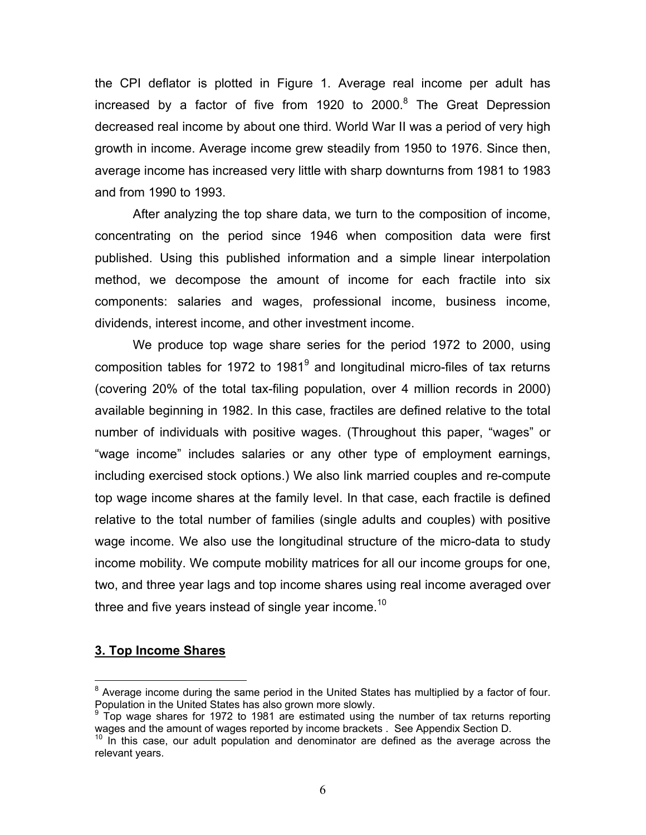the CPI deflator is plotted in Figure 1. Average real income per adult has increased by a factor of five from 1920 to 2000.<sup>8</sup> The Great Depression decreased real income by about one third. World War II was a period of very high growth in income. Average income grew steadily from 1950 to 1976. Since then, average income has increased very little with sharp downturns from 1981 to 1983 and from 1990 to 1993.

After analyzing the top share data, we turn to the composition of income, concentrating on the period since 1946 when composition data were first published. Using this published information and a simple linear interpolation method, we decompose the amount of income for each fractile into six components: salaries and wages, professional income, business income, dividends, interest income, and other investment income.

We produce top wage share series for the period 1972 to 2000, using composition tables for 1972 to 1981 $^9$  and longitudinal micro-files of tax returns (covering 20% of the total tax-filing population, over 4 million records in 2000) available beginning in 1982. In this case, fractiles are defined relative to the total number of individuals with positive wages. (Throughout this paper, "wages" or "wage income" includes salaries or any other type of employment earnings, including exercised stock options.) We also link married couples and re-compute top wage income shares at the family level. In that case, each fractile is defined relative to the total number of families (single adults and couples) with positive wage income. We also use the longitudinal structure of the micro-data to study income mobility. We compute mobility matrices for all our income groups for one, two, and three year lags and top income shares using real income averaged over three and five years instead of single year income.<sup>10</sup>

#### **3. Top Income Shares**

 $\overline{a}$ 

 $8$  Average income during the same period in the United States has multiplied by a factor of four. Population in the United States has also grown more slowly.<br><sup>9</sup> Top wage shares for 1972 to 1981 are estimated using the number of tax returns reporting

wages and the amount of wages reported by income brackets . See Appendix Section D.<br><sup>10</sup> In this case, our adult population and denominator are defined as the average across the

relevant years.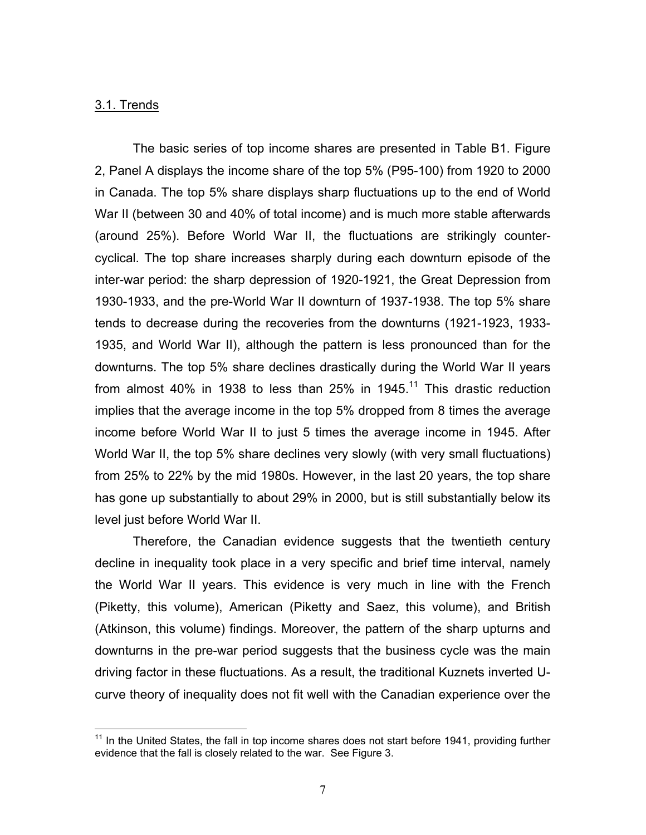#### 3.1. Trends

 $\overline{a}$ 

The basic series of top income shares are presented in Table B1. Figure 2, Panel A displays the income share of the top 5% (P95-100) from 1920 to 2000 in Canada. The top 5% share displays sharp fluctuations up to the end of World War II (between 30 and 40% of total income) and is much more stable afterwards (around 25%). Before World War II, the fluctuations are strikingly countercyclical. The top share increases sharply during each downturn episode of the inter-war period: the sharp depression of 1920-1921, the Great Depression from 1930-1933, and the pre-World War II downturn of 1937-1938. The top 5% share tends to decrease during the recoveries from the downturns (1921-1923, 1933- 1935, and World War II), although the pattern is less pronounced than for the downturns. The top 5% share declines drastically during the World War II years from almost 40% in 1938 to less than 25% in 1945.<sup>11</sup> This drastic reduction implies that the average income in the top 5% dropped from 8 times the average income before World War II to just 5 times the average income in 1945. After World War II, the top 5% share declines very slowly (with very small fluctuations) from 25% to 22% by the mid 1980s. However, in the last 20 years, the top share has gone up substantially to about 29% in 2000, but is still substantially below its level just before World War II.

Therefore, the Canadian evidence suggests that the twentieth century decline in inequality took place in a very specific and brief time interval, namely the World War II years. This evidence is very much in line with the French (Piketty, this volume), American (Piketty and Saez, this volume), and British (Atkinson, this volume) findings. Moreover, the pattern of the sharp upturns and downturns in the pre-war period suggests that the business cycle was the main driving factor in these fluctuations. As a result, the traditional Kuznets inverted Ucurve theory of inequality does not fit well with the Canadian experience over the

 $11$  In the United States, the fall in top income shares does not start before 1941, providing further evidence that the fall is closely related to the war. See Figure 3.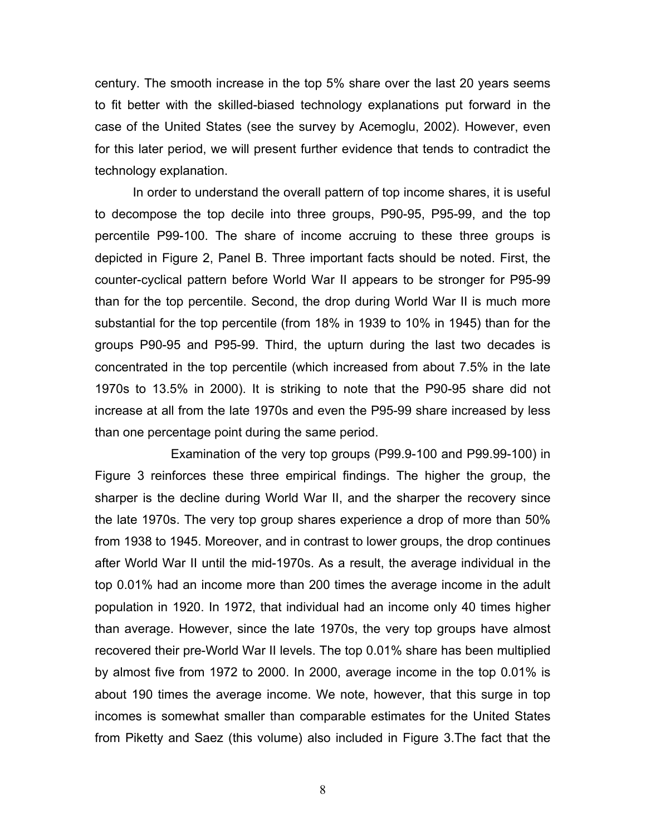century. The smooth increase in the top 5% share over the last 20 years seems to fit better with the skilled-biased technology explanations put forward in the case of the United States (see the survey by Acemoglu, 2002). However, even for this later period, we will present further evidence that tends to contradict the technology explanation.

In order to understand the overall pattern of top income shares, it is useful to decompose the top decile into three groups, P90-95, P95-99, and the top percentile P99-100. The share of income accruing to these three groups is depicted in Figure 2, Panel B. Three important facts should be noted. First, the counter-cyclical pattern before World War II appears to be stronger for P95-99 than for the top percentile. Second, the drop during World War II is much more substantial for the top percentile (from 18% in 1939 to 10% in 1945) than for the groups P90-95 and P95-99. Third, the upturn during the last two decades is concentrated in the top percentile (which increased from about 7.5% in the late 1970s to 13.5% in 2000). It is striking to note that the P90-95 share did not increase at all from the late 1970s and even the P95-99 share increased by less than one percentage point during the same period.

 Examination of the very top groups (P99.9-100 and P99.99-100) in Figure 3 reinforces these three empirical findings. The higher the group, the sharper is the decline during World War II, and the sharper the recovery since the late 1970s. The very top group shares experience a drop of more than 50% from 1938 to 1945. Moreover, and in contrast to lower groups, the drop continues after World War II until the mid-1970s. As a result, the average individual in the top 0.01% had an income more than 200 times the average income in the adult population in 1920. In 1972, that individual had an income only 40 times higher than average. However, since the late 1970s, the very top groups have almost recovered their pre-World War II levels. The top 0.01% share has been multiplied by almost five from 1972 to 2000. In 2000, average income in the top 0.01% is about 190 times the average income. We note, however, that this surge in top incomes is somewhat smaller than comparable estimates for the United States from Piketty and Saez (this volume) also included in Figure 3.The fact that the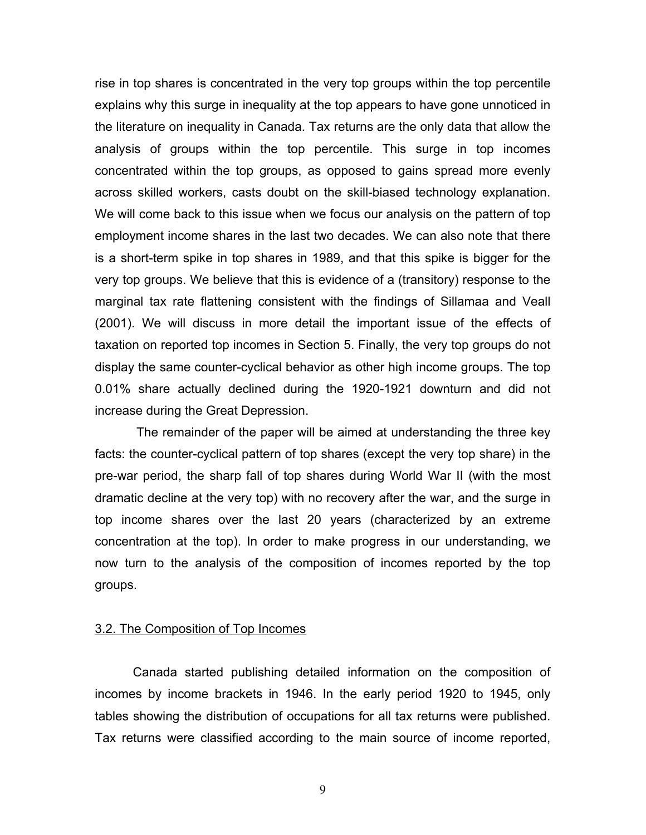rise in top shares is concentrated in the very top groups within the top percentile explains why this surge in inequality at the top appears to have gone unnoticed in the literature on inequality in Canada. Tax returns are the only data that allow the analysis of groups within the top percentile. This surge in top incomes concentrated within the top groups, as opposed to gains spread more evenly across skilled workers, casts doubt on the skill-biased technology explanation. We will come back to this issue when we focus our analysis on the pattern of top employment income shares in the last two decades. We can also note that there is a short-term spike in top shares in 1989, and that this spike is bigger for the very top groups. We believe that this is evidence of a (transitory) response to the marginal tax rate flattening consistent with the findings of Sillamaa and Veall (2001). We will discuss in more detail the important issue of the effects of taxation on reported top incomes in Section 5. Finally, the very top groups do not display the same counter-cyclical behavior as other high income groups. The top 0.01% share actually declined during the 1920-1921 downturn and did not increase during the Great Depression.

 The remainder of the paper will be aimed at understanding the three key facts: the counter-cyclical pattern of top shares (except the very top share) in the pre-war period, the sharp fall of top shares during World War II (with the most dramatic decline at the very top) with no recovery after the war, and the surge in top income shares over the last 20 years (characterized by an extreme concentration at the top). In order to make progress in our understanding, we now turn to the analysis of the composition of incomes reported by the top groups.

#### 3.2. The Composition of Top Incomes

Canada started publishing detailed information on the composition of incomes by income brackets in 1946. In the early period 1920 to 1945, only tables showing the distribution of occupations for all tax returns were published. Tax returns were classified according to the main source of income reported,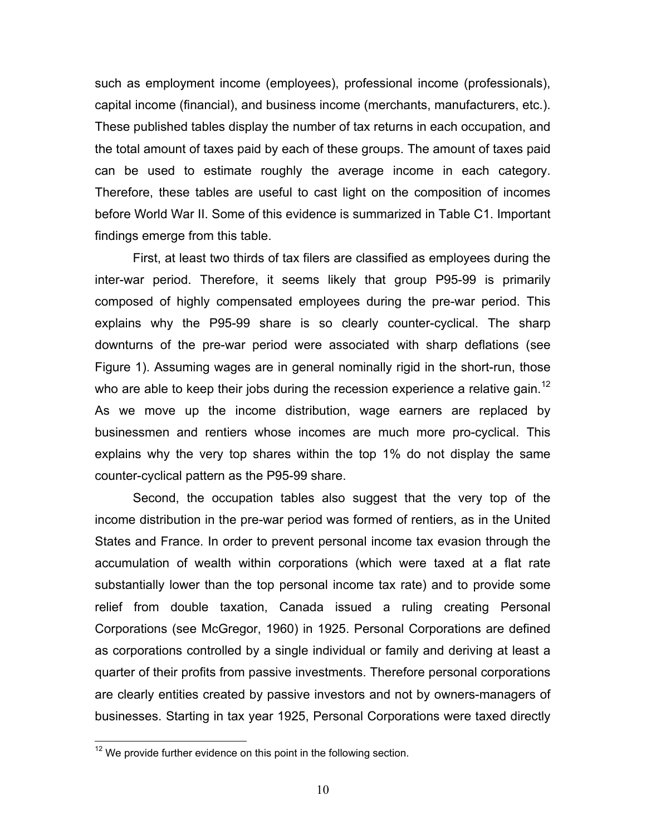such as employment income (employees), professional income (professionals), capital income (financial), and business income (merchants, manufacturers, etc.). These published tables display the number of tax returns in each occupation, and the total amount of taxes paid by each of these groups. The amount of taxes paid can be used to estimate roughly the average income in each category. Therefore, these tables are useful to cast light on the composition of incomes before World War II. Some of this evidence is summarized in Table C1. Important findings emerge from this table.

First, at least two thirds of tax filers are classified as employees during the inter-war period. Therefore, it seems likely that group P95-99 is primarily composed of highly compensated employees during the pre-war period. This explains why the P95-99 share is so clearly counter-cyclical. The sharp downturns of the pre-war period were associated with sharp deflations (see Figure 1). Assuming wages are in general nominally rigid in the short-run, those who are able to keep their jobs during the recession experience a relative gain.<sup>12</sup> As we move up the income distribution, wage earners are replaced by businessmen and rentiers whose incomes are much more pro-cyclical. This explains why the very top shares within the top 1% do not display the same counter-cyclical pattern as the P95-99 share.

Second, the occupation tables also suggest that the very top of the income distribution in the pre-war period was formed of rentiers, as in the United States and France. In order to prevent personal income tax evasion through the accumulation of wealth within corporations (which were taxed at a flat rate substantially lower than the top personal income tax rate) and to provide some relief from double taxation, Canada issued a ruling creating Personal Corporations (see McGregor, 1960) in 1925. Personal Corporations are defined as corporations controlled by a single individual or family and deriving at least a quarter of their profits from passive investments. Therefore personal corporations are clearly entities created by passive investors and not by owners-managers of businesses. Starting in tax year 1925, Personal Corporations were taxed directly

<u>.</u>

 $12$  We provide further evidence on this point in the following section.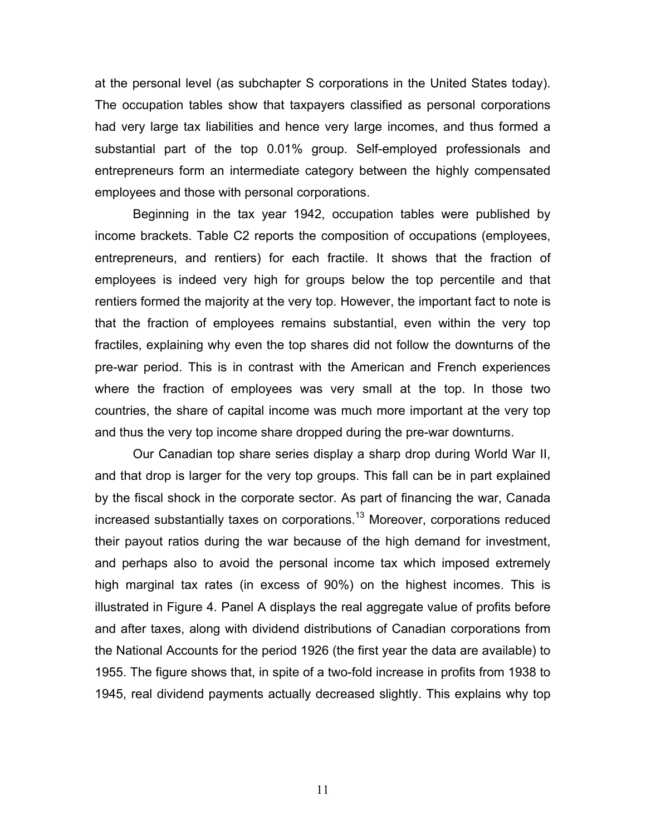at the personal level (as subchapter S corporations in the United States today). The occupation tables show that taxpayers classified as personal corporations had very large tax liabilities and hence very large incomes, and thus formed a substantial part of the top 0.01% group. Self-employed professionals and entrepreneurs form an intermediate category between the highly compensated employees and those with personal corporations.

Beginning in the tax year 1942, occupation tables were published by income brackets. Table C2 reports the composition of occupations (employees, entrepreneurs, and rentiers) for each fractile. It shows that the fraction of employees is indeed very high for groups below the top percentile and that rentiers formed the majority at the very top. However, the important fact to note is that the fraction of employees remains substantial, even within the very top fractiles, explaining why even the top shares did not follow the downturns of the pre-war period. This is in contrast with the American and French experiences where the fraction of employees was very small at the top. In those two countries, the share of capital income was much more important at the very top and thus the very top income share dropped during the pre-war downturns.

Our Canadian top share series display a sharp drop during World War II, and that drop is larger for the very top groups. This fall can be in part explained by the fiscal shock in the corporate sector. As part of financing the war, Canada increased substantially taxes on corporations.13 Moreover, corporations reduced their payout ratios during the war because of the high demand for investment, and perhaps also to avoid the personal income tax which imposed extremely high marginal tax rates (in excess of 90%) on the highest incomes. This is illustrated in Figure 4. Panel A displays the real aggregate value of profits before and after taxes, along with dividend distributions of Canadian corporations from the National Accounts for the period 1926 (the first year the data are available) to 1955. The figure shows that, in spite of a two-fold increase in profits from 1938 to 1945, real dividend payments actually decreased slightly. This explains why top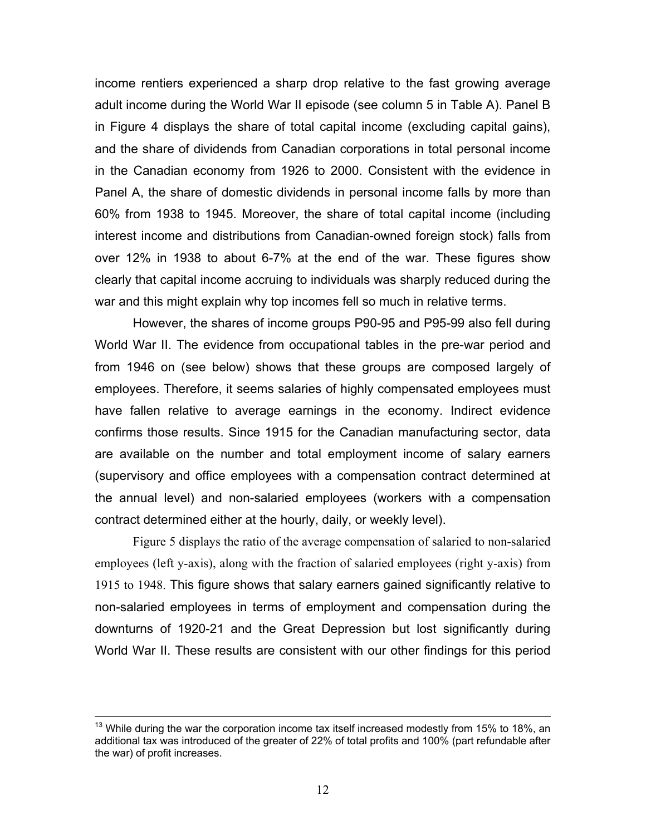income rentiers experienced a sharp drop relative to the fast growing average adult income during the World War II episode (see column 5 in Table A). Panel B in Figure 4 displays the share of total capital income (excluding capital gains), and the share of dividends from Canadian corporations in total personal income in the Canadian economy from 1926 to 2000. Consistent with the evidence in Panel A, the share of domestic dividends in personal income falls by more than 60% from 1938 to 1945. Moreover, the share of total capital income (including interest income and distributions from Canadian-owned foreign stock) falls from over 12% in 1938 to about 6-7% at the end of the war. These figures show clearly that capital income accruing to individuals was sharply reduced during the war and this might explain why top incomes fell so much in relative terms.

However, the shares of income groups P90-95 and P95-99 also fell during World War II. The evidence from occupational tables in the pre-war period and from 1946 on (see below) shows that these groups are composed largely of employees. Therefore, it seems salaries of highly compensated employees must have fallen relative to average earnings in the economy. Indirect evidence confirms those results. Since 1915 for the Canadian manufacturing sector, data are available on the number and total employment income of salary earners (supervisory and office employees with a compensation contract determined at the annual level) and non-salaried employees (workers with a compensation contract determined either at the hourly, daily, or weekly level).

Figure 5 displays the ratio of the average compensation of salaried to non-salaried employees (left y-axis), along with the fraction of salaried employees (right y-axis) from 1915 to 1948. This figure shows that salary earners gained significantly relative to non-salaried employees in terms of employment and compensation during the downturns of 1920-21 and the Great Depression but lost significantly during World War II. These results are consistent with our other findings for this period

 $13$  While during the war the corporation income tax itself increased modestly from 15% to 18%, an additional tax was introduced of the greater of 22% of total profits and 100% (part refundable after the war) of profit increases.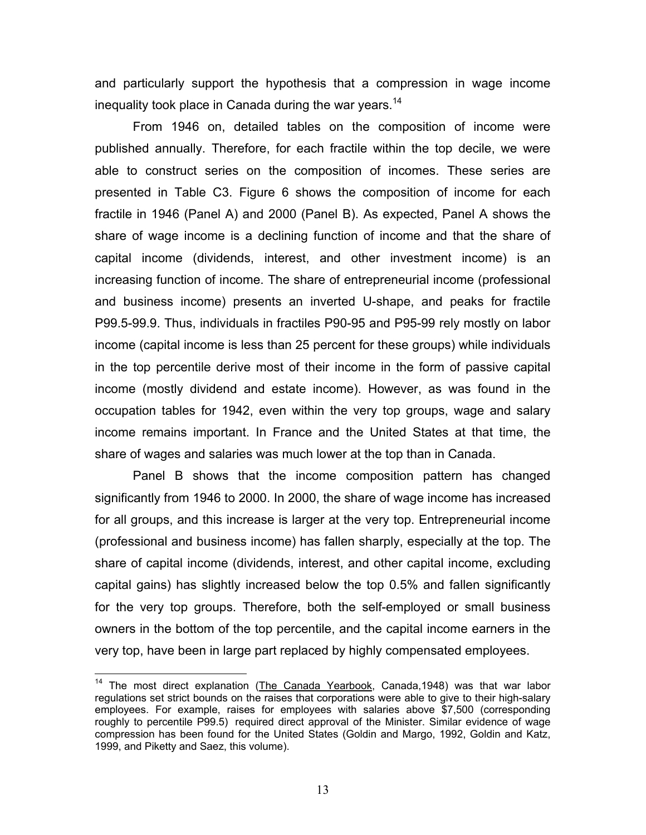and particularly support the hypothesis that a compression in wage income inequality took place in Canada during the war years.<sup>14</sup>

From 1946 on, detailed tables on the composition of income were published annually. Therefore, for each fractile within the top decile, we were able to construct series on the composition of incomes. These series are presented in Table C3. Figure 6 shows the composition of income for each fractile in 1946 (Panel A) and 2000 (Panel B). As expected, Panel A shows the share of wage income is a declining function of income and that the share of capital income (dividends, interest, and other investment income) is an increasing function of income. The share of entrepreneurial income (professional and business income) presents an inverted U-shape, and peaks for fractile P99.5-99.9. Thus, individuals in fractiles P90-95 and P95-99 rely mostly on labor income (capital income is less than 25 percent for these groups) while individuals in the top percentile derive most of their income in the form of passive capital income (mostly dividend and estate income). However, as was found in the occupation tables for 1942, even within the very top groups, wage and salary income remains important. In France and the United States at that time, the share of wages and salaries was much lower at the top than in Canada.

Panel B shows that the income composition pattern has changed significantly from 1946 to 2000. In 2000, the share of wage income has increased for all groups, and this increase is larger at the very top. Entrepreneurial income (professional and business income) has fallen sharply, especially at the top. The share of capital income (dividends, interest, and other capital income, excluding capital gains) has slightly increased below the top 0.5% and fallen significantly for the very top groups. Therefore, both the self-employed or small business owners in the bottom of the top percentile, and the capital income earners in the very top, have been in large part replaced by highly compensated employees.

 $\overline{a}$ 

<sup>&</sup>lt;sup>14</sup> The most direct explanation (The Canada Yearbook, Canada, 1948) was that war labor regulations set strict bounds on the raises that corporations were able to give to their high-salary employees. For example, raises for employees with salaries above \$7,500 (corresponding roughly to percentile P99.5) required direct approval of the Minister. Similar evidence of wage compression has been found for the United States (Goldin and Margo, 1992, Goldin and Katz, 1999, and Piketty and Saez, this volume).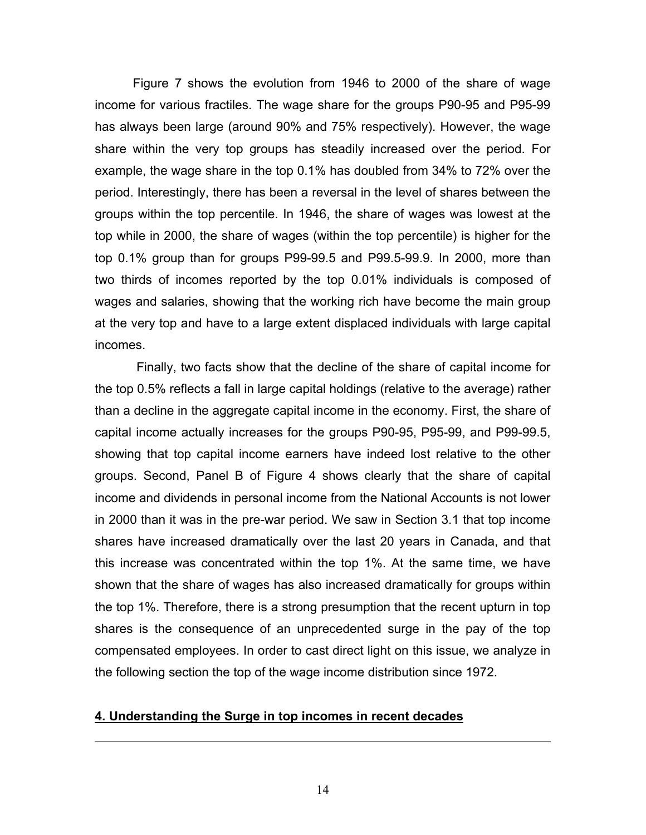Figure 7 shows the evolution from 1946 to 2000 of the share of wage income for various fractiles. The wage share for the groups P90-95 and P95-99 has always been large (around 90% and 75% respectively). However, the wage share within the very top groups has steadily increased over the period. For example, the wage share in the top 0.1% has doubled from 34% to 72% over the period. Interestingly, there has been a reversal in the level of shares between the groups within the top percentile. In 1946, the share of wages was lowest at the top while in 2000, the share of wages (within the top percentile) is higher for the top 0.1% group than for groups P99-99.5 and P99.5-99.9. In 2000, more than two thirds of incomes reported by the top 0.01% individuals is composed of wages and salaries, showing that the working rich have become the main group at the very top and have to a large extent displaced individuals with large capital incomes.

 Finally, two facts show that the decline of the share of capital income for the top 0.5% reflects a fall in large capital holdings (relative to the average) rather than a decline in the aggregate capital income in the economy. First, the share of capital income actually increases for the groups P90-95, P95-99, and P99-99.5, showing that top capital income earners have indeed lost relative to the other groups. Second, Panel B of Figure 4 shows clearly that the share of capital income and dividends in personal income from the National Accounts is not lower in 2000 than it was in the pre-war period. We saw in Section 3.1 that top income shares have increased dramatically over the last 20 years in Canada, and that this increase was concentrated within the top 1%. At the same time, we have shown that the share of wages has also increased dramatically for groups within the top 1%. Therefore, there is a strong presumption that the recent upturn in top shares is the consequence of an unprecedented surge in the pay of the top compensated employees. In order to cast direct light on this issue, we analyze in the following section the top of the wage income distribution since 1972.

#### **4. Understanding the Surge in top incomes in recent decades**

<u>.</u>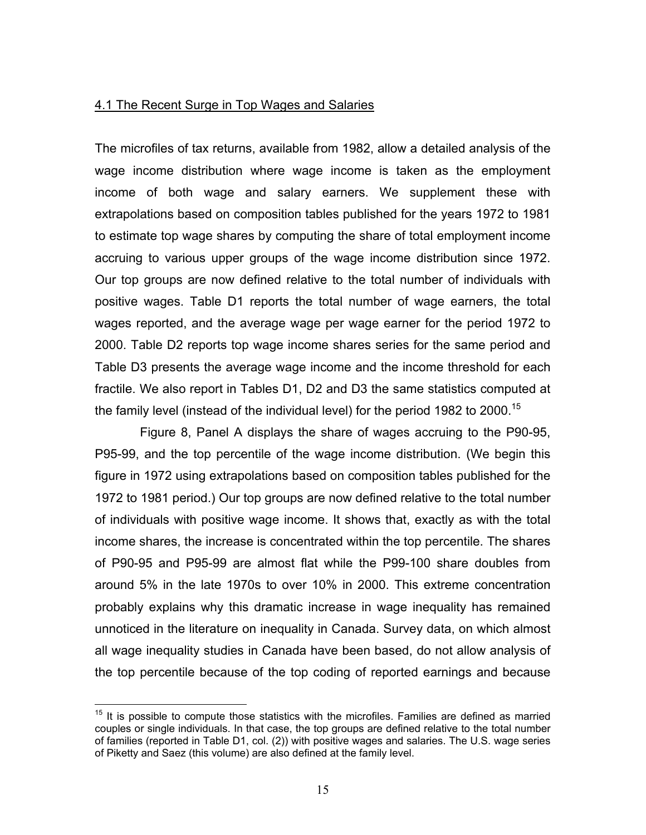## 4.1 The Recent Surge in Top Wages and Salaries

The microfiles of tax returns, available from 1982, allow a detailed analysis of the wage income distribution where wage income is taken as the employment income of both wage and salary earners. We supplement these with extrapolations based on composition tables published for the years 1972 to 1981 to estimate top wage shares by computing the share of total employment income accruing to various upper groups of the wage income distribution since 1972. Our top groups are now defined relative to the total number of individuals with positive wages. Table D1 reports the total number of wage earners, the total wages reported, and the average wage per wage earner for the period 1972 to 2000. Table D2 reports top wage income shares series for the same period and Table D3 presents the average wage income and the income threshold for each fractile. We also report in Tables D1, D2 and D3 the same statistics computed at the family level (instead of the individual level) for the period 1982 to 2000.<sup>15</sup>

 Figure 8, Panel A displays the share of wages accruing to the P90-95, P95-99, and the top percentile of the wage income distribution. (We begin this figure in 1972 using extrapolations based on composition tables published for the 1972 to 1981 period.) Our top groups are now defined relative to the total number of individuals with positive wage income. It shows that, exactly as with the total income shares, the increase is concentrated within the top percentile. The shares of P90-95 and P95-99 are almost flat while the P99-100 share doubles from around 5% in the late 1970s to over 10% in 2000. This extreme concentration probably explains why this dramatic increase in wage inequality has remained unnoticed in the literature on inequality in Canada. Survey data, on which almost all wage inequality studies in Canada have been based, do not allow analysis of the top percentile because of the top coding of reported earnings and because

<u>.</u>

 $15$  It is possible to compute those statistics with the microfiles. Families are defined as married couples or single individuals. In that case, the top groups are defined relative to the total number of families (reported in Table D1, col. (2)) with positive wages and salaries. The U.S. wage series of Piketty and Saez (this volume) are also defined at the family level.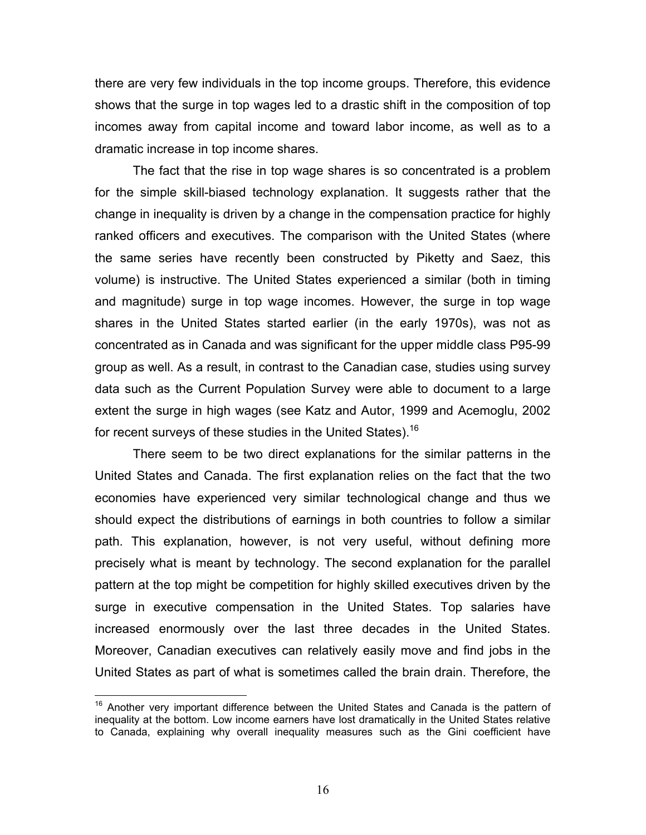there are very few individuals in the top income groups. Therefore, this evidence shows that the surge in top wages led to a drastic shift in the composition of top incomes away from capital income and toward labor income, as well as to a dramatic increase in top income shares.

The fact that the rise in top wage shares is so concentrated is a problem for the simple skill-biased technology explanation. It suggests rather that the change in inequality is driven by a change in the compensation practice for highly ranked officers and executives. The comparison with the United States (where the same series have recently been constructed by Piketty and Saez, this volume) is instructive. The United States experienced a similar (both in timing and magnitude) surge in top wage incomes. However, the surge in top wage shares in the United States started earlier (in the early 1970s), was not as concentrated as in Canada and was significant for the upper middle class P95-99 group as well. As a result, in contrast to the Canadian case, studies using survey data such as the Current Population Survey were able to document to a large extent the surge in high wages (see Katz and Autor, 1999 and Acemoglu, 2002 for recent surveys of these studies in the United States).<sup>16</sup>

There seem to be two direct explanations for the similar patterns in the United States and Canada. The first explanation relies on the fact that the two economies have experienced very similar technological change and thus we should expect the distributions of earnings in both countries to follow a similar path. This explanation, however, is not very useful, without defining more precisely what is meant by technology. The second explanation for the parallel pattern at the top might be competition for highly skilled executives driven by the surge in executive compensation in the United States. Top salaries have increased enormously over the last three decades in the United States. Moreover, Canadian executives can relatively easily move and find jobs in the United States as part of what is sometimes called the brain drain. Therefore, the

 $\overline{a}$ 

<sup>&</sup>lt;sup>16</sup> Another very important difference between the United States and Canada is the pattern of inequality at the bottom. Low income earners have lost dramatically in the United States relative to Canada, explaining why overall inequality measures such as the Gini coefficient have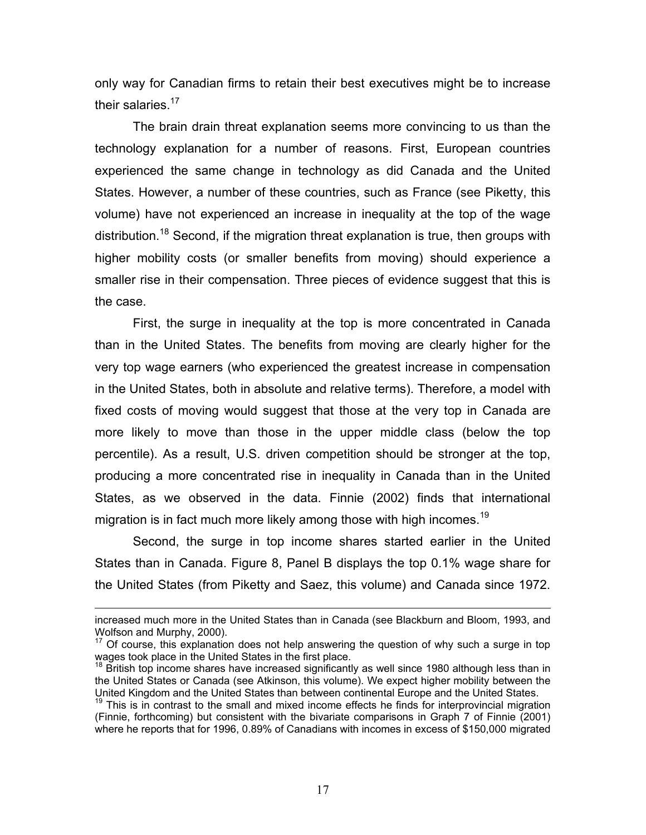only way for Canadian firms to retain their best executives might be to increase their salaries.<sup>17</sup>

The brain drain threat explanation seems more convincing to us than the technology explanation for a number of reasons. First, European countries experienced the same change in technology as did Canada and the United States. However, a number of these countries, such as France (see Piketty, this volume) have not experienced an increase in inequality at the top of the wage distribution.<sup>18</sup> Second, if the migration threat explanation is true, then groups with higher mobility costs (or smaller benefits from moving) should experience a smaller rise in their compensation. Three pieces of evidence suggest that this is the case.

First, the surge in inequality at the top is more concentrated in Canada than in the United States. The benefits from moving are clearly higher for the very top wage earners (who experienced the greatest increase in compensation in the United States, both in absolute and relative terms). Therefore, a model with fixed costs of moving would suggest that those at the very top in Canada are more likely to move than those in the upper middle class (below the top percentile). As a result, U.S. driven competition should be stronger at the top, producing a more concentrated rise in inequality in Canada than in the United States, as we observed in the data. Finnie (2002) finds that international migration is in fact much more likely among those with high incomes.<sup>19</sup>

Second, the surge in top income shares started earlier in the United States than in Canada. Figure 8, Panel B displays the top 0.1% wage share for the United States (from Piketty and Saez, this volume) and Canada since 1972.

 $\overline{a}$ 

increased much more in the United States than in Canada (see Blackburn and Bloom, 1993, and Wolfson and Murphy, 2000).

 $17$  Of course, this explanation does not help answering the question of why such a surge in top wages took place in the United States in the first place.

 $18$  British top income shares have increased significantly as well since 1980 although less than in the United States or Canada (see Atkinson, this volume). We expect higher mobility between the United States.

 $19$  This is in contrast to the small and mixed income effects he finds for interprovincial migration (Finnie, forthcoming) but consistent with the bivariate comparisons in Graph 7 of Finnie (2001) where he reports that for 1996, 0.89% of Canadians with incomes in excess of \$150,000 migrated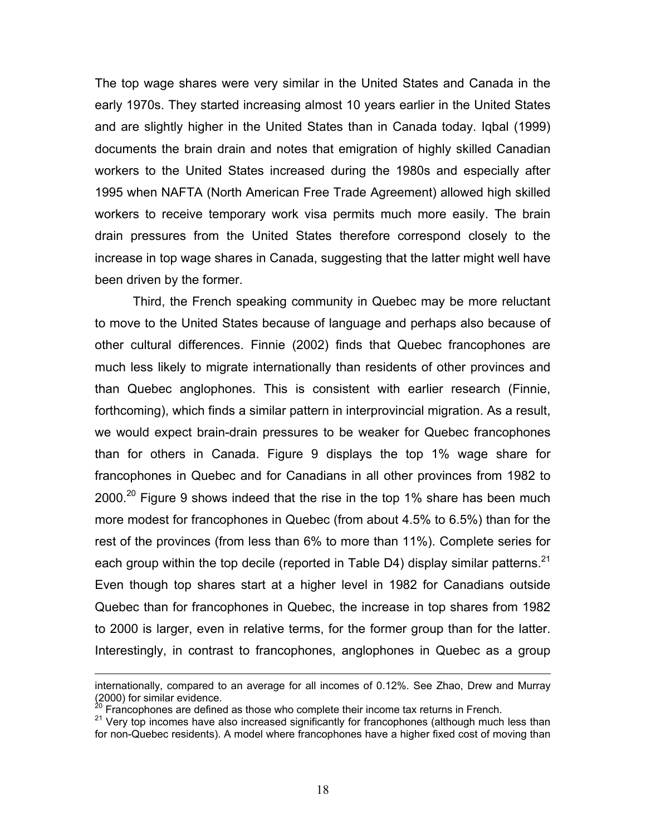The top wage shares were very similar in the United States and Canada in the early 1970s. They started increasing almost 10 years earlier in the United States and are slightly higher in the United States than in Canada today. Iqbal (1999) documents the brain drain and notes that emigration of highly skilled Canadian workers to the United States increased during the 1980s and especially after 1995 when NAFTA (North American Free Trade Agreement) allowed high skilled workers to receive temporary work visa permits much more easily. The brain drain pressures from the United States therefore correspond closely to the increase in top wage shares in Canada, suggesting that the latter might well have been driven by the former.

Third, the French speaking community in Quebec may be more reluctant to move to the United States because of language and perhaps also because of other cultural differences. Finnie (2002) finds that Quebec francophones are much less likely to migrate internationally than residents of other provinces and than Quebec anglophones. This is consistent with earlier research (Finnie, forthcoming), which finds a similar pattern in interprovincial migration. As a result, we would expect brain-drain pressures to be weaker for Quebec francophones than for others in Canada. Figure 9 displays the top 1% wage share for francophones in Quebec and for Canadians in all other provinces from 1982 to 2000.<sup>20</sup> Figure 9 shows indeed that the rise in the top 1% share has been much more modest for francophones in Quebec (from about 4.5% to 6.5%) than for the rest of the provinces (from less than 6% to more than 11%). Complete series for each group within the top decile (reported in Table D4) display similar patterns.<sup>21</sup> Even though top shares start at a higher level in 1982 for Canadians outside Quebec than for francophones in Quebec, the increase in top shares from 1982 to 2000 is larger, even in relative terms, for the former group than for the latter. Interestingly, in contrast to francophones, anglophones in Quebec as a group

internationally, compared to an average for all incomes of 0.12%. See Zhao, Drew and Murray  $(2000)$  for similar evidence.<br>  $20$  Francophones are defined as those who complete their income tax returns in French.

<sup>&</sup>lt;sup>21</sup> Very top incomes have also increased significantly for francophones (although much less than for non-Quebec residents). A model where francophones have a higher fixed cost of moving than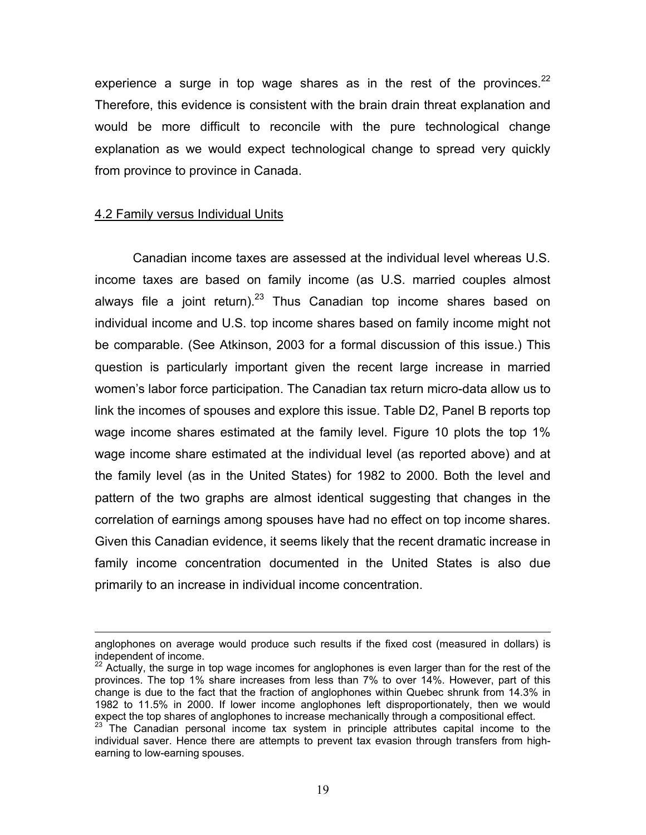experience a surge in top wage shares as in the rest of the provinces. $^{22}$ Therefore, this evidence is consistent with the brain drain threat explanation and would be more difficult to reconcile with the pure technological change explanation as we would expect technological change to spread very quickly from province to province in Canada.

## 4.2 Family versus Individual Units

 $\overline{a}$ 

Canadian income taxes are assessed at the individual level whereas U.S. income taxes are based on family income (as U.S. married couples almost always file a joint return).<sup>23</sup> Thus Canadian top income shares based on individual income and U.S. top income shares based on family income might not be comparable. (See Atkinson, 2003 for a formal discussion of this issue.) This question is particularly important given the recent large increase in married women's labor force participation. The Canadian tax return micro-data allow us to link the incomes of spouses and explore this issue. Table D2, Panel B reports top wage income shares estimated at the family level. Figure 10 plots the top 1% wage income share estimated at the individual level (as reported above) and at the family level (as in the United States) for 1982 to 2000. Both the level and pattern of the two graphs are almost identical suggesting that changes in the correlation of earnings among spouses have had no effect on top income shares. Given this Canadian evidence, it seems likely that the recent dramatic increase in family income concentration documented in the United States is also due primarily to an increase in individual income concentration.

anglophones on average would produce such results if the fixed cost (measured in dollars) is independent of income.

 $22$  Actually, the surge in top wage incomes for anglophones is even larger than for the rest of the provinces. The top 1% share increases from less than 7% to over 14%. However, part of this change is due to the fact that the fraction of anglophones within Quebec shrunk from 14.3% in 1982 to 11.5% in 2000. If lower income anglophones left disproportionately, then we would

 $23$  The Canadian personal income tax system in principle attributes capital income to the individual saver. Hence there are attempts to prevent tax evasion through transfers from highearning to low-earning spouses.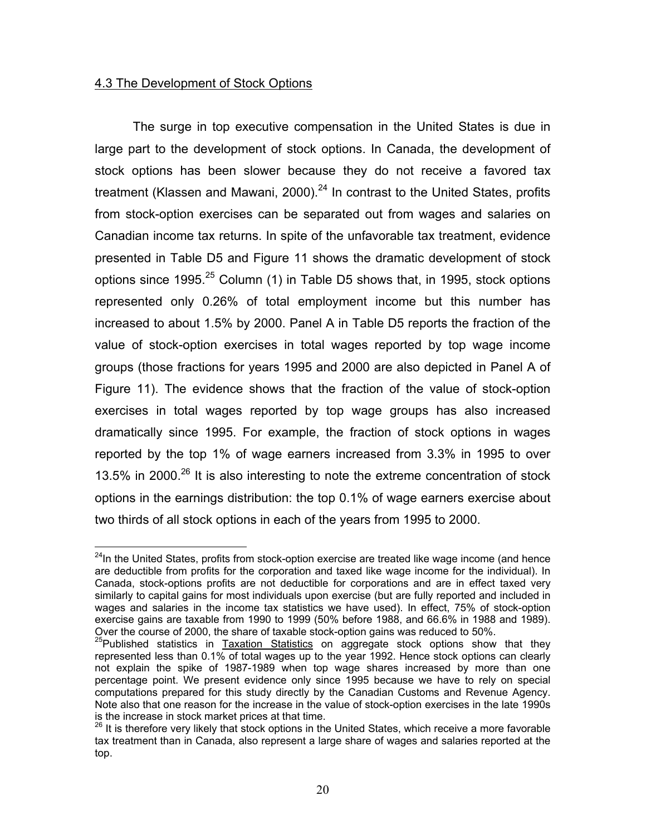## 4.3 The Development of Stock Options

The surge in top executive compensation in the United States is due in large part to the development of stock options. In Canada, the development of stock options has been slower because they do not receive a favored tax treatment (Klassen and Mawani, 2000).<sup>24</sup> In contrast to the United States, profits from stock-option exercises can be separated out from wages and salaries on Canadian income tax returns. In spite of the unfavorable tax treatment, evidence presented in Table D5 and Figure 11 shows the dramatic development of stock options since 1995.<sup>25</sup> Column (1) in Table D5 shows that, in 1995, stock options represented only 0.26% of total employment income but this number has increased to about 1.5% by 2000. Panel A in Table D5 reports the fraction of the value of stock-option exercises in total wages reported by top wage income groups (those fractions for years 1995 and 2000 are also depicted in Panel A of Figure 11). The evidence shows that the fraction of the value of stock-option exercises in total wages reported by top wage groups has also increased dramatically since 1995. For example, the fraction of stock options in wages reported by the top 1% of wage earners increased from 3.3% in 1995 to over 13.5% in 2000.<sup>26</sup> It is also interesting to note the extreme concentration of stock options in the earnings distribution: the top 0.1% of wage earners exercise about two thirds of all stock options in each of the years from 1995 to 2000.

 $\overline{a}$ <sup>24</sup>In the United States, profits from stock-option exercise are treated like wage income (and hence are deductible from profits for the corporation and taxed like wage income for the individual). In Canada, stock-options profits are not deductible for corporations and are in effect taxed very similarly to capital gains for most individuals upon exercise (but are fully reported and included in wages and salaries in the income tax statistics we have used). In effect, 75% of stock-option exercise gains are taxable from 1990 to 1999 (50% before 1988, and 66.6% in 1988 and 1989).

Over the course of 2000, the share of taxable stock-option gains was reduced to 50%.<br><sup>25</sup>Published statistics in <u>Taxation Statistics</u> on aggregate stock options show that they represented less than 0.1% of total wages up to the year 1992. Hence stock options can clearly not explain the spike of 1987-1989 when top wage shares increased by more than one percentage point. We present evidence only since 1995 because we have to rely on special computations prepared for this study directly by the Canadian Customs and Revenue Agency. Note also that one reason for the increase in the value of stock-option exercises in the late 1990s is the increase in stock market prices at that time.

 $26$  It is therefore very likely that stock options in the United States, which receive a more favorable tax treatment than in Canada, also represent a large share of wages and salaries reported at the top.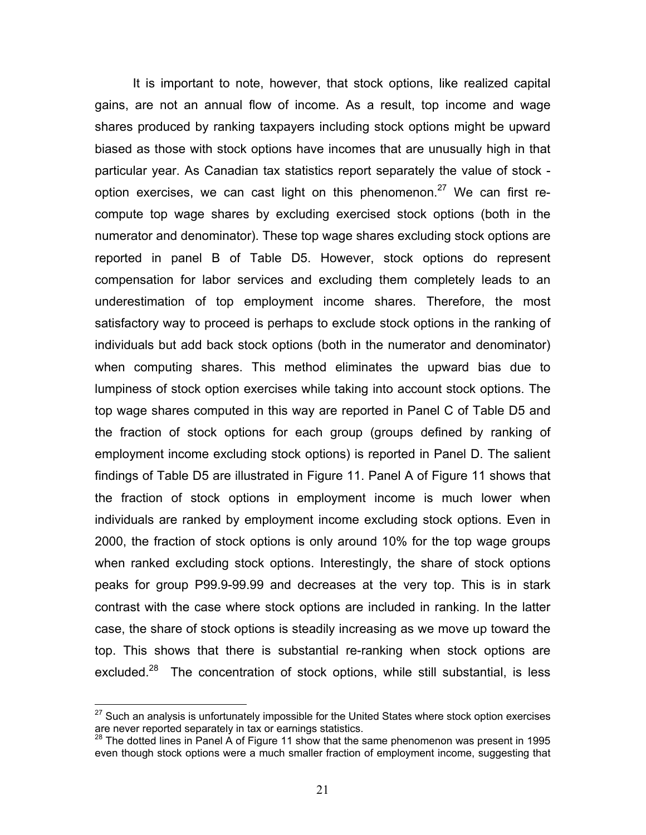It is important to note, however, that stock options, like realized capital gains, are not an annual flow of income. As a result, top income and wage shares produced by ranking taxpayers including stock options might be upward biased as those with stock options have incomes that are unusually high in that particular year. As Canadian tax statistics report separately the value of stock option exercises, we can cast light on this phenomenon.<sup>27</sup> We can first recompute top wage shares by excluding exercised stock options (both in the numerator and denominator). These top wage shares excluding stock options are reported in panel B of Table D5. However, stock options do represent compensation for labor services and excluding them completely leads to an underestimation of top employment income shares. Therefore, the most satisfactory way to proceed is perhaps to exclude stock options in the ranking of individuals but add back stock options (both in the numerator and denominator) when computing shares. This method eliminates the upward bias due to lumpiness of stock option exercises while taking into account stock options. The top wage shares computed in this way are reported in Panel C of Table D5 and the fraction of stock options for each group (groups defined by ranking of employment income excluding stock options) is reported in Panel D. The salient findings of Table D5 are illustrated in Figure 11. Panel A of Figure 11 shows that the fraction of stock options in employment income is much lower when individuals are ranked by employment income excluding stock options. Even in 2000, the fraction of stock options is only around 10% for the top wage groups when ranked excluding stock options. Interestingly, the share of stock options peaks for group P99.9-99.99 and decreases at the very top. This is in stark contrast with the case where stock options are included in ranking. In the latter case, the share of stock options is steadily increasing as we move up toward the top. This shows that there is substantial re-ranking when stock options are excluded.<sup>28</sup> The concentration of stock options, while still substantial, is less

<u>.</u>

 $27$  Such an analysis is unfortunately impossible for the United States where stock option exercises are never reported separately in tax or earnings statistics.<br><sup>28</sup> The dotted lines in Panel A of Figure 11 show that the same phenomenon was present in 1995

even though stock options were a much smaller fraction of employment income, suggesting that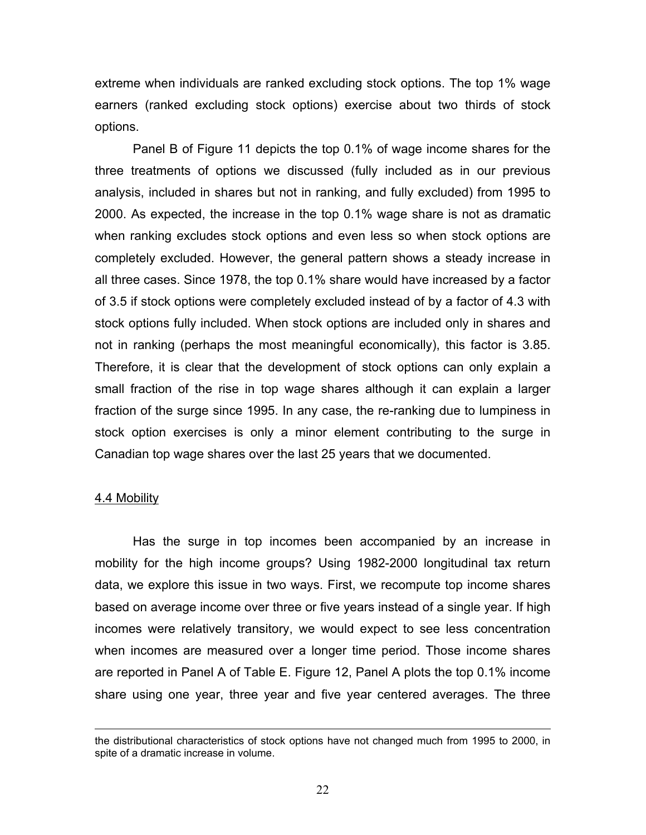extreme when individuals are ranked excluding stock options. The top 1% wage earners (ranked excluding stock options) exercise about two thirds of stock options.

 Panel B of Figure 11 depicts the top 0.1% of wage income shares for the three treatments of options we discussed (fully included as in our previous analysis, included in shares but not in ranking, and fully excluded) from 1995 to 2000. As expected, the increase in the top 0.1% wage share is not as dramatic when ranking excludes stock options and even less so when stock options are completely excluded. However, the general pattern shows a steady increase in all three cases. Since 1978, the top 0.1% share would have increased by a factor of 3.5 if stock options were completely excluded instead of by a factor of 4.3 with stock options fully included. When stock options are included only in shares and not in ranking (perhaps the most meaningful economically), this factor is 3.85. Therefore, it is clear that the development of stock options can only explain a small fraction of the rise in top wage shares although it can explain a larger fraction of the surge since 1995. In any case, the re-ranking due to lumpiness in stock option exercises is only a minor element contributing to the surge in Canadian top wage shares over the last 25 years that we documented.

#### 4.4 Mobility

 $\overline{a}$ 

Has the surge in top incomes been accompanied by an increase in mobility for the high income groups? Using 1982-2000 longitudinal tax return data, we explore this issue in two ways. First, we recompute top income shares based on average income over three or five years instead of a single year. If high incomes were relatively transitory, we would expect to see less concentration when incomes are measured over a longer time period. Those income shares are reported in Panel A of Table E. Figure 12, Panel A plots the top 0.1% income share using one year, three year and five year centered averages. The three

the distributional characteristics of stock options have not changed much from 1995 to 2000, in spite of a dramatic increase in volume.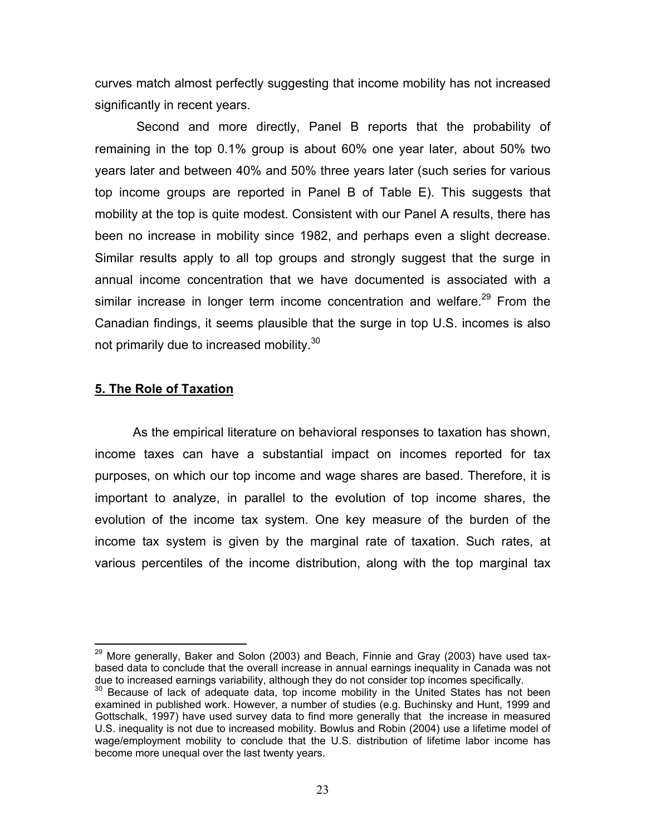curves match almost perfectly suggesting that income mobility has not increased significantly in recent years.

 Second and more directly, Panel B reports that the probability of remaining in the top 0.1% group is about 60% one year later, about 50% two years later and between 40% and 50% three years later (such series for various top income groups are reported in Panel B of Table E). This suggests that mobility at the top is quite modest. Consistent with our Panel A results, there has been no increase in mobility since 1982, and perhaps even a slight decrease. Similar results apply to all top groups and strongly suggest that the surge in annual income concentration that we have documented is associated with a similar increase in longer term income concentration and welfare.<sup>29</sup> From the Canadian findings, it seems plausible that the surge in top U.S. incomes is also not primarily due to increased mobility.<sup>30</sup>

## **5. The Role of Taxation**

 $\overline{a}$ 

As the empirical literature on behavioral responses to taxation has shown, income taxes can have a substantial impact on incomes reported for tax purposes, on which our top income and wage shares are based. Therefore, it is important to analyze, in parallel to the evolution of top income shares, the evolution of the income tax system. One key measure of the burden of the income tax system is given by the marginal rate of taxation. Such rates, at various percentiles of the income distribution, along with the top marginal tax

 $29$  More generally, Baker and Solon (2003) and Beach, Finnie and Gray (2003) have used taxbased data to conclude that the overall increase in annual earnings inequality in Canada was not<br>due to increased earnings variability, although they do not consider top incomes specifically.

 $30$  Because of lack of adequate data, top income mobility in the United States has not been examined in published work. However, a number of studies (e.g. Buchinsky and Hunt, 1999 and Gottschalk, 1997) have used survey data to find more generally that the increase in measured U.S. inequality is not due to increased mobility. Bowlus and Robin (2004) use a lifetime model of wage/employment mobility to conclude that the U.S. distribution of lifetime labor income has become more unequal over the last twenty years.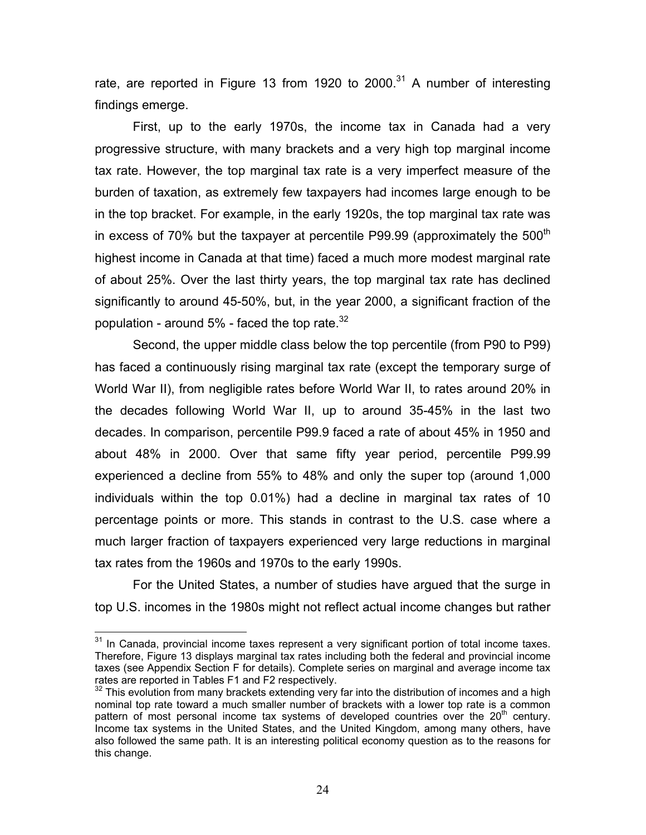rate, are reported in Figure 13 from 1920 to 2000.<sup>31</sup> A number of interesting findings emerge.

 First, up to the early 1970s, the income tax in Canada had a very progressive structure, with many brackets and a very high top marginal income tax rate. However, the top marginal tax rate is a very imperfect measure of the burden of taxation, as extremely few taxpayers had incomes large enough to be in the top bracket. For example, in the early 1920s, the top marginal tax rate was in excess of 70% but the taxpayer at percentile P99.99 (approximately the  $500<sup>th</sup>$ highest income in Canada at that time) faced a much more modest marginal rate of about 25%. Over the last thirty years, the top marginal tax rate has declined significantly to around 45-50%, but, in the year 2000, a significant fraction of the population - around 5% - faced the top rate. $32$ 

Second, the upper middle class below the top percentile (from P90 to P99) has faced a continuously rising marginal tax rate (except the temporary surge of World War II), from negligible rates before World War II, to rates around 20% in the decades following World War II, up to around 35-45% in the last two decades. In comparison, percentile P99.9 faced a rate of about 45% in 1950 and about 48% in 2000. Over that same fifty year period, percentile P99.99 experienced a decline from 55% to 48% and only the super top (around 1,000 individuals within the top 0.01%) had a decline in marginal tax rates of 10 percentage points or more. This stands in contrast to the U.S. case where a much larger fraction of taxpayers experienced very large reductions in marginal tax rates from the 1960s and 1970s to the early 1990s.

For the United States, a number of studies have argued that the surge in top U.S. incomes in the 1980s might not reflect actual income changes but rather

 $\overline{a}$ 

 $31$  In Canada, provincial income taxes represent a very significant portion of total income taxes. Therefore, Figure 13 displays marginal tax rates including both the federal and provincial income taxes (see Appendix Section F for details). Complete series on marginal and average income tax rates are reported in Tables F1 and F2 respectively.

 $32$  This evolution from many brackets extending very far into the distribution of incomes and a high nominal top rate toward a much smaller number of brackets with a lower top rate is a common pattern of most personal income tax systems of developed countries over the  $20<sup>th</sup>$  century. Income tax systems in the United States, and the United Kingdom, among many others, have also followed the same path. It is an interesting political economy question as to the reasons for this change.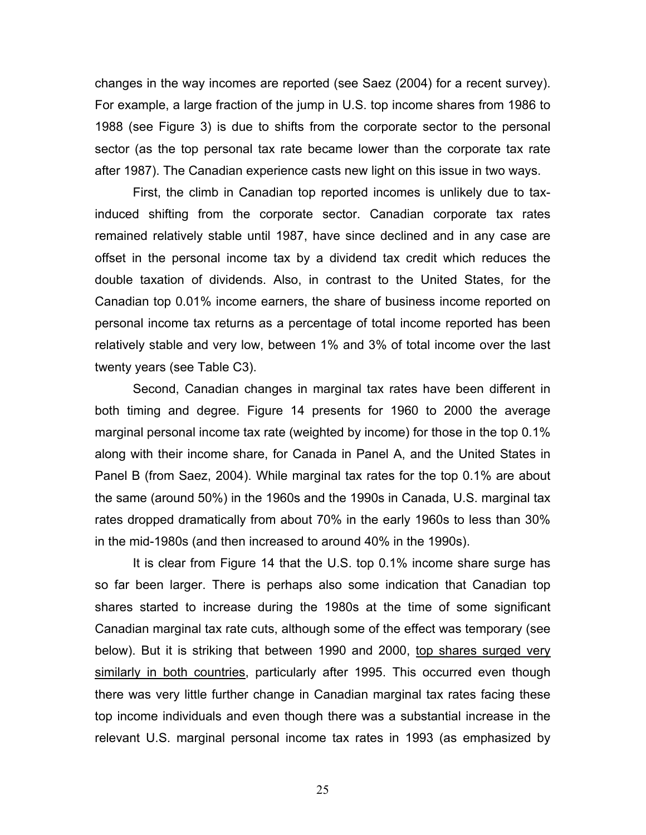changes in the way incomes are reported (see Saez (2004) for a recent survey). For example, a large fraction of the jump in U.S. top income shares from 1986 to 1988 (see Figure 3) is due to shifts from the corporate sector to the personal sector (as the top personal tax rate became lower than the corporate tax rate after 1987). The Canadian experience casts new light on this issue in two ways.

First, the climb in Canadian top reported incomes is unlikely due to taxinduced shifting from the corporate sector. Canadian corporate tax rates remained relatively stable until 1987, have since declined and in any case are offset in the personal income tax by a dividend tax credit which reduces the double taxation of dividends. Also, in contrast to the United States, for the Canadian top 0.01% income earners, the share of business income reported on personal income tax returns as a percentage of total income reported has been relatively stable and very low, between 1% and 3% of total income over the last twenty years (see Table C3).

Second, Canadian changes in marginal tax rates have been different in both timing and degree. Figure 14 presents for 1960 to 2000 the average marginal personal income tax rate (weighted by income) for those in the top 0.1% along with their income share, for Canada in Panel A, and the United States in Panel B (from Saez, 2004). While marginal tax rates for the top 0.1% are about the same (around 50%) in the 1960s and the 1990s in Canada, U.S. marginal tax rates dropped dramatically from about 70% in the early 1960s to less than 30% in the mid-1980s (and then increased to around 40% in the 1990s).

It is clear from Figure 14 that the U.S. top 0.1% income share surge has so far been larger. There is perhaps also some indication that Canadian top shares started to increase during the 1980s at the time of some significant Canadian marginal tax rate cuts, although some of the effect was temporary (see below). But it is striking that between 1990 and 2000, top shares surged very similarly in both countries, particularly after 1995. This occurred even though there was very little further change in Canadian marginal tax rates facing these top income individuals and even though there was a substantial increase in the relevant U.S. marginal personal income tax rates in 1993 (as emphasized by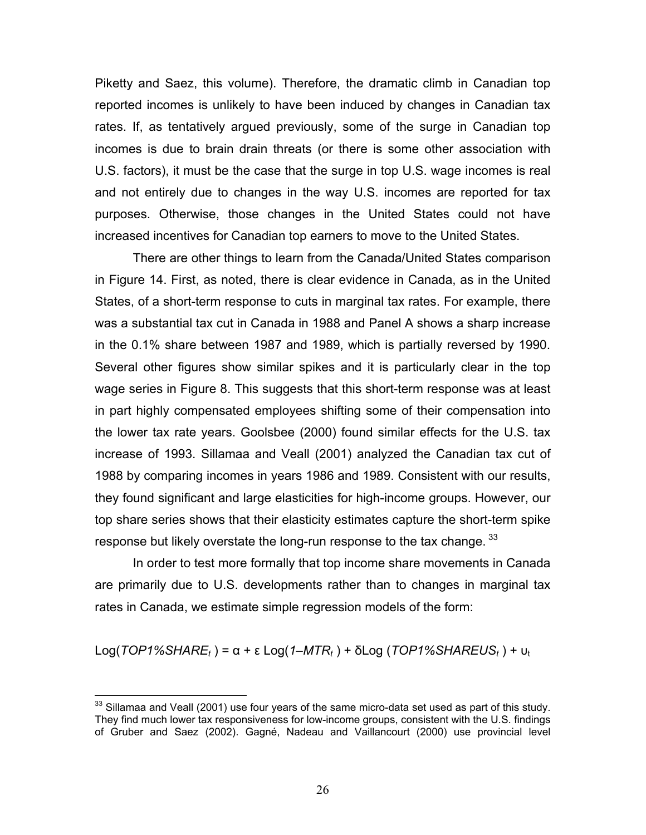Piketty and Saez, this volume). Therefore, the dramatic climb in Canadian top reported incomes is unlikely to have been induced by changes in Canadian tax rates. If, as tentatively argued previously, some of the surge in Canadian top incomes is due to brain drain threats (or there is some other association with U.S. factors), it must be the case that the surge in top U.S. wage incomes is real and not entirely due to changes in the way U.S. incomes are reported for tax purposes. Otherwise, those changes in the United States could not have increased incentives for Canadian top earners to move to the United States.

There are other things to learn from the Canada/United States comparison in Figure 14. First, as noted, there is clear evidence in Canada, as in the United States, of a short-term response to cuts in marginal tax rates. For example, there was a substantial tax cut in Canada in 1988 and Panel A shows a sharp increase in the 0.1% share between 1987 and 1989, which is partially reversed by 1990. Several other figures show similar spikes and it is particularly clear in the top wage series in Figure 8. This suggests that this short-term response was at least in part highly compensated employees shifting some of their compensation into the lower tax rate years. Goolsbee (2000) found similar effects for the U.S. tax increase of 1993. Sillamaa and Veall (2001) analyzed the Canadian tax cut of 1988 by comparing incomes in years 1986 and 1989. Consistent with our results, they found significant and large elasticities for high-income groups. However, our top share series shows that their elasticity estimates capture the short-term spike response but likely overstate the long-run response to the tax change.  $33$ 

In order to test more formally that top income share movements in Canada are primarily due to U.S. developments rather than to changes in marginal tax rates in Canada, we estimate simple regression models of the form:

Log(*TOP1%SHARE<sub>t</sub>*) = α + ε Log(*1–MTR<sub>t</sub>*) + δLog (*TOP1%SHAREUS<sub>t</sub>*) + υ<sub>t</sub>

 $\overline{a}$ 

<sup>&</sup>lt;sup>33</sup> Sillamaa and Veall (2001) use four years of the same micro-data set used as part of this study. They find much lower tax responsiveness for low-income groups, consistent with the U.S. findings of Gruber and Saez (2002). Gagné, Nadeau and Vaillancourt (2000) use provincial level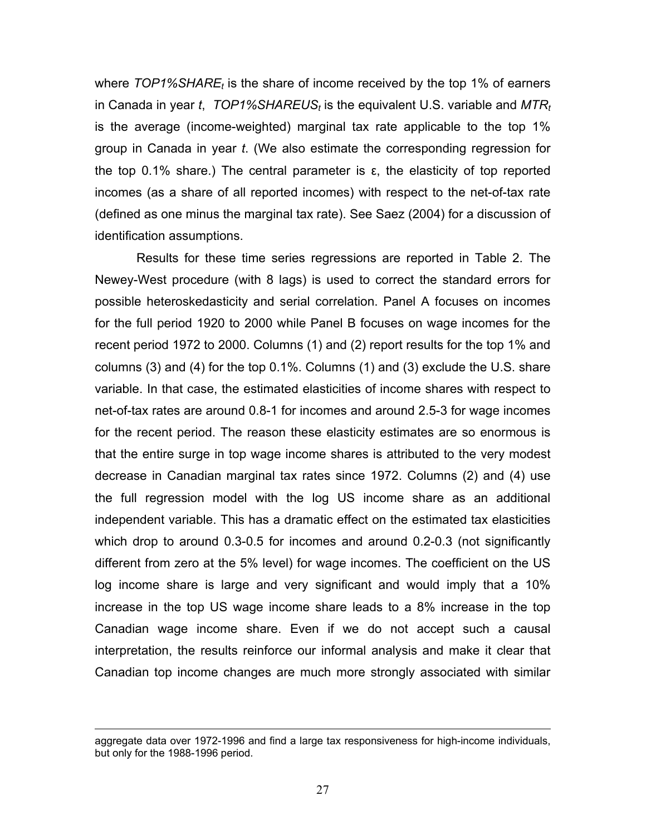where *TOP1%SHARE<sub>t</sub>* is the share of income received by the top 1% of earners in Canada in year *t, TOP1%SHAREUS<sub>t</sub>* is the equivalent U.S. variable and *MTR<sub>t</sub>* is the average (income-weighted) marginal tax rate applicable to the top 1% group in Canada in year *t*. (We also estimate the corresponding regression for the top 0.1% share.) The central parameter is ε, the elasticity of top reported incomes (as a share of all reported incomes) with respect to the net-of-tax rate (defined as one minus the marginal tax rate). See Saez (2004) for a discussion of identification assumptions.

 Results for these time series regressions are reported in Table 2. The Newey-West procedure (with 8 lags) is used to correct the standard errors for possible heteroskedasticity and serial correlation. Panel A focuses on incomes for the full period 1920 to 2000 while Panel B focuses on wage incomes for the recent period 1972 to 2000. Columns (1) and (2) report results for the top 1% and columns (3) and (4) for the top 0.1%. Columns (1) and (3) exclude the U.S. share variable. In that case, the estimated elasticities of income shares with respect to net-of-tax rates are around 0.8-1 for incomes and around 2.5-3 for wage incomes for the recent period. The reason these elasticity estimates are so enormous is that the entire surge in top wage income shares is attributed to the very modest decrease in Canadian marginal tax rates since 1972. Columns (2) and (4) use the full regression model with the log US income share as an additional independent variable. This has a dramatic effect on the estimated tax elasticities which drop to around 0.3-0.5 for incomes and around 0.2-0.3 (not significantly different from zero at the 5% level) for wage incomes. The coefficient on the US log income share is large and very significant and would imply that a 10% increase in the top US wage income share leads to a 8% increase in the top Canadian wage income share. Even if we do not accept such a causal interpretation, the results reinforce our informal analysis and make it clear that Canadian top income changes are much more strongly associated with similar

aggregate data over 1972-1996 and find a large tax responsiveness for high-income individuals, but only for the 1988-1996 period.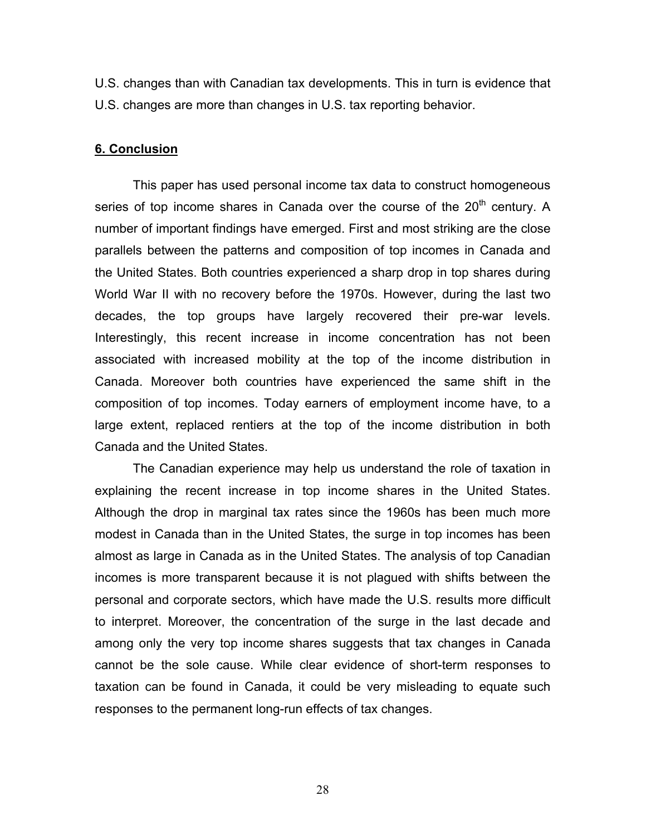U.S. changes than with Canadian tax developments. This in turn is evidence that U.S. changes are more than changes in U.S. tax reporting behavior.

#### **6. Conclusion**

This paper has used personal income tax data to construct homogeneous series of top income shares in Canada over the course of the  $20<sup>th</sup>$  century. A number of important findings have emerged. First and most striking are the close parallels between the patterns and composition of top incomes in Canada and the United States. Both countries experienced a sharp drop in top shares during World War II with no recovery before the 1970s. However, during the last two decades, the top groups have largely recovered their pre-war levels. Interestingly, this recent increase in income concentration has not been associated with increased mobility at the top of the income distribution in Canada. Moreover both countries have experienced the same shift in the composition of top incomes. Today earners of employment income have, to a large extent, replaced rentiers at the top of the income distribution in both Canada and the United States.

The Canadian experience may help us understand the role of taxation in explaining the recent increase in top income shares in the United States. Although the drop in marginal tax rates since the 1960s has been much more modest in Canada than in the United States, the surge in top incomes has been almost as large in Canada as in the United States. The analysis of top Canadian incomes is more transparent because it is not plagued with shifts between the personal and corporate sectors, which have made the U.S. results more difficult to interpret. Moreover, the concentration of the surge in the last decade and among only the very top income shares suggests that tax changes in Canada cannot be the sole cause. While clear evidence of short-term responses to taxation can be found in Canada, it could be very misleading to equate such responses to the permanent long-run effects of tax changes.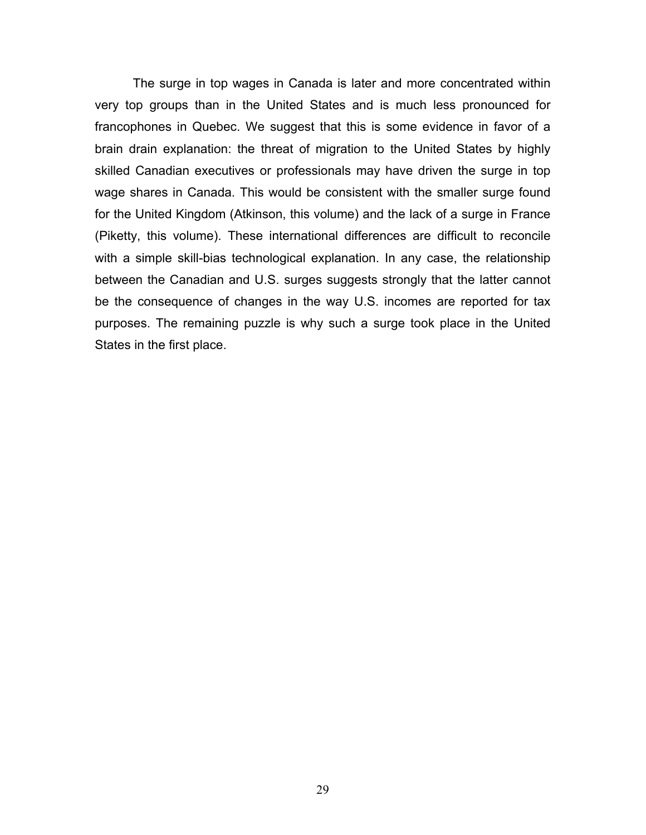The surge in top wages in Canada is later and more concentrated within very top groups than in the United States and is much less pronounced for francophones in Quebec. We suggest that this is some evidence in favor of a brain drain explanation: the threat of migration to the United States by highly skilled Canadian executives or professionals may have driven the surge in top wage shares in Canada. This would be consistent with the smaller surge found for the United Kingdom (Atkinson, this volume) and the lack of a surge in France (Piketty, this volume). These international differences are difficult to reconcile with a simple skill-bias technological explanation. In any case, the relationship between the Canadian and U.S. surges suggests strongly that the latter cannot be the consequence of changes in the way U.S. incomes are reported for tax purposes. The remaining puzzle is why such a surge took place in the United States in the first place.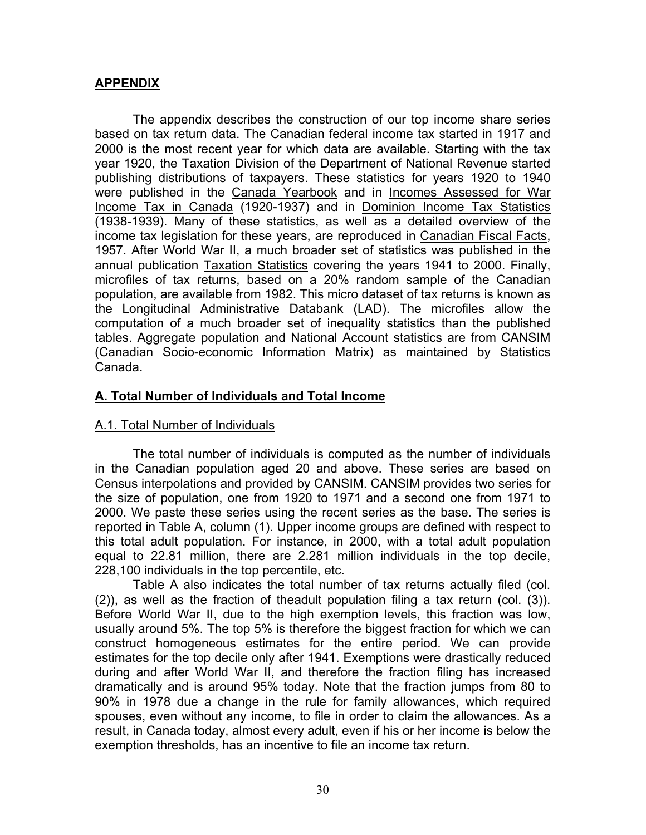# **APPENDIX**

The appendix describes the construction of our top income share series based on tax return data. The Canadian federal income tax started in 1917 and 2000 is the most recent year for which data are available. Starting with the tax year 1920, the Taxation Division of the Department of National Revenue started publishing distributions of taxpayers. These statistics for years 1920 to 1940 were published in the Canada Yearbook and in Incomes Assessed for War Income Tax in Canada (1920-1937) and in Dominion Income Tax Statistics (1938-1939). Many of these statistics, as well as a detailed overview of the income tax legislation for these years, are reproduced in Canadian Fiscal Facts, 1957. After World War II, a much broader set of statistics was published in the annual publication Taxation Statistics covering the years 1941 to 2000. Finally, microfiles of tax returns, based on a 20% random sample of the Canadian population, are available from 1982. This micro dataset of tax returns is known as the Longitudinal Administrative Databank (LAD). The microfiles allow the computation of a much broader set of inequality statistics than the published tables. Aggregate population and National Account statistics are from CANSIM (Canadian Socio-economic Information Matrix) as maintained by Statistics Canada.

# **A. Total Number of Individuals and Total Income**

## A.1. Total Number of Individuals

The total number of individuals is computed as the number of individuals in the Canadian population aged 20 and above. These series are based on Census interpolations and provided by CANSIM. CANSIM provides two series for the size of population, one from 1920 to 1971 and a second one from 1971 to 2000. We paste these series using the recent series as the base. The series is reported in Table A, column (1). Upper income groups are defined with respect to this total adult population. For instance, in 2000, with a total adult population equal to 22.81 million, there are 2.281 million individuals in the top decile, 228,100 individuals in the top percentile, etc.

Table A also indicates the total number of tax returns actually filed (col. (2)), as well as the fraction of theadult population filing a tax return (col. (3)). Before World War II, due to the high exemption levels, this fraction was low, usually around 5%. The top 5% is therefore the biggest fraction for which we can construct homogeneous estimates for the entire period. We can provide estimates for the top decile only after 1941. Exemptions were drastically reduced during and after World War II, and therefore the fraction filing has increased dramatically and is around 95% today. Note that the fraction jumps from 80 to 90% in 1978 due a change in the rule for family allowances, which required spouses, even without any income, to file in order to claim the allowances. As a result, in Canada today, almost every adult, even if his or her income is below the exemption thresholds, has an incentive to file an income tax return.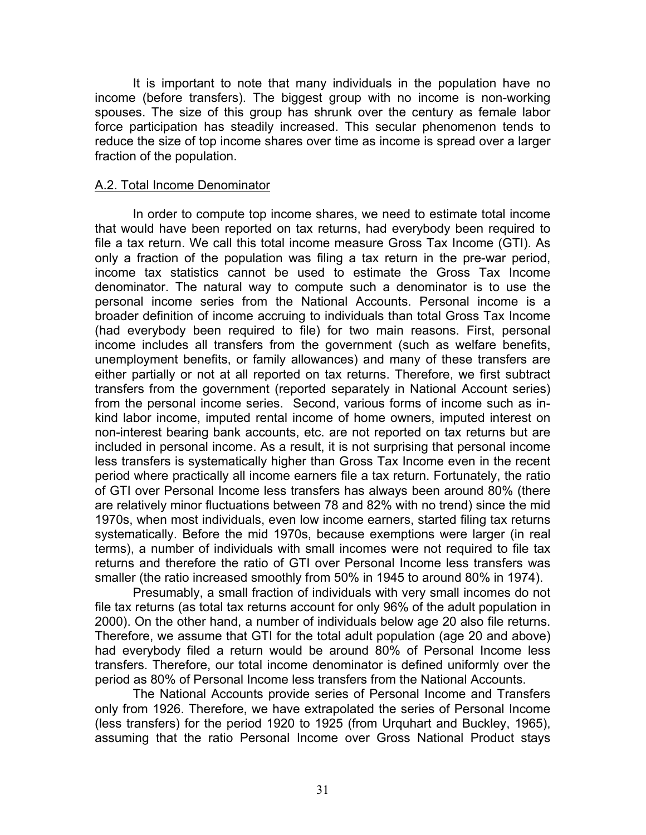It is important to note that many individuals in the population have no income (before transfers). The biggest group with no income is non-working spouses. The size of this group has shrunk over the century as female labor force participation has steadily increased. This secular phenomenon tends to reduce the size of top income shares over time as income is spread over a larger fraction of the population.

## A.2. Total Income Denominator

In order to compute top income shares, we need to estimate total income that would have been reported on tax returns, had everybody been required to file a tax return. We call this total income measure Gross Tax Income (GTI). As only a fraction of the population was filing a tax return in the pre-war period, income tax statistics cannot be used to estimate the Gross Tax Income denominator. The natural way to compute such a denominator is to use the personal income series from the National Accounts. Personal income is a broader definition of income accruing to individuals than total Gross Tax Income (had everybody been required to file) for two main reasons. First, personal income includes all transfers from the government (such as welfare benefits, unemployment benefits, or family allowances) and many of these transfers are either partially or not at all reported on tax returns. Therefore, we first subtract transfers from the government (reported separately in National Account series) from the personal income series. Second, various forms of income such as inkind labor income, imputed rental income of home owners, imputed interest on non-interest bearing bank accounts, etc. are not reported on tax returns but are included in personal income. As a result, it is not surprising that personal income less transfers is systematically higher than Gross Tax Income even in the recent period where practically all income earners file a tax return. Fortunately, the ratio of GTI over Personal Income less transfers has always been around 80% (there are relatively minor fluctuations between 78 and 82% with no trend) since the mid 1970s, when most individuals, even low income earners, started filing tax returns systematically. Before the mid 1970s, because exemptions were larger (in real terms), a number of individuals with small incomes were not required to file tax returns and therefore the ratio of GTI over Personal Income less transfers was smaller (the ratio increased smoothly from 50% in 1945 to around 80% in 1974).

Presumably, a small fraction of individuals with very small incomes do not file tax returns (as total tax returns account for only 96% of the adult population in 2000). On the other hand, a number of individuals below age 20 also file returns. Therefore, we assume that GTI for the total adult population (age 20 and above) had everybody filed a return would be around 80% of Personal Income less transfers. Therefore, our total income denominator is defined uniformly over the period as 80% of Personal Income less transfers from the National Accounts.

The National Accounts provide series of Personal Income and Transfers only from 1926. Therefore, we have extrapolated the series of Personal Income (less transfers) for the period 1920 to 1925 (from Urquhart and Buckley, 1965), assuming that the ratio Personal Income over Gross National Product stays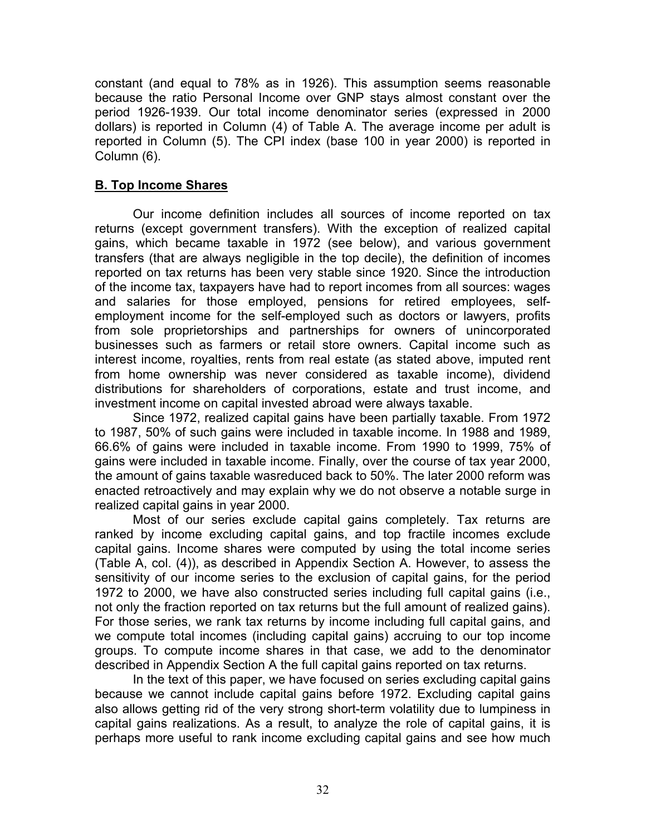constant (and equal to 78% as in 1926). This assumption seems reasonable because the ratio Personal Income over GNP stays almost constant over the period 1926-1939. Our total income denominator series (expressed in 2000 dollars) is reported in Column (4) of Table A. The average income per adult is reported in Column (5). The CPI index (base 100 in year 2000) is reported in Column (6).

# **B. Top Income Shares**

Our income definition includes all sources of income reported on tax returns (except government transfers). With the exception of realized capital gains, which became taxable in 1972 (see below), and various government transfers (that are always negligible in the top decile), the definition of incomes reported on tax returns has been very stable since 1920. Since the introduction of the income tax, taxpayers have had to report incomes from all sources: wages and salaries for those employed, pensions for retired employees, selfemployment income for the self-employed such as doctors or lawyers, profits from sole proprietorships and partnerships for owners of unincorporated businesses such as farmers or retail store owners. Capital income such as interest income, royalties, rents from real estate (as stated above, imputed rent from home ownership was never considered as taxable income), dividend distributions for shareholders of corporations, estate and trust income, and investment income on capital invested abroad were always taxable.

Since 1972, realized capital gains have been partially taxable. From 1972 to 1987, 50% of such gains were included in taxable income. In 1988 and 1989, 66.6% of gains were included in taxable income. From 1990 to 1999, 75% of gains were included in taxable income. Finally, over the course of tax year 2000, the amount of gains taxable wasreduced back to 50%. The later 2000 reform was enacted retroactively and may explain why we do not observe a notable surge in realized capital gains in year 2000.

Most of our series exclude capital gains completely. Tax returns are ranked by income excluding capital gains, and top fractile incomes exclude capital gains. Income shares were computed by using the total income series (Table A, col. (4)), as described in Appendix Section A. However, to assess the sensitivity of our income series to the exclusion of capital gains, for the period 1972 to 2000, we have also constructed series including full capital gains (i.e., not only the fraction reported on tax returns but the full amount of realized gains). For those series, we rank tax returns by income including full capital gains, and we compute total incomes (including capital gains) accruing to our top income groups. To compute income shares in that case, we add to the denominator described in Appendix Section A the full capital gains reported on tax returns.

In the text of this paper, we have focused on series excluding capital gains because we cannot include capital gains before 1972. Excluding capital gains also allows getting rid of the very strong short-term volatility due to lumpiness in capital gains realizations. As a result, to analyze the role of capital gains, it is perhaps more useful to rank income excluding capital gains and see how much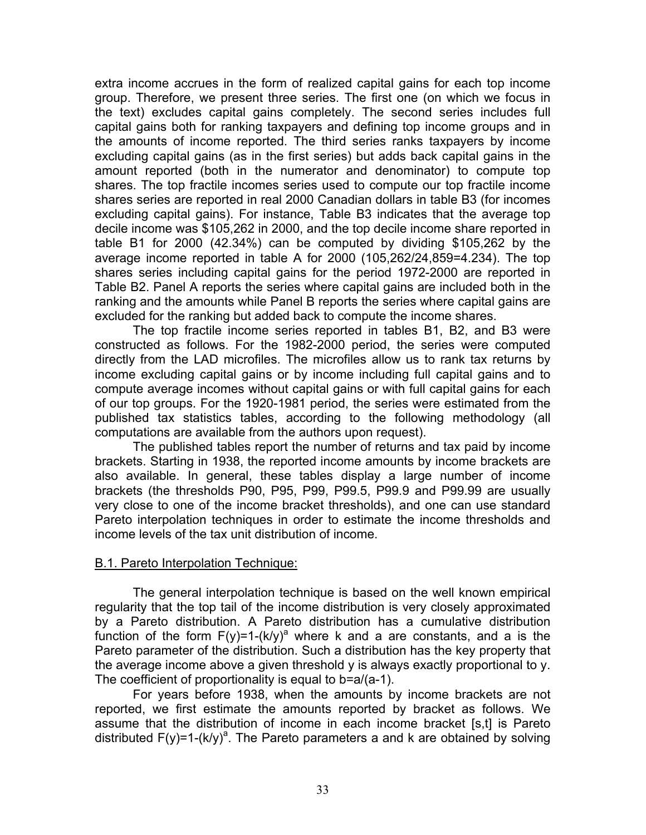extra income accrues in the form of realized capital gains for each top income group. Therefore, we present three series. The first one (on which we focus in the text) excludes capital gains completely. The second series includes full capital gains both for ranking taxpayers and defining top income groups and in the amounts of income reported. The third series ranks taxpayers by income excluding capital gains (as in the first series) but adds back capital gains in the amount reported (both in the numerator and denominator) to compute top shares. The top fractile incomes series used to compute our top fractile income shares series are reported in real 2000 Canadian dollars in table B3 (for incomes excluding capital gains). For instance, Table B3 indicates that the average top decile income was \$105,262 in 2000, and the top decile income share reported in table B1 for 2000 (42.34%) can be computed by dividing \$105,262 by the average income reported in table A for 2000 (105,262/24,859=4.234). The top shares series including capital gains for the period 1972-2000 are reported in Table B2. Panel A reports the series where capital gains are included both in the ranking and the amounts while Panel B reports the series where capital gains are excluded for the ranking but added back to compute the income shares.

The top fractile income series reported in tables B1, B2, and B3 were constructed as follows. For the 1982-2000 period, the series were computed directly from the LAD microfiles. The microfiles allow us to rank tax returns by income excluding capital gains or by income including full capital gains and to compute average incomes without capital gains or with full capital gains for each of our top groups. For the 1920-1981 period, the series were estimated from the published tax statistics tables, according to the following methodology (all computations are available from the authors upon request).

The published tables report the number of returns and tax paid by income brackets. Starting in 1938, the reported income amounts by income brackets are also available. In general, these tables display a large number of income brackets (the thresholds P90, P95, P99, P99.5, P99.9 and P99.99 are usually very close to one of the income bracket thresholds), and one can use standard Pareto interpolation techniques in order to estimate the income thresholds and income levels of the tax unit distribution of income.

#### B.1. Pareto Interpolation Technique:

The general interpolation technique is based on the well known empirical regularity that the top tail of the income distribution is very closely approximated by a Pareto distribution. A Pareto distribution has a cumulative distribution function of the form  $F(y)=1-(k/y)^a$  where k and a are constants, and a is the Pareto parameter of the distribution. Such a distribution has the key property that the average income above a given threshold y is always exactly proportional to y. The coefficient of proportionality is equal to b=a/(a-1).

For years before 1938, when the amounts by income brackets are not reported, we first estimate the amounts reported by bracket as follows. We assume that the distribution of income in each income bracket [s,t] is Pareto distributed  $F(y)=1-(k/y)^a$ . The Pareto parameters a and k are obtained by solving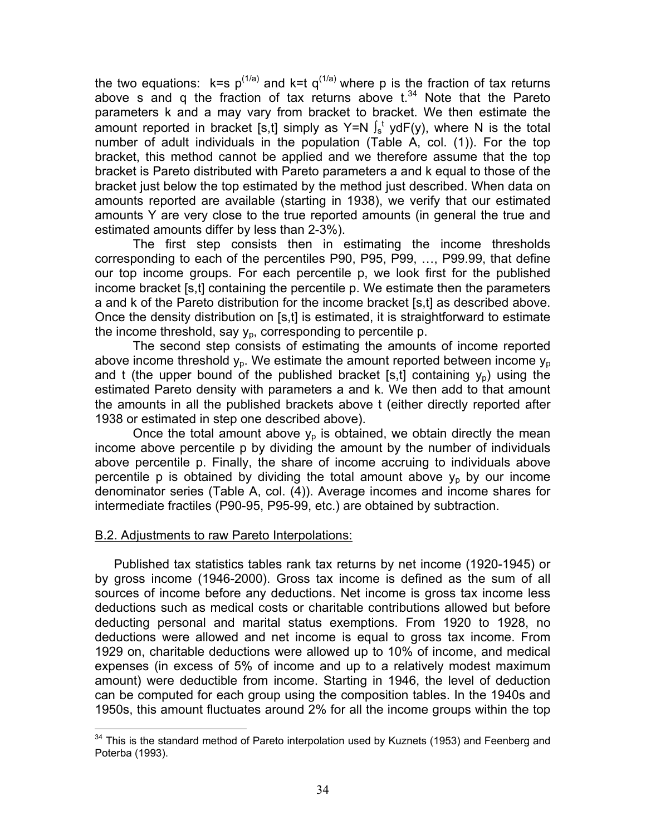the two equations:  $k=s p^{(1/a)}$  and  $k=t q^{(1/a)}$  where p is the fraction of tax returns above s and q the fraction of tax returns above  $t^{34}$  Note that the Pareto parameters k and a may vary from bracket to bracket. We then estimate the amount reported in bracket [s,t] simply as Y=N  $\int_s^t y dF(y)$ , where N is the total number of adult individuals in the population (Table A, col. (1)). For the top bracket, this method cannot be applied and we therefore assume that the top bracket is Pareto distributed with Pareto parameters a and k equal to those of the bracket just below the top estimated by the method just described. When data on amounts reported are available (starting in 1938), we verify that our estimated amounts Y are very close to the true reported amounts (in general the true and estimated amounts differ by less than 2-3%).

The first step consists then in estimating the income thresholds corresponding to each of the percentiles P90, P95, P99, …, P99.99, that define our top income groups. For each percentile p, we look first for the published income bracket [s,t] containing the percentile p. We estimate then the parameters a and k of the Pareto distribution for the income bracket [s,t] as described above. Once the density distribution on [s,t] is estimated, it is straightforward to estimate the income threshold, say  $y<sub>p</sub>$ , corresponding to percentile p.

 The second step consists of estimating the amounts of income reported above income threshold  $y_p$ . We estimate the amount reported between income  $y_p$ and t (the upper bound of the published bracket [s,t] containing  $y<sub>0</sub>$ ) using the estimated Pareto density with parameters a and k. We then add to that amount the amounts in all the published brackets above t (either directly reported after 1938 or estimated in step one described above).

Once the total amount above  $y_p$  is obtained, we obtain directly the mean income above percentile p by dividing the amount by the number of individuals above percentile p. Finally, the share of income accruing to individuals above percentile p is obtained by dividing the total amount above  $y<sub>0</sub>$  by our income denominator series (Table A, col. (4)). Average incomes and income shares for intermediate fractiles (P90-95, P95-99, etc.) are obtained by subtraction.

#### B.2. Adjustments to raw Pareto Interpolations:

 $\overline{a}$ 

Published tax statistics tables rank tax returns by net income (1920-1945) or by gross income (1946-2000). Gross tax income is defined as the sum of all sources of income before any deductions. Net income is gross tax income less deductions such as medical costs or charitable contributions allowed but before deducting personal and marital status exemptions. From 1920 to 1928, no deductions were allowed and net income is equal to gross tax income. From 1929 on, charitable deductions were allowed up to 10% of income, and medical expenses (in excess of 5% of income and up to a relatively modest maximum amount) were deductible from income. Starting in 1946, the level of deduction can be computed for each group using the composition tables. In the 1940s and 1950s, this amount fluctuates around 2% for all the income groups within the top

 $34$  This is the standard method of Pareto interpolation used by Kuznets (1953) and Feenberg and Poterba (1993).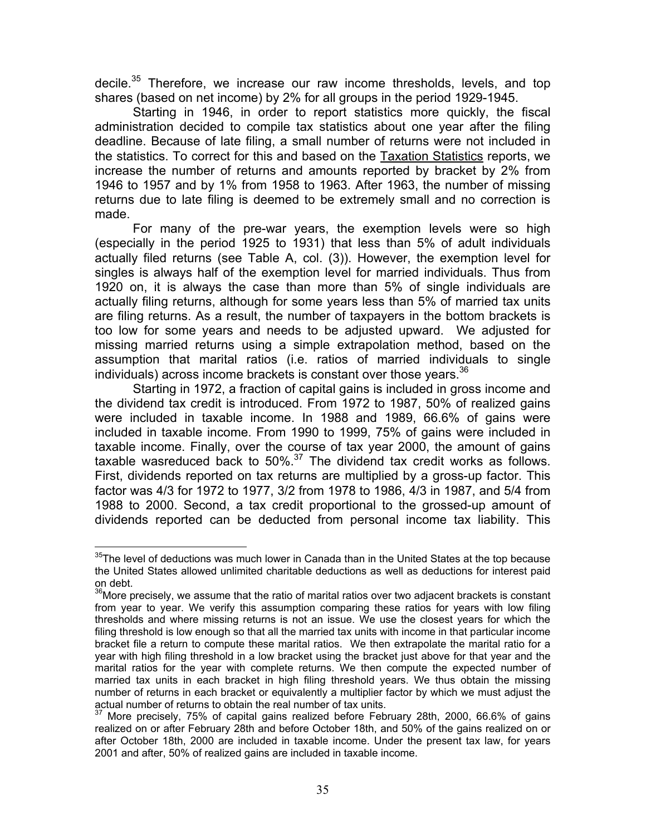decile.<sup>35</sup> Therefore, we increase our raw income thresholds, levels, and top shares (based on net income) by 2% for all groups in the period 1929-1945.

Starting in 1946, in order to report statistics more quickly, the fiscal administration decided to compile tax statistics about one year after the filing deadline. Because of late filing, a small number of returns were not included in the statistics. To correct for this and based on the Taxation Statistics reports, we increase the number of returns and amounts reported by bracket by 2% from 1946 to 1957 and by 1% from 1958 to 1963. After 1963, the number of missing returns due to late filing is deemed to be extremely small and no correction is made.

For many of the pre-war years, the exemption levels were so high (especially in the period 1925 to 1931) that less than 5% of adult individuals actually filed returns (see Table A, col. (3)). However, the exemption level for singles is always half of the exemption level for married individuals. Thus from 1920 on, it is always the case than more than 5% of single individuals are actually filing returns, although for some years less than 5% of married tax units are filing returns. As a result, the number of taxpayers in the bottom brackets is too low for some years and needs to be adjusted upward. We adjusted for missing married returns using a simple extrapolation method, based on the assumption that marital ratios (i.e. ratios of married individuals to single individuals) across income brackets is constant over those vears.<sup>36</sup>

Starting in 1972, a fraction of capital gains is included in gross income and the dividend tax credit is introduced. From 1972 to 1987, 50% of realized gains were included in taxable income. In 1988 and 1989, 66.6% of gains were included in taxable income. From 1990 to 1999, 75% of gains were included in taxable income. Finally, over the course of tax year 2000, the amount of gains taxable wasreduced back to  $50\%$ .<sup>37</sup> The dividend tax credit works as follows. First, dividends reported on tax returns are multiplied by a gross-up factor. This factor was 4/3 for 1972 to 1977, 3/2 from 1978 to 1986, 4/3 in 1987, and 5/4 from 1988 to 2000. Second, a tax credit proportional to the grossed-up amount of dividends reported can be deducted from personal income tax liability. This

 $\overline{a}$  $35$ The level of deductions was much lower in Canada than in the United States at the top because the United States allowed unlimited charitable deductions as well as deductions for interest paid on debt.

<sup>&</sup>lt;sup>36</sup>More precisely, we assume that the ratio of marital ratios over two adjacent brackets is constant from year to year. We verify this assumption comparing these ratios for years with low filing thresholds and where missing returns is not an issue. We use the closest years for which the filing threshold is low enough so that all the married tax units with income in that particular income bracket file a return to compute these marital ratios. We then extrapolate the marital ratio for a year with high filing threshold in a low bracket using the bracket just above for that year and the marital ratios for the year with complete returns. We then compute the expected number of married tax units in each bracket in high filing threshold years. We thus obtain the missing number of returns in each bracket or equivalently a multiplier factor by which we must adjust the actual number of returns to obtain the real number of tax units.

More precisely, 75% of capital gains realized before February 28th, 2000, 66.6% of gains realized on or after February 28th and before October 18th, and 50% of the gains realized on or after October 18th, 2000 are included in taxable income. Under the present tax law, for years 2001 and after, 50% of realized gains are included in taxable income.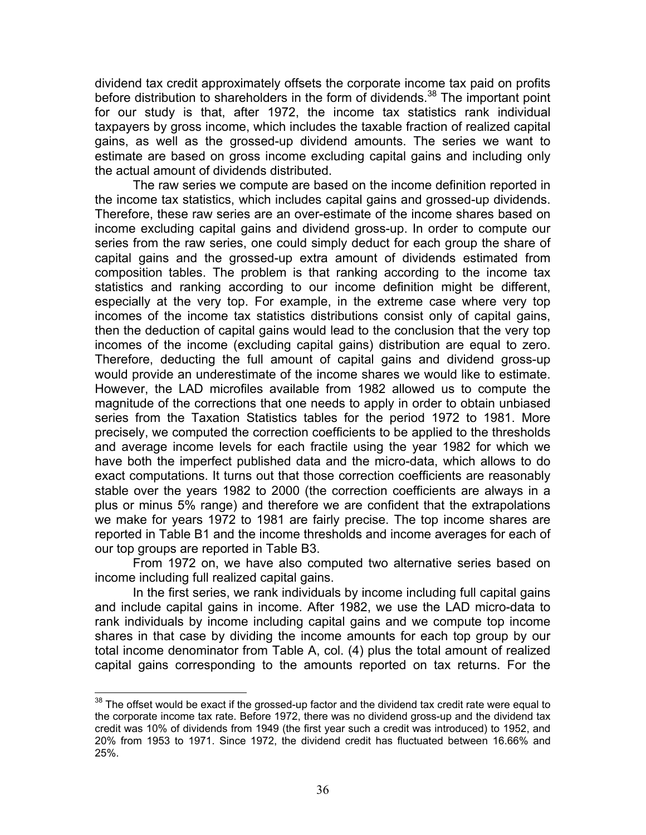dividend tax credit approximately offsets the corporate income tax paid on profits before distribution to shareholders in the form of dividends.<sup>38</sup> The important point for our study is that, after 1972, the income tax statistics rank individual taxpayers by gross income, which includes the taxable fraction of realized capital gains, as well as the grossed-up dividend amounts. The series we want to estimate are based on gross income excluding capital gains and including only the actual amount of dividends distributed.

The raw series we compute are based on the income definition reported in the income tax statistics, which includes capital gains and grossed-up dividends. Therefore, these raw series are an over-estimate of the income shares based on income excluding capital gains and dividend gross-up. In order to compute our series from the raw series, one could simply deduct for each group the share of capital gains and the grossed-up extra amount of dividends estimated from composition tables. The problem is that ranking according to the income tax statistics and ranking according to our income definition might be different, especially at the very top. For example, in the extreme case where very top incomes of the income tax statistics distributions consist only of capital gains, then the deduction of capital gains would lead to the conclusion that the very top incomes of the income (excluding capital gains) distribution are equal to zero. Therefore, deducting the full amount of capital gains and dividend gross-up would provide an underestimate of the income shares we would like to estimate. However, the LAD microfiles available from 1982 allowed us to compute the magnitude of the corrections that one needs to apply in order to obtain unbiased series from the Taxation Statistics tables for the period 1972 to 1981. More precisely, we computed the correction coefficients to be applied to the thresholds and average income levels for each fractile using the year 1982 for which we have both the imperfect published data and the micro-data, which allows to do exact computations. It turns out that those correction coefficients are reasonably stable over the years 1982 to 2000 (the correction coefficients are always in a plus or minus 5% range) and therefore we are confident that the extrapolations we make for years 1972 to 1981 are fairly precise. The top income shares are reported in Table B1 and the income thresholds and income averages for each of our top groups are reported in Table B3.

 From 1972 on, we have also computed two alternative series based on income including full realized capital gains.

In the first series, we rank individuals by income including full capital gains and include capital gains in income. After 1982, we use the LAD micro-data to rank individuals by income including capital gains and we compute top income shares in that case by dividing the income amounts for each top group by our total income denominator from Table A, col. (4) plus the total amount of realized capital gains corresponding to the amounts reported on tax returns. For the

1

 $38$  The offset would be exact if the grossed-up factor and the dividend tax credit rate were equal to the corporate income tax rate. Before 1972, there was no dividend gross-up and the dividend tax credit was 10% of dividends from 1949 (the first year such a credit was introduced) to 1952, and 20% from 1953 to 1971. Since 1972, the dividend credit has fluctuated between 16.66% and 25%.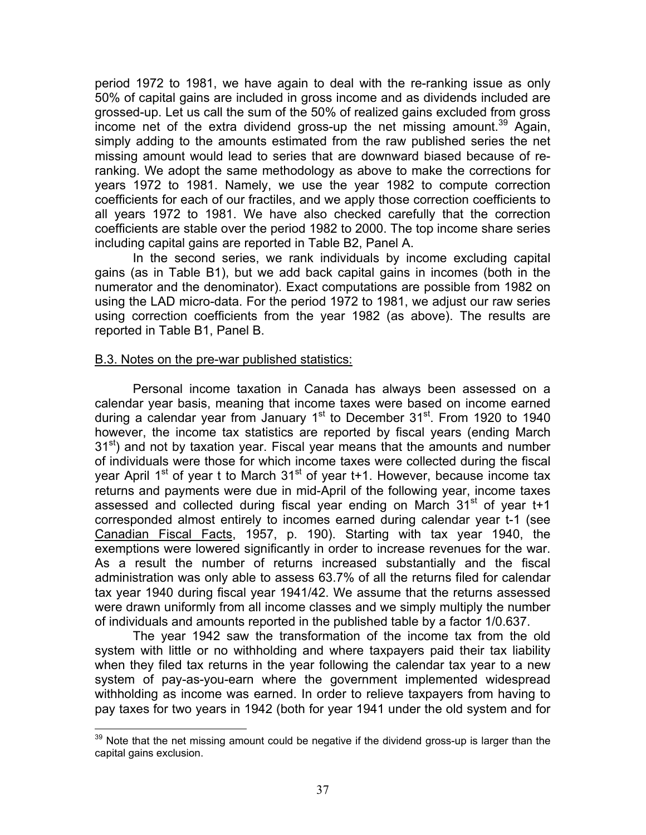period 1972 to 1981, we have again to deal with the re-ranking issue as only 50% of capital gains are included in gross income and as dividends included are grossed-up. Let us call the sum of the 50% of realized gains excluded from gross income net of the extra dividend gross-up the net missing amount.<sup>39</sup> Again, simply adding to the amounts estimated from the raw published series the net missing amount would lead to series that are downward biased because of reranking. We adopt the same methodology as above to make the corrections for years 1972 to 1981. Namely, we use the year 1982 to compute correction coefficients for each of our fractiles, and we apply those correction coefficients to all years 1972 to 1981. We have also checked carefully that the correction coefficients are stable over the period 1982 to 2000. The top income share series including capital gains are reported in Table B2, Panel A.

 In the second series, we rank individuals by income excluding capital gains (as in Table B1), but we add back capital gains in incomes (both in the numerator and the denominator). Exact computations are possible from 1982 on using the LAD micro-data. For the period 1972 to 1981, we adjust our raw series using correction coefficients from the year 1982 (as above). The results are reported in Table B1, Panel B.

### B.3. Notes on the pre-war published statistics:

Personal income taxation in Canada has always been assessed on a calendar year basis, meaning that income taxes were based on income earned during a calendar year from January  $1<sup>st</sup>$  to December  $31<sup>st</sup>$ . From 1920 to 1940 however, the income tax statistics are reported by fiscal years (ending March  $31<sup>st</sup>$ ) and not by taxation year. Fiscal year means that the amounts and number of individuals were those for which income taxes were collected during the fiscal year April 1<sup>st</sup> of year t to March 31<sup>st</sup> of year t+1. However, because income tax returns and payments were due in mid-April of the following year, income taxes assessed and collected during fiscal year ending on March  $31<sup>st</sup>$  of year  $t+1$ corresponded almost entirely to incomes earned during calendar year t-1 (see Canadian Fiscal Facts, 1957, p. 190). Starting with tax year 1940, the exemptions were lowered significantly in order to increase revenues for the war. As a result the number of returns increased substantially and the fiscal administration was only able to assess 63.7% of all the returns filed for calendar tax year 1940 during fiscal year 1941/42. We assume that the returns assessed were drawn uniformly from all income classes and we simply multiply the number of individuals and amounts reported in the published table by a factor 1/0.637.

 The year 1942 saw the transformation of the income tax from the old system with little or no withholding and where taxpayers paid their tax liability when they filed tax returns in the year following the calendar tax year to a new system of pay-as-you-earn where the government implemented widespread withholding as income was earned. In order to relieve taxpayers from having to pay taxes for two years in 1942 (both for year 1941 under the old system and for

 $\overline{a}$  $39$  Note that the net missing amount could be negative if the dividend gross-up is larger than the capital gains exclusion.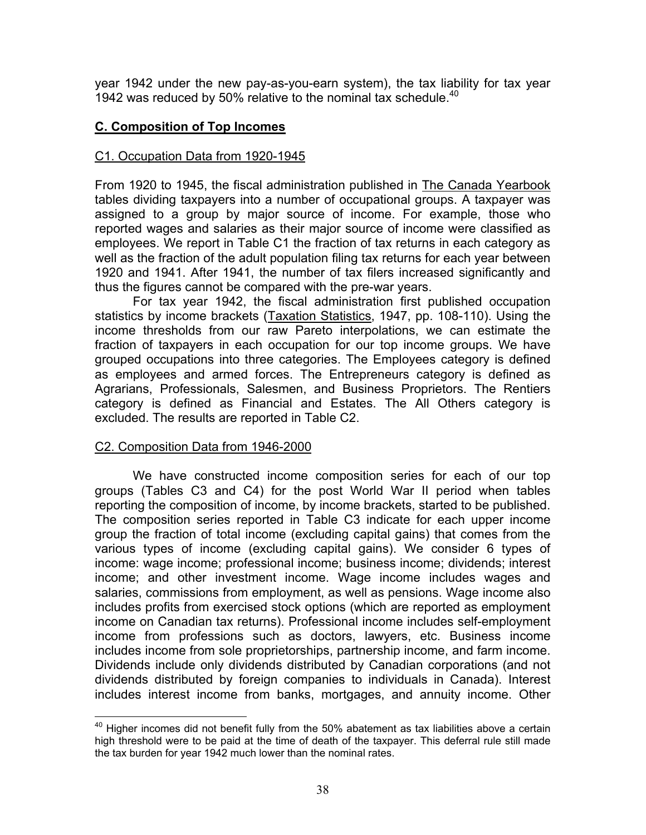year 1942 under the new pay-as-you-earn system), the tax liability for tax year 1942 was reduced by 50% relative to the nominal tax schedule.<sup>40</sup>

# **C. Composition of Top Incomes**

# C1. Occupation Data from 1920-1945

From 1920 to 1945, the fiscal administration published in The Canada Yearbook tables dividing taxpayers into a number of occupational groups. A taxpayer was assigned to a group by major source of income. For example, those who reported wages and salaries as their major source of income were classified as employees. We report in Table C1 the fraction of tax returns in each category as well as the fraction of the adult population filing tax returns for each year between 1920 and 1941. After 1941, the number of tax filers increased significantly and thus the figures cannot be compared with the pre-war years.

For tax year 1942, the fiscal administration first published occupation statistics by income brackets (Taxation Statistics, 1947, pp. 108-110). Using the income thresholds from our raw Pareto interpolations, we can estimate the fraction of taxpayers in each occupation for our top income groups. We have grouped occupations into three categories. The Employees category is defined as employees and armed forces. The Entrepreneurs category is defined as Agrarians, Professionals, Salesmen, and Business Proprietors. The Rentiers category is defined as Financial and Estates. The All Others category is excluded. The results are reported in Table C2.

### C2. Composition Data from 1946-2000

We have constructed income composition series for each of our top groups (Tables C3 and C4) for the post World War II period when tables reporting the composition of income, by income brackets, started to be published. The composition series reported in Table C3 indicate for each upper income group the fraction of total income (excluding capital gains) that comes from the various types of income (excluding capital gains). We consider 6 types of income: wage income; professional income; business income; dividends; interest income; and other investment income. Wage income includes wages and salaries, commissions from employment, as well as pensions. Wage income also includes profits from exercised stock options (which are reported as employment income on Canadian tax returns). Professional income includes self-employment income from professions such as doctors, lawyers, etc. Business income includes income from sole proprietorships, partnership income, and farm income. Dividends include only dividends distributed by Canadian corporations (and not dividends distributed by foreign companies to individuals in Canada). Interest includes interest income from banks, mortgages, and annuity income. Other

 $\overline{a}$  $40$  Higher incomes did not benefit fully from the 50% abatement as tax liabilities above a certain high threshold were to be paid at the time of death of the taxpayer. This deferral rule still made the tax burden for year 1942 much lower than the nominal rates.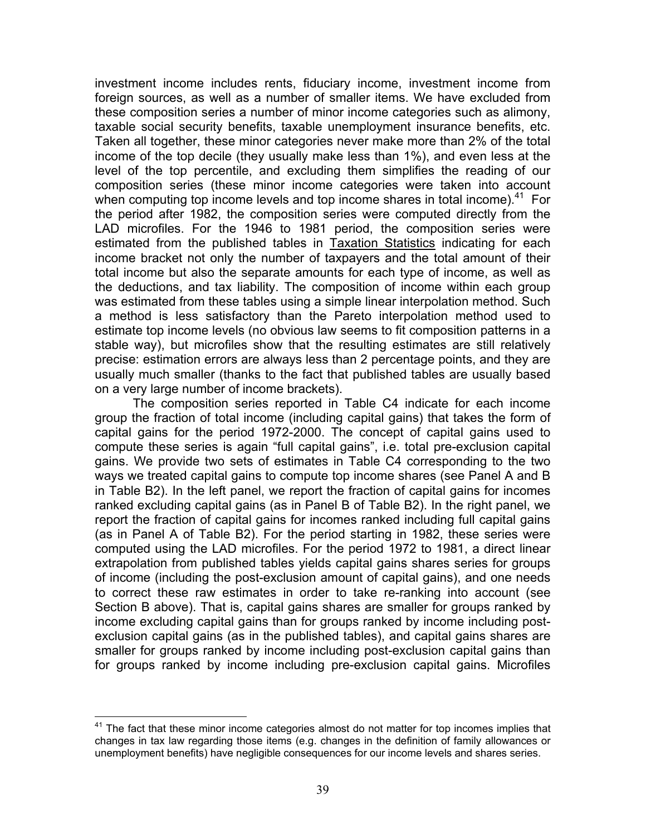investment income includes rents, fiduciary income, investment income from foreign sources, as well as a number of smaller items. We have excluded from these composition series a number of minor income categories such as alimony, taxable social security benefits, taxable unemployment insurance benefits, etc. Taken all together, these minor categories never make more than 2% of the total income of the top decile (they usually make less than 1%), and even less at the level of the top percentile, and excluding them simplifies the reading of our composition series (these minor income categories were taken into account when computing top income levels and top income shares in total income). $41$  For the period after 1982, the composition series were computed directly from the LAD microfiles. For the 1946 to 1981 period, the composition series were estimated from the published tables in **Taxation Statistics** indicating for each income bracket not only the number of taxpayers and the total amount of their total income but also the separate amounts for each type of income, as well as the deductions, and tax liability. The composition of income within each group was estimated from these tables using a simple linear interpolation method. Such a method is less satisfactory than the Pareto interpolation method used to estimate top income levels (no obvious law seems to fit composition patterns in a stable way), but microfiles show that the resulting estimates are still relatively precise: estimation errors are always less than 2 percentage points, and they are usually much smaller (thanks to the fact that published tables are usually based on a very large number of income brackets).

The composition series reported in Table C4 indicate for each income group the fraction of total income (including capital gains) that takes the form of capital gains for the period 1972-2000. The concept of capital gains used to compute these series is again "full capital gains", i.e. total pre-exclusion capital gains. We provide two sets of estimates in Table C4 corresponding to the two ways we treated capital gains to compute top income shares (see Panel A and B in Table B2). In the left panel, we report the fraction of capital gains for incomes ranked excluding capital gains (as in Panel B of Table B2). In the right panel, we report the fraction of capital gains for incomes ranked including full capital gains (as in Panel A of Table B2). For the period starting in 1982, these series were computed using the LAD microfiles. For the period 1972 to 1981, a direct linear extrapolation from published tables yields capital gains shares series for groups of income (including the post-exclusion amount of capital gains), and one needs to correct these raw estimates in order to take re-ranking into account (see Section B above). That is, capital gains shares are smaller for groups ranked by income excluding capital gains than for groups ranked by income including postexclusion capital gains (as in the published tables), and capital gains shares are smaller for groups ranked by income including post-exclusion capital gains than for groups ranked by income including pre-exclusion capital gains. Microfiles

 $\overline{a}$  $41$  The fact that these minor income categories almost do not matter for top incomes implies that changes in tax law regarding those items (e.g. changes in the definition of family allowances or unemployment benefits) have negligible consequences for our income levels and shares series.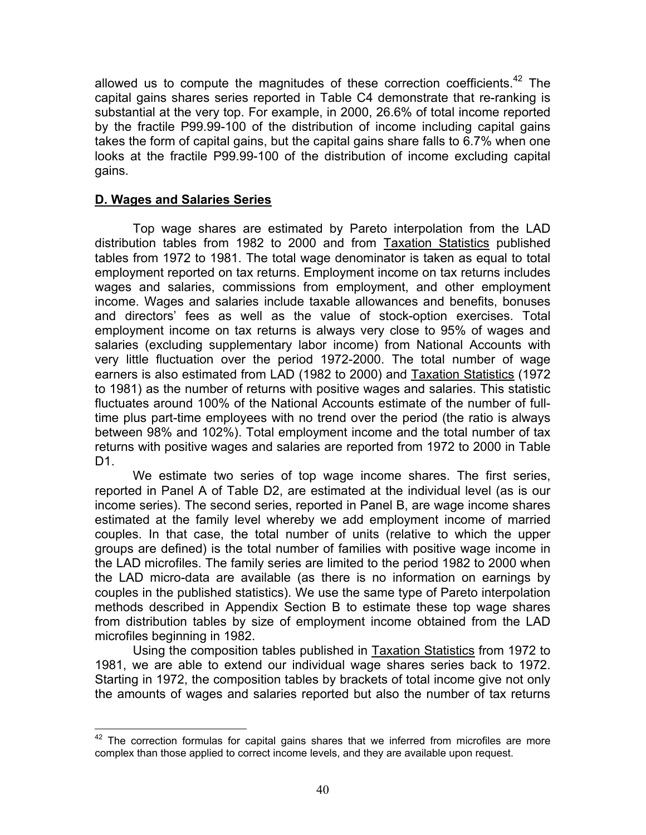allowed us to compute the magnitudes of these correction coefficients.<sup>42</sup> The capital gains shares series reported in Table C4 demonstrate that re-ranking is substantial at the very top. For example, in 2000, 26.6% of total income reported by the fractile P99.99-100 of the distribution of income including capital gains takes the form of capital gains, but the capital gains share falls to 6.7% when one looks at the fractile P99.99-100 of the distribution of income excluding capital gains.

# **D. Wages and Salaries Series**

Top wage shares are estimated by Pareto interpolation from the LAD distribution tables from 1982 to 2000 and from Taxation Statistics published tables from 1972 to 1981. The total wage denominator is taken as equal to total employment reported on tax returns. Employment income on tax returns includes wages and salaries, commissions from employment, and other employment income. Wages and salaries include taxable allowances and benefits, bonuses and directors' fees as well as the value of stock-option exercises. Total employment income on tax returns is always very close to 95% of wages and salaries (excluding supplementary labor income) from National Accounts with very little fluctuation over the period 1972-2000. The total number of wage earners is also estimated from LAD (1982 to 2000) and Taxation Statistics (1972 to 1981) as the number of returns with positive wages and salaries. This statistic fluctuates around 100% of the National Accounts estimate of the number of fulltime plus part-time employees with no trend over the period (the ratio is always between 98% and 102%). Total employment income and the total number of tax returns with positive wages and salaries are reported from 1972 to 2000 in Table D<sub>1</sub>

We estimate two series of top wage income shares. The first series, reported in Panel A of Table D2, are estimated at the individual level (as is our income series). The second series, reported in Panel B, are wage income shares estimated at the family level whereby we add employment income of married couples. In that case, the total number of units (relative to which the upper groups are defined) is the total number of families with positive wage income in the LAD microfiles. The family series are limited to the period 1982 to 2000 when the LAD micro-data are available (as there is no information on earnings by couples in the published statistics). We use the same type of Pareto interpolation methods described in Appendix Section B to estimate these top wage shares from distribution tables by size of employment income obtained from the LAD microfiles beginning in 1982.

Using the composition tables published in Taxation Statistics from 1972 to 1981, we are able to extend our individual wage shares series back to 1972. Starting in 1972, the composition tables by brackets of total income give not only the amounts of wages and salaries reported but also the number of tax returns

<sup>1</sup>  $42$  The correction formulas for capital gains shares that we inferred from microfiles are more complex than those applied to correct income levels, and they are available upon request.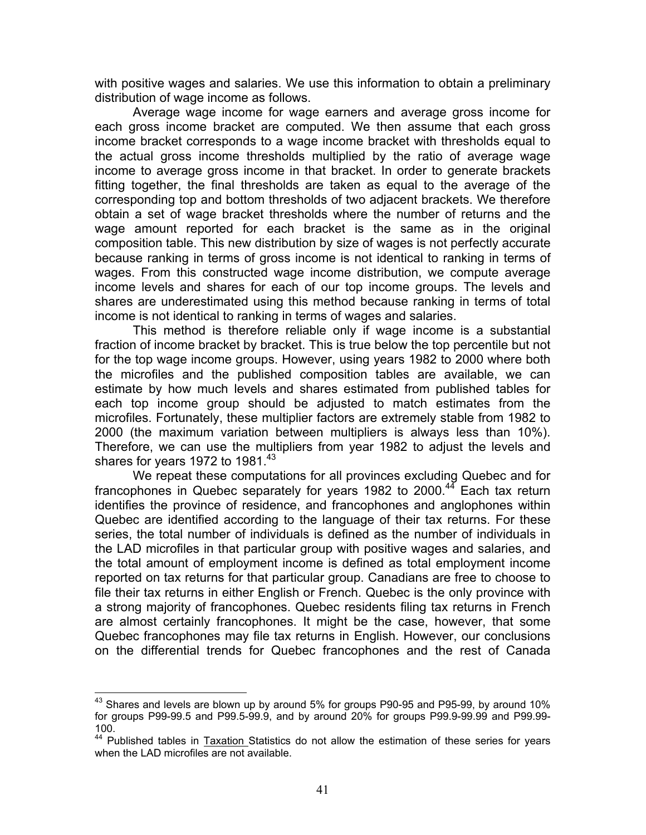with positive wages and salaries. We use this information to obtain a preliminary distribution of wage income as follows.

Average wage income for wage earners and average gross income for each gross income bracket are computed. We then assume that each gross income bracket corresponds to a wage income bracket with thresholds equal to the actual gross income thresholds multiplied by the ratio of average wage income to average gross income in that bracket. In order to generate brackets fitting together, the final thresholds are taken as equal to the average of the corresponding top and bottom thresholds of two adjacent brackets. We therefore obtain a set of wage bracket thresholds where the number of returns and the wage amount reported for each bracket is the same as in the original composition table. This new distribution by size of wages is not perfectly accurate because ranking in terms of gross income is not identical to ranking in terms of wages. From this constructed wage income distribution, we compute average income levels and shares for each of our top income groups. The levels and shares are underestimated using this method because ranking in terms of total income is not identical to ranking in terms of wages and salaries.

This method is therefore reliable only if wage income is a substantial fraction of income bracket by bracket. This is true below the top percentile but not for the top wage income groups. However, using years 1982 to 2000 where both the microfiles and the published composition tables are available, we can estimate by how much levels and shares estimated from published tables for each top income group should be adjusted to match estimates from the microfiles. Fortunately, these multiplier factors are extremely stable from 1982 to 2000 (the maximum variation between multipliers is always less than 10%). Therefore, we can use the multipliers from year 1982 to adjust the levels and shares for years 1972 to 1981.<sup>43</sup>

We repeat these computations for all provinces excluding Quebec and for francophones in Quebec separately for years 1982 to 2000. $44$  Each tax return identifies the province of residence, and francophones and anglophones within Quebec are identified according to the language of their tax returns. For these series, the total number of individuals is defined as the number of individuals in the LAD microfiles in that particular group with positive wages and salaries, and the total amount of employment income is defined as total employment income reported on tax returns for that particular group. Canadians are free to choose to file their tax returns in either English or French. Quebec is the only province with a strong majority of francophones. Quebec residents filing tax returns in French are almost certainly francophones. It might be the case, however, that some Quebec francophones may file tax returns in English. However, our conclusions on the differential trends for Quebec francophones and the rest of Canada

 $\overline{a}$ 

 $^{43}$  Shares and levels are blown up by around 5% for groups P90-95 and P95-99, by around 10% for groups P99-99.5 and P99.5-99.9, and by around 20% for groups P99.9-99.99 and P99.99- 100.

<sup>&</sup>lt;sup>44</sup> Published tables in **Taxation** Statistics do not allow the estimation of these series for years when the LAD microfiles are not available.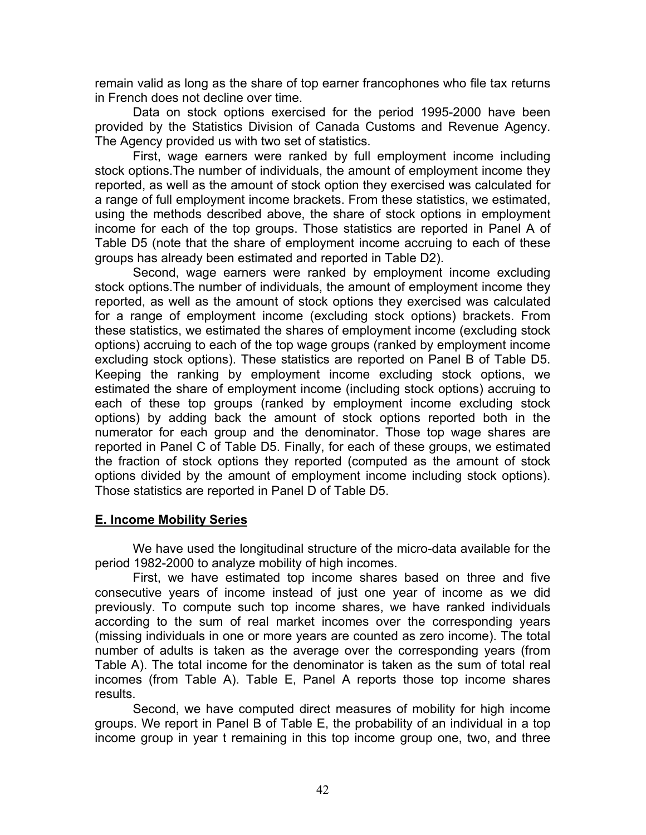remain valid as long as the share of top earner francophones who file tax returns in French does not decline over time.

Data on stock options exercised for the period 1995-2000 have been provided by the Statistics Division of Canada Customs and Revenue Agency. The Agency provided us with two set of statistics.

First, wage earners were ranked by full employment income including stock options.The number of individuals, the amount of employment income they reported, as well as the amount of stock option they exercised was calculated for a range of full employment income brackets. From these statistics, we estimated, using the methods described above, the share of stock options in employment income for each of the top groups. Those statistics are reported in Panel A of Table D5 (note that the share of employment income accruing to each of these groups has already been estimated and reported in Table D2).

Second, wage earners were ranked by employment income excluding stock options.The number of individuals, the amount of employment income they reported, as well as the amount of stock options they exercised was calculated for a range of employment income (excluding stock options) brackets. From these statistics, we estimated the shares of employment income (excluding stock options) accruing to each of the top wage groups (ranked by employment income excluding stock options). These statistics are reported on Panel B of Table D5. Keeping the ranking by employment income excluding stock options, we estimated the share of employment income (including stock options) accruing to each of these top groups (ranked by employment income excluding stock options) by adding back the amount of stock options reported both in the numerator for each group and the denominator. Those top wage shares are reported in Panel C of Table D5. Finally, for each of these groups, we estimated the fraction of stock options they reported (computed as the amount of stock options divided by the amount of employment income including stock options). Those statistics are reported in Panel D of Table D5.

### **E. Income Mobility Series**

We have used the longitudinal structure of the micro-data available for the period 1982-2000 to analyze mobility of high incomes.

 First, we have estimated top income shares based on three and five consecutive years of income instead of just one year of income as we did previously. To compute such top income shares, we have ranked individuals according to the sum of real market incomes over the corresponding years (missing individuals in one or more years are counted as zero income). The total number of adults is taken as the average over the corresponding years (from Table A). The total income for the denominator is taken as the sum of total real incomes (from Table A). Table E, Panel A reports those top income shares results.

 Second, we have computed direct measures of mobility for high income groups. We report in Panel B of Table E, the probability of an individual in a top income group in year t remaining in this top income group one, two, and three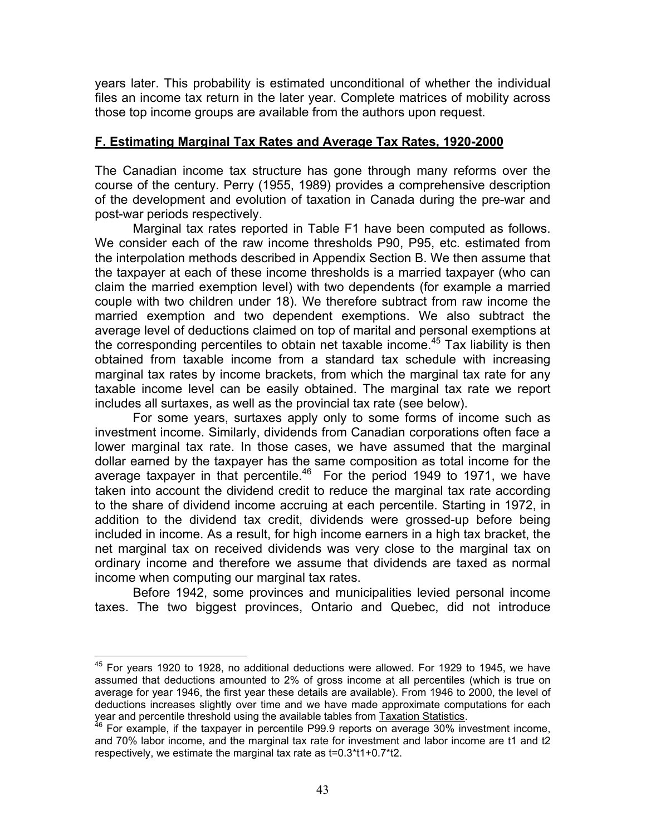years later. This probability is estimated unconditional of whether the individual files an income tax return in the later year. Complete matrices of mobility across those top income groups are available from the authors upon request.

# **F. Estimating Marginal Tax Rates and Average Tax Rates, 1920-2000**

The Canadian income tax structure has gone through many reforms over the course of the century. Perry (1955, 1989) provides a comprehensive description of the development and evolution of taxation in Canada during the pre-war and post-war periods respectively.

 Marginal tax rates reported in Table F1 have been computed as follows. We consider each of the raw income thresholds P90, P95, etc. estimated from the interpolation methods described in Appendix Section B. We then assume that the taxpayer at each of these income thresholds is a married taxpayer (who can claim the married exemption level) with two dependents (for example a married couple with two children under 18). We therefore subtract from raw income the married exemption and two dependent exemptions. We also subtract the average level of deductions claimed on top of marital and personal exemptions at the corresponding percentiles to obtain net taxable income.<sup>45</sup> Tax liability is then obtained from taxable income from a standard tax schedule with increasing marginal tax rates by income brackets, from which the marginal tax rate for any taxable income level can be easily obtained. The marginal tax rate we report includes all surtaxes, as well as the provincial tax rate (see below).

For some years, surtaxes apply only to some forms of income such as investment income. Similarly, dividends from Canadian corporations often face a lower marginal tax rate. In those cases, we have assumed that the marginal dollar earned by the taxpayer has the same composition as total income for the average taxpayer in that percentile.<sup>46</sup> For the period 1949 to 1971, we have taken into account the dividend credit to reduce the marginal tax rate according to the share of dividend income accruing at each percentile. Starting in 1972, in addition to the dividend tax credit, dividends were grossed-up before being included in income. As a result, for high income earners in a high tax bracket, the net marginal tax on received dividends was very close to the marginal tax on ordinary income and therefore we assume that dividends are taxed as normal income when computing our marginal tax rates.

Before 1942, some provinces and municipalities levied personal income taxes. The two biggest provinces, Ontario and Quebec, did not introduce

 $\overline{a}$ 

 $45$  For years 1920 to 1928, no additional deductions were allowed. For 1929 to 1945, we have assumed that deductions amounted to 2% of gross income at all percentiles (which is true on average for year 1946, the first year these details are available). From 1946 to 2000, the level of deductions increases slightly over time and we have made approximate computations for each year and percentile threshold using the available tables from Taxation Statistics.<br><sup>46</sup> For example, if the taxpayer in percentile P99.9 reports on average 30% investment income,

and 70% labor income, and the marginal tax rate for investment and labor income are t1 and t2 respectively, we estimate the marginal tax rate as t=0.3\*t1+0.7\*t2.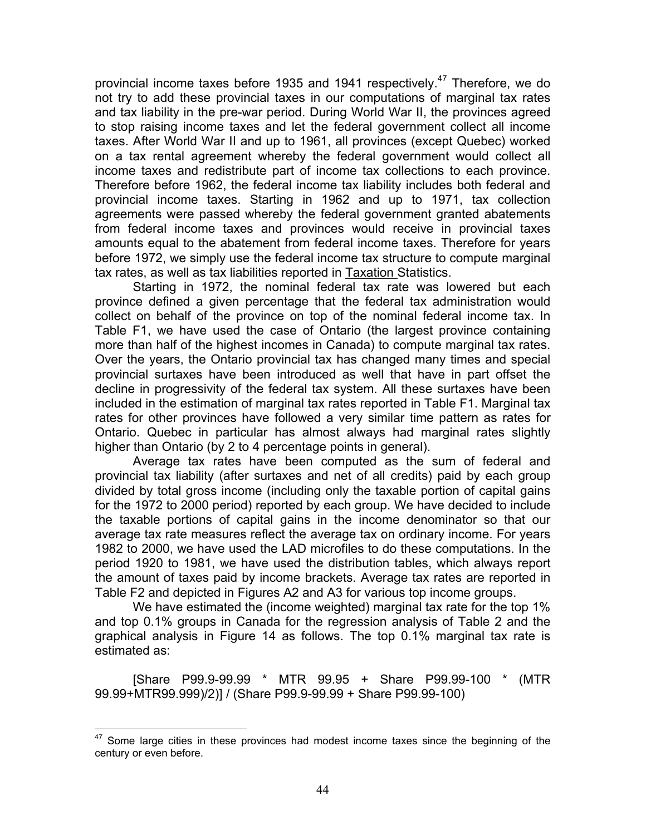provincial income taxes before 1935 and 1941 respectively.<sup>47</sup> Therefore, we do not try to add these provincial taxes in our computations of marginal tax rates and tax liability in the pre-war period. During World War II, the provinces agreed to stop raising income taxes and let the federal government collect all income taxes. After World War II and up to 1961, all provinces (except Quebec) worked on a tax rental agreement whereby the federal government would collect all income taxes and redistribute part of income tax collections to each province. Therefore before 1962, the federal income tax liability includes both federal and provincial income taxes. Starting in 1962 and up to 1971, tax collection agreements were passed whereby the federal government granted abatements from federal income taxes and provinces would receive in provincial taxes amounts equal to the abatement from federal income taxes. Therefore for years before 1972, we simply use the federal income tax structure to compute marginal tax rates, as well as tax liabilities reported in Taxation Statistics.

Starting in 1972, the nominal federal tax rate was lowered but each province defined a given percentage that the federal tax administration would collect on behalf of the province on top of the nominal federal income tax. In Table F1, we have used the case of Ontario (the largest province containing more than half of the highest incomes in Canada) to compute marginal tax rates. Over the years, the Ontario provincial tax has changed many times and special provincial surtaxes have been introduced as well that have in part offset the decline in progressivity of the federal tax system. All these surtaxes have been included in the estimation of marginal tax rates reported in Table F1. Marginal tax rates for other provinces have followed a very similar time pattern as rates for Ontario. Quebec in particular has almost always had marginal rates slightly higher than Ontario (by 2 to 4 percentage points in general).

Average tax rates have been computed as the sum of federal and provincial tax liability (after surtaxes and net of all credits) paid by each group divided by total gross income (including only the taxable portion of capital gains for the 1972 to 2000 period) reported by each group. We have decided to include the taxable portions of capital gains in the income denominator so that our average tax rate measures reflect the average tax on ordinary income. For years 1982 to 2000, we have used the LAD microfiles to do these computations. In the period 1920 to 1981, we have used the distribution tables, which always report the amount of taxes paid by income brackets. Average tax rates are reported in Table F2 and depicted in Figures A2 and A3 for various top income groups.

We have estimated the (income weighted) marginal tax rate for the top 1% and top 0.1% groups in Canada for the regression analysis of Table 2 and the graphical analysis in Figure 14 as follows. The top 0.1% marginal tax rate is estimated as:

[Share P99.9-99.99 \* MTR 99.95 + Share P99.99-100 \* (MTR 99.99+MTR99.999)/2)] / (Share P99.9-99.99 + Share P99.99-100)

 $\overline{a}$ Some large cities in these provinces had modest income taxes since the beginning of the century or even before.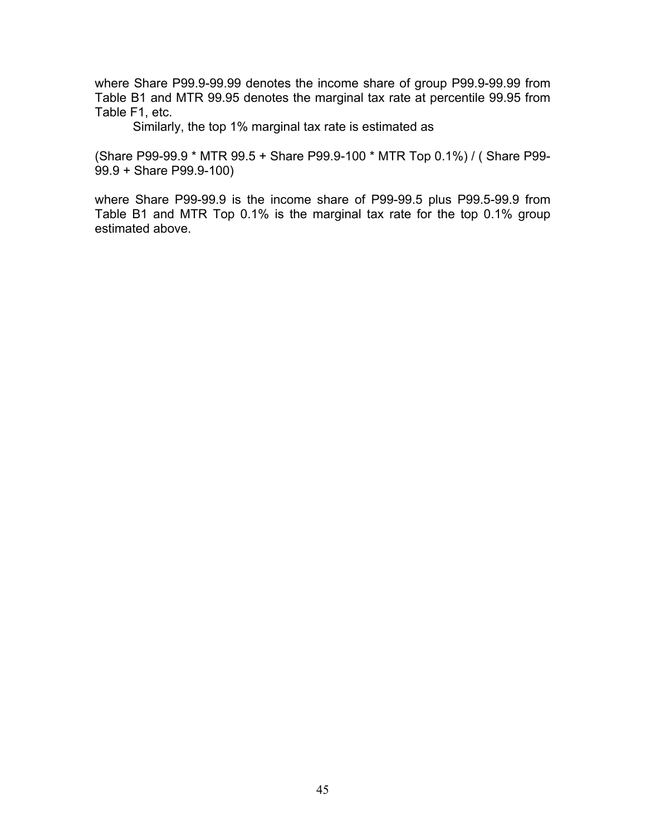where Share P99.9-99.99 denotes the income share of group P99.9-99.99 from Table B1 and MTR 99.95 denotes the marginal tax rate at percentile 99.95 from Table F1, etc.

Similarly, the top 1% marginal tax rate is estimated as

(Share P99-99.9 \* MTR 99.5 + Share P99.9-100 \* MTR Top 0.1%) / ( Share P99- 99.9 + Share P99.9-100)

where Share P99-99.9 is the income share of P99-99.5 plus P99.5-99.9 from Table B1 and MTR Top 0.1% is the marginal tax rate for the top 0.1% group estimated above.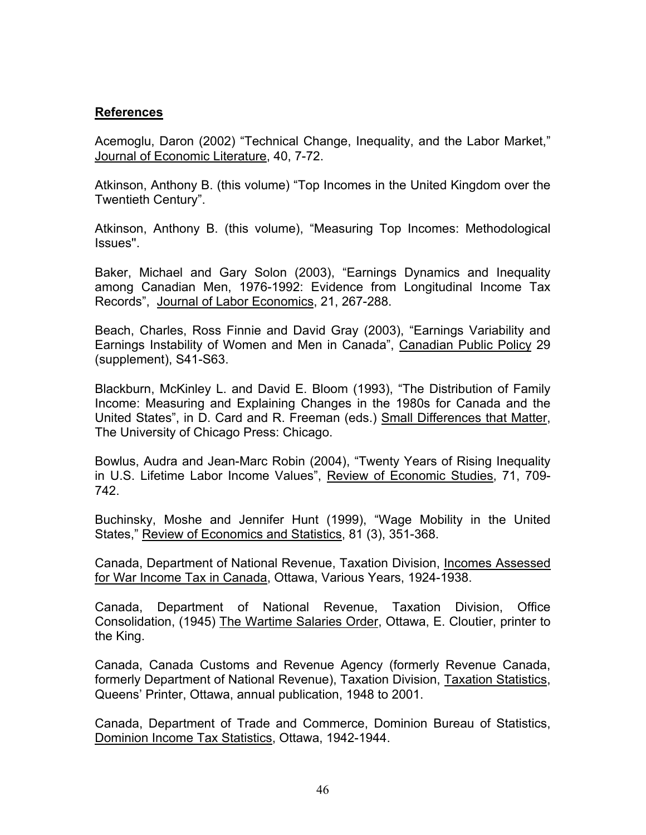# **References**

Acemoglu, Daron (2002) "Technical Change, Inequality, and the Labor Market," Journal of Economic Literature, 40, 7-72.

Atkinson, Anthony B. (this volume) "Top Incomes in the United Kingdom over the Twentieth Century".

Atkinson, Anthony B. (this volume), "Measuring Top Incomes: Methodological Issues''.

Baker, Michael and Gary Solon (2003), "Earnings Dynamics and Inequality among Canadian Men, 1976-1992: Evidence from Longitudinal Income Tax Records", Journal of Labor Economics, 21, 267-288.

Beach, Charles, Ross Finnie and David Gray (2003), "Earnings Variability and Earnings Instability of Women and Men in Canada", Canadian Public Policy 29 (supplement), S41-S63.

Blackburn, McKinley L. and David E. Bloom (1993), "The Distribution of Family Income: Measuring and Explaining Changes in the 1980s for Canada and the United States", in D. Card and R. Freeman (eds.) Small Differences that Matter, The University of Chicago Press: Chicago.

Bowlus, Audra and Jean-Marc Robin (2004), "Twenty Years of Rising Inequality in U.S. Lifetime Labor Income Values", Review of Economic Studies, 71, 709- 742.

Buchinsky, Moshe and Jennifer Hunt (1999), "Wage Mobility in the United States," Review of Economics and Statistics, 81 (3), 351-368.

Canada, Department of National Revenue, Taxation Division, Incomes Assessed for War Income Tax in Canada, Ottawa, Various Years, 1924-1938.

Canada, Department of National Revenue, Taxation Division, Office Consolidation, (1945) The Wartime Salaries Order, Ottawa, E. Cloutier, printer to the King.

Canada, Canada Customs and Revenue Agency (formerly Revenue Canada, formerly Department of National Revenue), Taxation Division, Taxation Statistics, Queens' Printer, Ottawa, annual publication, 1948 to 2001.

Canada, Department of Trade and Commerce, Dominion Bureau of Statistics, Dominion Income Tax Statistics, Ottawa, 1942-1944.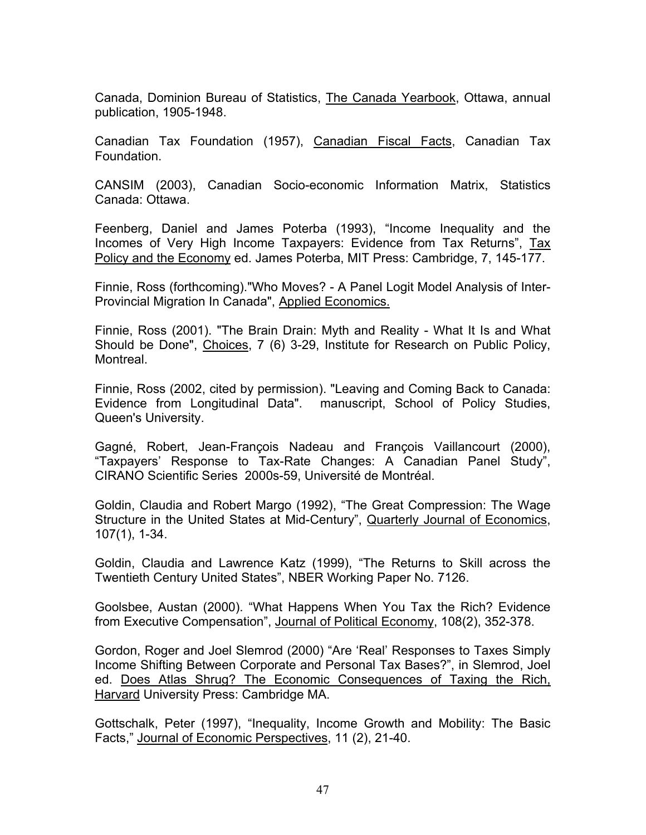Canada, Dominion Bureau of Statistics, The Canada Yearbook, Ottawa, annual publication, 1905-1948.

Canadian Tax Foundation (1957), Canadian Fiscal Facts, Canadian Tax Foundation.

CANSIM (2003), Canadian Socio-economic Information Matrix, Statistics Canada: Ottawa.

Feenberg, Daniel and James Poterba (1993), "Income Inequality and the Incomes of Very High Income Taxpayers: Evidence from Tax Returns", Tax Policy and the Economy ed. James Poterba, MIT Press: Cambridge, 7, 145-177.

Finnie, Ross (forthcoming)."Who Moves? - A Panel Logit Model Analysis of Inter-Provincial Migration In Canada", Applied Economics.

Finnie, Ross (2001). "The Brain Drain: Myth and Reality - What It Is and What Should be Done", Choices, 7 (6) 3-29, Institute for Research on Public Policy, **Montreal** 

Finnie, Ross (2002, cited by permission). "Leaving and Coming Back to Canada: Evidence from Longitudinal Data". manuscript, School of Policy Studies, Queen's University.

Gagné, Robert, Jean-François Nadeau and François Vaillancourt (2000), "Taxpayers' Response to Tax-Rate Changes: A Canadian Panel Study", CIRANO Scientific Series 2000s-59, Université de Montréal.

Goldin, Claudia and Robert Margo (1992), "The Great Compression: The Wage Structure in the United States at Mid-Century", Quarterly Journal of Economics, 107(1), 1-34.

Goldin, Claudia and Lawrence Katz (1999), "The Returns to Skill across the Twentieth Century United States", NBER Working Paper No. 7126.

Goolsbee, Austan (2000). "What Happens When You Tax the Rich? Evidence from Executive Compensation", Journal of Political Economy, 108(2), 352-378.

Gordon, Roger and Joel Slemrod (2000) "Are 'Real' Responses to Taxes Simply Income Shifting Between Corporate and Personal Tax Bases?", in Slemrod, Joel ed. Does Atlas Shrug? The Economic Consequences of Taxing the Rich, **Harvard University Press: Cambridge MA.** 

Gottschalk, Peter (1997), "Inequality, Income Growth and Mobility: The Basic Facts," Journal of Economic Perspectives, 11 (2), 21-40.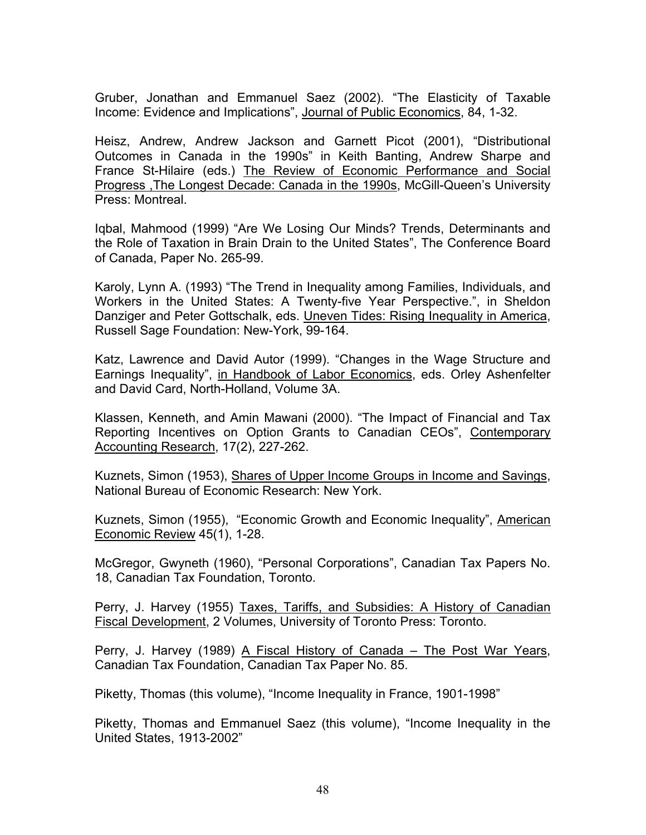Gruber, Jonathan and Emmanuel Saez (2002). "The Elasticity of Taxable Income: Evidence and Implications", Journal of Public Economics, 84, 1-32.

Heisz, Andrew, Andrew Jackson and Garnett Picot (2001), "Distributional Outcomes in Canada in the 1990s" in Keith Banting, Andrew Sharpe and France St-Hilaire (eds.) The Review of Economic Performance and Social Progress ,The Longest Decade: Canada in the 1990s, McGill-Queen's University Press: Montreal.

Iqbal, Mahmood (1999) "Are We Losing Our Minds? Trends, Determinants and the Role of Taxation in Brain Drain to the United States", The Conference Board of Canada, Paper No. 265-99.

Karoly, Lynn A. (1993) "The Trend in Inequality among Families, Individuals, and Workers in the United States: A Twenty-five Year Perspective.", in Sheldon Danziger and Peter Gottschalk, eds. Uneven Tides: Rising Inequality in America, Russell Sage Foundation: New-York, 99-164.

Katz, Lawrence and David Autor (1999). "Changes in the Wage Structure and Earnings Inequality", in Handbook of Labor Economics, eds. Orley Ashenfelter and David Card, North-Holland, Volume 3A.

Klassen, Kenneth, and Amin Mawani (2000). "The Impact of Financial and Tax Reporting Incentives on Option Grants to Canadian CEOs", Contemporary Accounting Research, 17(2), 227-262.

Kuznets, Simon (1953), Shares of Upper Income Groups in Income and Savings, National Bureau of Economic Research: New York.

Kuznets, Simon (1955), "Economic Growth and Economic Inequality", American Economic Review 45(1), 1-28.

McGregor, Gwyneth (1960), "Personal Corporations", Canadian Tax Papers No. 18, Canadian Tax Foundation, Toronto.

Perry, J. Harvey (1955) Taxes, Tariffs, and Subsidies: A History of Canadian Fiscal Development, 2 Volumes, University of Toronto Press: Toronto.

Perry, J. Harvey (1989) A Fiscal History of Canada – The Post War Years, Canadian Tax Foundation, Canadian Tax Paper No. 85.

Piketty, Thomas (this volume), "Income Inequality in France, 1901-1998"

Piketty, Thomas and Emmanuel Saez (this volume), "Income Inequality in the United States, 1913-2002"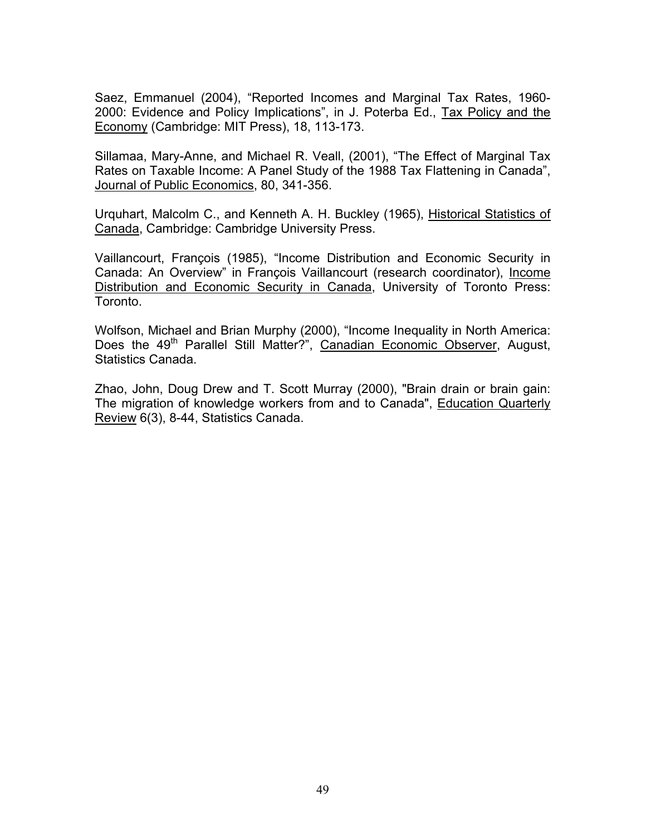Saez, Emmanuel (2004), "Reported Incomes and Marginal Tax Rates, 1960- 2000: Evidence and Policy Implications", in J. Poterba Ed., Tax Policy and the Economy (Cambridge: MIT Press), 18, 113-173.

Sillamaa, Mary-Anne, and Michael R. Veall, (2001), "The Effect of Marginal Tax Rates on Taxable Income: A Panel Study of the 1988 Tax Flattening in Canada", Journal of Public Economics, 80, 341-356.

Urquhart, Malcolm C., and Kenneth A. H. Buckley (1965), Historical Statistics of Canada, Cambridge: Cambridge University Press.

Vaillancourt, François (1985), "Income Distribution and Economic Security in Canada: An Overview" in François Vaillancourt (research coordinator), Income Distribution and Economic Security in Canada, University of Toronto Press: Toronto.

Wolfson, Michael and Brian Murphy (2000), "Income Inequality in North America: Does the 49<sup>th</sup> Parallel Still Matter?", Canadian Economic Observer, August, Statistics Canada.

Zhao, John, Doug Drew and T. Scott Murray (2000), "Brain drain or brain gain: The migration of knowledge workers from and to Canada", Education Quarterly Review 6(3), 8-44, Statistics Canada.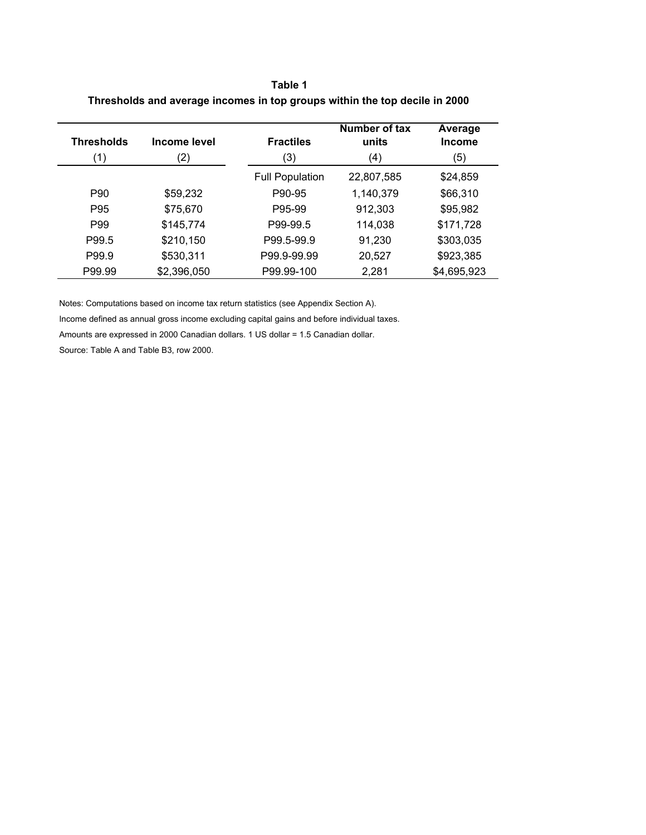| Table 1                                                                    |
|----------------------------------------------------------------------------|
| Thresholds and average incomes in top groups within the top decile in 2000 |

| <b>Thresholds</b> | Income level | <b>Fractiles</b>       | Number of tax<br>units | Average<br><b>Income</b> |
|-------------------|--------------|------------------------|------------------------|--------------------------|
| (1)               | $\bf(2)$     | (3)                    | (4)                    | (5)                      |
|                   |              | <b>Full Population</b> | 22,807,585             | \$24,859                 |
| P90               | \$59,232     | P90-95                 | 1,140,379              | \$66,310                 |
| P95               | \$75,670     | P95-99                 | 912,303                | \$95,982                 |
| P99               | \$145,774    | P99-99.5               | 114,038                | \$171,728                |
| P99.5             | \$210,150    | P99.5-99.9             | 91,230                 | \$303,035                |
| P99.9             | \$530,311    | P99.9-99.99            | 20,527                 | \$923,385                |
| P99.99            | \$2,396,050  | P99.99-100             | 2,281                  | \$4,695,923              |

Notes: Computations based on income tax return statistics (see Appendix Section A).

Income defined as annual gross income excluding capital gains and before individual taxes.

Amounts are expressed in 2000 Canadian dollars. 1 US dollar = 1.5 Canadian dollar.

Source: Table A and Table B3, row 2000.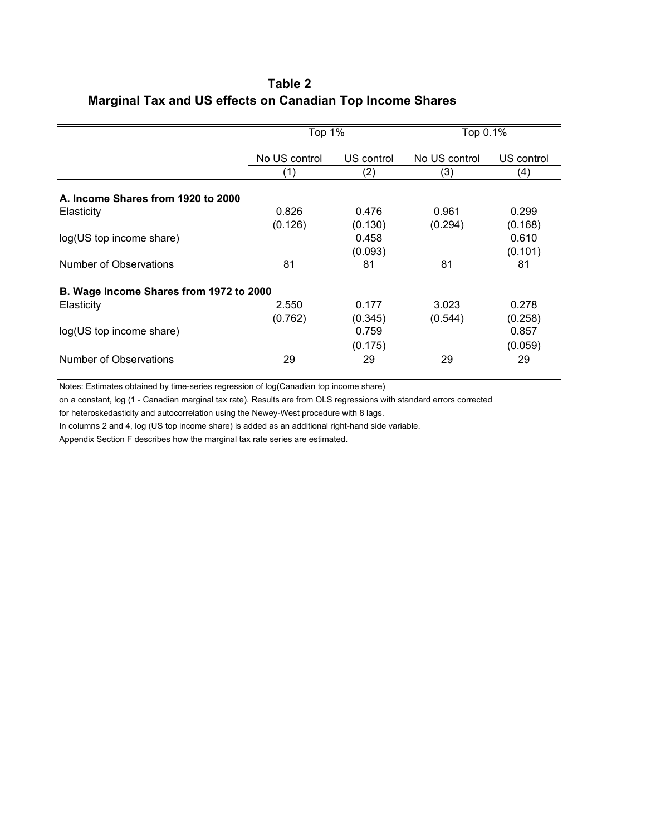| Table 2                                                   |
|-----------------------------------------------------------|
| Marginal Tax and US effects on Canadian Top Income Shares |

|                                         | <b>Top 1%</b>    |                  | Top 0.1%         |                  |
|-----------------------------------------|------------------|------------------|------------------|------------------|
|                                         | No US control    | US control       | No US control    | US control       |
|                                         | (1)              | (2)              | (3)              | (4)              |
| A. Income Shares from 1920 to 2000      |                  |                  |                  |                  |
| Elasticity                              | 0.826<br>(0.126) | 0.476<br>(0.130) | 0.961<br>(0.294) | 0.299<br>(0.168) |
| log(US top income share)                |                  | 0.458<br>(0.093) |                  | 0.610<br>(0.101) |
| Number of Observations                  | 81               | 81               | 81               | 81               |
| B. Wage Income Shares from 1972 to 2000 |                  |                  |                  |                  |
| Elasticity                              | 2.550<br>(0.762) | 0.177<br>(0.345) | 3.023<br>(0.544) | 0.278<br>(0.258) |
| log(US top income share)                |                  | 0.759<br>(0.175) |                  | 0.857<br>(0.059) |
| Number of Observations                  | 29               | 29               | 29               | 29               |

Notes: Estimates obtained by time-series regression of log(Canadian top income share)

on a constant, log (1 - Canadian marginal tax rate). Results are from OLS regressions with standard errors corrected

for heteroskedasticity and autocorrelation using the Newey-West procedure with 8 lags.

In columns 2 and 4, log (US top income share) is added as an additional right-hand side variable.

Appendix Section F describes how the marginal tax rate series are estimated.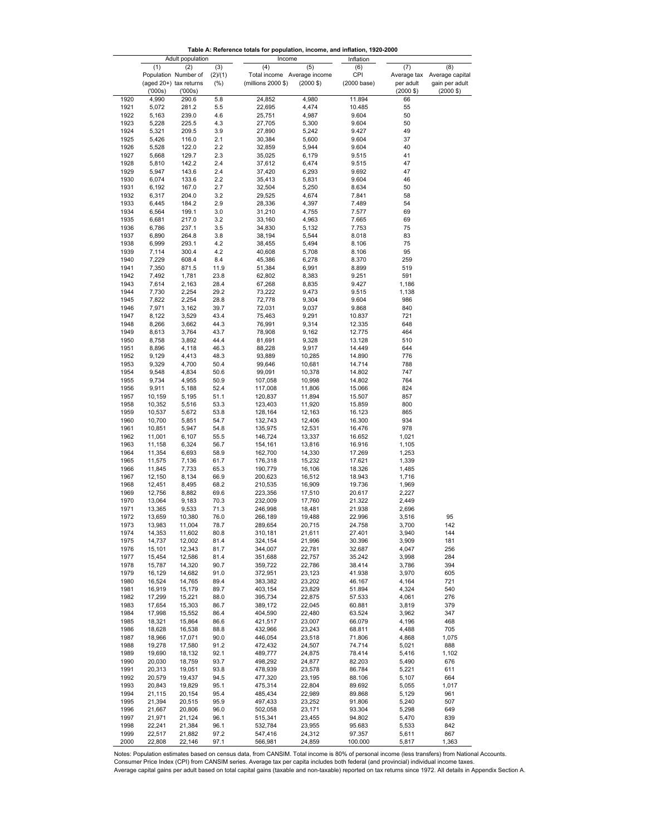| Table A: Reference totals for population, income, and inflation, 1920-2000 |  |  |  |
|----------------------------------------------------------------------------|--|--|--|
|                                                                            |  |  |  |

|              |                  |                         |              | Table A. Reference totals for population, income, and imitation, 1920-2000<br>Income |                  | Inflation        |                |                             |
|--------------|------------------|-------------------------|--------------|--------------------------------------------------------------------------------------|------------------|------------------|----------------|-----------------------------|
|              | (1)              | Adult population<br>(2) | (3)          | (4)                                                                                  | (5)              | (6)              | (7)            | (8)                         |
|              |                  | Population Number of    | (2)/(1)      | Total income Average income                                                          |                  | CPI              |                | Average tax Average capital |
|              |                  | (aged 20+) tax returns  | (%)          | (millions 2000 \$)                                                                   | $(2000$ \$)      | (2000 base)      | per adult      | gain per adult              |
|              | (000s)           | (000s)                  |              |                                                                                      |                  |                  | $(2000$ \$)    | $(2000$ \$)                 |
| 1920         | 4,990            | 290.6                   | 5.8          | 24,852                                                                               | 4,980            | 11.894           | 66             |                             |
| 1921         | 5,072            | 281.2                   | 5.5          | 22,695                                                                               | 4,474            | 10.485           | 55             |                             |
| 1922         | 5,163            | 239.0                   | 4.6          | 25,751                                                                               | 4,987            | 9.604            | 50             |                             |
| 1923         | 5,228            | 225.5                   | 4.3          | 27,705                                                                               | 5,300            | 9.604            | 50             |                             |
| 1924         | 5,321            | 209.5                   | 3.9          | 27,890                                                                               | 5,242            | 9.427            | 49             |                             |
| 1925<br>1926 | 5,426<br>5,528   | 116.0<br>122.0          | 2.1<br>2.2   | 30,384                                                                               | 5,600<br>5,944   | 9.604<br>9.604   | 37<br>40       |                             |
| 1927         | 5,668            | 129.7                   | 2.3          | 32,859<br>35,025                                                                     | 6,179            | 9.515            | 41             |                             |
| 1928         | 5,810            | 142.2                   | 2.4          | 37,612                                                                               | 6,474            | 9.515            | 47             |                             |
| 1929         | 5,947            | 143.6                   | 2.4          | 37,420                                                                               | 6,293            | 9.692            | 47             |                             |
| 1930         | 6,074            | 133.6                   | 2.2          | 35,413                                                                               | 5,831            | 9.604            | 46             |                             |
| 1931         | 6,192            | 167.0                   | 2.7          | 32,504                                                                               | 5,250            | 8.634            | 50             |                             |
| 1932         | 6,317            | 204.0                   | 3.2          | 29,525                                                                               | 4,674            | 7.841            | 58             |                             |
| 1933         | 6,445            | 184.2                   | 2.9          | 28,336                                                                               | 4,397            | 7.489            | 54             |                             |
| 1934         | 6,564            | 199.1                   | 3.0          | 31,210                                                                               | 4,755            | 7.577            | 69             |                             |
| 1935         | 6,681            | 217.0                   | 3.2          | 33,160                                                                               | 4,963            | 7.665            | 69             |                             |
| 1936         | 6,786            | 237.1                   | 3.5          | 34,830                                                                               | 5,132            | 7.753            | 75             |                             |
| 1937         | 6,890            | 264.8                   | 3.8          | 38,194                                                                               | 5,544            | 8.018            | 83             |                             |
| 1938         | 6,999            | 293.1                   | 4.2          | 38,455                                                                               | 5,494            | 8.106            | 75             |                             |
| 1939<br>1940 | 7,114            | 300.4                   | 4.2          | 40,608                                                                               | 5,708            | 8.106            | 95             |                             |
| 1941         | 7,229<br>7,350   | 608.4<br>871.5          | 8.4<br>11.9  | 45,386<br>51,384                                                                     | 6,278<br>6,991   | 8.370<br>8.899   | 259<br>519     |                             |
| 1942         | 7,492            | 1,781                   | 23.8         | 62,802                                                                               | 8,383            | 9.251            | 591            |                             |
| 1943         | 7,614            | 2,163                   | 28.4         | 67,268                                                                               | 8,835            | 9.427            | 1,186          |                             |
| 1944         | 7,730            | 2,254                   | 29.2         | 73,222                                                                               | 9,473            | 9.515            | 1,138          |                             |
| 1945         | 7,822            | 2,254                   | 28.8         | 72,778                                                                               | 9,304            | 9.604            | 986            |                             |
| 1946         | 7,971            | 3,162                   | 39.7         | 72,031                                                                               | 9,037            | 9.868            | 840            |                             |
| 1947         | 8,122            | 3,529                   | 43.4         | 75,463                                                                               | 9,291            | 10.837           | 721            |                             |
| 1948         | 8,266            | 3,662                   | 44.3         | 76,991                                                                               | 9,314            | 12.335           | 648            |                             |
| 1949         | 8,613            | 3,764                   | 43.7         | 78,908                                                                               | 9,162            | 12.775           | 464            |                             |
| 1950         | 8,758            | 3,892                   | 44.4         | 81,691                                                                               | 9,328            | 13.128           | 510            |                             |
| 1951         | 8,896            | 4,118                   | 46.3         | 88,228                                                                               | 9,917            | 14.449           | 644            |                             |
| 1952         | 9,129            | 4,413                   | 48.3         | 93,889                                                                               | 10,285           | 14.890           | 776            |                             |
| 1953<br>1954 | 9,329            | 4,700                   | 50.4         | 99,646                                                                               | 10,681           | 14.714           | 788<br>747     |                             |
| 1955         | 9,548<br>9,734   | 4,834<br>4,955          | 50.6<br>50.9 | 99,091<br>107,058                                                                    | 10,378<br>10,998 | 14.802<br>14.802 | 764            |                             |
| 1956         | 9,911            | 5,188                   | 52.4         | 117,008                                                                              | 11,806           | 15.066           | 824            |                             |
| 1957         | 10,159           | 5,195                   | 51.1         | 120,837                                                                              | 11,894           | 15.507           | 857            |                             |
| 1958         | 10,352           | 5,516                   | 53.3         | 123,403                                                                              | 11,920           | 15.859           | 800            |                             |
| 1959         | 10,537           | 5,672                   | 53.8         | 128,164                                                                              | 12,163           | 16.123           | 865            |                             |
| 1960         | 10,700           | 5,851                   | 54.7         | 132,743                                                                              | 12,406           | 16.300           | 934            |                             |
| 1961         | 10,851           | 5,947                   | 54.8         | 135,975                                                                              | 12,531           | 16.476           | 978            |                             |
| 1962         | 11,001           | 6,107                   | 55.5         | 146,724                                                                              | 13,337           | 16.652           | 1,021          |                             |
| 1963         | 11,158           | 6,324                   | 56.7         | 154,161                                                                              | 13,816           | 16.916           | 1,105          |                             |
| 1964         | 11,354           | 6,693                   | 58.9         | 162,700                                                                              | 14,330           | 17.269           | 1,253          |                             |
| 1965         | 11,575           | 7,136                   | 61.7         | 176,318                                                                              | 15,232           | 17.621           | 1,339          |                             |
| 1966<br>1967 | 11,845           | 7,733<br>8,134          | 65.3         | 190,779                                                                              | 16,106<br>16,512 | 18.326           | 1,485          |                             |
| 1968         | 12,150<br>12,451 | 8,495                   | 66.9<br>68.2 | 200,623<br>210,535                                                                   | 16,909           | 18.943<br>19.736 | 1,716<br>1,969 |                             |
| 1969         | 12,756           | 8,882                   | 69.6         | 223,356                                                                              | 17,510           | 20.617           | 2,227          |                             |
| 1970         | 13,064           | 9,183                   | 70.3         | 232,009                                                                              | 17,760           | 21.322           | 2,449          |                             |
| 1971         | 13,365           | 9,533                   | 71.3         | 246,998                                                                              | 18,481           | 21.938           | 2,696          |                             |
| 1972         | 13,659           | 10,380                  | 76.0         | 266,189                                                                              | 19,488           | 22.996           | 3,516          | 95                          |
| 1973         | 13,983           | 11,004                  | 18.1         | 289,654                                                                              | 20,715           | 24.758           | 3,700          | 142                         |
| 1974         | 14,353           | 11,602                  | 80.8         | 310,181                                                                              | 21,611           | 27.401           | 3,940          | 144                         |
| 1975         | 14,737           | 12,002                  | 81.4         | 324,154                                                                              | 21,996           | 30.396           | 3,909          | 181                         |
| 1976         | 15,101           | 12,343                  | 81.7         | 344,007                                                                              | 22,781           | 32.687           | 4,047          | 256                         |
| 1977         | 15,454           | 12,586                  | 81.4         | 351,688                                                                              | 22,757           | 35.242           | 3,998          | 284                         |
| 1978         | 15,787           | 14,320                  | 90.7         | 359,722                                                                              | 22,786           | 38.414           | 3,786          | 394                         |
| 1979<br>1980 | 16,129<br>16,524 | 14,682<br>14,765        | 91.0<br>89.4 | 372,951<br>383,382                                                                   | 23,123<br>23,202 | 41.938<br>46.167 | 3,970<br>4,164 | 605<br>721                  |
| 1981         | 16,919           | 15,179                  | 89.7         | 403,154                                                                              | 23,829           | 51.894           | 4,324          | 540                         |
| 1982         | 17,299           | 15,221                  | 88.0         | 395,734                                                                              | 22,875           | 57.533           | 4,061          | 276                         |
| 1983         | 17,654           | 15,303                  | 86.7         | 389,172                                                                              | 22,045           | 60.881           | 3,819          | 379                         |
| 1984         | 17,998           | 15,552                  | 86.4         | 404,590                                                                              | 22,480           | 63.524           | 3,962          | 347                         |
| 1985         | 18,321           | 15,864                  | 86.6         | 421,517                                                                              | 23,007           | 66.079           | 4,196          | 468                         |
| 1986         | 18,628           | 16,538                  | 88.8         | 432,966                                                                              | 23,243           | 68.811           | 4,488          | 705                         |
| 1987         | 18,966           | 17,071                  | 90.0         | 446,054                                                                              | 23,518           | 71.806           | 4,868          | 1,075                       |
| 1988         | 19,278           | 17,580                  | 91.2         | 472,432                                                                              | 24,507           | 74.714           | 5,021          | 888                         |
| 1989         | 19,690           | 18,132                  | 92.1         | 489,777                                                                              | 24,875           | 78.414           | 5,416          | 1,102                       |
| 1990         | 20,030           | 18,759                  | 93.7         | 498,292                                                                              | 24,877           | 82.203           | 5,490          | 676                         |
| 1991         | 20,313           | 19,051                  | 93.8         | 478,939                                                                              | 23,578           | 86.784           | 5,221          | 611                         |
| 1992<br>1993 | 20,579<br>20,843 | 19,437<br>19,829        | 94.5<br>95.1 | 477,320<br>475,314                                                                   | 23,195           | 88.106<br>89.692 | 5,107          | 664                         |
| 1994         | 21,115           | 20,154                  | 95.4         | 485,434                                                                              | 22,804<br>22,989 | 89.868           | 5,055<br>5,129 | 1,017<br>961                |
| 1995         | 21,394           | 20,515                  | 95.9         | 497,433                                                                              | 23,252           | 91.806           | 5,240          | 507                         |
| 1996         | 21,667           | 20,806                  | 96.0         | 502,058                                                                              | 23,171           | 93.304           | 5,298          | 649                         |
| 1997         | 21,971           | 21,124                  | 96.1         | 515,341                                                                              | 23,455           | 94.802           | 5,470          | 839                         |
| 1998         | 22,241           | 21,384                  | 96.1         | 532,784                                                                              | 23,955           | 95.683           | 5,533          | 842                         |
| 1999         | 22,517           | 21,882                  | 97.2         | 547,416                                                                              | 24,312           | 97.357           | 5,611          | 867                         |
| 2000         | 22,808           | 22,146                  | 97.1         | 566,981                                                                              | 24,859           | 100.000          | 5,817          | 1,363                       |

Notes: Population estimates based on census data, from CANSIM. Total income is 80% of personal income (less transfers) from National Accounts.<br>Consumer Price Index (CPI) from CANSIM series. Average tax per capita includes Average capital gains per adult based on total capital gains (taxable and non-taxable) reported on tax returns since 1972. All details in Appendix Section A.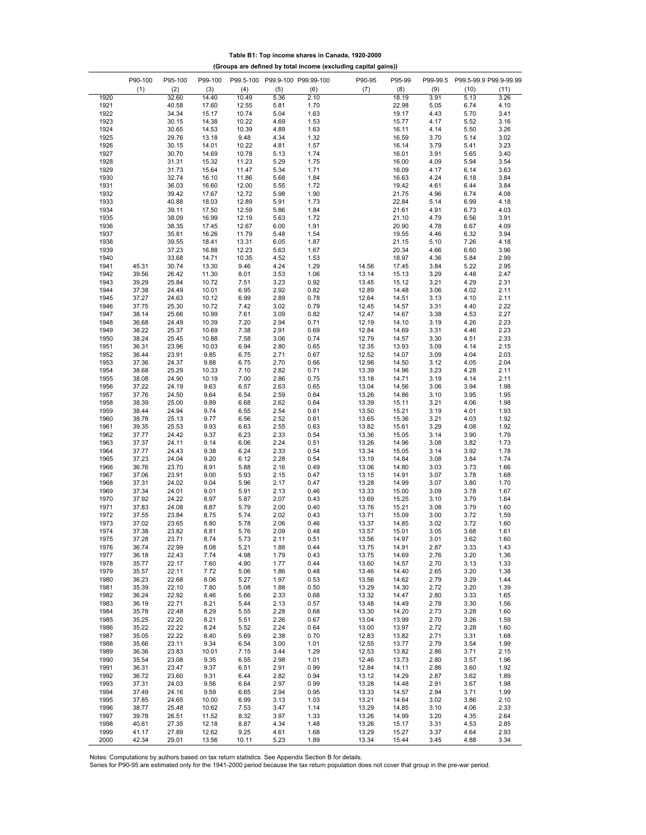| Table B1: Top income shares in Canada, 1920-2000               |
|----------------------------------------------------------------|
| (Groups are defined by total income (excluding capital gains)) |

|      | P90-100        | P95-100        | P99-100      |              |              | P99.5-100 P99.9-100 P99.99-100 | P90-95         | P95-99         | P99-99.5     |              | P99.5-99.9 P99.9-99.99 |
|------|----------------|----------------|--------------|--------------|--------------|--------------------------------|----------------|----------------|--------------|--------------|------------------------|
|      |                |                |              |              |              |                                |                |                |              |              |                        |
|      | (1)            | (2)<br>32.60   | (3)<br>14.40 | (4)<br>10.49 | (5)<br>5.36  | (6)                            | (7)            | (8)<br>18.19   | (9)<br>3.91  | (10)<br>5.13 | (11)<br>3.26           |
| 1920 |                |                |              |              |              | 2.10                           |                |                |              |              |                        |
| 1921 |                | 40.58          | 17.60        | 12.55        | 5.81         | 1.70                           |                | 22.98          | 5.05         | 6.74         | 4.10                   |
| 1922 |                | 34.34          | 15.17        | 10.74        | 5.04         | 1.63                           |                | 19.17          | 4.43<br>4.17 | 5.70         | 3.41<br>3.16           |
| 1923 |                | 30.15          | 14.38        | 10.22        | 4.69         | 1.53                           |                | 15.77          |              | 5.52         |                        |
| 1924 |                | 30.65          | 14.53        | 10.39        | 4.89         | 1.63                           |                | 16.11          | 4.14         | 5.50         | 3.26                   |
| 1925 |                | 29.76          | 13.18        | 9.48         | 4.34         | 1.32                           |                | 16.59          | 3.70         | 5.14         | 3.02                   |
| 1926 |                | 30.15          | 14.01        | 10.22        | 4.81         | 1.57                           |                | 16.14          | 3.79         | 5.41         | 3.23                   |
| 1927 |                | 30.70          | 14.69        | 10.78        | 5.13         | 1.74                           |                | 16.01          | 3.91         | 5.65         | 3.40                   |
| 1928 |                | 31.31          | 15.32        | 11.23        | 5.29         | 1.75                           |                | 16.00          | 4.09         | 5.94         | 3.54                   |
| 1929 |                | 31.73          | 15.64        | 11.47        | 5.34         | 1.71                           |                | 16.09          | 4.17         | 6.14         | 3.63                   |
| 1930 |                | 32.74          | 16.10        | 11.86        | 5.68         | 1.84                           |                | 16.63          | 4.24         | 6.18         | 3.84                   |
| 1931 |                | 36.03          | 16.60        | 12.00        | 5.55         | 1.72                           |                | 19.42          | 4.61         | 6.44         | 3.84                   |
| 1932 |                | 39.42          | 17.67        | 12.72        | 5.98         | 1.90                           |                | 21.75          | 4.96         | 6.74         | 4.08                   |
| 1933 |                | 40.88          | 18.03        | 12.89        | 5.91         | 1.73                           |                | 22.84          | 5.14         | 6.99         | 4.18                   |
| 1934 |                | 39.11          | 17.50        | 12.59        | 5.86         | 1.84                           |                | 21.61          | 4.91         | 6.73         | 4.03                   |
| 1935 |                | 38.09          | 16.99        | 12.19        | 5.63         | 1.72                           |                | 21.10          | 4.79         | 6.56         | 3.91                   |
| 1936 |                | 38.35          | 17.45        | 12.67        | 6.00         | 1.91                           |                | 20.90          | 4.78         | 6.67         | 4.09                   |
| 1937 |                | 35.81          | 16.26        | 11.79        | 5.48         | 1.54                           |                | 19.55          | 4.46         | 6.32         | 3.94                   |
| 1938 |                | 39.55          | 18.41        | 13.31        | 6.05         | 1.87                           |                | 21.15          | 5.10         | 7.26         | 4.18                   |
| 1939 |                | 37.23          | 16.88        | 12.23        | 5.63         | 1.67                           |                | 20.34          | 4.66         | 6.60         | 3.96                   |
| 1940 |                | 33.68          | 14.71        | 10.35        | 4.52         | 1.53                           |                | 18.97          | 4.36         | 5.84         | 2.99                   |
| 1941 | 45.31          | 30.74          | 13.30        | 9.46         | 4.24         | 1.29                           | 14.56          | 17.45          | 3.84         | 5.22         | 2.95                   |
| 1942 | 39.56          | 26.42          | 11.30        | 8.01         | 3.53         | 1.06                           | 13.14          | 15.13          | 3.29         | 4.48         | 2.47                   |
| 1943 | 39.29          | 25.84          | 10.72        | 7.51         | 3.23         | 0.92                           | 13.45          | 15.12          | 3.21         | 4.29         | 2.31                   |
| 1944 | 37.38          | 24.49          | 10.01        | 6.95         | 2.92         | 0.82                           | 12.89          | 14.48          | 3.06         | 4.02         | 2.11                   |
| 1945 | 37.27          | 24.63          | 10.12        | 6.99         | 2.89         | 0.78                           | 12.64          | 14.51          | 3.13         | 4.10         | 2.11                   |
| 1946 | 37.75          | 25.30          | 10.72        | 7.42         | 3.02         | 0.79                           | 12.45          | 14.57          | 3.31         | 4.40         | 2.22                   |
| 1947 | 38.14          | 25.66          | 10.99        | 7.61         | 3.09         | 0.82                           | 12.47          | 14.67          | 3.38         | 4.53         | 2.27                   |
| 1948 | 36.68          | 24.49          | 10.39        | 7.20         | 2.94         | 0.71                           | 12.19          | 14.10          | 3.19         | 4.26         | 2.23                   |
| 1949 | 38.22          | 25.37          | 10.69        | 7.38         | 2.91         | 0.69                           | 12.84          | 14.69          | 3.31         | 4.46         | 2.23                   |
| 1950 | 38.24          | 25.45          | 10.88        | 7.58         | 3.06         | 0.74                           | 12.79          | 14.57          | 3.30         | 4.51         | 2.33                   |
| 1951 | 36.31          | 23.96          | 10.03        | 6.94         | 2.80         | 0.65                           | 12.35          | 13.93          | 3.09         | 4.14         | 2.15                   |
| 1952 | 36.44          | 23.91          | 9.85         | 6.75         | 2.71         | 0.67                           | 12.52          | 14.07          | 3.09         | 4.04         | 2.03                   |
| 1953 | 37.36          | 24.37          | 9.88         | 6.75         | 2.70         | 0.66                           | 12.98          | 14.50          | 3.12         | 4.05         | 2.04                   |
| 1954 | 38.68          | 25.29          | 10.33        | 7.10         | 2.82         | 0.71                           | 13.39          | 14.96          | 3.23         | 4.28         | 2.11                   |
| 1955 | 38.08          | 24.90          | 10.19        | 7.00         | 2.86         | 0.75                           | 13.18          | 14.71          | 3.19         | 4.14         | 2.11                   |
| 1956 | 37.22          | 24.19          | 9.63         | 6.57         | 2.63         | 0.65                           | 13.04          | 14.56          | 3.06         | 3.94         | 1.98                   |
| 1957 | 37.76          | 24.50          | 9.64         | 6.54         | 2.59         | 0.64                           | 13.26          | 14.86          | 3.10         | 3.95         | 1.95                   |
| 1958 | 38.39          | 25.00          | 9.89         | 6.68         | 2.62         | 0.64                           | 13.39          | 15.11          | 3.21         | 4.06         | 1.98                   |
| 1959 | 38.44          | 24.94          | 9.74         | 6.55         | 2.54         | 0.61                           | 13.50          | 15.21          | 3.19         | 4.01         | 1.93                   |
| 1960 | 38.78          | 25.13          | 9.77         | 6.56         | 2.52         | 0.61                           | 13.65          | 15.36          | 3.21         | 4.03         | 1.92                   |
| 1961 | 39.35          | 25.53          | 9.93         | 6.63         | 2.55         | 0.63                           | 13.82          | 15.61          | 3.29         | 4.08         | 1.92                   |
| 1962 | 37.77          | 24.42          | 9.37         | 6.23         | 2.33         | 0.54                           | 13.36          | 15.05          | 3.14         | 3.90         | 1.79                   |
| 1963 | 37.37          | 24.11          | 9.14         | 6.06         | 2.24         | 0.51                           | 13.26          | 14.96          | 3.08         | 3.82         | 1.73                   |
| 1964 | 37.77          | 24.43          | 9.38         | 6.24         | 2.33         | 0.54                           | 13.34          | 15.05          | 3.14         | 3.92         | 1.78                   |
| 1965 | 37.23          | 24.04          | 9.20         | 6.12         | 2.28         | 0.54                           | 13.19          | 14.84          | 3.08         | 3.84         | 1.74                   |
| 1966 | 36.76          | 23.70          | 8.91         | 5.88         | 2.16         | 0.49                           | 13.06          | 14.80          | 3.03         | 3.73         | 1.66                   |
| 1967 | 37.06          | 23.91          | 9.00         | 5.93         | 2.15         | 0.47                           | 13.15          | 14.91          | 3.07         | 3.78         | 1.68                   |
| 1968 | 37.31          | 24.02          | 9.04         | 5.96         | 2.17         | 0.47                           | 13.28          | 14.99          | 3.07         | 3.80         | 1.70                   |
| 1969 | 37.34          | 24.01          | 9.01         | 5.91         | 2.13         | 0.46                           | 13.33          | 15.00          | 3.09         | 3.78         | 1.67                   |
| 1970 | 37.92          | 24.22          | 8.97         | 5.87         | 2.07         | 0.43                           | 13.69          | 15.25          | 3.10         | 3.79         | 1.64                   |
| 1971 | 37.83          | 24.08          | 8.87         | 5.79         | 2.00         | 0.40                           | 13.76          | 15.21          | 3.08         | 3.79         | 1.60                   |
| 1972 | 37.55          | 23.84          | 8.75         | 5.74         | 2.02         | 0.43                           | 13.71          | 15.09          | 3.00         | 3.72         | 1.59                   |
| 1973 | 37.02          | 23.65          | 8.80         | 5.78         | 2.06         | 0.46                           | 13.37          | 14.85          | 3.02         | 3.72         | 1.60                   |
| 1974 | 37.38          | 23.82          | 8.81         | 5.76         | 2.09         | 0.48                           | 13.57          | 15.01          | 3.05         | 3.68         | 1.61                   |
| 1975 | 37.28          | 23.71          | 8.74         | 5.73         | 2.11         | 0.51                           | 13.56          | 14.97          | 3.01         | 3.62         | 1.60                   |
| 1976 |                |                |              |              |              |                                |                |                |              |              | 1.43                   |
| 1977 | 36.74<br>36.18 | 22.99<br>22.43 | 8.08<br>7.74 | 5.21<br>4.98 | 1.88<br>1.79 | 0.44<br>0.43                   | 13.75<br>13.75 | 14.91<br>14.69 | 2.87<br>2.76 | 3.33<br>3.20 | 1.36                   |
| 1978 | 35.77          | 22.17          | 7.60         | 4.90         | 1.77         | 0.44                           | 13.60          | 14.57          | 2.70         | 3.13         | 1.33                   |
| 1979 | 35.57          | 22.11          | 7.72         | 5.06         | 1.86         | 0.48                           | 13.46          | 14.40          | 2.65         | 3.20         | 1.38                   |
| 1980 | 36.23          | 22.68          | 8.06         | 5.27         | 1.97         | 0.53                           | 13.56          | 14.62          | 2.79         | 3.29         | 1.44                   |
| 1981 | 35.39          | 22.10          | 7.80         | 5.08         | 1.88         | 0.50                           | 13.29          | 14.30          | 2.72         | 3.20         | 1.39                   |
| 1982 | 36.24          | 22.92          | 8.46         | 5.66         | 2.33         | 0.68                           | 13.32          | 14.47          | 2.80         | 3.33         | 1.65                   |
| 1983 | 36.19          | 22.71          | 8.21         | 5.44         | 2.13         | 0.57                           | 13.48          | 14.49          | 2.78         | 3.30         | 1.56                   |
|      |                |                |              |              |              |                                |                |                |              |              |                        |
| 1984 | 35.78          | 22.48          | 8.29         | 5.55         | 2.28         | 0.68                           | 13.30          | 14.20          | 2.73         | 3.28         | 1.60                   |
| 1985 | 35.25          | 22.20          | 8.21         | 5.51         | 2.26         | 0.67                           | 13.04          | 13.99          | 2.70         | 3.26         | 1.59                   |
| 1986 | 35.22          | 22.22          | 8.24         | 5.52         | 2.24         | 0.64                           | 13.00          | 13.97          | 2.72         | 3.28         | 1.60                   |
| 1987 | 35.05          | 22.22          | 8.40         | 5.69         | 2.38         | 0.70                           | 12.83          | 13.82          | 2.71         | 3.31         | 1.68                   |
| 1988 | 35.66          | 23.11          | 9.34         | 6.54         | 3.00         | 1.01                           | 12.55          | 13.77          | 2.79         | 3.54         | 1.99                   |
| 1989 | 36.36          | 23.83          | 10.01        | 7.15         | 3.44         | 1.29                           | 12.53          | 13.82          | 2.86         | 3.71         | 2.15                   |
| 1990 | 35.54          | 23.08          | 9.35         | 6.55         | 2.98         | 1.01                           | 12.46          | 13.73          | 2.80         | 3.57         | 1.96                   |
| 1991 | 36.31          | 23.47          | 9.37         | 6.51         | 2.91         | 0.99                           | 12.84          | 14.11          | 2.86         | 3.60         | 1.92                   |
| 1992 | 36.72          | 23.60          | 9.31         | 6.44         | 2.82         | 0.94                           | 13.12          | 14.29          | 2.87         | 3.62         | 1.89                   |
| 1993 | 37.31          | 24.03          | 9.56         | 6.64         | 2.97         | 0.99                           | 13.28          | 14.48          | 2.91         | 3.67         | 1.98                   |
| 1994 | 37.49          | 24.16          | 9.59         | 6.65         | 2.94         | 0.95                           | 13.33          | 14.57          | 2.94         | 3.71         | 1.99                   |
| 1995 | 37.85          | 24.65          | 10.00        | 6.99         | 3.13         | 1.03                           | 13.21          | 14.64          | 3.02         | 3.86         | 2.10                   |
| 1996 | 38.77          | 25.48          | 10.62        | 7.53         | 3.47         | 1.14                           | 13.29          | 14.85          | 3.10         | 4.06         | 2.33                   |
| 1997 | 39.78          | 26.51          | 11.52        | 8.32         | 3.97         | 1.33                           | 13.26          | 14.99          | 3.20         | 4.35         | 2.64                   |
| 1998 | 40.61          | 27.35          | 12.18        | 8.87         | 4.34         | 1.48                           | 13.26          | 15.17          | 3.31         | 4.53         | 2.85                   |
| 1999 | 41.17          | 27.89          | 12.62        | 9.25         | 4.61         | 1.68                           | 13.29          | 15.27          | 3.37         | 4.64         | 2.93                   |
| 2000 | 42.34          | 29.01          | 13.56        | 10.11        | 5.23         | 1.89                           | 13.34          | 15.44          | 3.45         | 4.88         | 3.34                   |

Notes: Computations by authors based on tax return statistics. See Appendix Section B for details.<br>Series for P90-95 are estimated only for the 1941-2000 period because the tax return population does not cover that group i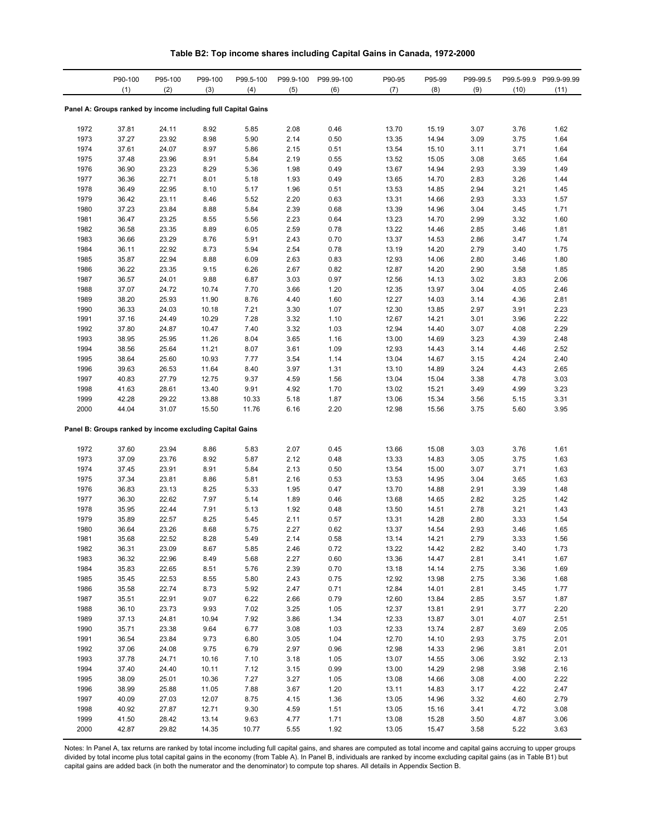|  | Table B2: Top income shares including Capital Gains in Canada, 1972-2000 |  |  |  |  |
|--|--------------------------------------------------------------------------|--|--|--|--|
|--|--------------------------------------------------------------------------|--|--|--|--|

|      | P90-100<br>(1)                                                | P95-100<br>(2) | P99-100<br>(3) | P99.5-100<br>(4) | P99.9-100<br>(5) | P99.99-100<br>(6) | P90-95<br>(7) | P95-99<br>(8) | P99-99.5<br>(9) | (10) | P99.5-99.9 P99.9-99.99<br>(11) |
|------|---------------------------------------------------------------|----------------|----------------|------------------|------------------|-------------------|---------------|---------------|-----------------|------|--------------------------------|
|      | Panel A: Groups ranked by income including full Capital Gains |                |                |                  |                  |                   |               |               |                 |      |                                |
| 1972 | 37.81                                                         | 24.11          | 8.92           | 5.85             | 2.08             | 0.46              | 13.70         | 15.19         | 3.07            | 3.76 | 1.62                           |
| 1973 | 37.27                                                         | 23.92          | 8.98           | 5.90             | 2.14             | 0.50              | 13.35         | 14.94         | 3.09            | 3.75 | 1.64                           |
| 1974 | 37.61                                                         | 24.07          | 8.97           | 5.86             | 2.15             | 0.51              | 13.54         | 15.10         | 3.11            | 3.71 | 1.64                           |
| 1975 | 37.48                                                         | 23.96          | 8.91           | 5.84             | 2.19             | 0.55              | 13.52         | 15.05         | 3.08            | 3.65 | 1.64                           |
| 1976 | 36.90                                                         | 23.23          | 8.29           | 5.36             | 1.98             | 0.49              | 13.67         | 14.94         | 2.93            | 3.39 | 1.49                           |
| 1977 | 36.36                                                         | 22.71          | 8.01           | 5.18             | 1.93             | 0.49              | 13.65         | 14.70         | 2.83            | 3.26 | 1.44                           |
| 1978 | 36.49                                                         | 22.95          | 8.10           | 5.17             | 1.96             | 0.51              | 13.53         | 14.85         | 2.94            | 3.21 | 1.45                           |
| 1979 | 36.42                                                         | 23.11          | 8.46           | 5.52             | 2.20             | 0.63              | 13.31         | 14.66         | 2.93            | 3.33 | 1.57                           |
| 1980 | 37.23                                                         | 23.84          | 8.88           | 5.84             | 2.39             | 0.68              | 13.39         | 14.96         | 3.04            | 3.45 | 1.71                           |
| 1981 | 36.47                                                         | 23.25          | 8.55           | 5.56             | 2.23             | 0.64              | 13.23         | 14.70         | 2.99            | 3.32 | 1.60                           |
| 1982 | 36.58                                                         | 23.35          | 8.89           | 6.05             | 2.59             | 0.78              | 13.22         | 14.46         | 2.85            | 3.46 | 1.81                           |
| 1983 | 36.66                                                         | 23.29          | 8.76           | 5.91             | 2.43             | 0.70              | 13.37         | 14.53         | 2.86            | 3.47 | 1.74                           |
| 1984 | 36.11                                                         | 22.92          | 8.73           | 5.94             | 2.54             | 0.78              | 13.19         | 14.20         | 2.79            | 3.40 | 1.75                           |
| 1985 | 35.87                                                         | 22.94          | 8.88           | 6.09             | 2.63             | 0.83              | 12.93         | 14.06         | 2.80            | 3.46 | 1.80                           |
| 1986 | 36.22                                                         | 23.35          | 9.15           | 6.26             | 2.67             | 0.82              | 12.87         | 14.20         | 2.90            | 3.58 | 1.85                           |
| 1987 | 36.57                                                         | 24.01          | 9.88           | 6.87             | 3.03             | 0.97              | 12.56         | 14.13         | 3.02            | 3.83 | 2.06                           |
| 1988 | 37.07                                                         | 24.72          | 10.74          | 7.70             | 3.66             | 1.20              | 12.35         | 13.97         | 3.04            | 4.05 | 2.46                           |
| 1989 | 38.20                                                         | 25.93          | 11.90          | 8.76             | 4.40             | 1.60              | 12.27         | 14.03         | 3.14            | 4.36 | 2.81                           |
| 1990 | 36.33                                                         | 24.03          | 10.18          | 7.21             | 3.30             | 1.07              | 12.30         | 13.85         | 2.97            | 3.91 | 2.23                           |
| 1991 | 37.16                                                         | 24.49          | 10.29          | 7.28             | 3.32             | 1.10              | 12.67         | 14.21         | 3.01            | 3.96 | 2.22                           |
| 1992 | 37.80                                                         | 24.87          | 10.47          | 7.40             | 3.32             | 1.03              | 12.94         | 14.40         | 3.07            | 4.08 | 2.29                           |
| 1993 | 38.95                                                         | 25.95          | 11.26          | 8.04             | 3.65             | 1.16              | 13.00         | 14.69         | 3.23            | 4.39 | 2.48                           |
| 1994 | 38.56                                                         | 25.64          | 11.21          | 8.07             | 3.61             | 1.09              | 12.93         | 14.43         | 3.14            | 4.46 | 2.52                           |
| 1995 | 38.64                                                         | 25.60          | 10.93          | 7.77             | 3.54             | 1.14              | 13.04         | 14.67         | 3.15            | 4.24 | 2.40                           |
| 1996 | 39.63                                                         | 26.53          | 11.64          | 8.40             | 3.97             | 1.31              | 13.10         | 14.89         | 3.24            | 4.43 | 2.65                           |
| 1997 | 40.83                                                         | 27.79          | 12.75          | 9.37             | 4.59             | 1.56              | 13.04         | 15.04         | 3.38            | 4.78 | 3.03                           |
| 1998 | 41.63                                                         | 28.61          | 13.40          | 9.91             | 4.92             | 1.70              | 13.02         | 15.21         | 3.49            | 4.99 | 3.23                           |
| 1999 | 42.28                                                         | 29.22          | 13.88          | 10.33            | 5.18             | 1.87              | 13.06         | 15.34         | 3.56            | 5.15 | 3.31                           |
| 2000 | 44.04                                                         | 31.07          | 15.50          | 11.76            | 6.16             | 2.20              | 12.98         | 15.56         | 3.75            | 5.60 | 3.95                           |
|      | Panel B: Groups ranked by income excluding Capital Gains      |                |                |                  |                  |                   |               |               |                 |      |                                |
| 1972 | 37.60                                                         | 23.94          | 8.86           | 5.83             | 2.07             | 0.45              | 13.66         | 15.08         | 3.03            | 3.76 | 1.61                           |
| 1973 | 37.09                                                         | 23.76          | 8.92           | 5.87             | 2.12             | 0.48              | 13.33         | 14.83         | 3.05            | 3.75 | 1.63                           |
| 1974 | 37.45                                                         | 23.91          | 8.91           | 5.84             | 2.13             | 0.50              | 13.54         | 15.00         | 3.07            | 3.71 | 1.63                           |
| 1975 | 37.34                                                         | 23.81          | 8.86           | 5.81             | 2.16             | 0.53              | 13.53         | 14.95         | 3.04            | 3.65 | 1.63                           |
| 1976 | 36.83                                                         | 23.13          | 8.25           | 5.33             | 1.95             | 0.47              | 13.70         | 14.88         | 2.91            | 3.39 | 1.48                           |
| 1977 | 36.30                                                         | 22.62          | 7.97           | 5.14             | 1.89             | 0.46              | 13.68         | 14.65         | 2.82            | 3.25 | 1.42                           |
| 1978 | 35.95                                                         | 22.44          | 7.91           | 5.13             | 1.92             | 0.48              | 13.50         | 14.51         | 2.78            | 3.21 | 1.43                           |
| 1979 | 35.89                                                         | 22.57          | 8.25           | 5.45             | 2.11             | 0.57              | 13.31         | 14.28         | 2.80            | 3.33 | 1.54                           |
| 1980 | 36.64                                                         | 23.26          | 8.68           | 5.75             | 2.27             | 0.62              | 13.37         | 14.54         | 2.93            | 3.46 | 1.65                           |
| 1981 | 35.68                                                         | 22.52          | 8.28           | 5.49             | 2.14             | 0.58              | 13.14         | 14.21         | 2.79            | 3.33 | 1.56                           |
| 1982 | 36.31                                                         | 23.09          | 8.67           | 5.85             | 2.46             | 0.72              | 13.22         | 14.42         | 2.82            | 3.40 | 1.73                           |
| 1983 | 36.32                                                         | 22.96          | 8.49           | 5.68             | 2.27             | 0.60              | 13.36         | 14.47         | 2.81            | 3.41 | 1.67                           |
| 1984 | 35.83                                                         | 22.65          | 8.51           | 5.76             | 2.39             | 0.70              | 13.18         | 14.14         | 2.75            | 3.36 | 1.69                           |
| 1985 | 35.45                                                         | 22.53          | 8.55           | 5.80             | 2.43             | 0.75              | 12.92         | 13.98         | 2.75            | 3.36 | 1.68                           |
| 1986 | 35.58                                                         | 22.74          | 8.73           | 5.92             | 2.47             | 0.71              | 12.84         | 14.01         | 2.81            | 3.45 | 1.77                           |
| 1987 | 35.51                                                         | 22.91          | 9.07           | 6.22             | 2.66             | 0.79              | 12.60         | 13.84         | 2.85            | 3.57 | 1.87                           |
| 1988 | 36.10                                                         | 23.73          | 9.93           | 7.02             | 3.25             | 1.05              | 12.37         | 13.81         | 2.91            | 3.77 | 2.20                           |
| 1989 | 37.13                                                         | 24.81          | 10.94          | 7.92             | 3.86             | 1.34              | 12.33         | 13.87         | 3.01            | 4.07 | 2.51                           |
| 1990 | 35.71                                                         | 23.38          | 9.64           | 6.77             | 3.08             | 1.03              | 12.33         | 13.74         | 2.87            | 3.69 | 2.05                           |
| 1991 | 36.54                                                         | 23.84          | 9.73           | 6.80             | 3.05             | 1.04              | 12.70         | 14.10         | 2.93            | 3.75 | 2.01                           |
| 1992 | 37.06                                                         | 24.08          | 9.75           | 6.79             | 2.97             | 0.96              | 12.98         | 14.33         | 2.96            | 3.81 | 2.01                           |
| 1993 | 37.78                                                         | 24.71          | 10.16          | 7.10             | 3.18             | 1.05              | 13.07         | 14.55         | 3.06            | 3.92 | 2.13                           |
|      |                                                               |                |                |                  |                  |                   |               |               |                 |      |                                |
| 1994 | 37.40                                                         | 24.40          | 10.11          | 7.12             | 3.15             | 0.99              | 13.00         | 14.29         | 2.98            | 3.98 | 2.16                           |
| 1995 | 38.09                                                         | 25.01          | 10.36          | 7.27             | 3.27             | 1.05              | 13.08         | 14.66         | 3.08            | 4.00 | 2.22                           |
| 1996 | 38.99                                                         | 25.88          | 11.05          | 7.88             | 3.67             | 1.20              | 13.11         | 14.83         | 3.17            | 4.22 | 2.47                           |
| 1997 | 40.09                                                         | 27.03          | 12.07          | 8.75             | 4.15             | 1.36              | 13.05         | 14.96         | 3.32            | 4.60 | 2.79                           |
| 1998 | 40.92                                                         | 27.87          | 12.71          | 9.30             | 4.59             | 1.51              | 13.05         | 15.16         | 3.41            | 4.72 | 3.08                           |
| 1999 | 41.50                                                         | 28.42          | 13.14          | 9.63             | 4.77             | 1.71              | 13.08         | 15.28         | 3.50            | 4.87 | 3.06                           |
| 2000 | 42.87                                                         | 29.82          | 14.35          | 10.77            | 5.55             | 1.92              | 13.05         | 15.47         | 3.58            | 5.22 | 3.63                           |

Notes: In Panel A, tax returns are ranked by total income including full capital gains, and shares are computed as total income and capital gains accruing to upper groups divided by total income plus total capital gains in the economy (from Table A). In Panel B, individuals are ranked by income excluding capital gains (as in Table B1) but capital gains are added back (in both the numerator and the denominator) to compute top shares. All details in Appendix Section B.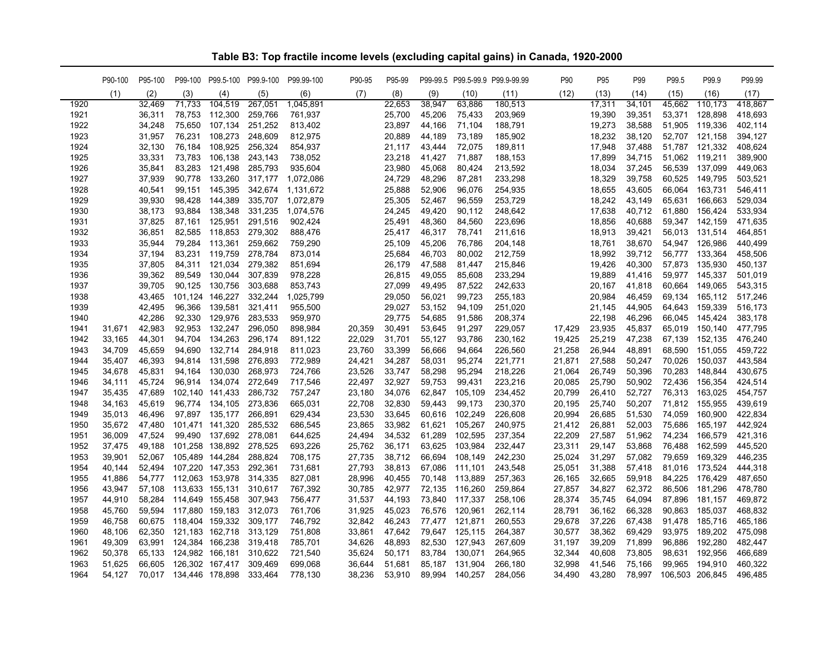**Table B3: Top fractile income levels (excluding capital gains) in Canada, 1920-2000**

|              | P90-100          | P95-100          | P99-100           | P99.5-100          | P99.9-100          | P99.99-100         | P90-95           | P95-99           |                  |                   | P99-99.5 P99.5-99.9 P99.9-99.99 | P90              | P95              | P99              | P99.5            | P99.9              | P99.99             |
|--------------|------------------|------------------|-------------------|--------------------|--------------------|--------------------|------------------|------------------|------------------|-------------------|---------------------------------|------------------|------------------|------------------|------------------|--------------------|--------------------|
|              | (1)              | (2)              | (3)               | (4)                | (5)                | (6)                | (7)              | (8)              | (9)              | (10)              | (11)                            | (12)             | (13)             | (14)             | (15)             | (16)               | (17)               |
| 1920         |                  | 32,469           | 71,733            | 104,519            | 267,051            | 1,045,891          |                  | 22,653           | 38,947           | 63,886            | 180,513                         |                  | 17,311           | 34,101           | 45,662           | 110,173            | 418,867            |
| 1921         |                  | 36,311           | 78,753            | 112,300            | 259,766            | 761,937            |                  | 25,700           | 45,206           | 75,433            | 203,969                         |                  | 19,390           | 39,351           | 53,371           | 128,898            | 418,693            |
| 1922         |                  | 34,248           | 75,650            | 107,134            | 251,252            | 813,402            |                  | 23,897           | 44,166           | 71.104            | 188,791                         |                  | 19,273           | 38,588           | 51,905           | 119,336            | 402,114            |
| 1923         |                  | 31,957           | 76.231            | 108,273            | 248,609            | 812,975            |                  | 20,889           | 44,189           | 73,189            | 185,902                         |                  | 18,232           | 38,120           | 52,707           | 121.158            | 394,127            |
| 1924         |                  | 32,130           | 76,184            | 108,925            | 256,324            | 854,937            |                  | 21,117           | 43,444           | 72,075            | 189,811                         |                  | 17,948           | 37,488           | 51,787           | 121,332            | 408,624            |
| 1925         |                  | 33,331           | 73,783            | 106,138            | 243,143            | 738,052            |                  | 23,218           | 41,427           | 71,887            | 188,153                         |                  | 17,899           | 34,715           | 51,062           | 119,211            | 389,900            |
| 1926         |                  | 35,841           | 83,283            | 121,498            | 285,793            | 935,604            |                  | 23,980           | 45,068           | 80,424            | 213,592                         |                  | 18,034           | 37,245           | 56,539           | 137,099            | 449,063            |
| 1927         |                  | 37,939           | 90,778            | 133,260            | 317,177            | 1,072,086          |                  | 24,729           | 48,296           | 87,281            | 233,298                         |                  | 18,329           | 39,758           | 60,525           | 149,795            | 503,521            |
| 1928         |                  | 40,541           | 99,151            | 145,395            | 342,674            | 1,131,672          |                  | 25,888           | 52,906           | 96,076            | 254,935                         |                  | 18,655           | 43,605           | 66,064           | 163,731            | 546,411            |
| 1929         |                  | 39,930           | 98,428            | 144,389            | 335,707            | 1,072,879          |                  | 25,305           | 52,467           | 96,559            | 253,729                         |                  | 18,242           | 43,149           | 65,631           | 166.663            | 529,034            |
| 1930         |                  | 38,173           | 93,884            | 138,348            | 331,235            | 1,074,576          |                  | 24,245           | 49,420           | 90,112            | 248,642                         |                  | 17,638           | 40,712           | 61,880           | 156,424            | 533,934            |
| 1931         |                  | 37,825           | 87,161            | 125,951            | 291,516            | 902,424            |                  | 25,491           | 48,360           | 84,560            | 223,696                         |                  | 18,856           | 40,688           | 59,347           | 142,159            | 471,635            |
| 1932         |                  | 36,851           | 82,585            | 118,853            | 279,302            | 888,476            |                  | 25,417           | 46,317           | 78,741            | 211,616                         |                  | 18,913           | 39,421           | 56,013           | 131,514            | 464,851            |
| 1933         |                  | 35,944           | 79,284            | 113,361            | 259,662            | 759,290            |                  | 25,109           | 45,206           | 76,786            | 204,148                         |                  | 18,761           | 38,670           | 54,947           | 126,986            | 440,499            |
| 1934         |                  | 37,194           | 83,231            | 119,759            | 278,784            | 873,014            |                  | 25,684           | 46,703           | 80,002            | 212,759                         |                  | 18,992           | 39,712           | 56,777           | 133,364            | 458,506            |
| 1935         |                  | 37.805           | 84,311            | 121,034            | 279,382            | 851,694            |                  | 26,179           | 47,588           | 81,447            | 215,846                         |                  | 19,426           | 40,300           | 57,873           | 135,930            | 450,137            |
| 1936         |                  | 39,362           | 89.549            | 130,044            | 307,839            | 978,228            |                  | 26,815           | 49,055           | 85,608            | 233,294                         |                  | 19,889           | 41,416           | 59,977           | 145,337            | 501,019            |
| 1937         |                  | 39.705           | 90,125            | 130,756            | 303.688            | 853,743            |                  | 27,099           | 49,495           | 87,522            | 242,633                         |                  | 20,167           | 41,818           | 60,664           | 149,065            | 543,315            |
| 1938         |                  | 43,465           | 101,124           | 146,227            | 332,244            | 1,025,799          |                  | 29,050           | 56,021           | 99,723            | 255,183                         |                  | 20,984           | 46,459           | 69,134           | 165,112            | 517,246            |
| 1939         |                  | 42,495           | 96,366            | 139,581            | 321,411            | 955,500            |                  | 29,027           | 53,152           | 94,109            | 251,020                         |                  | 21,145           | 44,905           | 64,643           | 159,339            | 516,173            |
| 1940         |                  | 42,286           | 92,330            | 129,976            | 283,533            | 959,970            |                  | 29,775           | 54,685           | 91,586            | 208,374                         |                  | 22,198           | 46,296           | 66,045           | 145,424            | 383,178            |
| 1941         | 31,671           | 42,983           | 92,953            | 132,247            | 296,050            | 898,984            | 20,359           | 30,491           | 53,645           | 91,297            | 229,057                         | 17,429           | 23,935           | 45,837           | 65,019           | 150,140            | 477,795            |
| 1942         | 33.165           | 44,301           | 94,704            | 134,263            | 296,174            | 891,122            | 22,029           | 31,701           | 55,127           | 93,786            | 230,162                         | 19,425           | 25,219           | 47,238           | 67,139           | 152,135            | 476,240            |
| 1943         | 34,709           | 45,659           | 94,690            | 132,714            | 284,918            | 811,023            | 23,760           | 33,399           | 56,666           | 94,664            | 226,560                         | 21,258           | 26,944           | 48,891           | 68,590           | 151,055            | 459,722            |
| 1944         | 35,407           | 46,393           | 94,814            | 131,598            | 276,893            | 772,989            | 24,421           | 34,287           | 58,031           | 95,274            | 221,771                         | 21,871           | 27,588           | 50,247           | 70,026           | 150,037            | 443,584            |
| 1945         | 34,678<br>34,111 | 45,831<br>45,724 | 94,164<br>96,914  | 130,030<br>134,074 | 268,973<br>272,649 | 724,766            | 23,526<br>22,497 | 33,747<br>32,927 | 58,298<br>59,753 | 95,294<br>99,431  | 218,226<br>223,216              | 21,064           | 26,749<br>25,790 | 50,396<br>50,902 | 70,283<br>72,436 | 148,844<br>156,354 | 430,675            |
| 1946         |                  |                  |                   |                    |                    | 717,546<br>757,247 |                  | 34,076           | 62,847           |                   | 234,452                         | 20,085<br>20,799 |                  |                  | 76,313           | 163,025            | 424,514<br>454,757 |
| 1947<br>1948 | 35,435           | 47,689<br>45,619 | 102,140<br>96,774 | 141,433<br>134,105 | 286,732<br>273,836 | 665,031            | 23,180<br>22,708 | 32,830           | 59,443           | 105,109<br>99,173 | 230,370                         | 20,195           | 26,410<br>25,740 | 52,727<br>50,207 | 71,812           | 155,955            | 439,619            |
| 1949         | 34,163<br>35,013 | 46,496           | 97,897            | 135,177            | 266,891            | 629,434            | 23,530           | 33,645           | 60,616           | 102,249           | 226,608                         | 20,994           | 26,685           | 51,530           | 74,059           | 160,900            | 422,834            |
| 1950         | 35,672           | 47,480           | 101,471           | 141,320            | 285,532            | 686,545            | 23,865           | 33,982           | 61,621           | 105,267           | 240,975                         | 21,412           | 26,881           | 52,003           | 75,686           | 165,197            | 442,924            |
| 1951         | 36,009           | 47.524           | 99,490            | 137,692            | 278,081            | 644,625            | 24,494           | 34,532           | 61,289           | 102,595           | 237,354                         | 22,209           | 27,587           | 51,962           | 74,234           | 166,579            | 421,316            |
| 1952         | 37,475           | 49,188           | 101,258           | 138,892            | 278,525            | 693,226            | 25,762           | 36,171           | 63,625           | 103,984           | 232,447                         | 23,311           | 29,147           | 53,868           | 76,488           | 162,599            | 445,520            |
| 1953         | 39,901           | 52,067           | 105,489           | 144,284            | 288,824            | 708,175            | 27,735           | 38,712           | 66,694           | 108,149           | 242,230                         | 25,024           | 31,297           | 57,082           | 79,659           | 169,329            | 446,235            |
| 1954         | 40,144           | 52,494           |                   | 107,220 147,353    | 292,361            | 731,681            | 27,793           | 38,813           | 67,086           | 111,101           | 243,548                         | 25,051           | 31,388           | 57,418           | 81,016           | 173,524            | 444,318            |
| 1955         | 41.886           | 54,777           | 112,063           | 153,978            | 314,335            | 827,081            | 28,996           | 40,455           | 70,148           | 113,889           | 257,363                         | 26,165           | 32,665           | 59,918           | 84,225           | 176,429            | 487,650            |
| 1956         | 43,947           | 57,108           | 113,633 155,131   |                    | 310,617            | 767,392            | 30,785           | 42,977           | 72,135           | 116,260           | 259,864                         | 27,857           | 34,827           | 62,372           | 86,506           | 181,296            | 478,780            |
| 1957         | 44,910           | 58,284           | 114,649 155,458   |                    | 307,943            | 756,477            | 31,537           | 44,193           | 73,840           | 117,337           | 258,106                         | 28,374           | 35,745           | 64,094           | 87,896           | 181,157            | 469,872            |
| 1958         | 45,760           | 59,594           | 117,880           | 159,183            | 312,073            | 761,706            | 31,925           | 45,023           | 76,576           | 120,961           | 262,114                         | 28,791           | 36,162           | 66,328           | 90,863           | 185,037            | 468,832            |
| 1959         | 46,758           | 60,675           | 118,404 159,332   |                    | 309,177            | 746,792            | 32,842           | 46,243           | 77,477           | 121,871           | 260,553                         | 29,678           | 37,226           | 67,438           | 91,478           | 185,716            | 465,186            |
| 1960         | 48,106           | 62,350           |                   | 121,183 162,718    | 313,129            | 751,808            | 33,861           | 47,642           | 79,647           | 125,115           | 264,387                         | 30,577           | 38,362           | 69,429           | 93,975           | 189,202            | 475,098            |
| 1961         | 49,309           | 63,991           |                   | 124,384 166,238    | 319,418            | 785,701            | 34,626           | 48,893           | 82,530           | 127,943           | 267,609                         | 31,197           | 39,209           | 71,899           | 96,886           | 192,280            | 482,447            |
| 1962         | 50,378           | 65,133           | 124,982 166,181   |                    | 310,622            | 721,540            | 35,624           | 50,171           | 83.784           | 130,071           | 264,965                         | 32,344           | 40,608           | 73,805           | 98,631           | 192,956            | 466,689            |
| 1963         | 51,625           | 66.605           |                   | 126,302 167,417    | 309,469            | 699,068            | 36,644           | 51,681           | 85,187           | 131,904           | 266,180                         | 32,998           | 41,546           | 75,166           | 99,965           | 194,910            | 460,322            |
| 1964         | 54.127           | 70.017           |                   | 134,446 178,898    | 333.464            | 778,130            | 38,236           | 53.910           | 89.994           | 140,257           | 284,056                         | 34,490           | 43.280           | 78.997           |                  | 106,503 206,845    | 496.485            |
|              |                  |                  |                   |                    |                    |                    |                  |                  |                  |                   |                                 |                  |                  |                  |                  |                    |                    |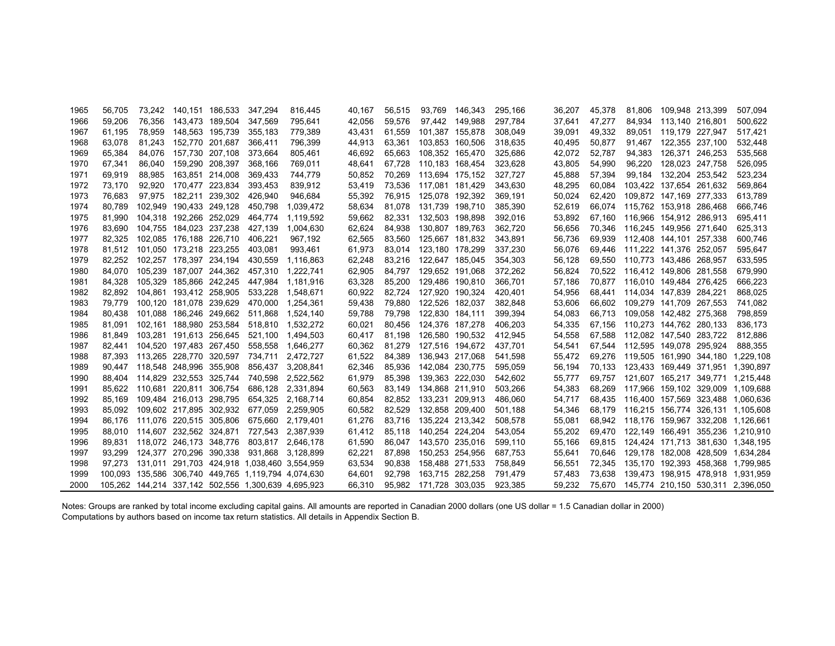| 1965 | 56,705 | 73,242 140,151 186,533 |                        | 347,294                                             | 816.445 | 40.167 | 56,515 |                        | 93,769 146,343         | 295,166 | 36,207 | 45,378 | 81,806                         |                        | 109,948 213,399         | 507.094                                      |
|------|--------|------------------------|------------------------|-----------------------------------------------------|---------|--------|--------|------------------------|------------------------|---------|--------|--------|--------------------------------|------------------------|-------------------------|----------------------------------------------|
| 1966 | 59.206 |                        |                        | 76,356 143,473 189,504 347,569                      | 795,641 | 42,056 | 59,576 |                        | 97,442 149,988         | 297.784 | 37,641 | 47,277 |                                | 84,934 113,140 216,801 |                         | 500.622                                      |
| 1967 | 61,195 |                        | 78,959 148,563 195,739 | 355,183                                             | 779,389 | 43,431 | 61,559 |                        | 101,387 155,878        | 308,049 | 39,091 | 49,332 |                                |                        | 89,051 119,179 227,947  | 517,421                                      |
| 1968 | 63.078 |                        | 81,243 152,770 201,687 | 366.411                                             | 796,399 | 44.913 |        |                        | 63,361 103,853 160,506 | 318.635 | 40.495 | 50.877 |                                |                        | 91,467 122,355 237,100  | 532.448                                      |
| 1969 | 65,384 |                        |                        | 84,076 157,730 207,108 373,664                      | 805,461 | 46.692 |        |                        | 65,663 108,352 165,470 | 325.686 | 42,072 | 52.787 |                                |                        | 94,383 126,371 246,253  | 535,568                                      |
| 1970 | 67,341 |                        | 86,040 159,290 208,397 | 368,166                                             | 769,011 | 48,641 |        |                        | 67,728 110,183 168,454 | 323,628 | 43,805 | 54,990 |                                |                        | 96,220 128,023 247,758  | 526,095                                      |
| 1971 | 69,919 |                        |                        | 88,985 163,851 214,008 369,433                      | 744.779 | 50,852 |        |                        | 70,269 113,694 175,152 | 327.727 | 45,888 | 57.394 |                                |                        | 99,184 132,204 253,542  | 523.234                                      |
| 1972 | 73,170 |                        |                        | 92,920 170,477 223,834 393,453                      | 839,912 | 53,419 |        |                        | 73,536 117,081 181,429 | 343,630 | 48,295 | 60,084 |                                |                        | 103,422 137,654 261,632 | 569,864                                      |
| 1973 | 76.683 |                        |                        | 97,975 182,211 239,302 426,940                      | 946.684 | 55.392 | 76.915 |                        | 125.078 192.392        | 369.191 | 50.024 |        | 62,420 109,872 147,169 277,333 |                        |                         | 613.789                                      |
| 1974 | 80.789 |                        |                        | 102,949 190,433 249,128 450,798 1,039,472           |         | 58,634 |        |                        | 81,078 131,739 198,710 | 385.390 | 52,619 |        | 66,074 115,762 153,918 286,468 |                        |                         | 666.746                                      |
| 1975 | 81.990 |                        |                        | 104,318 192,266 252,029 464,774 1,119,592           |         | 59,662 |        | 82,331 132,503 198,898 |                        | 392,016 | 53,892 |        | 67,160 116,966 154,912 286,913 |                        |                         | 695,411                                      |
| 1976 | 83.690 |                        |                        | 104,755 184,023 237,238 427,139 1,004,630           |         | 62.624 | 84.938 | 130.807 189.763        |                        | 362.720 | 56.656 |        | 70.346 116.245 149.956 271.640 |                        |                         | 625.313                                      |
| 1977 | 82.325 |                        |                        | 102,085 176,188 226,710 406,221                     | 967.192 | 62,565 | 83,560 |                        | 125,667 181,832        | 343.891 | 56,736 |        | 69,939 112,408 144,101 257,338 |                        |                         | 600.746                                      |
| 1978 |        |                        |                        | 81,512 101,050 173,218 223,255 403,081              | 993,461 | 61,973 | 83,014 |                        | 123,180 178,299        | 337,230 | 56,076 |        | 69,446 111,222 141,376 252,057 |                        |                         | 595,647                                      |
| 1979 |        |                        |                        | 82,252 102,257 178,397 234,194 430,559 1,116,863    |         | 62.248 |        |                        | 83,216 122,647 185,045 | 354.303 | 56.128 |        | 69,550 110,773 143,486 268,957 |                        |                         | 633.595                                      |
| 1980 | 84.070 |                        |                        | 105,239 187,007 244,362 457,310 1,222,741           |         | 62,905 |        |                        | 84,797 129,652 191,068 | 372,262 | 56,824 |        | 70,522 116,412 149,806 281,558 |                        |                         | 679.990                                      |
| 1981 | 84.328 |                        |                        | 105,329 185,866 242,245 447,984 1,181,916           |         | 63,328 |        |                        | 85,200 129,486 190,810 | 366,701 | 57,186 |        | 70,877 116,010 149,484 276,425 |                        |                         | 666,223                                      |
| 1982 | 82.892 |                        |                        | 104,861 193,412 258,905 533,228 1,548,671           |         | 60,922 |        | 82,724 127,920 190,324 |                        | 420.401 | 54.956 |        | 68,441 114,034 147,839 284,221 |                        |                         | 868.025                                      |
| 1983 | 79.779 |                        |                        | 100,120 181,078 239,629 470,000 1,254,361           |         | 59,438 | 79.880 |                        | 122,526 182,037        | 382.848 | 53,606 |        | 66,602 109,279 141,709 267,553 |                        |                         | 741.082                                      |
| 1984 | 80.438 |                        |                        | 101,088 186,246 249,662 511,868 1,524,140           |         | 59,788 | 79.798 |                        | 122,830 184,111        | 399,394 | 54,083 |        | 66,713 109,058 142,482 275,368 |                        |                         | 798,859                                      |
| 1985 | 81.091 |                        |                        | 102,161 188,980 253,584 518,810 1,532,272           |         | 60.021 | 80.456 |                        | 124,376 187,278        | 406.203 | 54,335 |        | 67,156 110,273 144,762 280,133 |                        |                         | 836.173                                      |
| 1986 | 81.849 |                        |                        | 103,281 191,613 256,645 521,100 1,494,503           |         | 60,417 | 81.198 |                        | 126,580 190,532        | 412,945 | 54,558 |        | 67,588 112,082 147,540 283,722 |                        |                         | 812.886                                      |
| 1987 | 82.441 |                        |                        | 104,520 197,483 267,450 558,558 1,646,277           |         | 60,362 | 81,279 |                        | 127,516 194,672        | 437,701 | 54,541 |        | 67,544 112,595 149,078 295,924 |                        |                         | 888,355                                      |
| 1988 |        |                        |                        | 87,393 113,265 228,770 320,597 734,711 2,472,727    |         | 61.522 | 84.389 |                        | 136,943 217,068        | 541.598 | 55,472 |        |                                |                        |                         | 69,276 119,505 161,990 344,180 1,229,108     |
| 1989 |        |                        |                        | 90,447 118,548 248,996 355,908 856,437 3,208,841    |         | 62,346 | 85.936 | 142,084 230,775        |                        | 595.059 | 56,194 |        |                                |                        |                         | 70,133 123,433 169,449 371,951 1,390,897     |
| 1990 |        |                        |                        | 88,404 114,829 232,553 325,744 740,598 2,522,562    |         | 61,979 | 85,398 |                        | 139,363 222,030        | 542,602 | 55,777 |        |                                |                        |                         | 69,757 121,607 165,217 349,771 1,215,448     |
| 1991 |        |                        |                        | 85.622 110.681 220.811 306.754 686.128 2.331.894    |         | 60.563 | 83.149 | 134,868 211,910        |                        | 503.266 | 54.383 |        |                                |                        |                         | 68.269 117.966 159.102 329.009 1.109.688     |
| 1992 |        |                        |                        | 85,169 109,484 216,013 298,795 654,325 2,168,714    |         | 60.854 |        |                        | 82,852 133,231 209,913 | 486.060 | 54.717 |        |                                |                        |                         | 68,435 116,400 157,569 323,488 1,060,636     |
| 1993 |        |                        |                        | 85,092 109,602 217,895 302,932 677,059 2,259,905    |         | 60,582 | 82,529 |                        | 132,858 209,400        | 501.188 | 54,346 |        |                                |                        |                         | 68,179 116,215 156,774 326,131 1,105,608     |
| 1994 |        |                        |                        | 86,176 111,076 220,515 305,806 675,660 2,179,401    |         | 61,276 | 83.716 | 135,224 213,342        |                        | 508.578 | 55.081 |        |                                |                        |                         | 68,942 118,176 159,967 332,208 1,126,661     |
| 1995 |        |                        |                        | 88,010 114,607 232,562 324,871 727,543 2,387,939    |         | 61,412 | 85.118 | 140,254 224,204        |                        | 543.054 | 55,202 |        |                                |                        |                         | 69,470 122,149 166,491 355,236 1,210,910     |
| 1996 | 89.831 |                        |                        | 118,072 246,173 348,776 803,817 2,646,178           |         | 61,590 |        | 86,047 143,570 235,016 |                        | 599,110 | 55,166 |        |                                |                        |                         | 69,815 124,424 171,713 381,630 1,348,195     |
| 1997 | 93.299 |                        |                        | 124,377 270,296 390,338 931,868 3,128,899           |         | 62,221 | 87.898 |                        | 150,253 254,956        | 687.753 | 55,641 |        |                                |                        |                         | 70,646 129,178 182,008 428,509 1,634,284     |
| 1998 | 97.273 |                        |                        | 131,011 291,703 424,918 1,038,460 3,554,959         |         | 63,534 | 90,838 | 158,488 271,533        |                        | 758,849 | 56,551 |        |                                |                        |                         | 72,345 135,170 192,393 458,368 1,799,985     |
| 1999 |        |                        |                        | 100.093 135.586 306.740 449.765 1.119.794 4.074.630 |         | 64.601 | 92.798 |                        | 163.715 282.258        | 791.479 | 57.483 |        |                                |                        |                         | 73.638 139.473 198.915 478.918 1.931.959     |
| 2000 |        |                        |                        | 105,262 144,214 337,142 502,556 1,300,639 4,695,923 |         | 66.310 | 95.982 | 171,728 303,035        |                        | 923.385 | 59.232 |        |                                |                        |                         | 75.670  145.774  210.150  530.311  2.396.050 |

Notes: Groups are ranked by total income excluding capital gains. All amounts are reported in Canadian 2000 dollars (one US dollar = 1.5 Canadian dollar in 2000) Computations by authors based on income tax return statistics. All details in Appendix Section B.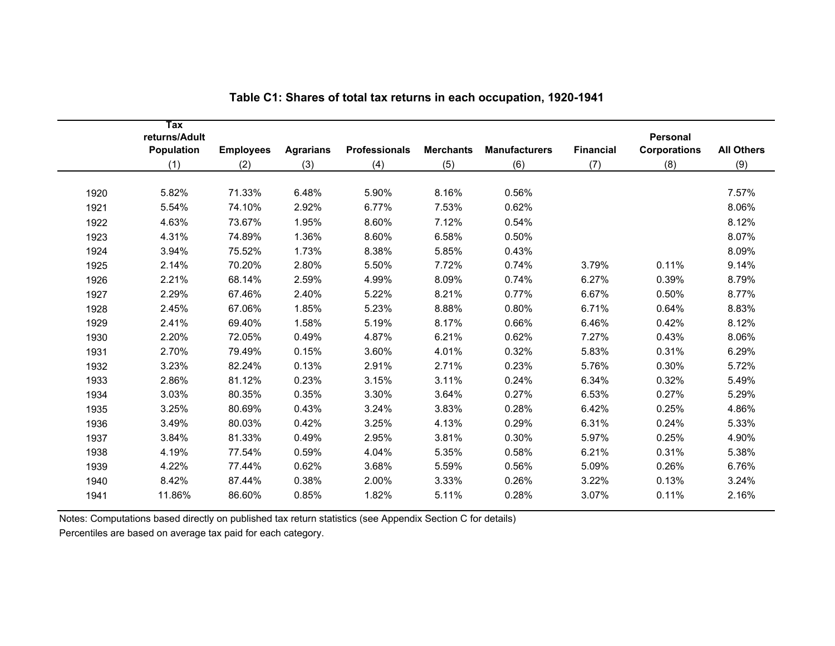|      | Tax               |                  |                  |                      |                  |                      |                  |              |                   |
|------|-------------------|------------------|------------------|----------------------|------------------|----------------------|------------------|--------------|-------------------|
|      | returns/Adult     |                  |                  |                      |                  |                      |                  | Personal     |                   |
|      | <b>Population</b> | <b>Employees</b> | <b>Agrarians</b> | <b>Professionals</b> | <b>Merchants</b> | <b>Manufacturers</b> | <b>Financial</b> | Corporations | <b>All Others</b> |
|      | (1)               | (2)              | (3)              | (4)                  | (5)              | (6)                  | (7)              | (8)          | (9)               |
|      |                   |                  |                  |                      |                  |                      |                  |              |                   |
| 1920 | 5.82%             | 71.33%           | 6.48%            | 5.90%                | 8.16%            | 0.56%                |                  |              | 7.57%             |
| 1921 | 5.54%             | 74.10%           | 2.92%            | 6.77%                | 7.53%            | 0.62%                |                  |              | 8.06%             |
| 1922 | 4.63%             | 73.67%           | 1.95%            | 8.60%                | 7.12%            | 0.54%                |                  |              | 8.12%             |
| 1923 | 4.31%             | 74.89%           | 1.36%            | 8.60%                | 6.58%            | 0.50%                |                  |              | 8.07%             |
| 1924 | 3.94%             | 75.52%           | 1.73%            | 8.38%                | 5.85%            | 0.43%                |                  |              | 8.09%             |
| 1925 | 2.14%             | 70.20%           | 2.80%            | 5.50%                | 7.72%            | 0.74%                | 3.79%            | 0.11%        | 9.14%             |
| 1926 | 2.21%             | 68.14%           | 2.59%            | 4.99%                | 8.09%            | 0.74%                | 6.27%            | 0.39%        | 8.79%             |
| 1927 | 2.29%             | 67.46%           | 2.40%            | 5.22%                | 8.21%            | 0.77%                | 6.67%            | 0.50%        | 8.77%             |
| 1928 | 2.45%             | 67.06%           | 1.85%            | 5.23%                | 8.88%            | 0.80%                | 6.71%            | 0.64%        | 8.83%             |
| 1929 | 2.41%             | 69.40%           | 1.58%            | 5.19%                | 8.17%            | 0.66%                | 6.46%            | 0.42%        | 8.12%             |
| 1930 | 2.20%             | 72.05%           | 0.49%            | 4.87%                | 6.21%            | 0.62%                | 7.27%            | 0.43%        | 8.06%             |
| 1931 | 2.70%             | 79.49%           | 0.15%            | 3.60%                | 4.01%            | 0.32%                | 5.83%            | 0.31%        | 6.29%             |
| 1932 | 3.23%             | 82.24%           | 0.13%            | 2.91%                | 2.71%            | 0.23%                | 5.76%            | 0.30%        | 5.72%             |
| 1933 | 2.86%             | 81.12%           | 0.23%            | 3.15%                | 3.11%            | 0.24%                | 6.34%            | 0.32%        | 5.49%             |
| 1934 | 3.03%             | 80.35%           | 0.35%            | 3.30%                | 3.64%            | 0.27%                | 6.53%            | 0.27%        | 5.29%             |
| 1935 | 3.25%             | 80.69%           | 0.43%            | 3.24%                | 3.83%            | 0.28%                | 6.42%            | 0.25%        | 4.86%             |
| 1936 | 3.49%             | 80.03%           | 0.42%            | 3.25%                | 4.13%            | 0.29%                | 6.31%            | 0.24%        | 5.33%             |
| 1937 | 3.84%             | 81.33%           | 0.49%            | 2.95%                | 3.81%            | 0.30%                | 5.97%            | 0.25%        | 4.90%             |
| 1938 | 4.19%             | 77.54%           | 0.59%            | 4.04%                | 5.35%            | 0.58%                | 6.21%            | 0.31%        | 5.38%             |
| 1939 | 4.22%             | 77.44%           | 0.62%            | 3.68%                | 5.59%            | 0.56%                | 5.09%            | 0.26%        | 6.76%             |
| 1940 | 8.42%             | 87.44%           | 0.38%            | 2.00%                | 3.33%            | 0.26%                | 3.22%            | 0.13%        | 3.24%             |
| 1941 | 11.86%            | 86.60%           | 0.85%            | 1.82%                | 5.11%            | 0.28%                | 3.07%            | 0.11%        | 2.16%             |
|      |                   |                  |                  |                      |                  |                      |                  |              |                   |

**Table C1: Shares of total tax returns in each occupation, 1920-1941**

Notes: Computations based directly on published tax return statistics (see Appendix Section C for details)

Percentiles are based on average tax paid for each category.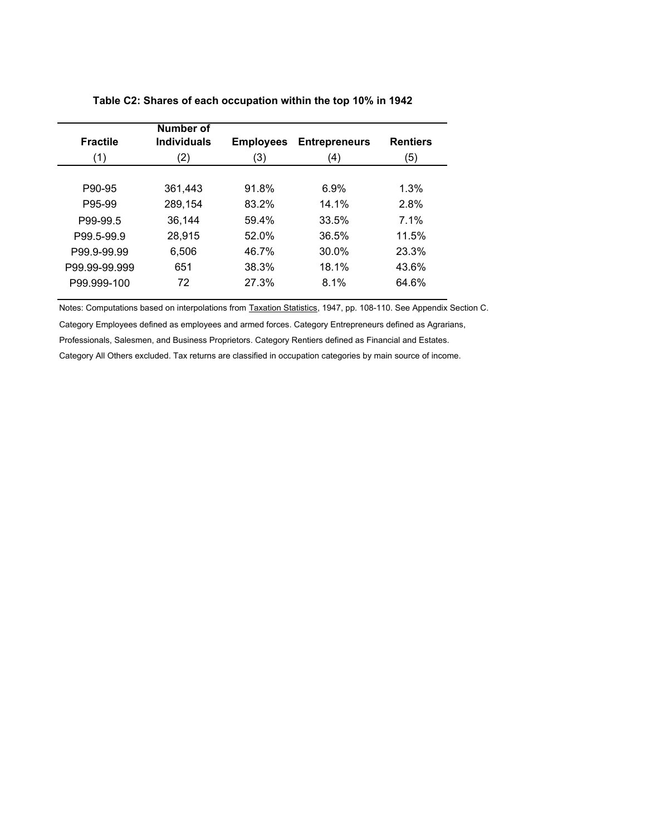| <b>Fractile</b> | Number of<br><b>Individuals</b> | <b>Employees</b> | <b>Entrepreneurs</b> | <b>Rentiers</b> |
|-----------------|---------------------------------|------------------|----------------------|-----------------|
| (1)             | $\left( 2\right)$               | (3)              | 4)                   | (5)             |
|                 |                                 |                  |                      |                 |
| P90-95          | 361.443                         | 91.8%            | 6.9%                 | 1.3%            |
| P95-99          | 289,154                         | 83.2%            | 14.1%                | 2.8%            |
| P99-99.5        | 36.144                          | 59.4%            | 33.5%                | 7.1%            |
| P99.5-99.9      | 28,915                          | 52.0%            | 36.5%                | 11.5%           |
| P99.9-99.99     | 6,506                           | 46.7%            | 30.0%                | 23.3%           |
| P99.99-99.999   | 651                             | 38.3%            | 18.1%                | 43.6%           |
| P99.999-100     | 72                              | 27.3%            | 8.1%                 | 64.6%           |
|                 |                                 |                  |                      |                 |

**Table C2: Shares of each occupation within the top 10% in 1942**

Notes: Computations based on interpolations from Taxation Statistics, 1947, pp. 108-110. See Appendix Section C.

Category Employees defined as employees and armed forces. Category Entrepreneurs defined as Agrarians, Professionals, Salesmen, and Business Proprietors. Category Rentiers defined as Financial and Estates. Category All Others excluded. Tax returns are classified in occupation categories by main source of income.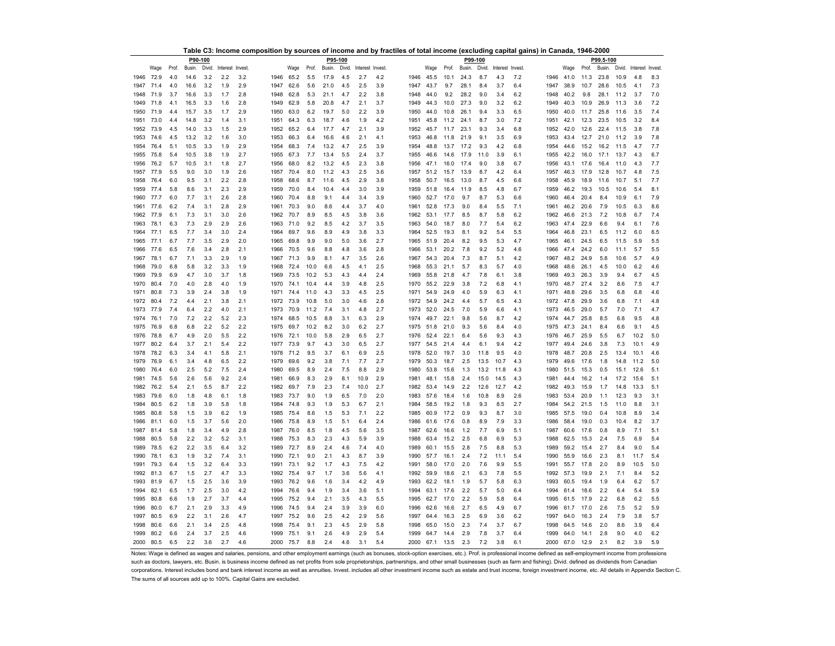|      |      |       |        |         |                  |     |      |      |       |        |         |                  |     | Table C3: Income composition by sources of income and by fractiles of total income (excluding capital gains) in Canada, 1946-2000 |      |       |        |         |                 |     |      |      |       |           |      |                         |     |
|------|------|-------|--------|---------|------------------|-----|------|------|-------|--------|---------|------------------|-----|-----------------------------------------------------------------------------------------------------------------------------------|------|-------|--------|---------|-----------------|-----|------|------|-------|-----------|------|-------------------------|-----|
|      |      |       |        | P90-100 |                  |     |      |      |       |        | P95-100 |                  |     |                                                                                                                                   |      |       |        | P99-100 |                 |     |      |      |       | P99.5-100 |      |                         |     |
|      | Wage | Prof. | Busin. | Divid.  | Interest Invest. |     |      | Wage | Prof. | Busin. | Divid.  | Interest Invest. |     |                                                                                                                                   | Wage | Prof. | Busin. | Divid.  | Interest Invest |     |      | Wage | Prof. | Busin.    |      | Divid. Interest Invest. |     |
| 1946 | 72.9 | 4.0   | 14.6   | 3.2     | 2.2              | 3.2 | 1946 | 65.2 | 5.5   | 17.9   | 4.5     | 2.7              | 4.2 | 1946                                                                                                                              | 45.5 | 10.1  | 24.3   | 8.7     | 4.3             | 7.2 | 1946 | 41.0 | 11.3  | 23.8      | 10.9 | 4.8                     | 8.3 |
| 1947 | 71.4 | 4.0   | 16.6   | 3.2     | 1.9              | 2.9 | 1947 | 62.6 | 5.6   | 21.0   | 4.5     | 2.5              | 3.9 | 1947                                                                                                                              | 43.7 | 9.7   | 28.1   | 8.4     | 3.7             | 6.4 | 1947 | 38.9 | 10.7  | 28.6      | 10.5 | 4.1                     | 7.3 |
| 1948 | 71.9 | 3.7   | 16.6   | 3.3     | 1.7              | 2.8 | 1948 | 62.8 | 5.3   | 21.1   | 4.7     | 2.2              | 3.8 | 1948                                                                                                                              | 44.0 | 9.2   | 28.2   | 9.0     | 3.4             | 6.2 | 1948 | 40.2 | 9.8   | 28.1      | 11.2 | 3.7                     | 7.0 |
| 1949 | 71.8 | 4.1   | 16.5   | 3.3     | 1.6              | 2.8 | 1949 | 62.9 | 5.8   | 20.8   | 4.7     | 2.1              | 3.7 | 1949                                                                                                                              | 44.3 | 10.0  | 27.3   | 9.0     | 3.2             | 6.2 | 1949 | 40.3 | 10.9  | 26.9      | 11.3 | 3.6                     | 7.2 |
| 1950 | 71.9 | 4.4   | 15.7   | 3.5     | 1.7              | 2.9 | 1950 | 63.0 | 6.2   | 19.7   | 5.0     | 2.2              | 3.9 | 1950                                                                                                                              | 44.0 | 10.8  | 26.1   | 9.4     | 3.3             | 6.5 | 1950 | 40.0 | 11.7  | 25.8      | 11.6 | 3.5                     | 7.4 |
| 1951 | 73.0 | 4.4   | 14.8   | 3.2     | 1.4              | 3.1 | 1951 | 64.3 | 6.3   | 18.7   | 4.6     | 1.9              | 4.2 | 1951                                                                                                                              | 45.8 | 11.2  | 24.1   | 8.7     | 3.0             | 7.2 | 1951 | 42.1 | 12.3  | 23.5      | 10.5 | 3.2                     | 8.4 |
| 1952 | 73.9 | 4.5   | 14.0   | 3.3     | 1.5              | 2.9 | 1952 | 65.2 | 6.4   | 17.7   | 4.7     | 2.1              | 3.9 | 1952                                                                                                                              | 45.7 | 11.7  | 23.1   | 9.3     | 3.4             | 6.8 | 1952 | 42.0 | 12.6  | 22.4      | 11.5 | 3.8                     | 7.8 |
| 1953 | 74.6 | 4.5   | 13.2   | 3.2     | 1.6              | 3.0 | 1953 | 66.3 | 6.4   | 16.6   | 4.6     | 2.1              | 4.1 | 1953                                                                                                                              | 46.8 | 11.8  | 21.9   | 9.1     | 3.5             | 6.9 | 1953 | 43.4 | 12.7  | 21.0      | 11.2 | 3.9                     | 7.8 |
| 1954 | 76.4 | 5.1   | 10.5   | 3.3     | 1.9              | 2.9 | 1954 | 68.3 | 7.4   | 13.2   | 4.7     | 2.5              | 3.9 | 1954                                                                                                                              | 48.8 | 13.7  | 17.2   | 9.3     | 4.2             | 6.8 | 1954 | 44.6 | 15.2  | 16.2      | 11.5 | 4.7                     | 7.7 |
| 1955 | 75.8 | 5.4   | 10.5   | 3.8     | 1.9              | 2.7 | 1955 | 67.3 | 7.7   | 13.4   | 5.5     | 2.4              | 3.7 | 1955                                                                                                                              | 46.6 | 14.6  | 17.9   | 11.0    | 3.9             | 6.1 | 1955 | 42.2 | 16.0  | 17.1      | 13.7 | 4.3                     | 6.7 |
| 1956 | 76.2 | 5.7   | 10.5   | 3.1     | 1.8              | 2.7 | 1956 | 68.0 | 8.2   | 13.2   | 4.5     | 2.3              | 3.8 | 1956                                                                                                                              | 47.1 | 16.0  | 17.4   | 9.0     | 3.8             | 6.7 | 1956 | 43.1 | 17.6  | 16.4      | 11.0 | 4.3                     | 7.7 |
| 1957 | 77.9 | 5.5   | 9.0    | 3.0     | 1.9              | 2.6 | 1957 | 70.4 | 8.0   | 11.2   | 4.3     | 2.5              | 3.6 | 1957                                                                                                                              | 51.2 | 15.7  | 13.9   | 8.7     | 4.2             | 6.4 | 1957 | 46.3 | 17.9  | 12.8      | 10.7 | 4.8                     | 7.5 |
| 1958 | 76.4 | 6.0   | 9.5    | 3.1     | 2.2              | 2.8 | 1958 | 68.6 | 8.7   | 11.6   | 4.5     | 2.9              | 3.8 | 1958                                                                                                                              | 50.7 | 16.5  | 13.0   | 8.7     | 4.5             | 6.6 | 1958 | 45.9 | 18.9  | 11.6      | 10.7 | 5.1                     | 7.7 |
| 1959 | 77.4 | 5.8   | 8.6    | 3.1     | 2.3              | 2.9 | 1959 | 70.0 | 8.4   | 10.4   | 4.4     | 3.0              | 3.9 | 1959                                                                                                                              | 51.8 | 16.4  | 11.9   | 8.5     | 4.8             | 6.7 | 1959 | 46.2 | 19.3  | 10.5      | 10.6 | 5.4                     | 8.1 |
| 1960 | 77.7 | 6.0   | 7.7    | 3.1     | 2.6              | 2.8 | 1960 | 70.4 | 8.8   | 9.1    | 4.4     | 3.4              | 3.9 | 1960                                                                                                                              | 52.7 | 17.0  | 9.7    | 8.7     | 5.3             | 6.6 | 1960 | 46.4 | 20.4  | 8.4       | 10.9 | 6.1                     | 7.9 |
| 1961 | 77.6 | 6.2   | 7.4    | 3.1     | 2.8              | 2.9 | 1961 | 70.3 | 9.0   | 8.6    | 4.4     | 3.7              | 4.0 | 1961                                                                                                                              | 52.8 | 17.3  | 9.0    | 8.4     | 5.5             | 7.1 | 1961 | 46.2 | 20.6  | 7.9       | 10.5 | 6.3                     | 8.6 |
| 1962 | 77.9 | 6.1   | 7.3    | 3.1     | 3.0              | 2.6 | 1962 | 70.7 | 8.9   | 8.5    | 4.5     | 3.8              | 3.6 | 1962                                                                                                                              | 53.1 | 17.7  | 8.5    | 8.7     | 5.8             | 6.2 | 1962 | 46.6 | 21.3  | 7.2       | 10.8 | 6.7                     | 7.4 |
| 1963 | 78.1 | 6.3   | 7.3    | 2.9     | 2.9              | 2.6 | 1963 | 71.0 | 9.2   | 8.5    | 4.2     | 3.7              | 3.5 | 1963                                                                                                                              | 54.0 | 18.7  | 8.0    | 7.7     | 5.4             | 6.2 | 1963 | 47.4 | 22.9  | 6.6       | 9.4  | 6.1                     | 7.6 |
| 1964 | 77.1 | 6.5   | 7.7    | 3.4     | 3.0              | 2.4 | 1964 | 69.7 | 9.6   | 8.9    | 4.9     | 3.8              | 3.3 | 1964                                                                                                                              | 52.5 | 19.3  | 8.1    | 9.2     | 5.4             | 5.5 | 1964 | 46.8 | 23.1  | 6.5       | 11.2 | 6.0                     | 6.5 |
| 1965 | 77.1 | 6.7   | 7.7    | 3.5     | 2.9              | 2.0 | 1965 | 69.8 | 9.9   | 9.0    | 5.0     | 3.6              | 2.7 | 1965                                                                                                                              | 51.9 | 20.4  | 8.2    | 9.5     | 5.3             | 4.7 | 1965 | 46.1 | 24.5  | 6.5       | 11.5 | 5.9                     | 5.5 |
| 1966 | 77.6 | 6.5   | 7.6    | 3.4     | 2.8              | 2.1 | 1966 | 70.5 | 9.6   | 8.8    | 4.8     | 3.6              | 2.8 | 1966                                                                                                                              | 53.1 | 20.2  | 7.8    | 9.2     | 5.2             | 4.6 | 1966 | 47.4 | 24.2  | 6.0       | 11.1 | 5.7                     | 5.5 |
| 1967 | 78.1 | 6.7   | 7.1    | 3.3     | 2.9              | 1.9 | 1967 | 71.3 | 9.9   | 8.1    | 4.7     | 3.5              | 2.6 | 1967                                                                                                                              | 54.3 | 20.4  | 7.3    | 8.7     | 5.1             | 4.2 | 1967 | 48.2 | 24.9  | 5.8       | 10.6 | 5.7                     | 4.9 |
| 1968 | 79.0 | 6.8   | 5.8    | 3.2     | 3.3              | 1.9 | 1968 | 72.4 | 10.0  | 6.6    | 4.5     | 4.1              | 2.5 | 1968                                                                                                                              | 55.3 | 21.1  | 5.7    | 8.3     | 5.7             | 4.0 | 1968 | 48.6 | 26.1  | 4.5       | 10.0 | 6.2                     | 4.6 |
| 1969 | 79.9 | 6.9   | 4.7    | 3.0     | 3.7              | 1.8 | 1969 | 73.5 | 10.2  | 5.3    | 4.3     | 4.4              | 2.4 | 1969                                                                                                                              | 55.8 | 21.8  | 4.7    | 7.8     | 6.1             | 3.8 | 1969 | 49.3 | 26.3  | 3.9       | 9.4  | 6.7                     | 4.5 |
| 1970 | 80.4 | 7.0   | 4.0    | 2.8     | 4.0              | 1.9 | 1970 | 74.1 | 10.4  | 4.4    | 3.9     | 4.8              | 2.5 | 1970                                                                                                                              | 55.2 | 22.9  | 3.8    | 7.2     | 6.8             | 4.1 | 1970 | 48.7 | 27.4  | 3.2       | 8.6  | 7.5                     | 4.7 |
| 1971 | 80.8 | 7.3   | 3.9    | 2.4     | 3.8              | 1.9 | 1971 | 74.4 | 11.0  | 4.3    | 3.3     | 4.5              | 2.5 | 1971                                                                                                                              | 54.9 | 24.9  | 4.0    | 5.9     | 6.3             | 4.1 | 1971 | 48.8 | 29.6  | 3.5       | 6.8  | 6.8                     | 4.6 |
| 1972 | 80.4 | 7.2   | 4.4    | 2.1     | 3.8              | 2.1 | 1972 | 73.9 | 10.8  | 5.0    | 3.0     | 4.6              | 2.8 | 1972                                                                                                                              | 54.9 | 24.2  | 4.4    | 5.7     | 6.5             | 4.3 | 1972 | 47.8 | 29.9  | 3.6       | 6.8  | 7.1                     | 4.8 |
| 1973 | 77.9 | 7.4   | 6.4    | 2.2     | 4.0              | 2.1 | 1973 | 70.9 | 11.2  | 7.4    | 3.1     | 4.8              | 2.7 | 1973                                                                                                                              | 52.0 | 24.5  | 7.0    | 5.9     | 6.6             | 4.1 | 1973 | 46.5 | 29.0  | 5.7       | 7.0  | 7.1                     | 4.7 |
| 1974 | 76.1 | 7.0   | 7.2    | 2.2     | 5.2              | 2.3 | 1974 | 68.5 | 10.5  | 8.8    | 3.1     | 6.3              | 2.9 | 1974                                                                                                                              | 49.7 | 22.1  | 9.8    | 5.6     | 8.7             | 4.2 | 1974 | 44.7 | 25.8  | 8.5       | 6.8  | 9.5                     | 4.8 |
| 1975 | 76.9 | 6.8   | 6.8    | 2.2     | 5.2              | 2.2 | 1975 | 69.7 | 10.2  | 8.2    | 3.0     | 6.2              | 2.7 | 1975                                                                                                                              | 51.8 | 21.0  | 9.3    | 5.6     | 8.4             | 4.0 | 1975 | 47.3 | 24.1  | 8.4       | 6.6  | 9.1                     | 4.5 |
| 1976 | 78.8 | 6.7   | 4.9    | 2.0     | 5.5              | 2.2 | 1976 | 72.1 | 10.0  | 5.8    | 2.9     | 6.5              | 2.7 | 1976                                                                                                                              | 52.4 | 22.1  | 6.4    | 5.6     | 9.3             | 4.3 | 1976 | 46.7 | 25.9  | 5.5       | 6.7  | 10.2                    | 5.0 |
| 1977 | 80.2 | 6.4   | 3.7    | 2.1     | 5.4              | 2.2 | 1977 | 73.9 | 9.7   | 4.3    | 3.0     | 6.5              | 2.7 | 1977                                                                                                                              | 54.5 | 21.4  | 4.4    | 6.1     | 9.4             | 4.2 | 1977 | 49.4 | 24.6  | 3.8       | 7.3  | 10.1                    | 4.9 |
| 1978 | 78.2 | 6.3   | 3.4    | 4.1     | 5.8              | 2.1 | 1978 | 71.2 | 9.5   | 3.7    | 6.1     | 6.9              | 2.5 | 1978                                                                                                                              | 52.0 | 19.7  | 3.0    | 11.8    | 9.5             | 4.0 | 1978 | 48.7 | 20.8  | 2.5       | 13.4 | 10.1                    | 4.6 |
| 1979 | 76.9 | 6.1   | 3.4    | 4.8     | 6.5              | 2.2 | 1979 | 69.6 | 9.2   | 3.8    | 7.1     | 7.7              | 2.7 | 1979                                                                                                                              | 50.3 | 18.7  | 2.5    | 13.5    | 10.7            | 4.3 | 1979 | 49.6 | 17.6  | 1.8       | 14.8 | 11.2                    | 5.0 |
| 1980 | 76.4 | 6.0   | 2.5    | 5.2     | 7.5              | 2.4 | 1980 | 69.5 | 8.9   | 2.4    | 7.5     | 8.8              | 2.9 | 1980                                                                                                                              | 53.8 | 15.6  | 1.3    | 13.2    | 11.8            | 4.3 | 1980 | 51.5 | 15.3  | 0.5       | 15.1 | 12.6                    | 5.1 |
| 1981 | 74.5 | 5.6   | 2.6    | 5.6     | 9.2              | 2.4 | 1981 | 66.9 | 8.3   | 2.9    | 8.1     | 10.9             | 2.9 | 1981                                                                                                                              | 48.1 | 15.8  | 2.4    | 15.0    | 14.5            | 4.3 | 1981 | 44.4 | 16.2  | 1.4       | 17.2 | 15.6                    | 5.1 |
| 1982 | 76.2 | 5.4   | 2.1    | 5.5     | 8.7              | 2.2 | 1982 | 69.7 | 7.9   | 2.3    | 7.4     | 10.0             | 2.7 | 1982                                                                                                                              | 53.4 | 14.9  | 2.2    | 12.6    | 12.7            | 4.2 | 1982 | 49.3 | 15.9  | 1.7       | 14.8 | 13.3                    | 5.1 |
| 1983 | 79.6 | 6.0   | 1.8    | 4.8     | 6.1              | 1.8 | 1983 | 73.7 | 9.0   | 1.9    | 6.5     | 7.0              | 2.0 | 1983                                                                                                                              | 57.6 | 18.4  | 1.6    | 10.8    | 8.9             | 2.6 | 1983 | 53.4 | 20.9  | 1.1       | 12.3 | 9.3                     | 3.1 |
| 1984 | 80.5 | 6.2   | 1.8    | 3.9     | 5.8              | 1.8 | 1984 | 74.8 | 9.3   | 1.9    | 5.3     | 6.7              | 2.1 | 1984                                                                                                                              | 58.5 | 19.2  | 1.8    | 9.3     | 8.5             | 2.7 | 1984 | 54.2 | 21.5  | 1.5       | 11.0 | 8.8                     | 3.1 |
| 1985 | 80.8 | 5.8   | 1.5    | 3.9     | 6.2              | 1.9 | 1985 | 75.4 | 8.6   | 1.5    | 5.3     | 7.1              | 2.2 | 1985                                                                                                                              | 60.9 | 17.2  | 0.9    | 9.3     | 8.7             | 3.0 | 1985 | 57.5 | 19.0  | 0.4       | 10.8 | 8.9                     | 3.4 |
| 1986 | 81.1 | 6.0   | 1.5    | 3.7     | 5.6              | 2.0 | 1986 | 75.8 | 8.9   | 1.5    | 5.1     | 6.4              | 2.4 | 1986                                                                                                                              | 61.6 | 17.6  | 0.8    | 8.9     | 7.9             | 3.3 | 1986 | 58.4 | 19.0  | 0.3       | 10.4 | 8.2                     | 3.7 |
| 1987 | 81.4 | 5.8   | 1.8    | 3.4     | 4.9              | 2.8 | 1987 | 76.0 | 8.5   | 1.8    | 4.5     | 5.6              | 3.5 | 1987                                                                                                                              | 62.6 | 16.6  | 1.2    | 7.7     | 6.9             | 5.1 | 1987 | 60.6 | 17.6  | 0.8       | 8.9  | 7.1                     | 5.1 |
| 1988 | 80.5 | 5.8   | 2.2    | 3.2     | 5.2              | 3.1 | 1988 | 75.3 | 8.3   | 2.3    | 4.3     | 5.9              | 3.9 | 1988                                                                                                                              | 63.4 | 15.2  | 2.5    | 6.8     | 6.9             | 5.3 | 1988 | 62.5 | 15.3  | 2.4       | 7.5  | 6.9                     | 5.4 |
| 1989 | 78.5 | 6.2   | 2.2    | 3.5     | 6.4              | 3.2 | 1989 | 72.7 | 8.9   | 2.4    | 4.6     | 7.4              | 4.0 | 1989                                                                                                                              | 60.1 | 15.5  | 2.8    | 7.5     | 8.8             | 5.3 | 1989 | 59.2 | 15.4  | 2.7       | 8.4  | 9.0                     | 5.4 |
| 1990 | 78.1 | 6.3   | 1.9    | 3.2     | 7.4              | 3.1 | 1990 | 72.1 | 9.0   | 2.1    | 4.3     | 8.7              | 3.9 | 1990                                                                                                                              | 57.7 | 16.1  | 2.4    | 7.2     | 11.1            | 5.4 | 1990 | 55.9 | 16.6  | 2.3       | 8.1  | 11.7                    | 5.4 |
| 1991 | 79.3 | 6.4   | 1.5    | 3.2     | 6.4              | 3.3 | 1991 | 73.1 | 9.2   | 1.7    | 4.3     | 7.5              | 4.2 | 1991                                                                                                                              | 58.0 | 17.0  | 2.0    | 7.6     | 9.9             | 5.5 | 1991 | 55.7 | 17.8  | 2.0       | 8.9  | 10.5                    | 5.0 |
| 1992 | 81.3 | 6.7   | 1.5    | 2.7     | 4.7              | 3.3 | 1992 | 75.4 | 9.7   | 1.7    | 3.6     | 5.6              | 4.1 | 1992                                                                                                                              | 59.9 | 18.6  | 2.1    | 6.3     | 7.8             | 5.5 | 1992 | 57.3 | 19.9  | 2.1       | 7.1  | 8.4                     | 5.2 |
| 1993 | 81.9 | 6.7   | 1.5    | 2.5     | 3.6              | 3.9 | 1993 | 76.2 | 9.6   | 1.6    | 3.4     | 4.2              | 4.9 | 1993                                                                                                                              | 62.2 | 18.1  | 1.9    | 5.7     | 5.8             | 6.3 | 1993 | 60.5 | 19.4  | 1.9       | 6.4  | 6.2                     | 5.7 |
| 1994 | 82.1 | 6.5   | 1.7    | 2.5     | 3.0              | 4.2 | 1994 | 76.6 | 9.4   | 1.9    | 3.4     | 3.6              | 5.1 | 1994                                                                                                                              | 63.1 | 17.6  | 2.2    | 5.7     | 5.0             | 6.4 | 1994 | 61.4 | 18.6  | 2.2       | 6.4  | 5.4                     | 5.9 |
| 1995 | 80.8 | 6.6   | 1.9    | 2.7     | 3.7              | 4.4 | 1995 | 75.2 | 9.4   | 2.1    | 3.5     | 4.3              | 5.5 | 1995                                                                                                                              | 62.7 | 17.0  | 2.2    | 5.9     | 5.8             | 6.4 | 1995 | 61.5 | 17.9  | 2.2       | 6.8  | 6.2                     | 5.5 |
| 1996 | 80.0 | 6.7   | 2.1    | 2.9     | 3.3              | 4.9 | 1996 | 74.5 | 9.4   | 2.4    | 3.9     | 3.9              | 6.0 | 1996                                                                                                                              | 62.6 | 16.6  | 2.7    | 6.5     | 4.9             | 6.7 | 1996 | 61.7 | 17.0  | 2.6       | 7.5  | 5.2                     | 5.9 |
| 1997 | 80.5 | 6.9   | 2.2    | 3.1     | 2.6              | 4.7 | 1997 | 75.2 | 9.6   | 2.5    | 4.2     | 2.9              | 5.6 | 1997                                                                                                                              | 64.4 | 16.3  | 2.5    | 6.9     | 3.6             | 6.2 | 1997 | 64.0 | 16.3  | 2.4       | 7.9  | 3.8                     | 5.7 |
| 1998 | 80.6 | 6.6   | 2.1    | 3.4     | 2.5              | 4.8 | 1998 | 75.4 | 9.1   | 2.3    | 4.5     | 2.9              | 5.8 | 1998                                                                                                                              | 65.0 | 15.0  | 2.3    | 7.4     | 3.7             | 6.7 | 1998 | 64.5 | 14.6  | 2.0       | 8.6  | 3.9                     | 6.4 |
| 1999 | 80.2 | 6.6   | 2.4    | 3.7     | 2.5              | 4.6 | 1999 | 75.1 | 9.1   | 2.6    | 4.9     | 2.9              | 5.4 | 1999                                                                                                                              | 64.7 | 14.4  | 2.9    | 7.8     | 3.7             | 6.4 | 1999 | 64.0 | 14.1  | 2.8       | 9.0  | 4.0                     | 6.2 |
| 2000 | 80.5 | 6.5   | 2.2    | 3.6     | 2.7              | 4.6 | 2000 | 75.7 | 8.8   | 2.4    | 4.6     | 3.1              | 5.4 | 2000                                                                                                                              | 67.1 | 13.5  | 2.3    | 7.2     | 3.8             | 6.1 | 2000 | 67.0 | 12.9  | 2.1       | 8.2  | 3.9                     | 5.9 |

Notes: Wage is defined as wages and salaries, pensions, and other employment earnings (such as bonuses, stock-option exercises, etc.). Prof. is professional income defined as self-employment income from professions such as doctors, lawyers, etc. Busin. is business income defined as net profits from sole proprietorships, partnerships, and other small businesses (such as farm and fishing). Divid. defined as dividends from Canadian corporations. Interest includes bond and bank interest income as well as annuities. Invest. includes all other investment income such as estate and trust income, foreign investment income, etc. All details in Appendix Sect The sums of all sources add up to 100%. Capital Gains are excluded.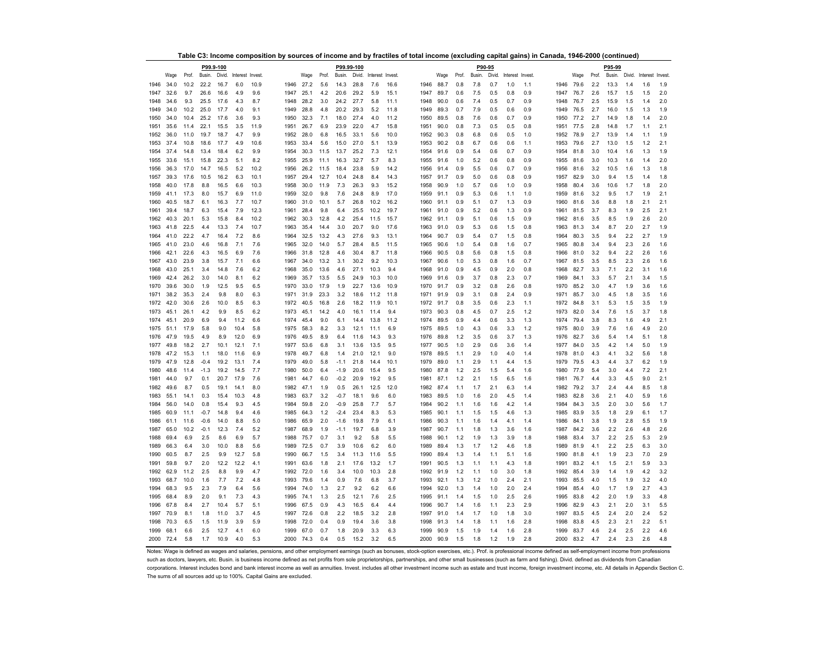|  | Table C3: Income composition by sources of income and by fractiles of total income (excluding capital gains) in Canada, 1946-2000 (continued) |  |  |  |  |  |  |
|--|-----------------------------------------------------------------------------------------------------------------------------------------------|--|--|--|--|--|--|
|--|-----------------------------------------------------------------------------------------------------------------------------------------------|--|--|--|--|--|--|

|      |      |       |        |           |                  |      |      |           |       |            |            |                  |      |      |      |       |        |        |          |        | $  - $       |      |       |        |     |                 |        |
|------|------|-------|--------|-----------|------------------|------|------|-----------|-------|------------|------------|------------------|------|------|------|-------|--------|--------|----------|--------|--------------|------|-------|--------|-----|-----------------|--------|
|      |      |       |        | P99.9-100 |                  |      |      |           |       |            | P99.99-100 |                  |      |      |      |       |        | P90-95 |          |        |              |      |       | P95-99 |     |                 |        |
|      | Wage | Prof. | Busin. | Divid.    | Interest Invest. |      |      | Wage      | Prof. | Busin.     | Divid.     | Interest Invest. |      |      | Wage | Prof. | Busin. | Divid. | Interest | Invest |              | Wage | Prof. | Busin. |     | Divid. Interest | Invest |
| 1946 | 34.0 | 10.2  | 22.2   | 16.7      | 6.0              | 10.9 |      | 1946 27.2 | 5.6   | 14.3       | 28.8       | 7.6              | 16.6 | 1946 | 88.7 | 0.8   | 7.8    | 0.7    | 1.0      | 1.1    | 1946         | 79.6 | 2.2   | 13.3   | 1.4 | 1.6             | 1.9    |
| 1947 | 32.6 | 9.7   | 26.6   | 16.6      | 4.9              | 9.6  | 1947 | 25.1      | 4.2   | 20.6       | 29.2       | 5.9              | 15.1 | 1947 | 89.7 | 0.6   | 7.5    | 0.5    | 0.8      | 0.9    | 1947         | 76.7 | 2.6   | 15.7   | 1.5 | 1.5             | 2.0    |
| 1948 | 34.6 | 9.3   | 25.5   | 17.6      | 4.3              | 8.7  | 1948 | 28.2      | 3.0   | 24.2       | 27.7       | 5.8              | 11.1 | 1948 | 90.0 | 0.6   | 7.4    | 0.5    | 0.7      | 0.9    | 1948         | 76.7 | 2.5   | 15.9   | 1.5 | 1.4             | 2.0    |
| 1949 | 34.0 | 10.2  | 25.0   | 17.7      | 4.0              | 9.1  | 1949 | 28.8      | 4.8   | 20.2       | 29.3       | 5.2              | 11.8 | 1949 | 89.3 | 0.7   | 7.9    | 0.5    | 0.6      | 0.9    | 1949         | 76.5 | 2.7   | 16.0   | 1.5 | 1.3             | 1.9    |
| 1950 | 34.0 | 10.4  | 25.2   | 17.6      | 3.6              | 9.3  | 1950 | 32.3      | 7.1   | 18.0       | 27.4       | 4.0              | 11.2 | 1950 | 89.5 | 0.8   | 7.6    | 0.6    | 0.7      | 0.9    | 1950         | 77.2 | 2.7   | 14.9   | 1.8 | 1.4             | 2.0    |
| 1951 | 35.6 | 11.4  | 22.1   | 15.5      | 3.5              | 11.9 | 1951 | 26.7      | 6.9   | 23.9       | 22.0       | 4.7              | 15.8 | 1951 | 90.0 | 0.8   | 7.3    | 0.5    | 0.5      | 0.8    | 1951         | 77.5 | 2.8   | 14.8   | 1.7 | 1.1             | 2.1    |
| 1952 | 36.0 | 11.0  | 19.7   | 18.7      | 4.7              | 9.9  | 1952 | 28.0      | 6.8   | 16.5       | 33.1       | 5.6              | 10.0 | 1952 | 90.3 | 0.8   | 6.8    | 0.6    | 0.5      | 1.0    | 1952         | 78.9 | 2.7   | 13.9   | 1.4 | 1.1             | 1.9    |
| 1953 | 37.4 | 10.8  | 18.6   | 17.7      | 4.9              | 10.6 | 1953 | 33.4      | 5.6   | 15.0       | 27.0       | 5.1              | 13.9 | 1953 | 90.2 | 0.8   | 6.7    | 0.6    | 0.6      | 1.1    | 1953         | 79.6 | 2.7   | 13.0   | 1.5 | 1.2             | 2.1    |
| 1954 | 37.4 | 14.8  | 13.4   | 18.4      | 6.2              | 9.9  | 1954 | 30.3      | 11.5  | 13.7       | 25.2       | 7.3              | 12.1 | 1954 | 91.6 | 0.9   | 5.4    | 0.6    | 0.7      | 0.9    | 1954         | 81.8 | 3.0   | 10.4   | 1.6 | 1.3             | 1.9    |
| 1955 | 33.6 | 15.1  | 15.8   | 22.3      | 5.1              | 8.2  | 1955 | 25.9      | 11.1  | 16.3       | 32.7       | 5.7              | 8.3  | 1955 | 91.6 | 1.0   | 5.2    | 0.6    | 0.8      | 0.9    | 1955         | 81.6 | 3.0   | 10.3   | 1.6 | 1.4             | 2.0    |
| 1956 | 36.3 | 17.0  | 14.7   | 16.5      | 5.2              | 10.2 | 1956 | 26.2      | 11.5  | 18.4       | 23.8       | 5.9              | 14.2 | 1956 | 91.4 | 0.9   | 5.5    | 0.6    | 0.7      | 0.9    | 1956         | 81.6 | 3.2   | 10.5   | 1.6 | 1.3             | 1.8    |
| 1957 | 39.3 | 17.6  | 10.5   | 16.2      | 6.3              | 10.1 | 1957 | 29.4      | 12.7  | 10.4       | 24.8       | 8.4              | 14.3 | 1957 | 91.7 | 0.9   | 5.0    | 0.6    | 0.8      | 0.9    | 1957         | 82.9 | 3.0   | 9.4    | 1.5 | 1.4             | 1.8    |
| 1958 | 40.0 | 17.8  | 8.8    | 16.5      | 6.6              | 10.3 | 1958 | 30.0      | 11.9  | 7.3        | 26.3       | 9.3              | 15.2 | 1958 | 90.9 | 1.0   | 5.7    | 0.6    | 1.0      | 0.9    | 1958         | 80.4 | 3.6   | 10.6   | 1.7 | 1.8             | 2.0    |
| 1959 | 41.1 | 17.3  | 8.0    | 15.7      | 6.9              | 11.0 | 1959 | 32.0      | 9.8   | 7.6        | 24.8       | 8.9              | 17.0 | 1959 | 91.1 | 0.9   | 5.3    | 0.6    | 1.1      | 1.0    | 1959         | 81.6 | 3.2   | 9.5    | 1.7 | 1.9             | 2.1    |
| 1960 | 40.5 | 18.7  | 6.1    | 16.3      | 7.7              | 10.7 | 1960 | 31.0      | 10.1  | 5.7        | 26.8       | 10.2             | 16.2 | 1960 | 91.1 | 0.9   | 5.1    | 0.7    | 1.3      | 0.9    | 1960         | 81.6 | 3.6   | 8.8    | 1.8 | 2.1             | 2.1    |
| 1961 | 39.4 | 18.7  | 6.3    | 15.4      | 7.9              | 12.3 | 1961 | 28.4      | 9.8   | 6.4        | 25.5       | 10.2             | 19.7 | 1961 | 91.0 | 0.9   | 5.2    | 0.6    | 1.3      | 0.9    | 1961         | 81.5 | 3.7   | 8.3    | 1.9 | 2.5             | 2.1    |
| 1962 | 40.3 | 20.1  | 5.3    | 15.8      | 8.4              | 10.2 | 1962 | 30.3      | 12.8  | 4.2        | 25.4       | 11.5             | 15.7 | 1962 | 91.1 | 0.9   | 5.1    | 0.6    | 1.5      | 0.9    | 1962         | 81.6 | 3.5   | 8.5    | 1.9 | 2.6             | 2.0    |
| 1963 | 41.8 | 22.5  | 4.4    | 13.3      | 7.4              | 10.7 | 1963 | 35.4      | 14.4  | 3.0        | 20.7       | 9.0              | 17.6 | 1963 | 91.0 | 0.9   | 5.3    | 0.6    | 1.5      | 0.8    | 1963         | 81.3 | 3.4   | 8.7    | 2.0 | 2.7             | 1.9    |
| 1964 | 41.0 | 22.2  | 4.7    | 16.4      | 7.2              | 8.6  | 1964 | 32.5      | 13.2  | 4.3        | 27.6       | 9.3              | 13.1 | 1964 | 90.7 | 0.9   | 5.4    | 0.7    | 1.5      | 0.8    | 1964         | 80.3 | 3.5   | 9.4    | 2.2 | 2.7             | 1.9    |
| 1965 | 41.0 | 23.0  | 4.6    | 16.8      | 7.1              | 7.6  | 1965 | 32.0      |       |            | 28.4       |                  | 11.5 | 1965 | 90.6 | 1.0   | 5.4    | 0.8    |          | 0.7    |              | 80.8 |       | 9.4    | 2.3 | 2.6             |        |
| 1966 | 42.1 |       |        |           |                  | 7.6  | 1966 | 31.8      | 14.0  | 5.7<br>4.6 |            | 8.5              |      | 1966 | 90.5 |       |        |        | 1.6      |        | 1965<br>1966 |      | 3.4   | 9.4    | 2.2 |                 | 1.6    |
|      |      | 22.6  | 4.3    | 16.5      | 6.9              |      |      |           | 12.8  |            | 30.4       | 8.7              | 11.8 |      |      | 0.8   | 5.6    | 0.8    | 1.5      | 0.8    |              | 81.0 | 3.2   |        |     | 2.6             | 1.6    |
| 1967 | 43.0 | 23.9  | 3.8    | 15.7      | 7.1              | 6.6  | 1967 | 34.0      | 13.2  | 3.1        | 30.2       | 9.2              | 10.3 | 1967 | 90.6 | 1.0   | 5.3    | 0.8    | 1.6      | 0.7    | 1967         | 81.5 | 3.5   | 8.5    | 2.3 | 2.6             | 1.6    |
| 1968 | 43.0 | 25.1  | 3.4    | 14.8      | 7.6              | 6.2  | 1968 | 35.0      | 13.6  | 4.6        | 27.1       | 10.3             | 9.4  | 1968 | 91.0 | 0.9   | 4.5    | 0.9    | 2.0      | 0.8    | 1968         | 82.7 | 3.3   | 7.1    | 2.2 | 3.1             | 1.6    |
| 1969 | 42.4 | 26.2  | 3.0    | 14.0      | 8.1              | 6.2  | 1969 | 35.7      | 13.5  | 5.5        | 24.9       | 10.3             | 10.0 | 1969 | 91.6 | 0.9   | 3.7    | 0.8    | 2.3      | 0.7    | 1969         | 84.1 | 3.3   | 5.7    | 2.1 | 3.4             | 1.5    |
| 1970 | 39.6 | 30.0  | 1.9    | 12.5      | 9.5              | 6.5  | 1970 | 33.0      | 17.9  | 1.9        | 22.7       | 13.6             | 10.9 | 1970 | 91.7 | 0.9   | 3.2    | 0.8    | 2.6      | 0.8    | 1970         | 85.2 | 3.0   | 4.7    | 1.9 | 3.6             | 1.6    |
| 1971 | 38.2 | 35.3  | 2.4    | 9.8       | 8.0              | 6.3  | 1971 | 31.9      | 23.3  | 3.2        | 18.6       | 11.2             | 11.8 | 1971 | 91.9 | 0.9   | 3.1    | 0.8    | 2.4      | 0.9    | 1971         | 85.7 | 3.0   | 4.5    | 1.8 | 3.5             | 1.6    |
| 1972 | 42.0 | 30.6  | 2.6    | 10.0      | 8.5              | 6.3  | 1972 | 40.5      | 16.8  | 2.6        | 18.2       | 11.9             | 10.1 | 1972 | 91.7 | 0.8   | 3.5    | 0.6    | 2.3      | 1.1    | 1972         | 84.8 | 3.1   | 5.3    | 1.5 | 3.5             | 1.9    |
| 1973 | 45.1 | 26.1  | 4.2    | 9.9       | 8.5              | 6.2  | 1973 | 45.1      | 14.2  | 4.0        | 16.1       | 11.4             | 9.4  | 1973 | 90.3 | 0.8   | 4.5    | 0.7    | 2.5      | 1.2    | 1973         | 82.0 | 3.4   | 7.6    | 1.5 | 3.7             | 1.8    |
| 1974 | 45.1 | 20.9  | 6.9    | 9.4       | 11.2             | 6.6  | 1974 | 45.4      | 9.0   | 6.1        | 14.4       | 13.8             | 11.2 | 1974 | 89.5 | 0.9   | 4.4    | 0.6    | 3.3      | 1.3    | 1974         | 79.4 | 3.8   | 8.3    | 1.6 | 4.9             | 2.1    |
| 1975 | 51.1 | 17.9  | 5.8    | 9.0       | 10.4             | 5.8  | 1975 | 58.3      | 8.2   | 3.3        | 12.1       | 11.1             | 6.9  | 1975 | 89.5 | 1.0   | 4.3    | 0.6    | 3.3      | 1.2    | 1975         | 80.0 | 3.9   | 7.6    | 1.6 | 4.9             | 2.0    |
| 1976 | 47.9 | 19.5  | 4.9    | 8.9       | 12.0             | 6.9  | 1976 | 49.5      | 8.9   | 6.4        | 11.6       | 14.3             | 9.3  | 1976 | 89.8 | 1.2   | 3.5    | 0.6    | 3.7      | 1.3    | 1976         | 82.7 | 3.6   | 5.4    | 1.4 | 5.1             | 1.8    |
| 1977 | 49.8 | 18.2  | 2.7    | 10.1      | 12.1             | 7.1  | 1977 | 53.6      | 6.8   | 3.1        | 13.6       | 13.5             | 9.5  | 1977 | 90.5 | 1.0   | 2.9    | 0.6    | 3.6      | 1.4    | 1977         | 84.0 | 3.5   | 4.2    | 1.4 | 5.0             | 1.9    |
| 1978 | 47.2 | 15.3  | 1.1    | 18.0      | 11.6             | 6.9  | 1978 | 49.7      | 6.8   | 1.4        | 21.0       | 12.1             | 9.0  | 1978 | 89.5 | 1.1   | 2.9    | 1.0    | 4.0      | 1.4    | 1978         | 81.0 | 4.3   | 4.1    | 3.2 | 5.6             | 1.8    |
| 1979 | 47.9 | 12.8  | $-0.4$ | 19.2      | 13.1             | 7.4  | 1979 | 49.0      | 5.8   | $-1.1$     | 21.8       | 14.4             | 10.1 | 1979 | 89.0 | 1.1   | 2.9    | 1.1    | 4.4      | 1.5    | 1979         | 79.5 | 4.3   | 4.4    | 3.7 | 6.2             | 1.9    |
| 1980 | 48.6 | 11.4  | $-1.3$ | 19.2      | 14.5             | 7.7  | 1980 | 50.0      | 6.4   | $-1.9$     | 20.6       | 15.4             | 9.5  | 1980 | 87.8 | 1.2   | 2.5    | 1.5    | 5.4      | 1.6    | 1980         | 77.9 | 5.4   | 3.0    | 4.4 | 7.2             | 2.1    |
| 1981 | 44.0 | 9.7   | 0.1    | 20.7      | 17.9             | 7.6  | 1981 | 44.7      | 6.0   | $-0.2$     | 20.9       | 19.2             | 9.5  | 1981 | 87.1 | 1.2   | 2.1    | 1.5    | 6.5      | 1.6    | 1981         | 76.7 | 4.4   | 3.3    | 4.5 | 9.0             | 2.1    |
| 1982 | 49.6 | 8.7   | 0.5    | 19.1      | 14.1             | 8.0  | 1982 | 47.1      | 1.9   | 0.5        | 26.1       | 12.5             | 12.0 | 1982 | 87.4 | 1.1   | 1.7    | 2.1    | 6.3      | 1.4    | 1982         | 79.2 | 3.7   | 2.4    | 4.4 | 8.5             | 1.8    |
| 1983 | 55.1 | 14.1  | 0.3    | 15.4      | 10.3             | 4.8  | 1983 | 63.7      | 3.2   | $-0.7$     | 18.1       | 9.6              | 6.0  | 1983 | 89.5 | 1.0   | 1.6    | 2.0    | 4.5      | 1.4    | 1983         | 82.8 | 3.6   | 2.1    | 4.0 | 5.9             | 1.6    |
| 1984 | 56.0 | 14.0  | 0.8    | 15.4      | 9.3              | 4.5  | 1984 | 59.8      | 2.0   | $-0.9$     | 25.8       | 7.7              | 5.7  | 1984 | 90.2 | 1.1   | 1.6    | 1.6    | 4.2      | 1.4    | 1984         | 84.3 | 3.5   | 2.0    | 3.0 | 5.6             | 1.7    |
| 1985 | 60.9 | 11.1  | $-0.7$ | 14.8      | 9.4              | 4.6  | 1985 | 64.3      | 1.2   | $-2.4$     | 23.4       | 8.3              | 5.3  | 1985 | 90.1 | 1.1   | 1.5    | 1.5    | 4.6      | 1.3    | 1985         | 83.9 | 3.5   | 1.8    | 2.9 | 6.1             | 1.7    |
| 1986 | 61.1 | 11.6  | $-0.6$ | 14.0      | 8.8              | 5.0  | 1986 | 65.9      | 2.0   | $-1.6$     | 19.8       | 7.9              | 6.1  | 1986 | 90.3 | 1.1   | 1.6    | 1.4    | 4.1      | 1.4    | 1986         | 84.1 | 3.8   | 1.9    | 2.8 | 5.5             | 1.9    |
| 1987 | 65.0 | 10.2  | $-0.1$ | 12.3      | 7.4              | 5.2  | 1987 | 68.9      | 1.9   | $-1.1$     | 19.7       | 6.8              | 3.9  | 1987 | 90.7 | 1.1   | 1.8    | 1.3    | 3.6      | 1.6    | 1987         | 84.2 | 3.6   | 2.2    | 2.6 | 4.8             | 2.6    |
| 1988 | 69.4 | 6.9   | 2.5    | 8.6       | 6.9              | 5.7  | 1988 | 75.7      | 0.7   | 3.1        | 9.2        | 5.8              | 5.5  | 1988 | 90.1 | 1.2   | 1.9    | 1.3    | 3.9      | 1.8    | 1988         | 83.4 | 3.7   | 2.2    | 2.5 | 5.3             | 2.9    |
| 1989 |      |       | 3.0    |           |                  |      |      | 72.5      |       |            |            | 6.2              |      |      | 89.4 |       |        |        |          |        | 1989         | 81.9 |       | 2.2    | 2.5 | 6.3             | 3.0    |
|      | 66.3 | 6.4   |        | 10.0      | 8.8              | 5.6  | 1989 |           | 0.7   | 3.9        | 10.6       |                  | 6.0  | 1989 |      | 1.3   | 1.7    | 1.2    | 4.6      | 1.8    |              |      | 4.1   |        |     |                 |        |
| 1990 | 60.5 | 8.7   | 2.5    | 9.9       | 12.7             | 5.8  | 1990 | 66.7      | 1.5   | 3.4        | 11.3       | 11.6             | 5.5  | 1990 | 89.4 | 1.3   | 1.4    | 1.1    | 5.1      | 1.6    | 1990         | 81.8 | 4.1   | 1.9    | 2.3 | 7.0             | 2.9    |
| 1991 | 59.8 | 9.7   | 2.0    | 12.2      | 12.2             | 4.1  | 1991 | 63.6      | 1.8   | 2.1        | 17.6       | 13.2             | 1.7  | 1991 | 90.5 | 1.3   | 1.1    | 1.1    | 4.3      | 1.8    | 1991         | 83.2 | 4.1   | 1.5    | 2.1 | 5.9             | 3.3    |
| 1992 | 62.9 | 11.2  | 2.5    | 8.8       | 9.9              | 4.7  | 1992 | 72.0      | 1.6   | 3.4        | 10.0       | 10.3             | 2.8  | 1992 | 91.9 | 1.2   | 1.1    | 1.0    | 3.0      | 1.8    | 1992         | 85.4 | 3.9   | 1.4    | 1.9 | 4.2             | 3.2    |
| 1993 | 68.7 | 10.0  | 1.6    | 7.7       | 7.2              | 4.8  | 1993 | 79.6      | 1.4   | 0.9        | 7.6        | 6.8              | 3.7  | 1993 | 92.1 | 1.3   | 1.2    | 1.0    | 2.4      | 2.1    | 1993         | 85.5 | 4.0   | 1.5    | 1.9 | 3.2             | 4.0    |
| 1994 | 68.3 | 9.5   | 2.3    | 7.9       | 6.4              | 5.6  | 1994 | 74.0      | 1.3   | 2.7        | 9.2        | 6.2              | 6.6  | 1994 | 92.0 | 1.3   | 1.4    | 1.0    | 2.0      | 2.4    | 1994         | 85.4 | 4.0   | 1.7    | 1.9 | 2.7             | 4.3    |
| 1995 | 68.4 | 8.9   | 2.0    | 9.1       | 7.3              | 4.3  | 1995 | 74.1      | 1.3   | 2.5        | 12.1       | 7.6              | 2.5  | 1995 | 91.1 | 1.4   | 1.5    | 1.0    | 2.5      | 2.6    | 1995         | 83.8 | 4.2   | 2.0    | 1.9 | 3.3             | 4.8    |
| 1996 | 67.8 | 8.4   | 2.7    | 10.4      | 5.7              | 5.1  | 1996 | 67.5      | 0.9   | 4.3        | 16.5       | 6.4              | 4.4  | 1996 | 90.7 | 1.4   | 1.6    | 1.1    | 2.3      | 2.9    | 1996         | 82.9 | 4.3   | 2.1    | 2.0 | 3.1             | 5.5    |
| 1997 | 70.9 | 8.1   | 1.8    | 11.0      | 3.7              | 4.5  | 1997 | 72.6      | 0.8   | 2.2        | 18.5       | 3.2              | 2.8  | 1997 | 91.0 | 1.4   | 1.7    | 1.0    | 1.8      | 3.0    | 1997         | 83.5 | 4.5   | 2.4    | 2.0 | 2.4             | 5.2    |
| 1998 | 70.3 | 6.5   | 1.5    | 11.9      | 3.9              | 5.9  | 1998 | 72.0      | 0.4   | 0.9        | 19.4       | 3.6              | 3.8  | 1998 | 91.3 | 1.4   | 1.8    | 1.1    | 1.6      | 2.8    | 1998         | 83.8 | 4.5   | 2.3    | 2.1 | 2.2             | 5.1    |
| 1999 | 68.1 | 6.6   | 2.5    | 12.7      | 4.1              | 6.0  | 1999 | 67.0      | 0.7   | 1.8        | 20.9       | 3.3              | 6.3  | 1999 | 90.9 | 1.5   | 1.9    | 1.4    | 1.6      | 2.8    | 1999         | 83.7 | 4.6   | 2.4    | 2.5 | 2.2             | 4.6    |
| 2000 | 72.4 | 5.8   | 1.7    | 10.9      | 4.0              | 5.3  | 2000 | 74.3      | 0.4   | 0.5        | 15.2       | 3.2              | 6.5  | 2000 | 90.9 | 1.5   | 1.8    | 1.2    | 1.9      | 2.8    | 2000         | 83.2 | 4.7   | 2.4    | 2.3 | 2.6             | 4.8    |

Notes: Wage is defined as wages and salaries, pensions, and other employment earnings (such as bonuses, stock-option exercises, etc.). Prof. is professional income defined as self-employment income from professions such as doctors, lawyers, etc. Busin. is business income defined as net profits from sole proprietorships, partnerships, and other small businesses (such as farm and fishing). Divid. defined as dividends from Canadian corporations. Interest includes bond and bank interest income as well as annuities. Invest. includes all other investment income such as estate and trust income, foreign investment income, etc. All details in Appendix Sect The sums of all sources add up to 100%. Capital Gains are excluded.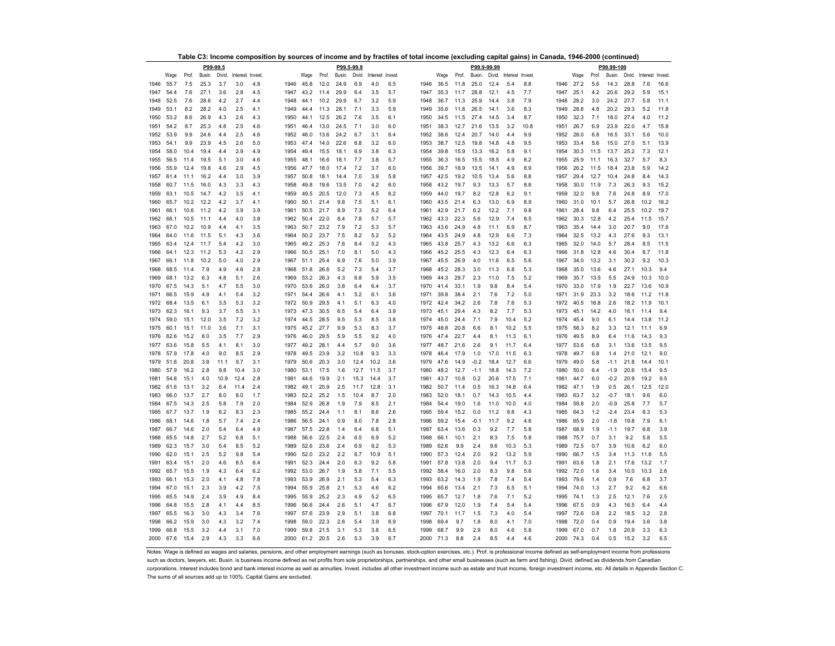|              |              |           | P99-99.5 |            |                  |            |              |              |              | P99.5-99.9   |            |                  |            |              |                |      |            | P99.9-99.99 |                         |            |              |              |      | P99.99-100 |              |                                      |              |
|--------------|--------------|-----------|----------|------------|------------------|------------|--------------|--------------|--------------|--------------|------------|------------------|------------|--------------|----------------|------|------------|-------------|-------------------------|------------|--------------|--------------|------|------------|--------------|--------------------------------------|--------------|
|              | Wage         | Prof.     | Busin.   | Divid.     | Interest Invest. |            |              | Wage         |              | Prof. Busin. | Divid.     | Interest Invest. |            |              | Wage Prof.     |      | Busin.     |             | Divid. Interest Invest. |            |              | Wage         |      |            |              | Prof. Busin. Divid. Interest Invest. |              |
| 1946         | 55.7         | 7.5       | 25.3     | 3.7        | 3.0              | 4.8        |              | 1946 45.8    | 12.0         | 24.9         | 6.9        | 4.0              | 6.5        |              | 1946 36.5 11.8 |      | 25.0       | 12.4        | 5.4                     | 8.8        | 1946         | 27.2         | 5.6  | 14.3       | 28.8         | 7.6                                  | 16.6         |
| 1947         | 54.4         | 7.6       | 27.1     | 3.6        | 2.8              | 4.5        |              | 1947 43.2    | 11.4         | 29.9         | 6.4        | 3.5              | 5.7        | 1947         | 35.3           | 11.7 | 28.8       | 12.1        | 4.5                     | 7.7        | 1947         | 25.1         | 4.2  | 20.6       | 29.2         | 5.9                                  | 15.1         |
| 1948         | 52.5         | 7.6       | 28.6     | 4.2        | 2.7              | 4.4        | 1948         | 44.1         | 10.2         | 29.9         | 6.7        | 3.2              | 5.9        | 1948         | 36.7           | 11.3 | 25.9       | 14.4        | 3.8                     | 7.9        | 1948         | 28.2         | 3.0  | 24.2       | 27.7         | 5.8                                  | 11.1         |
| 1949         | 53.1         | 8.2       | 28.2     | 4.0        | 2.5              | 4.1        | 1949         | 44.4         | 11.3         | 28.1         | 7.1        | 3.3              | 5.9        | 1949         | 35.6           | 11.8 | 26.5       | 14.1        | 3.6                     | 8.3        | 1949         | 28.8         | 4.8  | 20.2       | 29.3         | 5.2                                  | 11.8         |
| 1950         | 53.2         | 8.6       | 26.9     | 4.3        | 2.6              | 4.3        | 1950         | 44.1         | 12.5         | 26.2         | 7.6        | 3.5              | 6.1        | 1950         | 34.5           | 11.5 | 27.4       | 14.5        | 3.4                     | 8.7        | 1950         | 32.3         | 7.1  | 18.0       | 27.4         | 4.0                                  | 11.2         |
| 1951         | 54.2         | 8.7       | 25.3     | 4.8        | 2.5              | 4.6        | 1951         | 46.4         | 13.0         | 24.5         | 7.1        | 3.0              | 6.0        | 1951         | 38.3           | 12.7 | 21.6       | 13.5        | 3.2                     | 10.8       | 1951         | 26.7         | 6.9  | 23.9       | 22.0         | 4.7                                  | 15.8         |
| 1952         | 53.9         | 9.9       | 24.6     | 4.4        | 2.5              | 4.6        | 1952         | 46.0         | 13.6         | 24.2         | 6.7        | 3.1              | 6.4        | 1952         | 38.6           | 12.4 | 20.7       | 14.0        | 4.4                     | 9.9        | 1952         | 28.0         | 6.8  | 16.5       | 33.1         | 5.6                                  | 10.0         |
| 1953         | 54.1         | 9.9       | 23.9     | 4.5        | 2.6              | 5.0        | 1953         | 47.4         | 14.0         | 22.6         | 6.8        | 3.2              | 6.0        | 1953         | 38.7           | 12.5 | 19.8       | 14.8        | 4.8                     | 9.5        | 1953         | 33.4         | 5.6  | 15.0       | 27.0         | 5.1                                  | 13.9         |
| 1954         | 58.0         | 10.4      | 19.4     | 4.4        | 2.9              | 4.9        | 1954         | 49.4         | 15.5         | 18.1         | 6.9        | 3.8              | 6.3        | 1954         | 39.8           | 15.9 | 13.3       | 16.2        | 5.8                     | 9.1        | 1954         | 30.3         | 11.5 | 13.7       | 25.2         | 7.3                                  | 12.1         |
| 1955         | 56.5         | 11.4      | 19.5     | 5.1        | 3.0              | 4.6        | 1955         | 48.1         | 16.6         | 18.1         | 7.7        | 3.8              | 5.7        | 1955         | 36.3           | 16.5 | 15.5       | 18.5        | 4.9                     | 8.2        | 1955         | 25.9         | 11.1 | 16.3       | 32.7         | 5.7                                  | 8.3          |
| 1956         | 55.9         | 12.4      | 19.8     | 4.6        | 2.9              | 4.5        | 1956         | 47.7         | 18.0         | 17.4         | 7.2        | 3.7              | 6.0        | 1956         | 39.7           | 18.9 | 13.5       | 14.1        | 4.9                     | 8.9        | 1956         | 26.2 11.5    |      | 18.4       | 23.8         | 5.9                                  | 14.2         |
| 1957         | 61.4         | 11.1      | 16.2     | 4.4        | 3.0              | 3.9        | 1957         | 50.8         | 18.1         | 14.4         | 7.0        | 3.9              | 5.8        | 1957         | 42.5           | 19.2 | 10.5       | 13.4        | 5.6                     | 8.8        | 1957         | 29.4         | 12.7 | 10.4       | 24.8         | 8.4                                  | 14.3         |
| 1958         | 60.7         | 11.5      | 16.0     | 4.3        | 3.3              | 4.3        | 1958         | 49.8         | 19.6         | 13.5         | 7.0        | 4.2              | 6.0        | 1958         | 43.2           | 19.7 | 9.3        | 13.3        | 5.7                     | 8.8        | 1958         | 30.0         | 11.9 | 7.3        | 26.3         | 9.3                                  | 15.2         |
| 1959         | 63.1         | 10.5      | 14.7     | 4.2        | 3.5              | 4.1        | 1959         | 49.5         | 20.5         | 12.0         | 7.3        | 4.5              | 6.2        | 1959         | 44.0           | 19.7 | 8.2        | 12.8        | 6.2                     | 9.1        | 1959         | 32.0         | 9.8  | 7.6        | 24.8         | 8.9                                  | 17.0         |
| 1960         | 65.7         | 10.2 12.2 |          | 4.2        | 3.7              | 4.1        | 1960         | 50.1         | 21.4         | 9.8          | 7.5        | 5.1              | 6.1        | 1960         | 43.5           | 21.4 | 6.3        | 13.0        | 6.9                     | 8.9        | 1960         | 31.0         | 10.1 | 5.7        | 26.8         | 10.2                                 | 16.2         |
| 1961         | 66.1         | 10.6 11.2 |          | 4.2        | 3.9              | 3.9        | 1961         | 50.5         | 21.7         | 8.9          | 7.3        | 5.2              | 6.4        | 1961         | 42.9           | 21.7 | 6.2        | 12.2        | 7.1                     | 9.8        | 1961         | 28.4         | 9.8  | 6.4        | 25.5         | 10.2                                 | 19.7         |
| 1962         | 66.1         | 10.5      | 11.1     | 4.4        | 4.0              | 3.8        | 1962         | 50.4         | 22.0         | 8.4          | 7.8        | 5.7              | 5.7        | 1962         | 43.3           | 22.3 | 5.6        | 12.9        | 7.4                     | 8.5        | 1962         | 30.3         | 12.8 | 4.2        | 25.4         | 11.5                                 | 15.7         |
| 1963         | 67.0         | 10.2      | 10.9     | 4.4        | 4.1              | 3.5        | 1963         | 50.7         | 23.2         | 7.9          | 7.2        | 5.3              | 5.7        | 1963         | 43.6           | 24.9 | 4.8        | 11.1        | 6.9                     | 8.7        | 1963         | 35.4         | 14.4 | 3.0        | 20.7         | 9.0                                  | 17.6         |
| 1964         | 64.0         |           |          |            |                  |            |              | 50.2         | 23.7         |              | 8.2        |                  | 5.2        | 1964         | 43.5           |      | 4.8        | 12.9        |                         | 7.3        | 1964         | 32.5         |      | 4.3        |              |                                      | 13.1         |
|              |              | 11.6      | 11.5     | 5.1<br>5.4 | 4.3              | 3.6        | 1964<br>1965 | 49.2 25.3    |              | 7.5          |            | 5.2<br>5.2       | 4.3        |              | 43.8 25.7      | 24.9 |            | 13.2        | 6.6                     |            | 1965         | 32.0         | 13.2 | 5.7        | 27.6<br>28.4 | 9.3                                  | 11.5         |
| 1965         | 63.4         | 12.4      | 11.7     |            | 4.2              | 3.0        |              |              |              | 7.6          | 8.4        |                  |            | 1965         |                |      | 4.3        |             | 6.6                     | 6.3        |              |              | 14.0 |            |              | 8.5                                  |              |
| 1966<br>1967 | 64.1<br>66.1 | 12.3      | 11.2     | 5.3<br>5.0 | 4.2<br>4.0       | 2.9<br>2.9 | 1966         | 50.5<br>51.1 | 25.1<br>25.4 | 7.0          | 8.1<br>7.6 | 5.0              | 4.3<br>3.9 | 1966<br>1967 | 45.2<br>45.5   | 25.5 | 4.3<br>4.0 | 12.3        | 6.4                     | 6.3<br>5.6 | 1966<br>1967 | 31.8<br>34.0 | 12.8 | 4.6<br>3.1 | 30.4<br>30.2 | 8.7<br>9.2                           | 11.8<br>10.3 |
|              |              | 11.8      | 10.2     |            |                  |            | 1967         |              |              | 6.9          |            | 5.0              |            |              |                | 26.9 |            | 11.6        | 6.5                     |            |              |              | 13.2 |            |              |                                      |              |
| 1968         | 68.5 11.4    |           | 7.9      | 4.9        | 4.6              | 2.8        |              | 1968 51.8    | 26.6         | 5.2          | 7.3        | 5.4              | 3.7        | 1968         | 45.2 28.3      |      | 3.0        | 11.3        | 6.8                     | 5.3        | 1968         | 35.0         | 13.6 | 4.6        | 27.1         | 10.3                                 | 9.4          |
| 1969         | 68.1         | 13.2      | 6.3      | 4.8        | 5.1              | 2.6        | 1969         | 53.2         | 26.3         | 4.3          | 6.8        | 5.9              | 3.5        | 1969         | 44.3           | 29.7 | 2.3        | 11.0        | 7.5                     | 5.2        | 1969         | 35.7         | 13.5 | 5.5        | 24.9         | 10.3                                 | 10.0         |
| 1970         | 67.5         | 14.3      | 5.1      | 4.7        | 5.5              | 3.0        | 1970         | 53.6         | 26.0         | 3.8          | 6.4        | 6.4              | 3.7        | 1970         | 41.4           | 33.1 | 1.9        | 9.8         | 8.4                     | 5.4        | 1970         | 33.0         | 17.9 | 1.9        | 22.7         | 13.6                                 | 10.9         |
| 1971         | 66.5         | 15.9      | 4.9      | 4.1        | 5.4              | 3.2        | 1971         | 54.4         | 26.6         | 4.1          | 5.2        | 6.1              | 3.6        | 1971         | 39.8           | 38.4 | 2.1        | 7.6         | 7.2                     | 5.0        | 1971         | 31.9         | 23.3 | 3.2        | 18.6         | 11.2                                 | 11.8         |
| 1972         | 68.4         | 13.5      | 6.1      | 3.5        | 5.3              | 3.2        | 1972         | 50.9         | 29.5         | 4.1          | 5.1        | 6.3              | 4.0        | 1972         | 42.4           | 34.2 | 2.6        | 7.8         | 7.6                     | 5.3        | 1972         | 40.5         | 16.8 | 2.6        | 18.2         | 11.9                                 | 10.1         |
| 1973         | 62.3         | 16.1      | 9.3      | 3.7        | 5.5              | 3.1        |              | 1973 47.3    | 30.5         | 6.5          | 5.4        | 6.4              | 3.9        | 1973         | 45.1           | 29.4 | 4.3        | 8.2         | 7.7                     | 5.3        | 1973         | 45.1         | 14.2 | 4.0        | 16.1         | 11.4                                 | 9.4          |
| 1974         | 59.0         | 15.1      | 12.0     | 3.5        | 7.2              | 3.2        | 1974 44.5    |              | 28.5         | 9.5          | 5.3        | 8.5              | 3.8        | 1974         | 45.0           | 24.4 | 7.1        | 7.9         | 10.4                    | 5.2        | 1974         | 45.4         | 9.0  | 6.1        | 14.4         | 13.8                                 | 11.2         |
| 1975         | 60.1         | 15.1      | 11.0     | 3.6        | 7.1              | 3.1        | 1975         | 45.2         | 27.7         | 9.9          | 5.3        | 8.3              | 3.7        | 1975         | 48.8           | 20.8 | 6.6        | 8.1         | 10.2                    | 5.5        | 1975         | 58.3         | 8.2  | 3.3        | 12.1         | 11.1                                 | 6.9          |
| 1976         | 62.6         | 15.2      | 8.0      | 3.5        | 7.7              | 2.9        | 1976 46.0    |              | 29.5         | 5.9          | 5.5        | 9.2              | 4.0        | 1976         | 47.4           | 22.7 | 4.4        | 8.1         | 11.3                    | 6.1        | 1976         | 49.5         | 8.9  | 6.4        | 11.6         | 14.3                                 | 9.3          |
| 1977         | 63.6         | 15.8      | 5.5      | 4.1        | 8.1              | 3.0        |              | 1977 49.2    | 28.1         | 4.4          | 5.7        | 9.0              | 3.6        | 1977         | 48.7           | 21.6 | 2.6        | 9.1         | 11.7                    | 6.4        | 1977         | 53.6         | 6.8  | 3.1        | 13.6         | 13.5                                 | 9.5          |
| 1978         | 57.9         | 17.8      | 4.0      | 9.0        | 8.5              | 2.9        | 1978         | 49.5         | 23.9         | 3.2          | 10.8       | 9.3              | 3.3        | 1978         | 46.4           | 17.9 | 1.0        | 17.0        | 11.5                    | 6.3        | 1978         | 49.7         | 6.8  | 1.4        | 21.0         | 12.1                                 | 9.0          |
| 1979         | 51.6         | 20.8      | 3.8      | 11.1       | 9.7              | 3.1        | 1979         | 50.6         | 20.3         | 3.0          | 12.4       | 10.2             | 3.6        | 1979         | 47.6           | 14.9 | $-0.2$     | 18.4        | 12.7                    | 6.6        | 1979         | 49.0         | 5.8  | $-1.1$     | 21.8         | 14.4                                 | 10.1         |
| 1980         | 57.9         | 16.2      | 2.8      | 9.8        | 10.4             | 3.0        | 1980         | 53.1         | 17.5         | 1.6          | 12.7       | 11.5             | 3.7        | 1980         | 48.2           | 12.7 | $-1.1$     | 18.8        | 14.3                    | 7.2        | 1980         | 50.0         | 6.4  | $-1.9$     | 20.6         | 15.4                                 | 9.5          |
| 1981         | 54.8         | 15.1      | 4.0      | 10.9       | 12.4             | 2.8        | 1981         | 44.6         | 19.9         | 2.1          | 15.3       | 14.4             | 3.7        | 1981         | 43.7           | 10.8 | 0.2        | 20.6        | 17.5                    | 7.1        | 1981         | 44.7         | 6.0  | $-0.2$     | 20.9         | 19.2                                 | 9.5          |
| 1982         | 61.6         | 13.1      | 3.2      | 8.4        | 11.4             | 2.4        | 1982         | 49.1         | 20.9         | 2.5          | 11.7       | 12.8             | 3.1        | 1982         | 50.7           | 11.4 | 0.5        | 16.3        | 14.8                    | 6.4        | 1982         | 47.1         | 1.9  | 0.5        | 26.1         | 12.5                                 | 12.0         |
| 1983         | 66.0         | 13.7      | 2.7      | 8.0        | 8.0              | 1.7        |              | 1983 52.2    | 25.2         | 1.5          | 10.4       | 8.7              | 2.0        | 1983         | 52.0           | 18.1 | 0.7        | 14.3        | 10.5                    | 4.4        | 1983         | 63.7         | 3.2  | $-0.7$     | 18.1         | 9.6                                  | 6.0          |
| 1984         | 67.5         | 14.3      | 2.5      | 5.8        | 7.9              | 2.0        | 1984         | 52.9         | 26.8         | 1.9          | 7.9        | 8.5              | 2.1        | 1984         | 54.4           | 19.0 | 1.6        | 11.0        | 10.0                    | 4.0        | 1984         | 59.8         | 2.0  | $-0.9$     | 25.8         | 7.7                                  | 5.7          |
| 1985         | 67.7         | 13.7      | 1.9      | 6.2        | 8.3              | 2.3        | 1985         | 55.2         | 24.4         | 1.1          | 8.1        | 8.6              | 2.6        | 1985         | 59.4           | 15.2 | 0.0        | 11.2        | 9.8                     | 4.3        | 1985         | 64.3         | 1.2  | $-2.4$     | 23.4         | 8.3                                  | 5.3          |
| 1986         | 68.1         | 14.6      | 1.8      | 5.7        | 74               | 2.4        | 1986         | 56.5         | 24.1         | 0.9          | 8.0        | 7.8              | 2.8        | 1986         | 59.2           | 15.4 | $-0.1$     | 11.7        | 9.2                     | 4.6        | 1986         | 65.9         | 2.0  | $-1.6$     | 19.8         | 7.9                                  | 6.1          |
| 1987         | 66.7 14.6    |           | 2.0      | 5.4        | 6.4              | 4.9        |              | 1987 57.5    | 22.8         | 1.4          | 6.4        | 6.8              | 5.1        | 1987         | 63.4           | 13.6 | 0.3        | 9.2         | 7.7                     | 5.8        | 1987         | 68.9         | 1.9  | $-1.1$     | 19.7         | 6.8                                  | 3.9          |
| 1988         | 65.5         | 14.8      | 2.7      | 5.2        | 6.8              | 5.1        | 1988         | 56.6         | 22.5         | 2.4          | 6.5        | 6.9              | 5.2        | 1988         | 66.1           | 10.1 | 2.1        | 8.3         | 7.5                     | 5.8        | 1988         | 75.7         | 0.7  | 3.1        | 9.2          | 5.8                                  | 5.5          |
| 1989         | 62.3         | 15.7      | 3.0      | 5.4        | 8.5              | 5.2        | 1989         | 52.6         | 23.6         | 2.4          | 6.9        | 9.2              | 5.3        | 1989         | 62.6           | 9.9  | 2.4        | 9.6         | 10.3                    | 5.3        | 1989         | 72.5         | 0.7  | 3.9        | 10.6         | 6.2                                  | 6.0          |
| 1990         | 62.0         | 15.1      | 2.5      | 5.2        | 9.8              | 5.4        | 1990         | 52.0         | 23.2         | 2.2          | 6.7        | 10.9             | 5.1        | 1990         | 57.3           | 12.4 | 2.0        | 9.2         | 13.2                    | 5.9        | 1990         | 66.7         | 1.5  | 3.4        | 11.3         | 11.6                                 | 5.5          |
| 1991         | 63.4         | 15.1      | 2.0      | 4.6        | 8.5              | 6.4        | 1991         | 52.3         | 24.4         | 2.0          | 6.3        | 9.2              | 5.8        | 1991         | 57.8           | 13.8 | 2.0        | 9.4         | 11.7                    | 5.3        | 1991         | 63.6         | 1.8  | 2.1        | 17.6         | 13.2                                 | 1.7          |
| 1992         | 65.7         | 15.5      | 1.9      | 4.3        | 6.4              | 6.2        | 1992         | 53.0         | 26.7         | 1.9          | 5.8        | 7.1              | 5.5        | 1992         | 58.4           | 16.0 | 2.0        | 8.3         | 9.8                     | 5.6        | 1992         | 72.0         | 1.6  | 3.4        | 10.0         | 10.3                                 | 2.8          |
| 1993         | 66.1         | 15.3      | 2.0      | 4.1        | 4.8              | 7.8        | 1993         | 53.9         | 26.9         | 2.1          | 5.3        | 5.4              | 6.3        | 1993         | 63.2           | 14.3 | 1.9        | 7.8         | 7.4                     | 5.4        | 1993         | 79.6         | 1.4  | 0.9        | 7.6          | 6.8                                  | 3.7          |
| 1994         | 67.0         | 15.1      | 2.3      | 3.9        | 4.2              | 7.5        | 1994         | 55.9         | 25.8         | 2.1          | 5.3        | 4.6              | 6.2        | 1994         | 65.6           | 13.4 | 2.1        | 7.3         | 6.5                     | 5.1        | 1994         | 74.0         | 1.3  | 2.7        | 9.2          | 6.2                                  | 6.6          |
| 1995         | 65.5         | 14.9      | 2.4      | 3.9        | 4.9              | 8.4        | 1995         | 55.9         | 25.2         | 2.3          | 4.9        | 5.2              | 6.5        | 1995         | 65.7           | 12.7 | 1.8        | 7.6         | 7.1                     | 5.2        | 1995         | 74.1         | 1.3  | 2.5        | 12.1         | 7.6                                  | 2.5          |
| 1996         | 64.8         | 15.5      | 2.8      | 4.1        | 4.4              | 8.5        | 1996         | 56.6         | 24.4         | 2.6          | 5.1        | 4.7              | 6.7        | 1996         | 67.9           | 12.0 | 1.9        | 7.4         | 5.4                     | 5.4        | 1996         | 67.5         | 0.9  | 4.3        | 16.5         | 6.4                                  | 4.4          |
| 1997         | 65.5         | 16.3      | 3.0      | 4.3        | 3.4              | 7.6        | 1997         | 57.6         | 23.9         | 2.9          | 5.1        | 3.8              | 6.8        | 1997         | 70.1           | 11.7 | 1.5        | 7.3         | 4.0                     | 5.4        | 1997         | 72.6         | 0.8  | 2.2        | 18.5         | 3.2                                  | 2.8          |
| 1998         | 66.2         | 15.9      | 3.0      | 4.3        | 3.2              | 7.4        | 1998         | 59.0         | 22.3         | 2.6          | 5.4        | 3.9              | 6.9        | 1998         | 69.4           | 9.7  | 1.8        | 8.0         | 4.1                     | 7.0        | 1998         | 72.0         | 0.4  | 0.9        | 19.4         | 3.6                                  | 3.8          |
| 1999         | 66.8         | 15.5      | 3.2      | 4.4        | 3.1              | 7.0        | 1999         | 59.8         | 21.5         | 3.1          | 5.3        | 3.8              | 6.5        | 1999         | 68.7           | 9.9  | 2.9        | 8.0         | 4.6                     | 5.8        | 1999         | 67.0         | 0.7  | 1.8        | 20.9         | 3.3                                  | 6.3          |
| 2000         | 67.6         | 15.4      | 2.9      | 4.3        | 3.3              | 6.6        | 2000         | 61.2         | 20.5         | 2.6          | 5.3        | 3.9              | 6.7        | 2000         | 71.3           | 8.8  | 2.4        | 8.5         | 4.4                     | 4.6        | 2000         | 74.3         | 0.4  | 0.5        | 15.2         | 3.2                                  | 6.5          |

Notes: Wage is defined as wages and salaries, pensions, and other employment earnings (such as bonuses, stock-option exercises, etc.). Prof. is professional income defined as self-employment income from professions such as doctors, lawyers, etc. Busin. is business income defined as net profits from sole proprietorships, partnerships, and other small businesses (such as farm and fishing). Divid. defined as dividends from Canadian corporations. Interest includes bond and bank interest income as well as annuities. Invest. includes all other investment income such as estate and trust income, foreign investment income, etc. All details in Appendix Sect The sums of all sources add up to 100%. Capital Gains are excluded.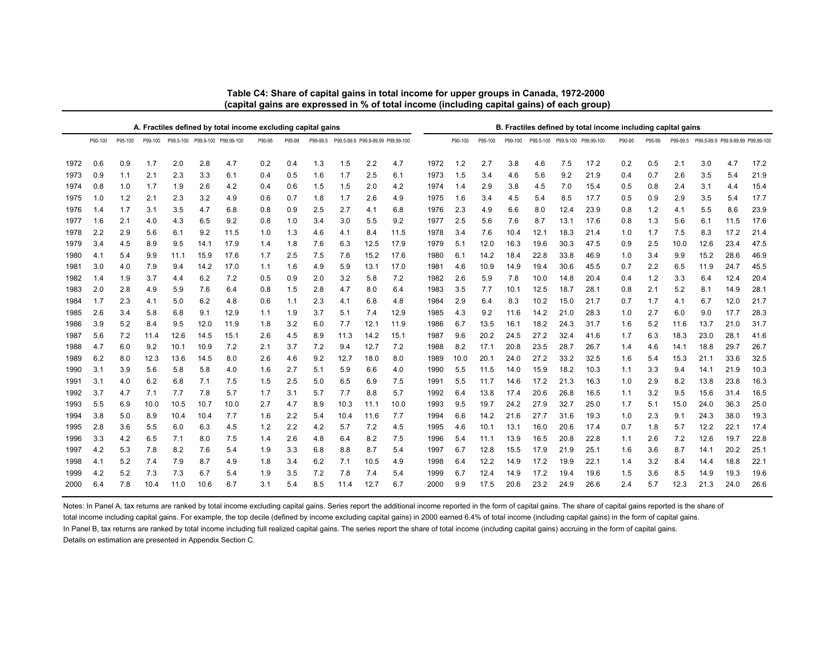|      |         |         |         |           |      | A. Fractiles defined by total income excluding capital gains |        |        |          |      |                                   |      |      |         |         |         |      |      | B. Fractiles defined by total income including capital gains |        |        |          |                                   |      |      |
|------|---------|---------|---------|-----------|------|--------------------------------------------------------------|--------|--------|----------|------|-----------------------------------|------|------|---------|---------|---------|------|------|--------------------------------------------------------------|--------|--------|----------|-----------------------------------|------|------|
|      | P90-100 | P95-100 | P99-100 | P99.5-100 |      | P99.9-100 P99.99-100                                         | P90-95 | P95-99 | P99-99.5 |      | P99.5-99.9 P99.9-99.99 P99.99-100 |      |      | P90-100 | P95-100 | P99-100 |      |      | P99.5-100 P99.9-100 P99.99-100                               | P90-95 | P95-99 | P99-99.5 | P99.5-99.9 P99.9-99.99 P99.99-100 |      |      |
| 1972 | 0.6     | 0.9     | 1.7     | 2.0       | 2.8  | 4.7                                                          | 0.2    | 0.4    | 1.3      | 1.5  | 2.2                               | 4.7  | 1972 | 1.2     | 2.7     | 3.8     | 4.6  | 7.5  | 17.2                                                         | 0.2    | 0.5    | 2.1      | 3.0                               | 4.7  | 17.2 |
| 1973 | 0.9     | 1.1     | 2.1     | 2.3       | 3.3  | 6.1                                                          | 0.4    | 0.5    | 1.6      | 1.7  | 2.5                               | 6.1  | 1973 | 1.5     | 3.4     | 4.6     | 5.6  | 9.2  | 21.9                                                         | 0.4    | 0.7    | 2.6      | 3.5                               | 5.4  | 21.9 |
| 1974 | 0.8     | 1.0     | 1.7     | 1.9       | 2.6  | 4.2                                                          | 0.4    | 0.6    | 1.5      | 1.5  | 2.0                               | 4.2  | 1974 | 1.4     | 2.9     | 3.8     | 4.5  | 7.0  | 15.4                                                         | 0.5    | 0.8    | 2.4      | 3.1                               | 4.4  | 15.4 |
| 1975 | 1.0     | 1.2     | 2.1     | 2.3       | 3.2  | 4.9                                                          | 0.6    | 0.7    | 1.8      | 1.7  | 2.6                               | 4.9  | 1975 | 1.6     | 3.4     | 4.5     | 5.4  | 8.5  | 17.7                                                         | 0.5    | 0.9    | 2.9      | 3.5                               | 5.4  | 17.7 |
| 1976 | 1.4     | 1.7     | 3.1     | 3.5       | 4.7  | 6.8                                                          | 0.8    | 0.9    | 2.5      | 2.7  | 4.1                               | 6.8  | 1976 | 2.3     | 4.9     | 6.6     | 8.0  | 12.4 | 23.9                                                         | 0.8    | 1.2    | 4.1      | 5.5                               | 8.6  | 23.9 |
| 1977 | 1.6     | 2.1     | 4.0     | 4.3       | 6.5  | 9.2                                                          | 0.8    | 1.0    | 3.4      | 3.0  | 5.5                               | 9.2  | 1977 | 2.5     | 5.6     | 7.6     | 8.7  | 13.1 | 17.6                                                         | 0.8    | 1.3    | 5.6      | 6.1                               | 11.5 | 17.6 |
| 1978 | 2.2     | 2.9     | 5.6     | 6.1       | 9.2  | 11.5                                                         | 1.0    | 1.3    | 4.6      | 4.1  | 8.4                               | 11.5 | 1978 | 3.4     | 7.6     | 10.4    | 12.1 | 18.3 | 21.4                                                         | 1.0    | 1.7    | 7.5      | 8.3                               | 17.2 | 21.4 |
| 1979 | 3.4     | 4.5     | 8.9     | 9.5       | 14.1 | 17.9                                                         | 1.4    | 1.8    | 7.6      | 6.3  | 12.5                              | 17.9 | 1979 | 5.1     | 12.0    | 16.3    | 19.6 | 30.3 | 47.5                                                         | 0.9    | 2.5    | 10.0     | 12.6                              | 23.4 | 47.5 |
| 1980 | 4.1     | 5.4     | 9.9     | 11.1      | 15.9 | 17.6                                                         | 1.7    | 2.5    | 7.5      | 7.6  | 15.2                              | 17.6 | 1980 | 6.1     | 14.2    | 18.4    | 22.8 | 33.8 | 46.9                                                         | 1.0    | 3.4    | 9.9      | 15.2                              | 28.6 | 46.9 |
| 1981 | 3.0     | 4.0     | 7.9     | 9.4       | 14.2 | 17.0                                                         | 1.1    | 1.6    | 4.9      | 5.9  | 13.1                              | 17.0 | 1981 | 4.6     | 10.9    | 14.9    | 19.4 | 30.6 | 45.5                                                         | 0.7    | 2.2    | 6.5      | 11.9                              | 24.7 | 45.5 |
| 1982 | 1.4     | 1.9     | 3.7     | 4.4       | 6.2  | 7.2                                                          | 0.5    | 0.9    | 2.0      | 3.2  | 5.8                               | 7.2  | 1982 | 2.6     | 5.9     | 7.8     | 10.0 | 14.8 | 20.4                                                         | 0.4    | 1.2    | 3.3      | 6.4                               | 12.4 | 20.4 |
| 1983 | 2.0     | 2.8     | 4.9     | 5.9       | 7.6  | 6.4                                                          | 0.8    | 1.5    | 2.8      | 4.7  | 8.0                               | 6.4  | 1983 | 3.5     | 7.7     | 10.1    | 12.5 | 18.7 | 28.1                                                         | 0.8    | 2.1    | 5.2      | 8.1                               | 14.9 | 28.1 |
| 1984 | 1.7     | 2.3     | 4.1     | 5.0       | 6.2  | 4.8                                                          | 0.6    | 1.1    | 2.3      | 4.1  | 6.8                               | 4.8  | 1984 | 2.9     | 6.4     | 8.3     | 10.2 | 15.0 | 21.7                                                         | 0.7    | 1.7    | 4.1      | 6.7                               | 12.0 | 21.7 |
| 1985 | 2.6     | 3.4     | 5.8     | 6.8       | 9.1  | 12.9                                                         | 1.1    | 1.9    | 3.7      | 5.1  | 7.4                               | 12.9 | 1985 | 4.3     | 9.2     | 11.6    | 14.2 | 21.0 | 28.3                                                         | 1.0    | 2.7    | 6.0      | 9.0                               | 17.7 | 28.3 |
| 1986 | 3.9     | 5.2     | 8.4     | 9.5       | 12.0 | 11.9                                                         | 1.8    | 3.2    | 6.0      | 7.7  | 12.1                              | 11.9 | 1986 | 6.7     | 13.5    | 16.1    | 18.2 | 24.3 | 31.7                                                         | 1.6    | 5.2    | 11.6     | 13.7                              | 21.0 | 31.7 |
| 1987 | 5.6     | 7.2     | 11.4    | 12.6      | 14.5 | 15.1                                                         | 2.6    | 4.5    | 8.9      | 11.3 | 14.2                              | 15.1 | 1987 | 9.6     | 20.2    | 24.5    | 27.2 | 32.4 | 41.6                                                         | 1.7    | 6.3    | 18.3     | 23.0                              | 28.1 | 41.6 |
| 1988 | 4.7     | 6.0     | 9.2     | 10.1      | 10.9 | 7.2                                                          | 2.1    | 3.7    | 7.2      | 9.4  | 12.7                              | 7.2  | 1988 | 8.2     | 17.1    | 20.8    | 23.5 | 28.7 | 26.7                                                         | 1.4    | 4.6    | 14.1     | 18.8                              | 29.7 | 26.7 |
| 1989 | 6.2     | 8.0     | 12.3    | 13.6      | 14.5 | 8.0                                                          | 2.6    | 4.6    | 9.2      | 12.7 | 18.0                              | 8.0  | 1989 | 10.0    | 20.1    | 24.0    | 27.2 | 33.2 | 32.5                                                         | 1.6    | 5.4    | 15.3     | 21.1                              | 33.6 | 32.5 |
| 1990 | 3.1     | 3.9     | 5.6     | 5.8       | 5.8  | 4.0                                                          | 1.6    | 2.7    | 5.1      | 5.9  | 6.6                               | 4.0  | 1990 | 5.5     | 11.5    | 14.0    | 15.9 | 18.2 | 10.3                                                         | 1.1    | 3.3    | 9.4      | 14.1                              | 21.9 | 10.3 |
| 1991 | 3.1     | 4.0     | 6.2     | 6.8       | 7.1  | 7.5                                                          | 1.5    | 2.5    | 5.0      | 6.5  | 6.9                               | 7.5  | 1991 | 5.5     | 11.7    | 14.6    | 17.2 | 21.3 | 16.3                                                         | 1.0    | 2.9    | 8.2      | 13.8                              | 23.8 | 16.3 |
| 1992 | 3.7     | 4.7     | 7.1     | 7.7       | 7.8  | 5.7                                                          | 1.7    | 3.1    | 5.7      | 7.7  | 8.8                               | 5.7  | 1992 | 6.4     | 13.8    | 17.4    | 20.6 | 26.8 | 16.5                                                         | 1.1    | 3.2    | 9.5      | 15.6                              | 31.4 | 16.5 |
| 1993 | 5.5     | 6.9     | 10.0    | 10.5      | 10.7 | 10.0                                                         | 2.7    | 4.7    | 8.9      | 10.3 | 11.1                              | 10.0 | 1993 | 9.5     | 19.7    | 24.2    | 27.9 | 32.7 | 25.0                                                         | 1.7    | 5.1    | 15.0     | 24.0                              | 36.3 | 25.0 |
| 1994 | 3.8     | 5.0     | 8.9     | 10.4      | 10.4 | 7.7                                                          | 1.6    | 2.2    | 5.4      | 10.4 | 11.6                              | 7.7  | 1994 | 6.6     | 14.2    | 21.6    | 27.7 | 31.6 | 19.3                                                         | 1.0    | 2.3    | 9.1      | 24.3                              | 38.0 | 19.3 |
| 1995 | 2.8     | 3.6     | 5.5     | 6.0       | 6.3  | 4.5                                                          | 1.2    | 2.2    | 4.2      | 5.7  | 7.2                               | 4.5  | 1995 | 4.6     | 10.1    | 13.1    | 16.0 | 20.6 | 17.4                                                         | 0.7    | 1.8    | 5.7      | 12.2                              | 22.1 | 17.4 |
| 1996 | 3.3     | 4.2     | 6.5     | 7.1       | 8.0  | 7.5                                                          | 1.4    | 2.6    | 4.8      | 6.4  | 8.2                               | 7.5  | 1996 | 5.4     | 11.1    | 13.9    | 16.5 | 20.8 | 22.8                                                         | 1.1    | 2.6    | 7.2      | 12.6                              | 19.7 | 22.8 |
| 1997 | 4.2     | 5.3     | 7.8     | 8.2       | 7.6  | 5.4                                                          | 1.9    | 3.3    | 6.8      | 8.8  | 8.7                               | 5.4  | 1997 | 6.7     | 12.8    | 15.5    | 17.9 | 21.9 | 25.1                                                         | 1.6    | 3.6    | 8.7      | 14.1                              | 20.2 | 25.1 |
| 1998 | 4.1     | 5.2     | 7.4     | 7.9       | 8.7  | 4.9                                                          | 1.8    | 3.4    | 6.2      | 7.1  | 10.5                              | 4.9  | 1998 | 6.4     | 12.2    | 14.9    | 17.2 | 19.9 | 22.1                                                         | 1.4    | 3.2    | 8.4      | 14.4                              | 18.8 | 22.1 |
| 1999 | 4.2     | 5.2     | 7.3     | 7.3       | 6.7  | 5.4                                                          | 1.9    | 3.5    | 7.2      | 7.8  | 7.4                               | 5.4  | 1999 | 6.7     | 12.4    | 14.9    | 17.2 | 19.4 | 19.6                                                         | 1.5    | 3.6    | 8.5      | 14.9                              | 19.3 | 19.6 |
| 2000 | 6.4     | 7.8     | 10.4    | 11.0      | 10.6 | 6.7                                                          | 3.1    | 5.4    | 8.5      | 11.4 | 12.7                              | 6.7  | 2000 | 9.9     | 17.5    | 20.6    | 23.2 | 24.9 | 26.6                                                         | 2.4    | 5.7    | 12.3     | 21.3                              | 24.0 | 26.6 |
|      |         |         |         |           |      |                                                              |        |        |          |      |                                   |      |      |         |         |         |      |      |                                                              |        |        |          |                                   |      |      |

**Table C4: Share of capital gains in total income for upper groups in Canada, 1972-2000 (capital gains are expressed in % of total income (including capital gains) of each group)**

Notes: In Panel A, tax returns are ranked by total income excluding capital gains. Series report the additional income reported in the form of capital gains. The share of capital gains reported is the share of total income including capital gains. For example, the top decile (defined by income excluding capital gains) in 2000 earned 6.4% of total income (including capital gains) in the form of capital gains. In Panel B, tax returns are ranked by total income including full realized capital gains. The series report the share of total income (including capital gains) accruing in the form of capital gains. Details on estimation are presented in Appendix Section C.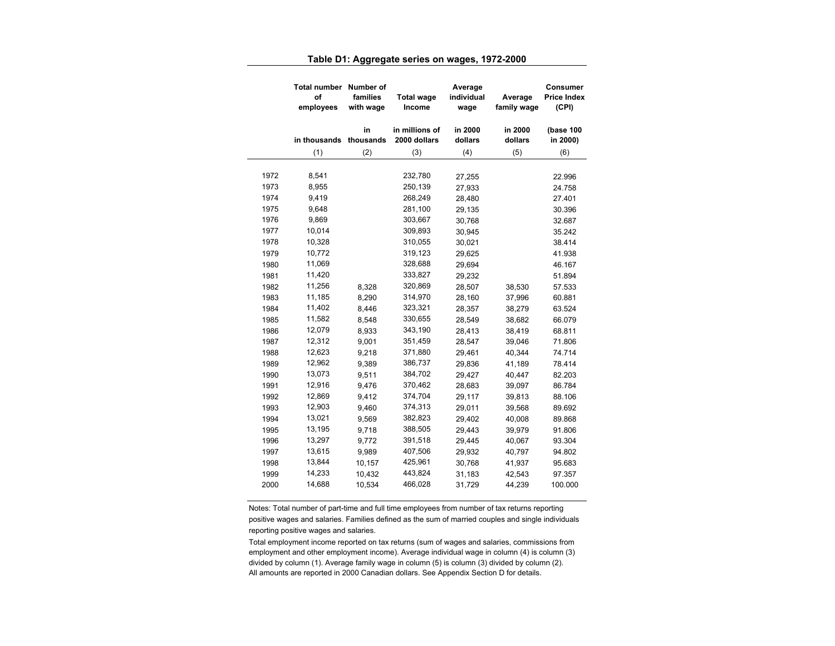|      | <b>Total number</b><br>οf<br>employees | Number of<br>families<br>with wage | <b>Total wage</b><br>Income    | Average<br>individual<br>wage | Average<br>family wage | Consumer<br><b>Price Index</b><br>(CPI) |
|------|----------------------------------------|------------------------------------|--------------------------------|-------------------------------|------------------------|-----------------------------------------|
|      | in thousands thousands                 | in                                 | in millions of<br>2000 dollars | in 2000<br>dollars            | in 2000<br>dollars     | (base 100<br>in 2000)                   |
|      | (1)                                    | (2)                                | (3)                            | (4)                           | (5)                    | (6)                                     |
|      |                                        |                                    |                                |                               |                        |                                         |
| 1972 | 8,541                                  |                                    | 232,780                        | 27,255                        |                        | 22.996                                  |
| 1973 | 8,955                                  |                                    | 250,139                        | 27,933                        |                        | 24.758                                  |
| 1974 | 9,419                                  |                                    | 268,249                        | 28,480                        |                        | 27.401                                  |
| 1975 | 9,648                                  |                                    | 281,100                        | 29,135                        |                        | 30.396                                  |
| 1976 | 9,869                                  |                                    | 303,667                        | 30,768                        |                        | 32.687                                  |
| 1977 | 10,014                                 |                                    | 309,893                        | 30,945                        |                        | 35.242                                  |
| 1978 | 10,328                                 |                                    | 310,055                        | 30,021                        |                        | 38.414                                  |
| 1979 | 10,772                                 |                                    | 319,123                        | 29,625                        |                        | 41.938                                  |
| 1980 | 11,069                                 |                                    | 328,688                        | 29,694                        |                        | 46.167                                  |
| 1981 | 11,420                                 |                                    | 333,827                        | 29,232                        |                        | 51.894                                  |
| 1982 | 11,256                                 | 8,328                              | 320,869                        | 28,507                        | 38,530                 | 57.533                                  |
| 1983 | 11,185                                 | 8,290                              | 314,970                        | 28,160                        | 37,996                 | 60.881                                  |
| 1984 | 11,402                                 | 8,446                              | 323,321                        | 28,357                        | 38,279                 | 63.524                                  |
| 1985 | 11,582                                 | 8,548                              | 330,655                        | 28,549                        | 38,682                 | 66.079                                  |
| 1986 | 12,079                                 | 8,933                              | 343,190                        | 28,413                        | 38,419                 | 68.811                                  |
| 1987 | 12,312                                 | 9,001                              | 351,459                        | 28,547                        | 39,046                 | 71.806                                  |
| 1988 | 12,623                                 | 9,218                              | 371,880                        | 29,461                        | 40,344                 | 74.714                                  |
| 1989 | 12,962                                 | 9,389                              | 386,737                        | 29,836                        | 41,189                 | 78.414                                  |
| 1990 | 13,073                                 | 9,511                              | 384,702                        | 29,427                        | 40,447                 | 82.203                                  |
| 1991 | 12,916                                 | 9,476                              | 370,462                        | 28,683                        | 39,097                 | 86.784                                  |
| 1992 | 12,869                                 | 9,412                              | 374,704                        | 29,117                        | 39,813                 | 88.106                                  |
| 1993 | 12,903                                 | 9,460                              | 374,313                        | 29,011                        | 39,568                 | 89.692                                  |
| 1994 | 13,021                                 | 9,569                              | 382,823                        | 29,402                        | 40,008                 | 89.868                                  |
| 1995 | 13,195                                 | 9,718                              | 388,505                        | 29,443                        | 39,979                 | 91.806                                  |
| 1996 | 13,297                                 | 9,772                              | 391,518                        | 29,445                        | 40,067                 | 93.304                                  |
| 1997 | 13,615                                 | 9,989                              | 407,506                        | 29,932                        | 40,797                 | 94.802                                  |
| 1998 | 13,844                                 | 10,157                             | 425,961                        | 30,768                        | 41,937                 | 95.683                                  |
| 1999 | 14,233                                 | 10,432                             | 443,824                        | 31,183                        | 42,543                 | 97.357                                  |
| 2000 | 14,688                                 | 10,534                             | 466,028                        | 31,729                        | 44,239                 | 100.000                                 |

**Table D1: Aggregate series on wages, 1972-2000**

Notes: Total number of part-time and full time employees from number of tax returns reporting positive wages and salaries. Families defined as the sum of married couples and single individuals reporting positive wages and salaries.

Total employment income reported on tax returns (sum of wages and salaries, commissions from employment and other employment income). Average individual wage in column (4) is column (3) divided by column (1). Average family wage in column (5) is column (3) divided by column (2). All amounts are reported in 2000 Canadian dollars. See Appendix Section D for details.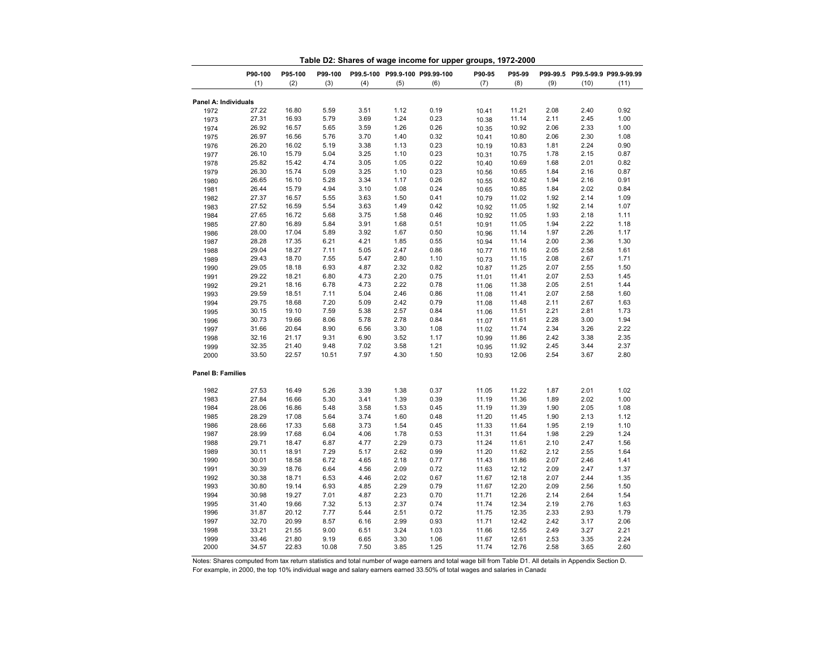|                      |         |         |         |      |      | Table D2: Shares of wage income for upper groups, 1972-2000 |        |        |      |      |                                 |
|----------------------|---------|---------|---------|------|------|-------------------------------------------------------------|--------|--------|------|------|---------------------------------|
|                      | P90-100 | P95-100 | P99-100 |      |      | P99.5-100 P99.9-100 P99.99-100                              | P90-95 | P95-99 |      |      | P99-99.5 P99.5-99.9 P99.9-99.99 |
|                      | (1)     | (2)     | (3)     | (4)  | (5)  | (6)                                                         | (7)    | (8)    | (9)  | (10) | (11)                            |
|                      |         |         |         |      |      |                                                             |        |        |      |      |                                 |
| Panel A: Individuals |         |         |         |      |      |                                                             |        |        |      |      |                                 |
| 1972                 | 27.22   | 16.80   | 5.59    | 3.51 | 1.12 | 0.19                                                        | 10.41  | 11.21  | 2.08 | 2.40 | 0.92                            |
| 1973                 | 27.31   | 16.93   | 5.79    | 3.69 | 1.24 | 0.23                                                        | 10.38  | 11.14  | 2.11 | 2.45 | 1.00                            |
| 1974                 | 26.92   | 16.57   | 5.65    | 3.59 | 1.26 | 0.26                                                        | 10.35  | 10.92  | 2.06 | 2.33 | 1.00                            |
| 1975                 | 26.97   | 16.56   | 5.76    | 3.70 | 1.40 | 0.32                                                        | 10.41  | 10.80  | 2.06 | 2.30 | 1.08                            |
| 1976                 | 26.20   | 16.02   | 5.19    | 3.38 | 1.13 | 0.23                                                        | 10.19  | 10.83  | 1.81 | 2.24 | 0.90                            |
| 1977                 | 26.10   | 15.79   | 5.04    | 3.25 | 1.10 | 0.23                                                        | 10.31  | 10.75  | 1.78 | 2.15 | 0.87                            |
| 1978                 | 25.82   | 15.42   | 4.74    | 3.05 | 1.05 | 0.22                                                        | 10.40  | 10.69  | 1.68 | 2.01 | 0.82                            |
| 1979                 | 26.30   | 15.74   | 5.09    | 3.25 | 1.10 | 0.23                                                        | 10.56  | 10.65  | 1.84 | 2.16 | 0.87                            |
| 1980                 | 26.65   | 16.10   | 5.28    | 3.34 | 1.17 | 0.26                                                        | 10.55  | 10.82  | 1.94 | 2.16 | 0.91                            |
| 1981                 | 26.44   | 15.79   | 4.94    | 3.10 | 1.08 | 0.24                                                        | 10.65  | 10.85  | 1.84 | 2.02 | 0.84                            |
| 1982                 | 27.37   | 16.57   | 5.55    | 3.63 | 1.50 | 0.41                                                        | 10.79  | 11.02  | 1.92 | 2.14 | 1.09                            |
| 1983                 | 27.52   | 16.59   | 5.54    | 3.63 | 1.49 | 0.42                                                        | 10.92  | 11.05  | 1.92 | 2.14 | 1.07                            |
| 1984                 | 27.65   | 16.72   | 5.68    | 3.75 | 1.58 | 0.46                                                        | 10.92  | 11.05  | 1.93 | 2.18 | 1.11                            |
| 1985                 | 27.80   | 16.89   | 5.84    | 3.91 | 1.68 | 0.51                                                        | 10.91  | 11.05  | 1.94 | 2.22 | 1.18                            |
| 1986                 | 28.00   | 17.04   | 5.89    | 3.92 | 1.67 | 0.50                                                        | 10.96  | 11.14  | 1.97 | 2.26 | 1.17                            |
| 1987                 | 28.28   | 17.35   | 6.21    | 4.21 | 1.85 | 0.55                                                        | 10.94  | 11.14  | 2.00 | 2.36 | 1.30                            |
| 1988                 | 29.04   | 18.27   | 7.11    | 5.05 | 2.47 | 0.86                                                        | 10.77  | 11.16  | 2.05 | 2.58 | 1.61                            |
| 1989                 | 29.43   | 18.70   | 7.55    | 5.47 | 2.80 | 1.10                                                        | 10.73  | 11.15  | 2.08 | 2.67 | 1.71                            |
|                      | 29.05   | 18.18   | 6.93    | 4.87 | 2.32 | 0.82                                                        |        | 11.25  | 2.07 | 2.55 | 1.50                            |
| 1990                 |         |         |         |      |      |                                                             | 10.87  |        |      |      |                                 |
| 1991                 | 29.22   | 18.21   | 6.80    | 4.73 | 2.20 | 0.75                                                        | 11.01  | 11.41  | 2.07 | 2.53 | 1.45                            |
| 1992                 | 29.21   | 18.16   | 6.78    | 4.73 | 2.22 | 0.78                                                        | 11.06  | 11.38  | 2.05 | 2.51 | 1.44                            |
| 1993                 | 29.59   | 18.51   | 7.11    | 5.04 | 2.46 | 0.86                                                        | 11.08  | 11.41  | 2.07 | 2.58 | 1.60                            |
| 1994                 | 29.75   | 18.68   | 7.20    | 5.09 | 2.42 | 0.79                                                        | 11.08  | 11.48  | 2.11 | 2.67 | 1.63                            |
| 1995                 | 30.15   | 19.10   | 7.59    | 5.38 | 2.57 | 0.84                                                        | 11.06  | 11.51  | 2.21 | 2.81 | 1.73                            |
| 1996                 | 30.73   | 19.66   | 8.06    | 5.78 | 2.78 | 0.84                                                        | 11.07  | 11.61  | 2.28 | 3.00 | 1.94                            |
| 1997                 | 31.66   | 20.64   | 8.90    | 6.56 | 3.30 | 1.08                                                        | 11.02  | 11.74  | 2.34 | 3.26 | 2.22                            |
| 1998                 | 32.16   | 21.17   | 9.31    | 6.90 | 3.52 | 1.17                                                        | 10.99  | 11.86  | 2.42 | 3.38 | 2.35                            |
| 1999                 | 32.35   | 21.40   | 9.48    | 7.02 | 3.58 | 1.21                                                        | 10.95  | 11.92  | 2.45 | 3.44 | 2.37                            |
| 2000                 | 33.50   | 22.57   | 10.51   | 7.97 | 4.30 | 1.50                                                        | 10.93  | 12.06  | 2.54 | 3.67 | 2.80                            |
| Panel B: Families    |         |         |         |      |      |                                                             |        |        |      |      |                                 |
| 1982                 | 27.53   | 16.49   | 5.26    | 3.39 | 1.38 | 0.37                                                        | 11.05  | 11.22  | 1.87 | 2.01 | 1.02                            |
| 1983                 | 27.84   | 16.66   | 5.30    | 3.41 | 1.39 | 0.39                                                        | 11.19  | 11.36  | 1.89 | 2.02 | 1.00                            |
| 1984                 | 28.06   | 16.86   | 5.48    | 3.58 | 1.53 | 0.45                                                        | 11.19  | 11.39  | 1.90 | 2.05 | 1.08                            |
| 1985                 | 28.29   | 17.08   | 5.64    | 3.74 | 1.60 | 0.48                                                        |        | 11.45  | 1.90 | 2.13 | 1.12                            |
| 1986                 | 28.66   |         | 5.68    |      | 1.54 | 0.45                                                        | 11.20  | 11.64  | 1.95 | 2.19 | 1.10                            |
|                      |         | 17.33   |         | 3.73 |      |                                                             | 11.33  |        |      |      |                                 |
| 1987                 | 28.99   | 17.68   | 6.04    | 4.06 | 1.78 | 0.53                                                        | 11.31  | 11.64  | 1.98 | 2.29 | 1.24                            |
| 1988                 | 29.71   | 18.47   | 6.87    | 4.77 | 2.29 | 0.73                                                        | 11.24  | 11.61  | 2.10 | 2.47 | 1.56                            |
| 1989                 | 30.11   | 18.91   | 7.29    | 5.17 | 2.62 | 0.99                                                        | 11.20  | 11.62  | 2.12 | 2.55 | 1.64                            |
| 1990                 | 30.01   | 18.58   | 6.72    | 4.65 | 2.18 | 0.77                                                        | 11.43  | 11.86  | 2.07 | 2.46 | 1.41                            |
| 1991                 | 30.39   | 18.76   | 6.64    | 4.56 | 2.09 | 0.72                                                        | 11.63  | 12.12  | 2.09 | 2.47 | 1.37                            |
| 1992                 | 30.38   | 18.71   | 6.53    | 4.46 | 2.02 | 0.67                                                        | 11.67  | 12.18  | 2.07 | 2.44 | 1.35                            |
| 1993                 | 30.80   | 19.14   | 6.93    | 4.85 | 2.29 | 0.79                                                        | 11.67  | 12.20  | 2.09 | 2.56 | 1.50                            |
| 1994                 | 30.98   | 19.27   | 7.01    | 4.87 | 2.23 | 0.70                                                        | 11.71  | 12.26  | 2.14 | 2.64 | 1.54                            |
| 1995                 | 31.40   | 19.66   | 7.32    | 5.13 | 2.37 | 0.74                                                        | 11.74  | 12.34  | 2.19 | 2.76 | 1.63                            |
| 1996                 | 31.87   | 20.12   | 7.77    | 5.44 | 2.51 | 0.72                                                        | 11.75  | 12.35  | 2.33 | 2.93 | 1.79                            |
| 1997                 | 32.70   | 20.99   | 8.57    | 6.16 | 2.99 | 0.93                                                        | 11.71  | 12.42  | 2.42 | 3.17 | 2.06                            |
| 1998                 | 33.21   | 21.55   | 9.00    | 6.51 | 3.24 | 1.03                                                        | 11.66  | 12.55  | 2.49 | 3.27 | 2.21                            |
| 1999                 | 33.46   | 21.80   | 9.19    | 6.65 | 3.30 | 1.06                                                        | 11.67  | 12.61  | 2.53 | 3.35 | 2.24                            |
| 2000                 | 34.57   | 22.83   | 10.08   | 7.50 | 3.85 | 1.25                                                        | 11.74  | 12.76  | 2.58 | 3.65 | 2.60                            |

Notes: Shares computed from tax return statistics and total number of wage earners and total wage bill from Table D1. All details in Appendix Section D. For example, in 2000, the top 10% individual wage and salary earners earned 33.50% of total wages and salaries in Canada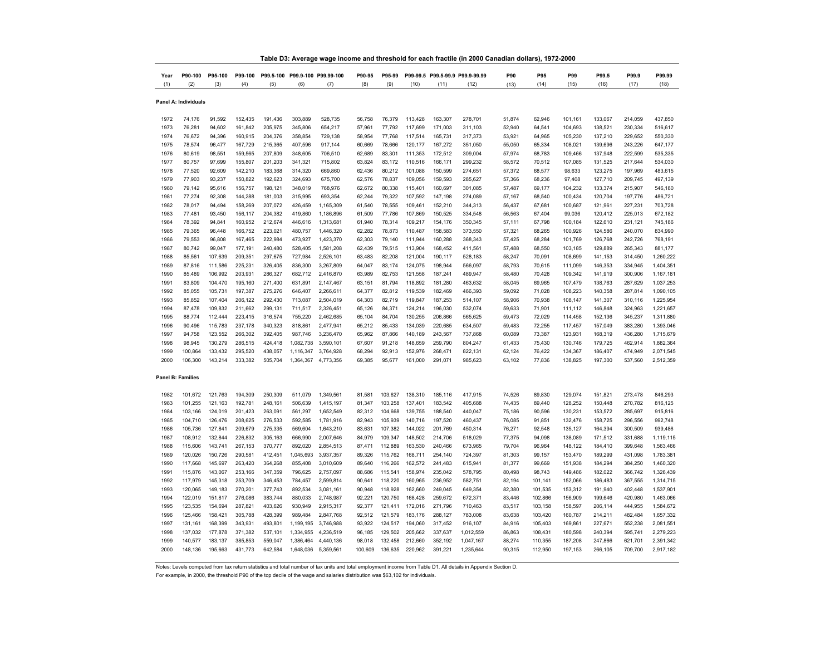|      |                          |         |         |         |           |                                |         |         |         |         | Table D3: Average wage income and threshold for each fractile (in 2000 Canadian dollars), 1972-2000 |        |         |         |         |         |           |
|------|--------------------------|---------|---------|---------|-----------|--------------------------------|---------|---------|---------|---------|-----------------------------------------------------------------------------------------------------|--------|---------|---------|---------|---------|-----------|
| Year | P90-100                  | P95-100 | P99-100 |         |           | P99.5-100 P99.9-100 P99.99-100 | P90-95  | P95-99  |         |         | P99-99.5 P99.5-99.9 P99.9-99.99                                                                     | P90    | P95     | P99     | P99.5   | P99.9   | P99.99    |
| (1)  | (2)                      | (3)     | (4)     | (5)     | (6)       | (7)                            | (8)     | (9)     | (10)    | (11)    | (12)                                                                                                | (13)   | (14)    | (15)    | (16)    | (17)    | (18)      |
|      | Panel A: Individuals     |         |         |         |           |                                |         |         |         |         |                                                                                                     |        |         |         |         |         |           |
|      |                          |         |         |         |           |                                |         |         |         |         |                                                                                                     |        |         |         |         |         |           |
| 1972 | 74,176                   | 91,592  | 152,435 | 191,436 | 303,889   | 528,735                        | 56,758  | 76,379  | 113,428 | 163,307 | 278,701                                                                                             | 51,874 | 62,946  | 101,161 | 133,067 | 214,059 | 437,850   |
| 1973 | 76,281                   | 94,602  | 161,842 | 205,975 | 345,806   | 654,217                        | 57,961  | 77,792  | 117,699 | 171,003 | 311,103                                                                                             | 52,940 | 64,541  | 104,693 | 138,521 | 230,334 | 516,617   |
| 1974 | 76,672                   | 94,396  | 160,915 | 204,376 | 358,854   | 729,138                        | 58,954  | 77,768  | 117,514 | 165,731 | 317,373                                                                                             | 53,921 | 64,965  | 105,230 | 137,210 | 229,652 | 550,330   |
| 1975 | 78,574                   | 96,477  | 167,729 | 215,365 | 407,596   | 917,144                        | 60,669  | 78,666  | 120,177 | 167,272 | 351,050                                                                                             | 55,050 | 65,334  | 108,021 | 139,696 | 243,226 | 647,177   |
| 1976 | 80,619                   | 98,551  | 159,565 | 207,809 | 348,605   | 706,510                        | 62,689  | 83,301  | 111,353 | 172,512 | 309,004                                                                                             | 57,974 | 68,783  | 109,466 | 137,948 | 222,599 | 535,335   |
| 1977 | 80,757                   | 97,699  | 155,807 | 201,203 | 341,321   | 715,802                        | 63,824  | 83,172  | 110,516 | 166,171 | 299,232                                                                                             | 58,572 | 70,512  | 107,085 | 131,525 | 217,644 | 534,030   |
| 1978 | 77,520                   | 92,609  | 142,210 | 183,368 | 314,320   | 669,860                        | 62,436  | 80,212  | 101,088 | 150,599 | 274,651                                                                                             | 57,372 | 68,577  | 98,633  | 123,275 | 197,969 | 483,615   |
| 1979 | 77,903                   | 93,237  | 150,822 | 192,623 | 324,693   | 675,700                        | 62,576  | 78,837  | 109,056 | 159,593 | 285,627                                                                                             | 57,366 | 68,236  | 97,408  | 127,710 | 209,745 | 497,139   |
| 1980 | 79,142                   | 95,616  | 156,757 | 198,121 | 348,019   | 768,976                        | 62,672  | 80,338  | 115,401 | 160,697 | 301,085                                                                                             | 57,487 | 69,177  | 104,232 | 133,374 | 215,907 | 546,180   |
| 1981 | 77,274                   | 92,308  | 144,288 | 181,003 | 315,995   | 693,354                        | 62,244  | 79,322  | 107,592 | 147,198 | 274,089                                                                                             | 57,167 | 68,540  | 100,434 | 120,704 | 197,776 | 486,721   |
| 1982 | 78,017                   | 94,494  | 158,269 | 207,072 | 426,459   | 1,165,309                      | 61,540  | 78,555  | 109,461 | 152,210 | 344,313                                                                                             | 56,437 | 67,681  | 100,687 | 121,961 | 227,231 | 703,728   |
| 1983 | 77,481                   | 93,450  | 156,117 | 204,382 | 419,860   | 1,186,896                      | 61,509  | 77,786  | 107,869 | 150,525 | 334,548                                                                                             | 56,563 | 67,404  | 99,036  | 120,412 | 225,013 | 672,182   |
| 1984 | 78,392                   | 94,841  | 160,952 | 212,674 | 446,616   | 1,313,681                      | 61,940  | 78,314  | 109,217 | 154,176 | 350,345                                                                                             | 57,111 | 67,798  | 100,184 | 122,610 | 231,121 | 745,186   |
| 1985 | 79,365                   | 96,448  | 166,752 | 223,021 | 480,757   | 1,446,320                      | 62,282  | 78,873  | 110,487 | 158,583 | 373,550                                                                                             | 57,321 | 68,265  | 100,926 | 124,586 | 240,070 | 834,990   |
| 1986 | 79,553                   | 96,808  | 167,465 | 222,984 | 473,927   | 1,423,370                      | 62,303  | 79,140  | 111,944 | 160,288 | 368,343                                                                                             | 57,425 | 68,284  | 101,769 | 126,768 | 242,726 | 768,191   |
| 1987 | 80,742                   | 99,047  | 177,191 | 240,480 | 528,405   | 1,581,208                      | 62,439  | 79,515  | 113,904 | 168,452 | 411,561                                                                                             | 57,488 | 68,550  | 103,185 | 129,889 | 265,343 | 881,177   |
| 1988 | 85,561                   | 107,639 | 209,351 | 297,675 | 727,984   | 2,526,101                      | 63,483  | 82,208  | 121,004 | 190,117 | 528,183                                                                                             | 58,247 | 70,091  | 108,699 | 141,153 | 314,450 | 1,260,222 |
| 1989 | 87,816                   | 111,586 | 225,231 | 326,405 | 836,300   | 3,267,809                      | 64,047  | 83,174  | 124,075 | 198,944 | 566,097                                                                                             | 58,793 | 70,615  | 111,099 | 146,353 | 334,945 | 1,404,351 |
| 1990 | 85,489                   | 106,992 | 203,931 | 286,327 | 682,712   | 2,416,870                      | 63,989  | 82,753  | 121,558 | 187,241 | 489,947                                                                                             | 58,480 | 70,428  | 109,342 | 141,919 | 300,906 | 1,167,181 |
| 1991 | 83,809                   | 104,470 | 195,160 | 271,400 | 631,891   | 2,147,467                      | 63,151  | 81,794  | 118,892 | 181,280 | 463,632                                                                                             | 58,045 | 69,965  | 107,479 | 138,763 | 287,629 | 1,037,253 |
| 1992 | 85,055                   | 105,731 | 197,387 | 275,276 | 646,407   | 2,266,611                      | 64,377  | 82,812  | 119,539 | 182,469 | 466,393                                                                                             | 59,092 | 71,028  | 108,223 | 140,358 | 287,814 | 1,090,105 |
| 1993 | 85,852                   | 107,404 | 206,122 | 292,430 | 713,087   | 2,504,019                      | 64,303  | 82,719  | 119,847 | 187,253 | 514,107                                                                                             | 58,906 | 70,938  | 108,147 | 141,307 | 310,116 | 1,225,954 |
| 1994 | 87,478                   | 109,832 | 211,662 | 299,131 | 711,517   | 2,326,451                      | 65,126  | 84,371  | 124,214 | 196,030 | 532,074                                                                                             | 59,633 | 71,901  | 111,112 | 146,848 | 324,963 | 1,221,657 |
| 1995 | 88,774                   | 112,444 | 223,415 | 316,574 | 755,220   | 2,462,685                      | 65,104  | 84,704  | 130,255 | 206,866 | 565,625                                                                                             | 59,473 | 72,029  | 114,458 | 152,136 | 345,237 | 1,311,880 |
| 1996 | 90,496                   | 115,783 | 237,178 | 340,323 | 818,861   | 2,477,941                      | 65,212  | 85,433  | 134,039 | 220,685 | 634,507                                                                                             | 59,483 | 72,255  | 117,457 | 157,049 | 383,280 | 1,393,046 |
| 1997 | 94,758                   | 123,552 | 266,302 | 392,405 | 987,746   | 3,236,470                      | 65,962  | 87,866  | 140,189 | 243,567 | 737,868                                                                                             | 60,089 | 73,387  | 123,931 | 168,319 | 436,280 | 1,715,679 |
| 1998 | 98,945                   | 130,279 | 286,515 | 424,418 | 1,082,738 | 3,590,101                      | 67,607  | 91,218  | 148,659 | 259,790 | 804,247                                                                                             | 61,433 | 75,430  | 130,746 | 179,725 | 462,914 | 1,882,364 |
| 1999 | 100,864                  | 133,432 | 295,520 | 438,057 | 1,116,347 | 3,764,928                      | 68,294  | 92,913  | 152,976 | 268,471 | 822,131                                                                                             | 62,124 | 76,422  | 134,367 | 186,407 | 474,949 | 2,071,545 |
| 2000 | 106,300                  | 143,214 | 333,382 | 505,704 | 1,364,367 | 4,773,356                      | 69,385  | 95,677  | 161,000 | 291,071 | 985,623                                                                                             | 63,102 | 77,836  | 138,825 | 197,300 | 537,560 | 2,512,359 |
|      | <b>Panel B: Families</b> |         |         |         |           |                                |         |         |         |         |                                                                                                     |        |         |         |         |         |           |
| 1982 | 101,672                  | 121,763 | 194,309 | 250,309 | 511,079   | 1,349,561                      | 81,581  | 103,627 | 138,310 | 185,116 | 417,915                                                                                             | 74,526 | 89,830  | 129,074 | 151,821 | 273,478 | 846,293   |
| 1983 | 101,255                  | 121,163 | 192,781 | 248,161 | 506,639   | 1,415,197                      | 81,347  | 103,258 | 137,401 | 183,542 | 405,688                                                                                             | 74,435 | 89,440  | 128,252 | 150,448 | 270,782 | 816,125   |
| 1984 | 103,166                  | 124,019 | 201,423 | 263,091 | 561,297   | 1,652,549                      | 82,312  | 104,668 | 139,755 | 188,540 | 440,047                                                                                             | 75,186 | 90,596  | 130,231 | 153,572 | 285,697 | 915,816   |
| 1985 | 104,710                  | 126,476 | 208,625 | 276,533 | 592,585   | 1,781,916                      | 82,943  | 105,939 | 140,716 | 197,520 | 460,437                                                                                             | 76,085 | 91,851  | 132,476 | 158,725 | 296,556 | 992,748   |
| 1986 | 105,736                  | 127,841 | 209,679 | 275,335 | 569,604   | 1,643,210                      | 83,631  | 107,382 | 144,022 | 201,769 | 450,314                                                                                             | 76,271 | 92,548  | 135,127 | 164,394 | 300,509 | 939,486   |
| 1987 | 108,912                  | 132,844 | 226,832 | 305,163 | 666,990   | 2,007,646                      | 84,979  | 109,347 | 148,502 | 214,706 | 518,029                                                                                             | 77,375 | 94,098  | 138,089 | 171,512 | 331,688 | 1,119,115 |
| 1988 | 115,606                  | 143,741 | 267,153 | 370,777 | 892,020   | 2,854,513                      | 87,471  | 112,889 | 163,530 | 240,466 | 673,965                                                                                             | 79,704 | 96,964  | 148,122 | 184,410 | 399,648 | 1,563,466 |
| 1989 | 120,026                  | 150,726 | 290,581 | 412,451 | 1,045,693 | 3,937,357                      | 89,326  | 115,762 | 168,711 | 254,140 | 724,397                                                                                             | 81,303 | 99,157  | 153,470 | 189,299 | 431,098 | 1,783,381 |
| 1990 | 117,668                  | 145,697 | 263,420 | 364,268 | 855,408   | 3,010,609                      | 89,640  | 116,266 | 162,572 | 241,483 | 615,941                                                                                             | 81,377 | 99,669  | 151,938 | 184,294 | 384,250 | 1,460,320 |
| 1991 | 115,876                  | 143,067 | 253,166 | 347,359 | 796,625   | 2,757,097                      | 88,686  | 115,541 | 158,974 | 235,042 | 578,795                                                                                             | 80,498 | 98,743  | 149,486 | 182,022 | 366,742 | 1,326,439 |
| 1992 | 117,979                  | 145,318 | 253,709 | 346,453 | 784,457   | 2,599,814                      | 90,641  | 118,220 | 160,965 | 236,952 | 582,751                                                                                             | 82,194 | 101,141 | 152,066 | 186,483 | 367,555 | 1,314,715 |
| 1993 | 120,065                  | 149,183 | 270,201 | 377,743 | 892,534   | 3,081,161                      | 90,948  | 118,928 | 162,660 | 249,045 | 649,354                                                                                             | 82,380 | 101,535 | 153,312 | 191,940 | 402,448 | 1,537,901 |
| 1994 | 122,019                  | 151,817 | 276,086 | 383,744 | 880,033   | 2,748,987                      | 92,221  | 120,750 | 168,428 | 259,672 | 672,371                                                                                             | 83,446 | 102,866 | 156,909 | 199,646 | 420,980 | 1,463,066 |
| 1995 | 123,535                  | 154,694 | 287,821 | 403,626 | 930,949   | 2,915,317                      | 92,377  | 121,411 | 172,016 | 271,796 | 710,463                                                                                             | 83,517 | 103,158 | 158,597 | 206,114 | 444,955 | 1,584,672 |
| 1996 | 125,466                  | 158,421 | 305,788 | 428,399 | 989,484   | 2,847,768                      | 92,512  | 121,579 | 183,176 | 288,127 | 783,008                                                                                             | 83,638 | 103,420 | 160,787 | 214,211 | 482,484 | 1,657,332 |
| 1997 | 131,161                  | 168,399 | 343,931 | 493,801 | 1,199,195 | 3,746,988                      | 93,922  | 124,517 | 194,060 | 317,452 | 916,107                                                                                             | 84,916 | 105,403 | 169,861 | 227,671 | 552,238 | 2,081,551 |
| 1998 | 137,032                  | 177,878 | 371,382 | 537,101 | 1,334,955 | 4,236,519                      | 96,185  | 129,502 | 205,662 | 337,637 | 1,012,559                                                                                           | 86,863 | 108,431 | 180,598 | 240,394 | 595,741 | 2,279,223 |
| 1999 | 140,577                  | 183,137 | 385,853 | 559,047 | 1,386,464 | 4,440,136                      | 98,018  | 132,458 | 212,660 | 352,192 | 1,047,167                                                                                           | 88,274 | 110,355 | 187,208 | 247,866 | 621,701 | 2,391,342 |
| 2000 | 148,136                  | 195,663 | 431,773 | 642,584 |           | 1,648,036 5,359,561            | 100,609 | 136,635 | 220,962 | 391,221 | 1,235,644                                                                                           | 90,315 | 112,950 | 197,153 | 266,105 | 709,700 | 2,917,182 |
|      |                          |         |         |         |           |                                |         |         |         |         |                                                                                                     |        |         |         |         |         |           |

Notes: Levels computed from tax return statistics and total number of tax units and total employment income from Table D1. All details in Appendix Section D.

For example, in 2000, the threshold P90 of the top decile of the wage and salaries distribution was \$63,102 for individuals.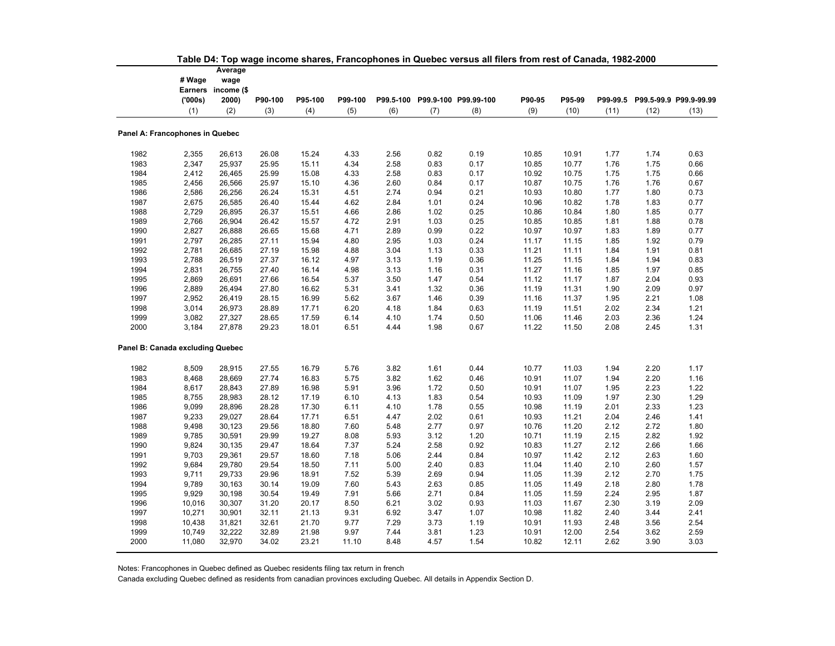|                                  | # Wage<br>(000s) | . apio D+. Top wago moonio onaroo, i ranoo<br>Average<br>wage<br>Earners income (\$<br>2000) | P90-100 | P95-100 | P99-100 |      |      | priorioo in Quoboo vorouo un moro nom root or ounuuu,<br>P99.5-100 P99.9-100 P99.99-100 | P90-95 | P95-99 | P99-99.5 | 1004 2000 | P99.5-99.9 P99.9-99.99 |
|----------------------------------|------------------|----------------------------------------------------------------------------------------------|---------|---------|---------|------|------|-----------------------------------------------------------------------------------------|--------|--------|----------|-----------|------------------------|
|                                  | (1)              | (2)                                                                                          | (3)     | (4)     | (5)     | (6)  | (7)  | (8)                                                                                     | (9)    | (10)   | (11)     | (12)      | (13)                   |
|                                  |                  |                                                                                              |         |         |         |      |      |                                                                                         |        |        |          |           |                        |
| Panel A: Francophones in Quebec  |                  |                                                                                              |         |         |         |      |      |                                                                                         |        |        |          |           |                        |
| 1982                             | 2,355            | 26,613                                                                                       | 26.08   | 15.24   | 4.33    | 2.56 | 0.82 | 0.19                                                                                    | 10.85  | 10.91  | 1.77     | 1.74      | 0.63                   |
| 1983                             | 2,347            | 25,937                                                                                       | 25.95   | 15.11   | 4.34    | 2.58 | 0.83 | 0.17                                                                                    | 10.85  | 10.77  | 1.76     | 1.75      | 0.66                   |
| 1984                             | 2,412            | 26,465                                                                                       | 25.99   | 15.08   | 4.33    | 2.58 | 0.83 | 0.17                                                                                    | 10.92  | 10.75  | 1.75     | 1.75      | 0.66                   |
| 1985                             | 2,456            | 26,566                                                                                       | 25.97   | 15.10   | 4.36    | 2.60 | 0.84 | 0.17                                                                                    | 10.87  | 10.75  | 1.76     | 1.76      | 0.67                   |
| 1986                             | 2,586            | 26,256                                                                                       | 26.24   | 15.31   | 4.51    | 2.74 | 0.94 | 0.21                                                                                    | 10.93  | 10.80  | 1.77     | 1.80      | 0.73                   |
| 1987                             | 2,675            | 26,585                                                                                       | 26.40   | 15.44   | 4.62    | 2.84 | 1.01 | 0.24                                                                                    | 10.96  | 10.82  | 1.78     | 1.83      | 0.77                   |
| 1988                             | 2,729            | 26,895                                                                                       | 26.37   | 15.51   | 4.66    | 2.86 | 1.02 | 0.25                                                                                    | 10.86  | 10.84  | 1.80     | 1.85      | 0.77                   |
| 1989                             | 2,766            | 26,904                                                                                       | 26.42   | 15.57   | 4.72    | 2.91 | 1.03 | 0.25                                                                                    | 10.85  | 10.85  | 1.81     | 1.88      | 0.78                   |
| 1990                             | 2,827            | 26,888                                                                                       | 26.65   | 15.68   | 4.71    | 2.89 | 0.99 | 0.22                                                                                    | 10.97  | 10.97  | 1.83     | 1.89      | 0.77                   |
| 1991                             | 2,797            | 26,285                                                                                       | 27.11   | 15.94   | 4.80    | 2.95 | 1.03 | 0.24                                                                                    | 11.17  | 11.15  | 1.85     | 1.92      | 0.79                   |
| 1992                             | 2,781            | 26,685                                                                                       | 27.19   | 15.98   | 4.88    | 3.04 | 1.13 | 0.33                                                                                    | 11.21  | 11.11  | 1.84     | 1.91      | 0.81                   |
| 1993                             | 2,788            | 26,519                                                                                       | 27.37   | 16.12   | 4.97    | 3.13 | 1.19 | 0.36                                                                                    | 11.25  | 11.15  | 1.84     | 1.94      | 0.83                   |
| 1994                             | 2,831            | 26,755                                                                                       | 27.40   | 16.14   | 4.98    | 3.13 | 1.16 | 0.31                                                                                    | 11.27  | 11.16  | 1.85     | 1.97      | 0.85                   |
| 1995                             | 2,869            | 26,691                                                                                       | 27.66   | 16.54   | 5.37    | 3.50 | 1.47 | 0.54                                                                                    | 11.12  | 11.17  | 1.87     | 2.04      | 0.93                   |
| 1996                             | 2,889            | 26,494                                                                                       | 27.80   | 16.62   | 5.31    | 3.41 | 1.32 | 0.36                                                                                    | 11.19  | 11.31  | 1.90     | 2.09      | 0.97                   |
| 1997                             | 2,952            | 26,419                                                                                       | 28.15   | 16.99   | 5.62    | 3.67 | 1.46 | 0.39                                                                                    | 11.16  | 11.37  | 1.95     | 2.21      | 1.08                   |
| 1998                             | 3,014            | 26,973                                                                                       | 28.89   | 17.71   | 6.20    | 4.18 | 1.84 | 0.63                                                                                    | 11.19  | 11.51  | 2.02     | 2.34      | 1.21                   |
| 1999                             | 3,082            | 27,327                                                                                       | 28.65   | 17.59   | 6.14    | 4.10 | 1.74 | 0.50                                                                                    | 11.06  | 11.46  | 2.03     | 2.36      | 1.24                   |
| 2000                             | 3,184            | 27,878                                                                                       | 29.23   | 18.01   | 6.51    | 4.44 | 1.98 | 0.67                                                                                    | 11.22  | 11.50  | 2.08     | 2.45      | 1.31                   |
| Panel B: Canada excluding Quebec |                  |                                                                                              |         |         |         |      |      |                                                                                         |        |        |          |           |                        |
| 1982                             | 8,509            | 28,915                                                                                       | 27.55   | 16.79   | 5.76    | 3.82 | 1.61 | 0.44                                                                                    | 10.77  | 11.03  | 1.94     | 2.20      | 1.17                   |
| 1983                             | 8,468            | 28,669                                                                                       | 27.74   | 16.83   | 5.75    | 3.82 | 1.62 | 0.46                                                                                    | 10.91  | 11.07  | 1.94     | 2.20      | 1.16                   |
| 1984                             | 8,617            | 28.843                                                                                       | 27.89   | 16.98   | 5.91    | 3.96 | 1.72 | 0.50                                                                                    | 10.91  | 11.07  | 1.95     | 2.23      | 1.22                   |
| 1985                             | 8,755            | 28,983                                                                                       | 28.12   | 17.19   | 6.10    | 4.13 | 1.83 | 0.54                                                                                    | 10.93  | 11.09  | 1.97     | 2.30      | 1.29                   |
| 1986                             | 9,099            | 28,896                                                                                       | 28.28   | 17.30   | 6.11    | 4.10 | 1.78 | 0.55                                                                                    | 10.98  | 11.19  | 2.01     | 2.33      | 1.23                   |
| 1987                             | 9,233            | 29,027                                                                                       | 28.64   | 17.71   | 6.51    | 4.47 | 2.02 | 0.61                                                                                    | 10.93  | 11.21  | 2.04     | 2.46      | 1.41                   |
| 1988                             | 9,498            | 30,123                                                                                       | 29.56   | 18.80   | 7.60    | 5.48 | 2.77 | 0.97                                                                                    | 10.76  | 11.20  | 2.12     | 2.72      | 1.80                   |
| 1989                             | 9,785            | 30,591                                                                                       | 29.99   | 19.27   | 8.08    | 5.93 | 3.12 | 1.20                                                                                    | 10.71  | 11.19  | 2.15     | 2.82      | 1.92                   |
| 1990                             | 9,824            | 30,135                                                                                       | 29.47   | 18.64   | 7.37    | 5.24 | 2.58 | 0.92                                                                                    | 10.83  | 11.27  | 2.12     | 2.66      | 1.66                   |
| 1991                             | 9,703            | 29,361                                                                                       | 29.57   | 18.60   | 7.18    | 5.06 | 2.44 | 0.84                                                                                    | 10.97  | 11.42  | 2.12     | 2.63      | 1.60                   |
| 1992                             | 9,684            | 29,780                                                                                       | 29.54   | 18.50   | 7.11    | 5.00 | 2.40 | 0.83                                                                                    | 11.04  | 11.40  | 2.10     | 2.60      | 1.57                   |
| 1993                             | 9,711            | 29,733                                                                                       | 29.96   | 18.91   | 7.52    | 5.39 | 2.69 | 0.94                                                                                    | 11.05  | 11.39  | 2.12     | 2.70      | 1.75                   |
| 1994                             | 9,789            | 30,163                                                                                       | 30.14   | 19.09   | 7.60    | 5.43 | 2.63 | 0.85                                                                                    | 11.05  | 11.49  | 2.18     | 2.80      | 1.78                   |
| 1995                             | 9,929            | 30,198                                                                                       | 30.54   | 19.49   | 7.91    | 5.66 | 2.71 | 0.84                                                                                    | 11.05  | 11.59  | 2.24     | 2.95      | 1.87                   |
| 1996                             | 10,016           | 30,307                                                                                       | 31.20   | 20.17   | 8.50    | 6.21 | 3.02 | 0.93                                                                                    | 11.03  | 11.67  | 2.30     | 3.19      | 2.09                   |
| 1997                             | 10,271           | 30,901                                                                                       | 32.11   | 21.13   | 9.31    | 6.92 | 3.47 | 1.07                                                                                    | 10.98  | 11.82  | 2.40     | 3.44      | 2.41                   |
| 1998                             | 10,438           | 31,821                                                                                       | 32.61   | 21.70   | 9.77    | 7.29 | 3.73 | 1.19                                                                                    | 10.91  | 11.93  | 2.48     | 3.56      | 2.54                   |
| 1999                             | 10,749           | 32,222                                                                                       | 32.89   | 21.98   | 9.97    | 7.44 | 3.81 | 1.23                                                                                    | 10.91  | 12.00  | 2.54     | 3.62      | 2.59                   |
| 2000                             | 11,080           | 32,970                                                                                       | 34.02   | 23.21   | 11.10   | 8.48 | 4.57 | 1.54                                                                                    | 10.82  | 12.11  | 2.62     | 3.90      | 3.03                   |
|                                  |                  |                                                                                              |         |         |         |      |      |                                                                                         |        |        |          |           |                        |

**Table D4: Top wage income shares, Francophones in Quebec versus all filers from rest of Canada, 1982-2000**

Notes: Francophones in Quebec defined as Quebec residents filing tax return in french

Canada excluding Quebec defined as residents from canadian provinces excluding Quebec. All details in Appendix Section D.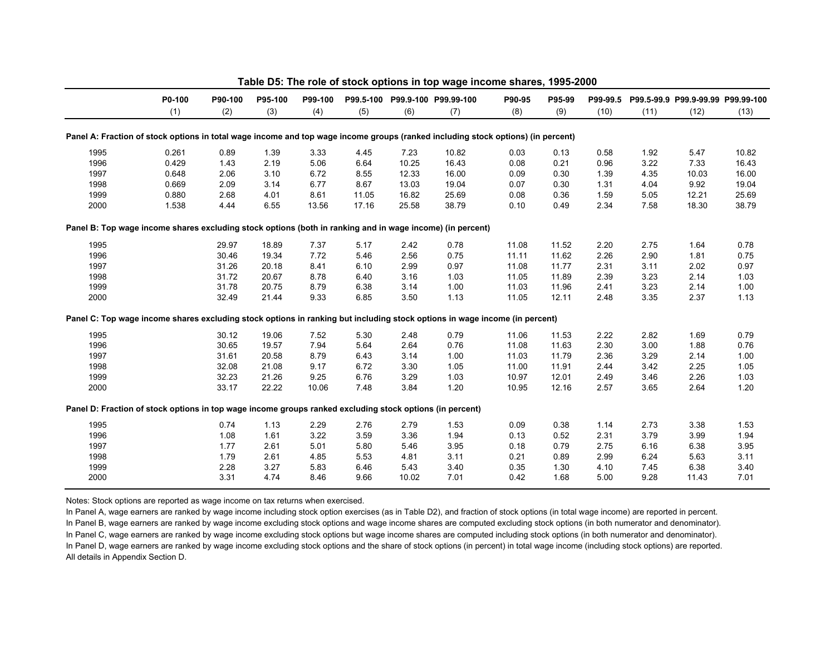|                                                                                                                                  | P0-100 | P90-100 | P95-100 | P99-100      |              |              | P99.5-100 P99.9-100 P99.99-100 | P90-95 | P95-99       | P99-99.5     |              | P99.5-99.9 P99.9-99.99 P99.99-100 |              |
|----------------------------------------------------------------------------------------------------------------------------------|--------|---------|---------|--------------|--------------|--------------|--------------------------------|--------|--------------|--------------|--------------|-----------------------------------|--------------|
|                                                                                                                                  | (1)    | (2)     | (3)     | (4)          | (5)          | (6)          | (7)                            | (8)    | (9)          | (10)         | (11)         | (12)                              | (13)         |
| Panel A: Fraction of stock options in total wage income and top wage income groups (ranked including stock options) (in percent) |        |         |         |              |              |              |                                |        |              |              |              |                                   |              |
| 1995                                                                                                                             | 0.261  | 0.89    | 1.39    | 3.33         | 4.45         | 7.23         | 10.82                          | 0.03   | 0.13         | 0.58         | 1.92         | 5.47                              | 10.82        |
| 1996                                                                                                                             | 0.429  | 1.43    | 2.19    | 5.06         | 6.64         | 10.25        | 16.43                          | 0.08   | 0.21         | 0.96         | 3.22         | 7.33                              | 16.43        |
| 1997                                                                                                                             | 0.648  | 2.06    | 3.10    | 6.72         | 8.55         | 12.33        | 16.00                          | 0.09   | 0.30         | 1.39         | 4.35         | 10.03                             | 16.00        |
| 1998                                                                                                                             | 0.669  | 2.09    | 3.14    | 6.77         | 8.67         | 13.03        | 19.04                          | 0.07   | 0.30         | 1.31         | 4.04         | 9.92                              | 19.04        |
| 1999                                                                                                                             | 0.880  | 2.68    | 4.01    | 8.61         | 11.05        | 16.82        | 25.69                          | 0.08   | 0.36         | 1.59         | 5.05         | 12.21                             | 25.69        |
| 2000                                                                                                                             | 1.538  | 4.44    | 6.55    | 13.56        | 17.16        | 25.58        | 38.79                          | 0.10   | 0.49         | 2.34         | 7.58         | 18.30                             | 38.79        |
| Panel B: Top wage income shares excluding stock options (both in ranking and in wage income) (in percent)                        |        |         |         |              |              |              |                                |        |              |              |              |                                   |              |
| 1995                                                                                                                             |        | 29.97   | 18.89   | 7.37         | 5.17         | 2.42         | 0.78                           | 11.08  | 11.52        | 2.20         | 2.75         | 1.64                              | 0.78         |
| 1996                                                                                                                             |        | 30.46   | 19.34   | 7.72         | 5.46         | 2.56         | 0.75                           | 11.11  | 11.62        | 2.26         | 2.90         | 1.81                              | 0.75         |
| 1997                                                                                                                             |        | 31.26   | 20.18   | 8.41         | 6.10         | 2.99         | 0.97                           | 11.08  | 11.77        | 2.31         | 3.11         | 2.02                              | 0.97         |
| 1998                                                                                                                             |        | 31.72   | 20.67   | 8.78         | 6.40         | 3.16         | 1.03                           | 11.05  | 11.89        | 2.39         | 3.23         | 2.14                              | 1.03         |
| 1999                                                                                                                             |        | 31.78   | 20.75   | 8.79         | 6.38         | 3.14         | 1.00                           | 11.03  | 11.96        | 2.41         | 3.23         | 2.14                              | 1.00         |
| 2000                                                                                                                             |        | 32.49   | 21.44   | 9.33         | 6.85         | 3.50         | 1.13                           | 11.05  | 12.11        | 2.48         | 3.35         | 2.37                              | 1.13         |
| Panel C: Top wage income shares excluding stock options in ranking but including stock options in wage income (in percent)       |        |         |         |              |              |              |                                |        |              |              |              |                                   |              |
| 1995                                                                                                                             |        | 30.12   | 19.06   | 7.52         | 5.30         | 2.48         | 0.79                           | 11.06  | 11.53        | 2.22         | 2.82         | 1.69                              | 0.79         |
| 1996                                                                                                                             |        | 30.65   | 19.57   | 7.94         | 5.64         | 2.64         | 0.76                           | 11.08  | 11.63        | 2.30         | 3.00         | 1.88                              | 0.76         |
| 1997                                                                                                                             |        | 31.61   | 20.58   | 8.79         | 6.43         | 3.14         | 1.00                           | 11.03  | 11.79        | 2.36         | 3.29         | 2.14                              | 1.00         |
| 1998                                                                                                                             |        | 32.08   | 21.08   | 9.17         | 6.72         | 3.30         | 1.05                           | 11.00  | 11.91        | 2.44         | 3.42         | 2.25                              | 1.05         |
| 1999                                                                                                                             |        | 32.23   | 21.26   | 9.25         | 6.76         | 3.29         | 1.03                           | 10.97  | 12.01        | 2.49         | 3.46         | 2.26                              | 1.03         |
| 2000                                                                                                                             |        | 33.17   | 22.22   | 10.06        | 7.48         | 3.84         | 1.20                           | 10.95  | 12.16        | 2.57         | 3.65         | 2.64                              | 1.20         |
| Panel D: Fraction of stock options in top wage income groups ranked excluding stock options (in percent)                         |        |         |         |              |              |              |                                |        |              |              |              |                                   |              |
| 1995                                                                                                                             |        | 0.74    | 1.13    | 2.29         | 2.76         | 2.79         | 1.53                           | 0.09   | 0.38         | 1.14         | 2.73         | 3.38                              |              |
|                                                                                                                                  |        |         |         |              |              |              |                                |        |              |              |              |                                   | 1.53         |
| 1996<br>1997                                                                                                                     |        | 1.08    | 1.61    | 3.22<br>5.01 | 3.59<br>5.80 | 3.36<br>5.46 | 1.94                           | 0.13   | 0.52<br>0.79 | 2.31<br>2.75 | 3.79<br>6.16 | 3.99<br>6.38                      | 1.94<br>3.95 |
|                                                                                                                                  |        | 1.77    | 2.61    |              |              |              | 3.95                           | 0.18   |              |              |              |                                   |              |
| 1998                                                                                                                             |        | 1.79    | 2.61    | 4.85         | 5.53         | 4.81         | 3.11                           | 0.21   | 0.89         | 2.99         | 6.24         | 5.63                              | 3.11         |
| 1999                                                                                                                             |        | 2.28    | 3.27    | 5.83         | 6.46         | 5.43         | 3.40                           | 0.35   | 1.30         | 4.10         | 7.45         | 6.38                              | 3.40         |
| 2000                                                                                                                             |        | 3.31    | 4.74    | 8.46         | 9.66         | 10.02        | 7.01                           | 0.42   | 1.68         | 5.00         | 9.28         | 11.43                             | 7.01         |

**Table D5: The role of stock options in top wage income shares, 1995-2000**

Notes: Stock options are reported as wage income on tax returns when exercised.

In Panel A, wage earners are ranked by wage income including stock option exercises (as in Table D2), and fraction of stock options (in total wage income) are reported in percent.

In Panel B, wage earners are ranked by wage income excluding stock options and wage income shares are computed excluding stock options (in both numerator and denominator).

In Panel C, wage earners are ranked by wage income excluding stock options but wage income shares are computed including stock options (in both numerator and denominator). In Panel D, wage earners are ranked by wage income excluding stock options and the share of stock options (in percent) in total wage income (including stock options) are reported. All details in Appendix Section D.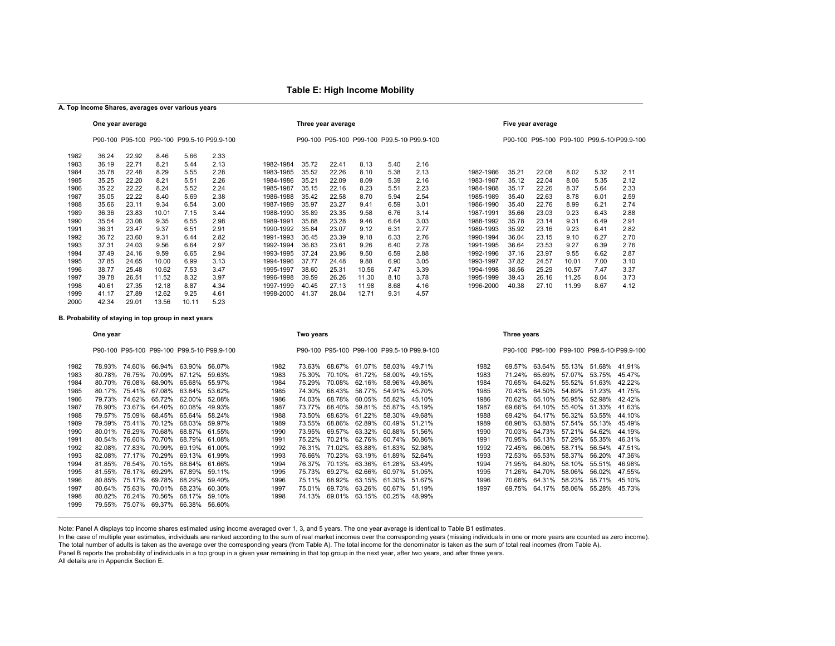#### **Table E: High Income Mobility**

#### **A. Top Income Shares, averages over various years**

|      | One year average |       |       |      |                                            |           | Three year average |       |       |      |                                            |           |       | Five year average |       |      |                                            |  |  |
|------|------------------|-------|-------|------|--------------------------------------------|-----------|--------------------|-------|-------|------|--------------------------------------------|-----------|-------|-------------------|-------|------|--------------------------------------------|--|--|
|      |                  |       |       |      | P90-100 P95-100 P99-100 P99.5-10 P99.9-100 |           |                    |       |       |      | P90-100 P95-100 P99-100 P99.5-10 P99.9-100 |           |       |                   |       |      | P90-100 P95-100 P99-100 P99.5-10(P99.9-100 |  |  |
| 1982 | 36.24            | 22.92 | 8.46  | 5.66 | 2.33                                       |           |                    |       |       |      |                                            |           |       |                   |       |      |                                            |  |  |
| 1983 | 36.19            | 22.71 | 8.21  | 5.44 | 2.13                                       | 1982-1984 | 35.72              | 22.41 | 8.13  | 5.40 | 2.16                                       |           |       |                   |       |      |                                            |  |  |
| 1984 | 35.78            | 22.48 | 8.29  | 5.55 | 2.28                                       | 1983-1985 | 35.52              | 22.26 | 8.10  | 5.38 | 2.13                                       | 1982-1986 | 35.21 | 22.08             | 8.02  | 5.32 | 2.11                                       |  |  |
| 1985 | 35.25            | 22.20 | 8.21  | 5.51 | 2.26                                       | 1984-1986 | 35.21              | 22.09 | 8.09  | 5.39 | 2.16                                       | 1983-1987 | 35.12 | 22.04             | 8.06  | 5.35 | 2.12                                       |  |  |
| 1986 | 35.22            | 22.22 | 8.24  | 5.52 | 2.24                                       | 1985-1987 | 35.15              | 22.16 | 8.23  | 5.51 | 2.23                                       | 1984-1988 | 35.17 | 22.26             | 8.37  | 5.64 | 2.33                                       |  |  |
| 1987 | 35.05            | 22.22 | 8.40  | 5.69 | 2.38                                       | 1986-1988 | 35.42              | 22.58 | 8.70  | 5.94 | 2.54                                       | 1985-1989 | 35.40 | 22.63             | 8.78  | 6.01 | 2.59                                       |  |  |
| 1988 | 35.66            | 23.11 | 9.34  | 6.54 | 3.00                                       | 1987-1989 | 35.97              | 23.27 | 9.41  | 6.59 | 3.01                                       | 1986-1990 | 35.40 | 22.76             | 8.99  | 6.21 | 2.74                                       |  |  |
| 1989 | 36.36            | 23.83 | 10.01 | 7.15 | 3.44                                       | 1988-1990 | 35.89              | 23.35 | 9.58  | 6.76 | 3.14                                       | 1987-1991 | 35.66 | 23.03             | 9.23  | 6.43 | 2.88                                       |  |  |
| 1990 | 35.54            | 23.08 | 9.35  | 6.55 | 2.98                                       | 1989-1991 | 35.88              | 23.28 | 9.46  | 6.64 | 3.03                                       | 1988-1992 | 35.78 | 23.14             | 9.31  | 6.49 | 2.91                                       |  |  |
| 1991 | 36.31            | 23.47 | 9.37  | 6.51 | 2.91                                       | 1990-1992 | 35.84              | 23.07 | 9.12  | 6.31 | 2.77                                       | 1989-1993 | 35.92 | 23.16             | 9.23  | 6.41 | 2.82                                       |  |  |
| 1992 | 36.72            | 23.60 | 9.31  | 6.44 | 2.82                                       | 1991-1993 | 36.45              | 23.39 | 9.18  | 6.33 | 2.76                                       | 1990-1994 | 36.04 | 23.15             | 9.10  | 6.27 | 2.70                                       |  |  |
| 1993 | 37.31            | 24.03 | 9.56  | 6.64 | 2.97                                       | 1992-1994 | 36.83              | 23.61 | 9.26  | 6.40 | 2.78                                       | 1991-1995 | 36.64 | 23.53             | 9.27  | 6.39 | 2.76                                       |  |  |
| 1994 | 37.49            | 24.16 | 9.59  | 6.65 | 2.94                                       | 1993-1995 | 37.24              | 23.96 | 9.50  | 6.59 | 2.88                                       | 1992-1996 | 37.16 | 23.97             | 9.55  | 6.62 | 2.87                                       |  |  |
| 1995 | 37.85            | 24.65 | 10.00 | 6.99 | 3.13                                       | 1994-1996 | 37.77              | 24.48 | 9.88  | 6.90 | 3.05                                       | 1993-1997 | 37.82 | 24.57             | 10.01 | 7.00 | 3.10                                       |  |  |
| 1996 | 38.77            | 25.48 | 10.62 | 7.53 | 3.47                                       | 1995-1997 | 38.60              | 25.31 | 10.56 | 7.47 | 3.39                                       | 1994-1998 | 38.56 | 25.29             | 10.57 | 7.47 | 3.37                                       |  |  |
| 1997 | 39.78            | 26.51 | 11.52 | 8.32 | 3.97                                       | 1996-1998 | 39.59              | 26.26 | 11.30 | 8.10 | 3.78                                       | 1995-1999 | 39.43 | 26.16             | 11.25 | 8.04 | 3.73                                       |  |  |
| 1998 | 40.61            | 27.35 | 12.18 | 8.87 | 4.34                                       | 1997-1999 | 40.45              | 27.13 | 11.98 | 8.68 | 4.16                                       | 1996-2000 | 40.38 | 27.10             | 11.99 | 8.67 | 4.12                                       |  |  |
| 1999 | 41.17            | 27.89 | 12.62 | 9.25 | 4.61                                       | 1998-2000 | 41.37              | 28.04 | 12.71 | 9.31 | 4.57                                       |           |       |                   |       |      |                                            |  |  |

#### **B. Probability of staying in top group in next years**

42.34 29.01 13.56 10.11 5.23

|      | One year |        |                             |               |                                            |      | Two years |        |                      |                      |                                            |      | Three years |        |        |                      |                                            |
|------|----------|--------|-----------------------------|---------------|--------------------------------------------|------|-----------|--------|----------------------|----------------------|--------------------------------------------|------|-------------|--------|--------|----------------------|--------------------------------------------|
|      |          |        |                             |               | P90-100 P95-100 P99-100 P99.5-10 P99.9-100 |      |           |        |                      |                      | P90-100 P95-100 P99-100 P99.5-10 P99.9-100 |      |             |        |        |                      | P90-100 P95-100 P99-100 P99.5-10(P99.9-100 |
| 1982 | 78.93%   |        | 74.60% 66.94% 63.90%        |               | 56.07%                                     | 1982 | 73.63%    |        | 68.67% 61.07%        | 58.03%               | 49.71%                                     | 1982 | 69.57%      | 63.64% |        | 55.13% 51.68% 41.91% |                                            |
| 1983 | 80.78%   | 76.75% | 70.09%                      | 67.12%        | 59.63%                                     | 1983 | 75.30%    | 70.10% | 61.72%               | 58.00%               | 49.15%                                     | 1983 | 71.24%      | 65.69% | 57.07% | 53.75% 45.47%        |                                            |
| 1984 | 80.70%   |        | 76.08% 68.90%               | 65.68%        | 55.97%                                     | 1984 | 75.29%    | 70.08% | 62.16%               | 58.96%               | 49.86%                                     | 1984 | 70.65%      | 64.62% |        | 55.52% 51.63% 42.22% |                                            |
| 1985 | 80.17%   |        | 75.41% 67.08%               | 63.84%        | 53.62%                                     | 1985 | 74.30%    | 68.43% |                      | 58.77% 54.91%        | 45.70%                                     | 1985 | 70.43%      | 64.50% | 54.89% | 51.23% 41.75%        |                                            |
| 1986 | 79.73%   |        | 74.62% 65.72%               | 62.00%        | 52.08%                                     | 1986 | 74.03%    | 68.78% | 60.05%               | 55.82%               | 45.10%                                     | 1986 | 70.62%      | 65.10% |        | 56.95% 52.98% 42.42% |                                            |
| 1987 | 78.90%   |        | 73.67% 64.40%               | 60.08%        | 49.93%                                     | 1987 | 73.77%    | 68.40% | 59.81%               | 55.87%               | 45.19%                                     | 1987 | 69.66%      | 64.10% | 55.40% | 51.33% 41.63%        |                                            |
| 1988 | 79.57%   |        | 75.09% 68.45% 65.64%        |               | 58.24%                                     | 1988 | 73.50%    |        | 68.63% 61.22%        | 58.30%               | 49.68%                                     | 1988 | 69.42%      | 64.17% |        | 56.32% 53.55% 44.10% |                                            |
| 1989 | 79.59%   |        | 75.41% 70.12%               | 68.03%        | 59.97%                                     | 1989 | 73.55%    |        |                      | 68.86% 62.89% 60.49% | 51.21%                                     | 1989 | 68.98%      | 63.88% |        | 57.54% 55.13% 45.49% |                                            |
| 1990 | 80.01%   |        | 76.29% 70.68%               | 68.87% 61.55% |                                            | 1990 | 73.95%    | 69.57% | 63.32% 60.88%        |                      | 51.56%                                     | 1990 | 70.03%      | 64.73% | 57.21% | 54.62% 44.19%        |                                            |
| 1991 | 80.54%   |        | 76.60% 70.70% 68.79% 61.08% |               |                                            | 1991 | 75.22%    | 70.21% | 62.76% 60.74%        |                      | 50.86%                                     | 1991 | 70.95%      | 65.13% |        | 57.29% 55.35% 46.31% |                                            |
| 1992 | 82.08%   |        | 77.83% 70.99% 69.19% 61.00% |               |                                            | 1992 | 76.31%    |        | 71.02% 63.88% 61.83% |                      | 52.98%                                     | 1992 | 72.45%      | 66.06% | 58.71% | 56.54% 47.51%        |                                            |
| 1993 | 82.08%   |        | 77.17% 70.29% 69.13% 61.99% |               |                                            | 1993 | 76.66%    |        | 70.23% 63.19% 61.89% |                      | 52.64%                                     | 1993 | 72.53%      | 65.53% | 58.37% | 56.20% 47.36%        |                                            |
| 1994 | 81.85%   |        | 76.54% 70.15%               | 68.84% 61.66% |                                            | 1994 | 76.37%    | 70.13% |                      | 63.36% 61.28%        | 53.49%                                     | 1994 | 71.95%      | 64.80% | 58.10% | 55.51% 46.98%        |                                            |
| 1995 | 81.55%   |        | 76.17% 69.29%               | 67.89%        | 59.11%                                     | 1995 | 75.73%    | 69.27% | 62.66% 60.97%        |                      | 51.05%                                     | 1995 | 71.26%      | 64.70% | 58.06% | 56.02% 47.55%        |                                            |
| 1996 | 80.85%   | 75.17% | 69.78%                      | 68.29%        | 59.40%                                     | 1996 | 75.11%    | 68.92% | 63.15% 61.30%        |                      | 51.67%                                     | 1996 | 70.68%      | 64.31% | 58.23% | 55.71% 45.10%        |                                            |
| 1997 | 80.64%   | 75.63% | 70.01%                      | 68.23%        | 60.30%                                     | 1997 | 75.01%    | 69.73% | 63.26%               | 60.67%               | 51.19%                                     | 1997 | 69.75%      | 64.17% | 58.06% | 55.28% 45.73%        |                                            |
| 1998 | 80.82%   | 76.24% | 70.56%                      | 68.17%        | 59.10%                                     | 1998 | 74.13%    | 69.01% | 63.15%               | 60.25%               | 48.99%                                     |      |             |        |        |                      |                                            |
| 1999 | 79.55%   |        | 75.07% 69.37%               | 66.38%        | 56.60%                                     |      |           |        |                      |                      |                                            |      |             |        |        |                      |                                            |

Note: Panel A displays top income shares estimated using income averaged over 1, 3, and 5 years. The one year average is identical to Table B1 estimates.

In the case of multiple year estimates, individuals are ranked according to the sum of real market incomes over the corresponding years (missing individuals in one or more years are counted as zero income). The total number of adults is taken as the average over the corresponding years (from Table A). The total income for the denominator is taken as the sum of total real incomes (from Table A).

Panel B reports the probability of individuals in a top group in a given year remaining in that top group in the next year, after two years, and after three years.

All details are in Appendix Section E.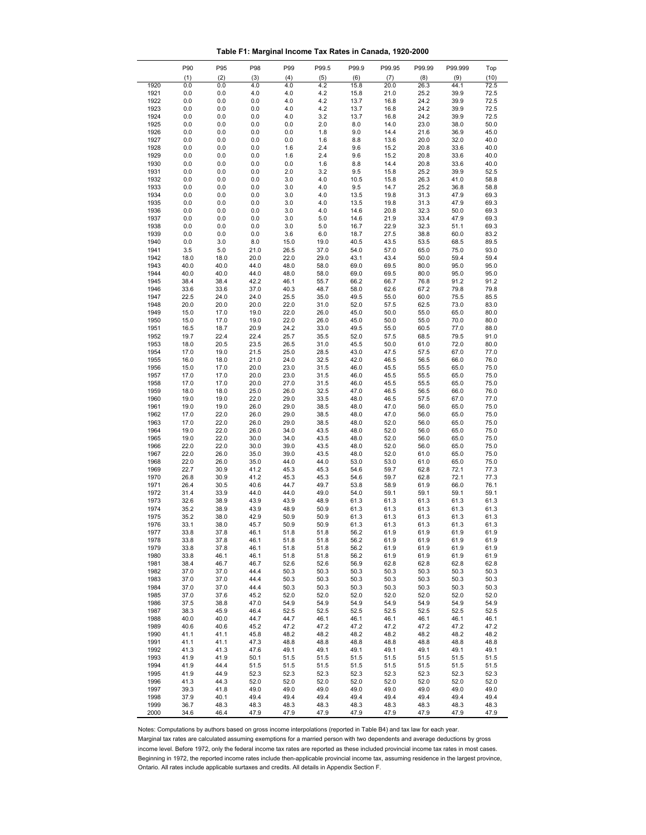**Table F1: Marginal Income Tax Rates in Canada, 1920-2000**

|      | P90     | P95  | P98  | P99  | P99.5 | P99.9 | P99.95 | P99.99 | P99.999 |      |
|------|---------|------|------|------|-------|-------|--------|--------|---------|------|
|      |         |      |      |      |       |       |        |        |         | Top  |
|      | (1)     | (2)  | (3)  | (4)  | (5)   | (6)   | (7)    | (8)    | (9)     | (10) |
| 1920 | 0.0     | 0.0  | 4.0  | 4.0  | 4.2   | 15.8  | 20.0   | 26.3   | 44.1    | 72.5 |
| 1921 | 0.0     | 0.0  | 4.0  | 4.0  | 4.2   | 15.8  | 21.0   | 25.2   | 39.9    | 72.5 |
|      |         |      |      |      |       |       |        |        |         |      |
| 1922 | 0.0     | 0.0  | 0.0  | 4.0  | 4.2   | 13.7  | 16.8   | 24.2   | 39.9    | 72.5 |
| 1923 | 0.0     | 0.0  | 0.0  | 4.0  | 4.2   | 13.7  | 16.8   | 24.2   | 39.9    | 72.5 |
| 1924 | 0.0     | 0.0  | 0.0  | 4.0  | 3.2   | 13.7  | 16.8   | 24.2   | 39.9    | 72.5 |
| 1925 | $0.0\,$ | 0.0  | 0.0  |      | 2.0   | 8.0   | 14.0   | 23.0   |         | 50.0 |
|      |         |      |      | 0.0  |       |       |        |        | 38.0    |      |
| 1926 | 0.0     | 0.0  | 0.0  | 0.0  | 1.8   | 9.0   | 14.4   | 21.6   | 36.9    | 45.0 |
| 1927 | 0.0     | 0.0  | 0.0  | 0.0  | 1.6   | 8.8   | 13.6   | 20.0   | 32.0    | 40.0 |
| 1928 | $0.0\,$ | 0.0  | 0.0  | 1.6  | 2.4   | 9.6   | 15.2   | 20.8   | 33.6    | 40.0 |
|      |         |      |      |      |       |       |        |        |         |      |
| 1929 | 0.0     | 0.0  | 0.0  | 1.6  | 2.4   | 9.6   | 15.2   | 20.8   | 33.6    | 40.0 |
| 1930 | $0.0\,$ | 0.0  | 0.0  | 0.0  | 1.6   | 8.8   | 14.4   | 20.8   | 33.6    | 40.0 |
| 1931 | $0.0\,$ | 0.0  | 0.0  | 2.0  | 3.2   | 9.5   | 15.8   | 25.2   | 39.9    | 52.5 |
| 1932 | 0.0     | 0.0  | 0.0  | 3.0  | 4.0   | 10.5  | 15.8   | 26.3   | 41.0    | 58.8 |
|      |         |      |      |      |       |       |        |        |         |      |
| 1933 | 0.0     | 0.0  | 0.0  | 3.0  | 4.0   | 9.5   | 14.7   | 25.2   | 36.8    | 58.8 |
| 1934 | 0.0     | 0.0  | 0.0  | 3.0  | 4.0   | 13.5  | 19.8   | 31.3   | 47.9    | 69.3 |
| 1935 | 0.0     | 0.0  | 0.0  | 3.0  | 4.0   | 13.5  | 19.8   | 31.3   | 47.9    | 69.3 |
| 1936 | $0.0\,$ | 0.0  | 0.0  | 3.0  | 4.0   | 14.6  | 20.8   | 32.3   | 50.0    | 69.3 |
|      |         |      |      |      |       |       |        |        |         |      |
| 1937 | 0.0     | 0.0  | 0.0  | 3.0  | 5.0   | 14.6  | 21.9   | 33.4   | 47.9    | 69.3 |
| 1938 | $0.0\,$ | 0.0  | 0.0  | 3.0  | 5.0   | 16.7  | 22.9   | 32.3   | 51.1    | 69.3 |
| 1939 | 0.0     | 0.0  | 0.0  | 3.6  | 6.0   | 18.7  | 27.5   | 38.8   | 60.0    | 83.2 |
| 1940 | 0.0     | 3.0  | 8.0  | 15.0 | 19.0  | 40.5  | 43.5   | 53.5   | 68.5    | 89.5 |
|      |         |      |      |      |       |       |        |        |         |      |
| 1941 | 3.5     | 5.0  | 21.0 | 26.5 | 37.0  | 54.0  | 57.0   | 65.0   | 75.0    | 93.0 |
| 1942 | 18.0    | 18.0 | 20.0 | 22.0 | 29.0  | 43.1  | 43.4   | 50.0   | 59.4    | 59.4 |
| 1943 | 40.0    | 40.0 | 44.0 | 48.0 | 58.0  | 69.0  | 69.5   | 80.0   | 95.0    | 95.0 |
| 1944 |         |      |      |      |       |       |        | 80.0   |         |      |
|      | 40.0    | 40.0 | 44.0 | 48.0 | 58.0  | 69.0  | 69.5   |        | 95.0    | 95.0 |
| 1945 | 38.4    | 38.4 | 42.2 | 46.1 | 55.7  | 66.2  | 66.7   | 76.8   | 91.2    | 91.2 |
| 1946 | 33.6    | 33.6 | 37.0 | 40.3 | 48.7  | 58.0  | 62.6   | 67.2   | 79.8    | 79.8 |
| 1947 | 22.5    | 24.0 | 24.0 | 25.5 | 35.0  | 49.5  | 55.0   | 60.0   | 75.5    | 85.5 |
|      |         |      |      |      |       |       |        |        |         |      |
| 1948 | 20.0    | 20.0 | 20.0 | 22.0 | 31.0  | 52.0  | 57.5   | 62.5   | 73.0    | 83.0 |
| 1949 | 15.0    | 17.0 | 19.0 | 22.0 | 26.0  | 45.0  | 50.0   | 55.0   | 65.0    | 80.0 |
| 1950 | 15.0    | 17.0 | 19.0 | 22.0 | 26.0  | 45.0  | 50.0   | 55.0   | 70.0    | 80.0 |
| 1951 | 16.5    | 18.7 | 20.9 | 24.2 | 33.0  | 49.5  | 55.0   | 60.5   | 77.0    | 88.0 |
|      |         |      |      |      |       |       |        |        |         |      |
| 1952 | 19.7    | 22.4 | 22.4 | 25.7 | 35.5  | 52.0  | 57.5   | 68.5   | 79.5    | 91.0 |
| 1953 | 18.0    | 20.5 | 23.5 | 26.5 | 31.0  | 45.5  | 50.0   | 61.0   | 72.0    | 80.0 |
| 1954 | 17.0    | 19.0 | 21.5 | 25.0 | 28.5  | 43.0  | 47.5   | 57.5   | 67.0    | 77.0 |
| 1955 |         |      |      |      | 32.5  | 42.0  |        | 56.5   |         | 76.0 |
|      | 16.0    | 18.0 | 21.0 | 24.0 |       |       | 46.5   |        | 66.0    |      |
| 1956 | 15.0    | 17.0 | 20.0 | 23.0 | 31.5  | 46.0  | 45.5   | 55.5   | 65.0    | 75.0 |
| 1957 | 17.0    | 17.0 | 20.0 | 23.0 | 31.5  | 46.0  | 45.5   | 55.5   | 65.0    | 75.0 |
| 1958 | 17.0    | 17.0 | 20.0 | 27.0 | 31.5  | 46.0  | 45.5   | 55.5   | 65.0    | 75.0 |
| 1959 | 18.0    |      | 25.0 |      | 32.5  | 47.0  |        | 56.5   |         | 76.0 |
|      |         | 18.0 |      | 26.0 |       |       | 46.5   |        | 66.0    |      |
| 1960 | 19.0    | 19.0 | 22.0 | 29.0 | 33.5  | 48.0  | 46.5   | 57.5   | 67.0    | 77.0 |
| 1961 | 19.0    | 19.0 | 26.0 | 29.0 | 38.5  | 48.0  | 47.0   | 56.0   | 65.0    | 75.0 |
| 1962 | 17.0    | 22.0 | 26.0 | 29.0 | 38.5  | 48.0  | 47.0   | 56.0   | 65.0    | 75.0 |
|      |         |      |      |      |       |       |        |        |         |      |
| 1963 | 17.0    | 22.0 | 26.0 | 29.0 | 38.5  | 48.0  | 52.0   | 56.0   | 65.0    | 75.0 |
| 1964 | 19.0    | 22.0 | 26.0 | 34.0 | 43.5  | 48.0  | 52.0   | 56.0   | 65.0    | 75.0 |
| 1965 | 19.0    | 22.0 | 30.0 | 34.0 | 43.5  | 48.0  | 52.0   | 56.0   | 65.0    | 75.0 |
| 1966 | 22.0    | 22.0 | 30.0 | 39.0 | 43.5  | 48.0  | 52.0   | 56.0   | 65.0    | 75.0 |
|      |         |      |      |      |       |       |        |        |         |      |
| 1967 | 22.0    | 26.0 | 35.0 | 39.0 | 43.5  | 48.0  | 52.0   | 61.0   | 65.0    | 75.0 |
| 1968 | 22.0    | 26.0 | 35.0 | 44.0 | 44.0  | 53.0  | 53.0   | 61.0   | 65.0    | 75.0 |
| 1969 | 22.7    | 30.9 | 41.2 | 45.3 | 45.3  | 54.6  | 59.7   | 62.8   | 72.1    | 77.3 |
| 1970 | 26.8    | 30.9 | 41.2 | 45.3 | 45.3  | 54.6  | 59.7   | 62.8   | 72.1    | 77.3 |
|      |         |      |      |      |       |       |        |        |         |      |
| 1971 | 26.4    | 30.5 | 40.6 | 44.7 | 49.7  | 53.8  | 58.9   | 61.9   | 66.0    | 76.1 |
| 1972 | 31.4    | 33.9 | 44.0 | 44.0 | 49.0  | 54.0  | 59.1   | 59.1   | 59.1    | 59.1 |
| 1973 | 32.6    | 38.9 | 43.9 | 43.9 | 48.9  | 61.3  | 61.3   | 61.3   | 61.3    | 61.3 |
| 1974 | 35.2    | 38.9 | 43.9 | 48.9 | 50.9  | 61.3  | 61.3   | 61.3   | 61.3    | 61.3 |
|      |         |      |      |      |       |       |        |        |         |      |
| 1975 | 35.2    | 38.0 | 42.9 | 50.9 | 50.9  | 61.3  | 61.3   | 61.3   | 61.3    | 61.3 |
| 1976 | 33.1    | 38.0 | 45.7 | 50.9 | 50.9  | 61.3  | 61.3   | 61.3   | 61.3    | 61.3 |
| 1977 | 33.8    | 37.8 | 46.1 | 51.8 | 51.8  | 56.2  | 61.9   | 61.9   | 61.9    | 61.9 |
| 1978 | 33.8    | 37.8 | 46.1 | 51.8 | 51.8  | 56.2  | 61.9   | 61.9   | 61.9    | 61.9 |
|      |         |      |      |      |       |       |        |        |         |      |
| 1979 | 33.8    | 37.8 | 46.1 | 51.8 | 51.8  | 56.2  | 61.9   | 61.9   | 61.9    | 61.9 |
| 1980 | 33.8    | 46.1 | 46.1 | 51.8 | 51.8  | 56.2  | 61.9   | 61.9   | 61.9    | 61.9 |
| 1981 | 38.4    | 46.7 | 46.7 | 52.6 | 52.6  | 56.9  | 62.8   | 62.8   | 62.8    | 62.8 |
| 1982 | 37.0    | 37.0 | 44.4 | 50.3 | 50.3  | 50.3  | 50.3   | 50.3   | 50.3    | 50.3 |
|      |         |      |      |      |       |       |        |        |         |      |
| 1983 | 37.0    | 37.0 | 44.4 | 50.3 | 50.3  | 50.3  | 50.3   | 50.3   | 50.3    | 50.3 |
| 1984 | 37.0    | 37.0 | 44.4 | 50.3 | 50.3  | 50.3  | 50.3   | 50.3   | 50.3    | 50.3 |
| 1985 | 37.0    | 37.6 | 45.2 | 52.0 | 52.0  | 52.0  | 52.0   | 52.0   | 52.0    | 52.0 |
| 1986 | 37.5    | 38.8 | 47.0 | 54.9 | 54.9  | 54.9  | 54.9   | 54.9   | 54.9    | 54.9 |
|      | 38.3    |      |      |      |       |       |        |        |         |      |
| 1987 |         | 45.9 | 46.4 | 52.5 | 52.5  | 52.5  | 52.5   | 52.5   | 52.5    | 52.5 |
| 1988 | 40.0    | 40.0 | 44.7 | 44.7 | 46.1  | 46.1  | 46.1   | 46.1   | 46.1    | 46.1 |
| 1989 | 40.6    | 40.6 | 45.2 | 47.2 | 47.2  | 47.2  | 47.2   | 47.2   | 47.2    | 47.2 |
| 1990 | 41.1    | 41.1 | 45.8 | 48.2 | 48.2  | 48.2  | 48.2   | 48.2   | 48.2    | 48.2 |
|      |         |      |      |      |       |       |        |        |         |      |
| 1991 | 41.1    | 41.1 | 47.3 | 48.8 | 48.8  | 48.8  | 48.8   | 48.8   | 48.8    | 48.8 |
| 1992 | 41.3    | 41.3 | 47.6 | 49.1 | 49.1  | 49.1  | 49.1   | 49.1   | 49.1    | 49.1 |
| 1993 | 41.9    | 41.9 | 50.1 | 51.5 | 51.5  | 51.5  | 51.5   | 51.5   | 51.5    | 51.5 |
| 1994 | 41.9    | 44.4 | 51.5 | 51.5 | 51.5  | 51.5  | 51.5   | 51.5   | 51.5    | 51.5 |
|      | 41.9    | 44.9 |      |      |       |       |        |        |         | 52.3 |
| 1995 |         |      | 52.3 | 52.3 | 52.3  | 52.3  | 52.3   | 52.3   | 52.3    |      |
| 1996 | 41.3    | 44.3 | 52.0 | 52.0 | 52.0  | 52.0  | 52.0   | 52.0   | 52.0    | 52.0 |
| 1997 | 39.3    | 41.8 | 49.0 | 49.0 | 49.0  | 49.0  | 49.0   | 49.0   | 49.0    | 49.0 |
| 1998 | 37.9    | 40.1 | 49.4 | 49.4 | 49.4  | 49.4  | 49.4   | 49.4   | 49.4    | 49.4 |
|      |         |      |      |      |       |       |        |        |         |      |
| 1999 | 36.7    | 48.3 | 48.3 | 48.3 | 48.3  | 48.3  | 48.3   | 48.3   | 48.3    | 48.3 |
| 2000 | 34.6    | 46.4 | 47.9 | 47.9 | 47.9  | 47.9  | 47.9   | 47.9   | 47.9    | 47.9 |

Notes: Computations by authors based on gross income interpolations (reported in Table B4) and tax law for each year.

Marginal tax rates are calculated assuming exemptions for a married person with two dependents and average deductions by gross income level. Before 1972, only the federal income tax rates are reported as these included provincial income tax rates in most cases. Beginning in 1972, the reported income rates include then-applicable provincial income tax, assuming residence in the largest province, Ontario. All rates include applicable surtaxes and credits. All details in Appendix Section F.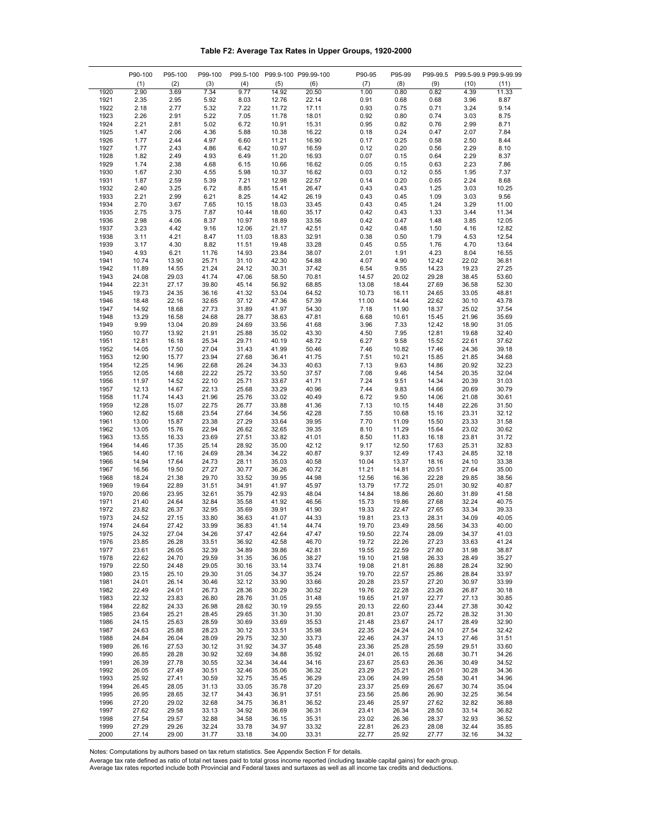**Table F2: Average Tax Rates in Upper Groups, 1920-2000**

|      | P90-100 | P95-100 | P99-100 |       |       | P99.5-100 P99.9-100 P99.99-100 | P90-95 | P95-99         |       | P99-99.5 P99.5-99.9 P99.9-99.99 |       |
|------|---------|---------|---------|-------|-------|--------------------------------|--------|----------------|-------|---------------------------------|-------|
|      | (1)     | (2)     | (3)     | (4)   | (5)   | (6)                            | (7)    | (8)            | (9)   | (10)                            | (11)  |
| 1920 | 2.90    | 3.69    | 7.34    | 9.77  | 14.92 | 20.50                          | 1.00   | 0.80           | 0.82  | 4.39                            | 11.33 |
| 1921 | 2.35    | 2.95    | 5.92    | 8.03  | 12.76 | 22.14                          | 0.91   | 0.68           | 0.68  | 3.96                            | 8.87  |
| 1922 | 2.18    | 2.77    | 5.32    | 7.22  | 11.72 | 17.11                          | 0.93   | 0.75           | 0.71  | 3.24                            | 9.14  |
| 1923 | 2.26    | 2.91    | 5.22    | 7.05  | 11.78 |                                | 0.92   | 0.80           | 0.74  | 3.03                            | 8.75  |
|      |         |         |         |       |       | 18.01                          |        |                |       |                                 |       |
| 1924 | 2.21    | 2.81    | 5.02    | 6.72  | 10.91 | 15.31                          | 0.95   | 0.82           | 0.76  | 2.99                            | 8.71  |
| 1925 | 1.47    | 2.06    | 4.36    | 5.88  | 10.38 | 16.22                          | 0.18   | 0.24           | 0.47  | 2.07                            | 7.84  |
| 1926 | 1.77    | 2.44    | 4.97    | 6.60  | 11.21 | 16.90                          | 0.17   | 0.25           | 0.58  | 2.50                            | 8.44  |
| 1927 | 1.77    | 2.43    | 4.86    | 6.42  | 10.97 | 16.59                          | 0.12   | 0.20           | 0.56  | 2.29                            | 8.10  |
| 1928 | 1.82    | 2.49    | 4.93    | 6.49  | 11.20 | 16.93                          | 0.07   | 0.15           | 0.64  | 2.29                            | 8.37  |
| 1929 | 1.74    | 2.38    | 4.68    | 6.15  | 10.66 | 16.62                          | 0.05   | 0.15           | 0.63  | 2.23                            | 7.86  |
| 1930 | 1.67    | 2.30    | 4.55    | 5.98  | 10.37 | 16.62                          | 0.03   | 0.12           | 0.55  | 1.95                            | 7.37  |
| 1931 | 1.87    | 2.59    | 5.39    | 7.21  | 12.98 | 22.57                          | 0.14   | 0.20           | 0.65  | 2.24                            | 8.68  |
| 1932 | 2.40    | 3.25    | 6.72    | 8.85  | 15.41 | 26.47                          | 0.43   | 0.43           | 1.25  | 3.03                            | 10.25 |
| 1933 | 2.21    | 2.99    | 6.21    | 8.25  | 14.42 | 26.19                          | 0.43   | 0.45           | 1.09  | 3.03                            | 9.56  |
| 1934 | 2.70    | 3.67    | 7.65    | 10.15 | 18.03 | 33.45                          | 0.43   | 0.45           | 1.24  | 3.29                            | 11.00 |
| 1935 | 2.75    | 3.75    | 7.87    | 10.44 | 18.60 | 35.17                          | 0.42   | 0.43           | 1.33  | 3.44                            | 11.34 |
| 1936 | 2.98    | 4.06    | 8.37    | 10.97 | 18.89 | 33.56                          | 0.42   | 0.47           | 1.48  | 3.85                            | 12.05 |
| 1937 | 3.23    | 4.42    | 9.16    | 12.06 | 21.17 | 42.51                          | 0.42   | 0.48           | 1.50  | 4.16                            | 12.82 |
| 1938 | 3.11    | 4.21    | 8.47    | 11.03 | 18.83 | 32.91                          | 0.38   | 0.50           | 1.79  | 4.53                            | 12.54 |
| 1939 | 3.17    | 4.30    | 8.82    | 11.51 | 19.48 | 33.28                          | 0.45   | 0.55           | 1.76  | 4.70                            | 13.64 |
| 1940 | 4.93    | 6.21    | 11.76   | 14.93 | 23.84 | 38.07                          | 2.01   | 1.91           | 4.23  | 8.04                            | 16.55 |
| 1941 | 10.74   | 13.90   | 25.71   | 31.10 | 42.30 | 54.88                          | 4.07   | 4.90           | 12.42 | 22.02                           | 36.81 |
| 1942 | 11.89   | 14.55   | 21.24   | 24.12 | 30.31 | 37.42                          | 6.54   | 9.55           | 14.23 | 19.23                           | 27.25 |
| 1943 | 24.08   | 29.03   | 41.74   | 47.06 | 58.50 | 70.81                          | 14.57  | 20.02          | 29.28 | 38.45                           | 53.60 |
| 1944 | 22.31   | 27.17   | 39.80   | 45.14 | 56.92 | 68.85                          | 13.08  | 18.44          | 27.69 | 36.58                           | 52.30 |
| 1945 | 19.73   | 24.35   | 36.16   | 41.32 | 53.04 | 64.52                          | 10.73  | 16.11          | 24.65 | 33.05                           | 48.81 |
| 1946 | 18.48   | 22.16   | 32.65   | 37.12 | 47.36 | 57.39                          | 11.00  | 14.44          | 22.62 | 30.10                           | 43.78 |
| 1947 | 14.92   | 18.68   | 27.73   | 31.89 | 41.97 | 54.30                          | 7.18   | 11.90          | 18.37 | 25.02                           | 37.54 |
| 1948 | 13.29   | 16.58   | 24.68   | 28.77 | 38.63 | 47.81                          | 6.68   | 10.61          | 15.45 | 21.96                           | 35.69 |
| 1949 | 9.99    | 13.04   | 20.89   | 24.69 | 33.56 | 41.68                          | 3.96   | 7.33           | 12.42 | 18.90                           | 31.05 |
| 1950 | 10.77   | 13.92   | 21.91   | 25.88 | 35.02 | 43.30                          | 4.50   | 7.95           | 12.81 | 19.68                           | 32.40 |
| 1951 | 12.81   | 16.18   | 25.34   | 29.71 | 40.19 | 48.72                          | 6.27   | 9.58           | 15.52 | 22.61                           | 37.62 |
| 1952 | 14.05   | 17.50   | 27.04   | 31.43 | 41.99 | 50.46                          | 7.46   | 10.82          | 17.46 | 24.36                           | 39.18 |
| 1953 | 12.90   | 15.77   | 23.94   | 27.68 | 36.41 | 41.75                          | 7.51   | 10.21          | 15.85 | 21.85                           | 34.68 |
| 1954 | 12.25   | 14.96   | 22.68   | 26.24 | 34.33 | 40.63                          | 7.13   | 9.63           | 14.86 | 20.92                           | 32.23 |
| 1955 | 12.05   | 14.68   | 22.22   | 25.72 | 33.50 | 37.57                          | 7.08   | 9.46           | 14.54 | 20.35                           | 32.04 |
| 1956 | 11.97   | 14.52   | 22.10   | 25.71 | 33.67 | 41.71                          | 7.24   | 9.51           | 14.34 | 20.39                           | 31.03 |
| 1957 | 12.13   | 14.67   | 22.13   | 25.68 | 33.29 | 40.96                          | 7.44   | 9.83           | 14.66 | 20.69                           | 30.79 |
| 1958 | 11.74   | 14.43   | 21.96   | 25.76 | 33.02 | 40.49                          | 6.72   | 9.50           | 14.06 | 21.08                           | 30.61 |
| 1959 | 12.28   | 15.07   | 22.75   | 26.77 | 33.88 | 41.36                          | 7.13   | 10.15          | 14.48 | 22.26                           | 31.50 |
| 1960 | 12.82   | 15.68   | 23.54   | 27.64 | 34.56 | 42.28                          | 7.55   | 10.68          | 15.16 | 23.31                           | 32.12 |
| 1961 | 13.00   | 15.87   | 23.38   | 27.29 | 33.64 | 39.95                          | 7.70   | 11.09          | 15.50 | 23.33                           | 31.58 |
| 1962 | 13.05   | 15.76   | 22.94   | 26.62 | 32.65 | 39.35                          | 8.10   | 11.29          | 15.64 | 23.02                           | 30.62 |
| 1963 | 13.55   | 16.33   | 23.69   | 27.51 | 33.82 | 41.01                          | 8.50   | 11.83          | 16.18 | 23.81                           | 31.72 |
| 1964 | 14.46   | 17.35   | 25.14   | 28.92 | 35.00 | 42.12                          | 9.17   | 12.50          | 17.63 | 25.31                           | 32.83 |
| 1965 | 14.40   | 17.16   | 24.69   | 28.34 | 34.22 | 40.87                          | 9.37   | 12.49          | 17.43 | 24.85                           | 32.18 |
| 1966 | 14.94   | 17.64   | 24.73   | 28.11 | 35.03 | 40.58                          | 10.04  | 13.37          | 18.16 | 24.10                           | 33.38 |
| 1967 | 16.56   | 19.50   | 27.27   | 30.77 | 36.26 | 40.72                          | 11.21  | 14.81          | 20.51 | 27.64                           | 35.00 |
| 1968 | 18.24   | 21.38   | 29.70   | 33.52 | 39.95 | 44.98                          | 12.56  | 16.36          | 22.28 | 29.85                           | 38.56 |
| 1969 | 19.64   | 22.89   | 31.51   | 34.91 | 41.97 | 45.97                          | 13.79  | 17.72          | 25.01 | 30.92                           | 40.87 |
|      | 20.66   | 23.95   | 32.61   |       | 42.93 |                                | 14.84  | 18.86          |       | 31.89                           | 41.58 |
| 1970 |         |         |         | 35.79 |       | 48.04                          |        |                | 26.60 | 32.24                           | 40.75 |
| 1971 | 21.40   | 24.64   | 32.84   | 35.58 | 41.92 | 46.56                          | 15.73  | 19.86<br>22.47 | 27.68 |                                 |       |
| 1972 | 23.82   | 26.37   | 32.95   | 35.69 | 39.91 | 41.90                          | 19.33  |                | 27.65 | 33.34                           | 39.33 |
| 1973 | 24.52   | 27.15   | 33.80   | 36.63 | 41.07 | 44.33                          | 19.81  | 23.13          | 28.31 | 34.09                           | 40.05 |
| 1974 | 24.64   | 27.42   | 33.99   | 36.83 | 41.14 | 44.74                          | 19.70  | 23.49          | 28.56 | 34.33                           | 40.00 |
| 1975 | 24.32   | 27.04   | 34.26   | 37.47 | 42.64 | 47.47                          | 19.50  | 22.74          | 28.09 | 34.37                           | 41.03 |
| 1976 | 23.85   | 26.28   | 33.51   | 36.92 | 42.58 | 46.70                          | 19.72  | 22.26          | 27.23 | 33.63                           | 41.24 |
| 1977 | 23.61   | 26.05   | 32.39   | 34.89 | 39.86 | 42.81                          | 19.55  | 22.59          | 27.80 | 31.98                           | 38.87 |
| 1978 | 22.62   | 24.70   | 29.59   | 31.35 | 36.05 | 38.27                          | 19.10  | 21.98          | 26.33 | 28.49                           | 35.27 |
| 1979 | 22.50   | 24.48   | 29.05   | 30.16 | 33.14 | 33.74                          | 19.08  | 21.81          | 26.88 | 28.24                           | 32.90 |
| 1980 | 23.15   | 25.10   | 29.30   | 31.05 | 34.37 | 35.24                          | 19.70  | 22.57          | 25.86 | 28.84                           | 33.97 |
| 1981 | 24.01   | 26.14   | 30.46   | 32.12 | 33.90 | 33.66                          | 20.28  | 23.57          | 27.20 | 30.97                           | 33.99 |
| 1982 | 22.49   | 24.01   | 26.73   | 28.36 | 30.29 | 30.52                          | 19.76  | 22.28          | 23.26 | 26.87                           | 30.18 |
| 1983 | 22.32   | 23.83   | 26.80   | 28.76 | 31.05 | 31.48                          | 19.65  | 21.97          | 22.77 | 27.13                           | 30.85 |
| 1984 | 22.82   | 24.33   | 26.98   | 28.62 | 30.19 | 29.55                          | 20.13  | 22.60          | 23.44 | 27.38                           | 30.42 |
| 1985 | 23.64   | 25.21   | 28.45   | 29.65 | 31.30 | 31.30                          | 20.81  | 23.07          | 25.72 | 28.32                           | 31.30 |
| 1986 | 24.15   | 25.63   | 28.59   | 30.69 | 33.69 | 35.53                          | 21.48  | 23.67          | 24.17 | 28.49                           | 32.90 |
| 1987 | 24.63   | 25.88   | 28.23   | 30.12 | 33.51 | 35.98                          | 22.35  | 24.24          | 24.10 | 27.54                           | 32.42 |
| 1988 | 24.84   | 26.04   | 28.09   | 29.75 | 32.30 | 33.73                          | 22.46  | 24.37          | 24.13 | 27.46                           | 31.51 |
| 1989 | 26.16   | 27.53   | 30.12   | 31.92 | 34.37 | 35.48                          | 23.36  | 25.28          | 25.59 | 29.51                           | 33.60 |
| 1990 | 26.85   | 28.28   | 30.92   | 32.69 | 34.88 | 35.92                          | 24.01  | 26.15          | 26.68 | 30.71                           | 34.26 |
| 1991 | 26.39   | 27.78   | 30.55   | 32.34 | 34.44 | 34.16                          | 23.67  | 25.63          | 26.36 | 30.49                           | 34.52 |
| 1992 | 26.05   | 27.49   | 30.51   | 32.46 | 35.06 | 36.32                          | 23.29  | 25.21          | 26.01 | 30.28                           | 34.36 |
| 1993 | 25.92   | 27.41   | 30.59   | 32.75 | 35.45 | 36.29                          | 23.06  | 24.99          | 25.58 | 30.41                           | 34.96 |
| 1994 | 26.45   | 28.05   | 31.13   | 33.05 | 35.78 | 37.20                          | 23.37  | 25.69          | 26.67 | 30.74                           | 35.04 |
| 1995 | 26.95   | 28.65   | 32.17   | 34.43 | 36.91 | 37.51                          | 23.56  | 25.86          | 26.90 | 32.25                           | 36.54 |
| 1996 | 27.20   | 29.02   | 32.68   | 34.75 | 36.81 | 36.52                          | 23.46  | 25.97          | 27.62 | 32.82                           | 36.88 |
| 1997 | 27.62   | 29.58   | 33.13   | 34.92 | 36.69 | 36.31                          | 23.41  | 26.34          | 28.50 | 33.14                           | 36.82 |
| 1998 | 27.54   | 29.57   | 32.88   | 34.58 | 36.15 | 35.31                          | 23.02  | 26.36          | 28.37 | 32.93                           | 36.52 |
| 1999 | 27.29   | 29.26   | 32.24   | 33.78 | 34.97 | 33.32                          | 22.81  | 26.23          | 28.08 | 32.44                           | 35.85 |
| 2000 | 27.14   | 29.00   | 31.77   | 33.18 | 34.00 | 33.31                          | 22.77  | 25.92          | 27.77 | 32.16                           | 34.32 |

Notes: Computations by authors based on tax return statistics. See Appendix Section F for details.

Average tax rate defined as ratio of total net taxes paid to total gross income reported (including taxable capital gains) for each group.<br>Average tax rates reported include both Provincial and Federal taxes and surtaxes a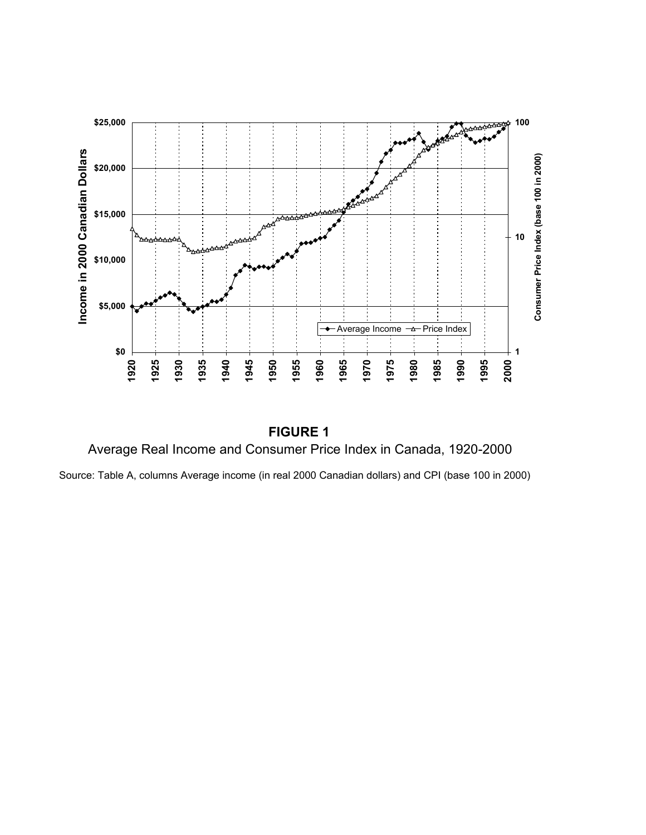

**FIGURE 1** Average Real Income and Consumer Price Index in Canada, 1920-2000

Source: Table A, columns Average income (in real 2000 Canadian dollars) and CPI (base 100 in 2000)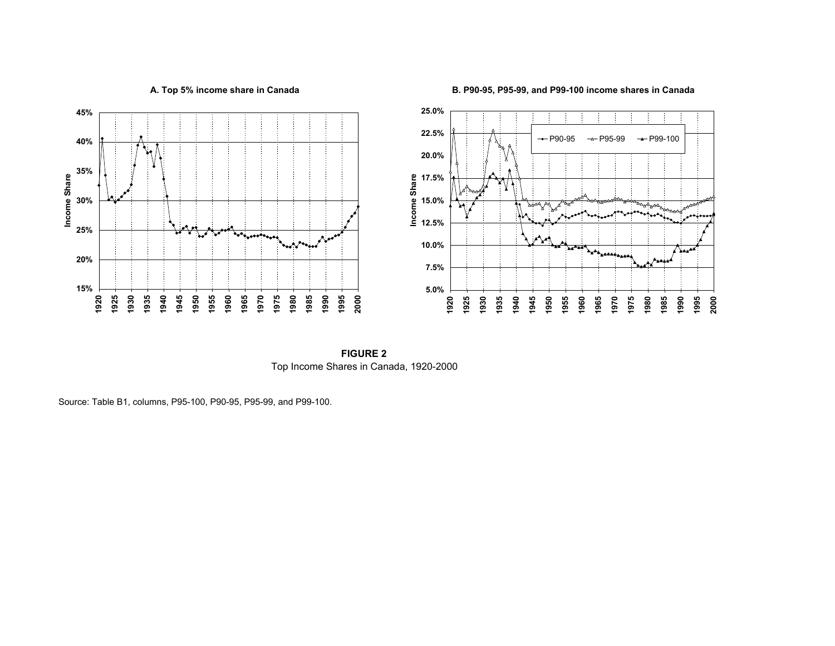**A. Top 5% income share in Canada** 

**B. P90-95, P95-99, and P99-100 income shares in Canada**



**FIGURE 2**Top Income Shares in Canada, 1920-2000

Source: Table B1, columns, P95-100, P90-95, P95-99, and P99-100.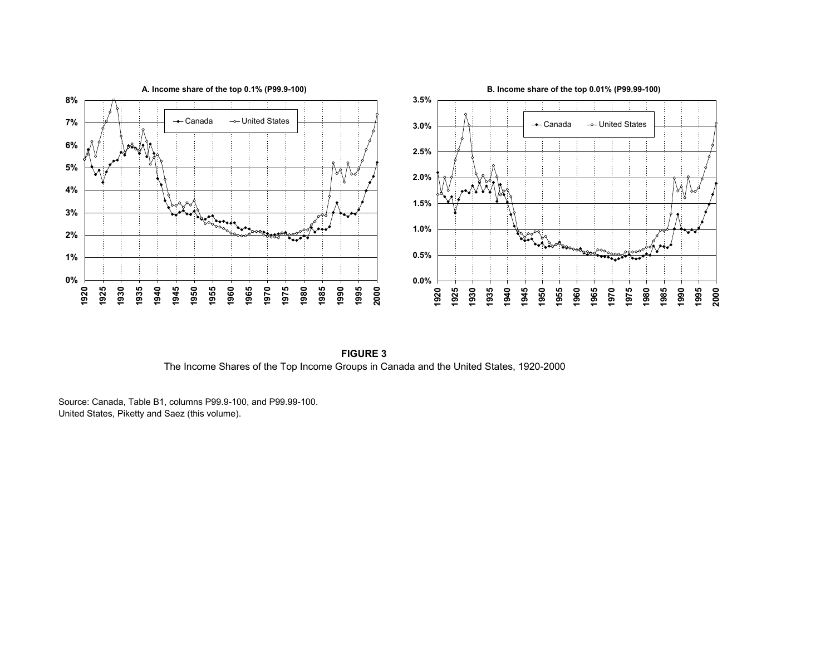



Source: Canada, Table B1, columns P99.9-100, and P99.99-100. United States, Piketty and Saez (this volume).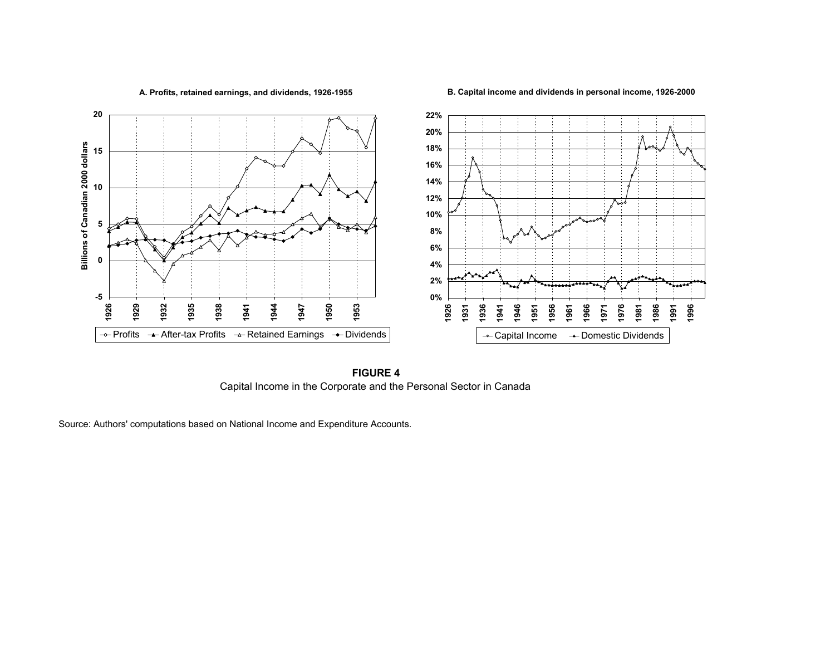**A. Profits, retained earnings, and dividends, 1926-1955**

**B. Capital income and dividends in personal income, 1926-2000**



**FIGURE 4**Capital Income in the Corporate and the Personal Sector in Canada

Source: Authors' computations based on National Income and Expenditure Accounts.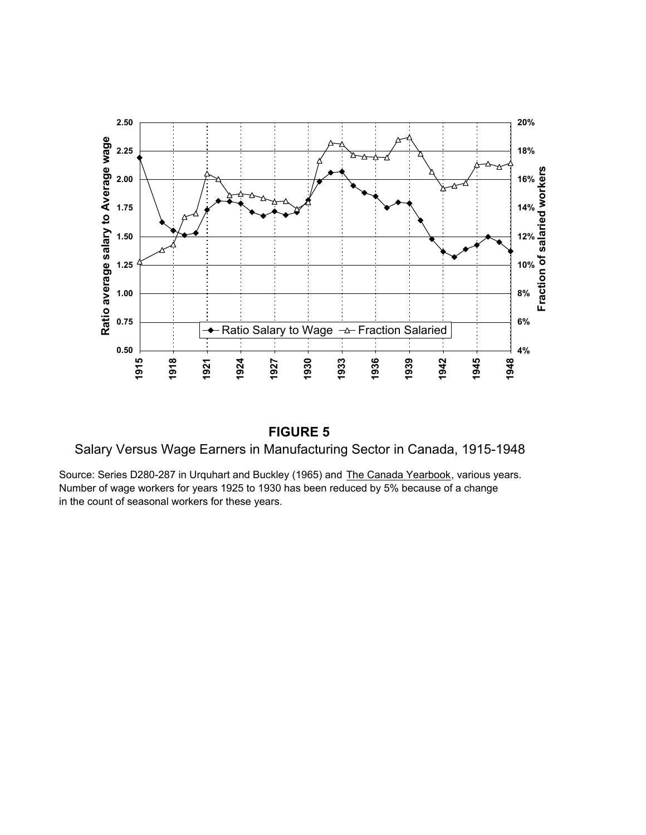

#### **FIGURE 5**

Salary Versus Wage Earners in Manufacturing Sector in Canada, 1915-1948

Source: Series D280-287 in Urquhart and Buckley (1965) and The Canada Yearbook, various years. Number of wage workers for years 1925 to 1930 has been reduced by 5% because of a change in the count of seasonal workers for these years.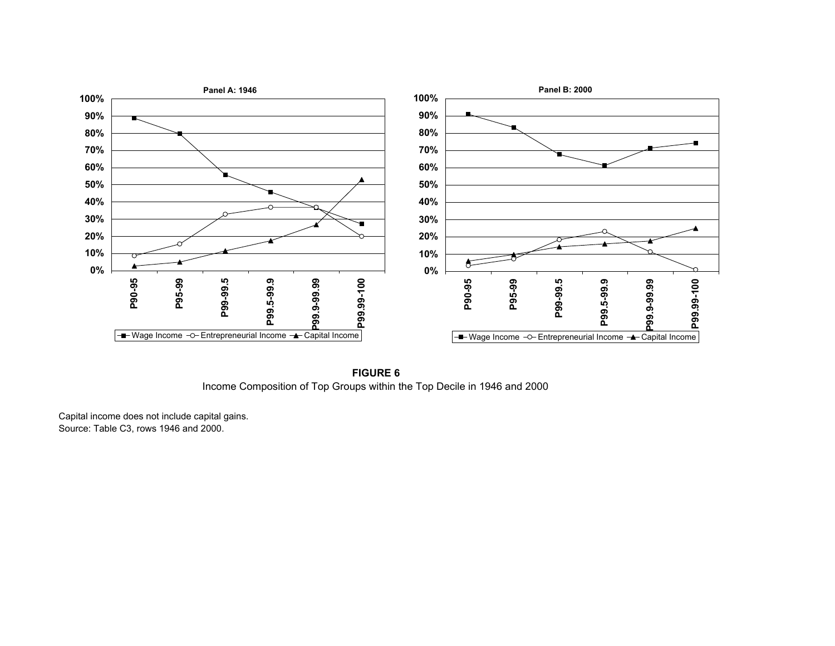

**FIGURE 6**Income Composition of Top Groups within the Top Decile in 1946 and 2000

Capital income does not include capital gains. Source: Table C3, rows 1946 and 2000.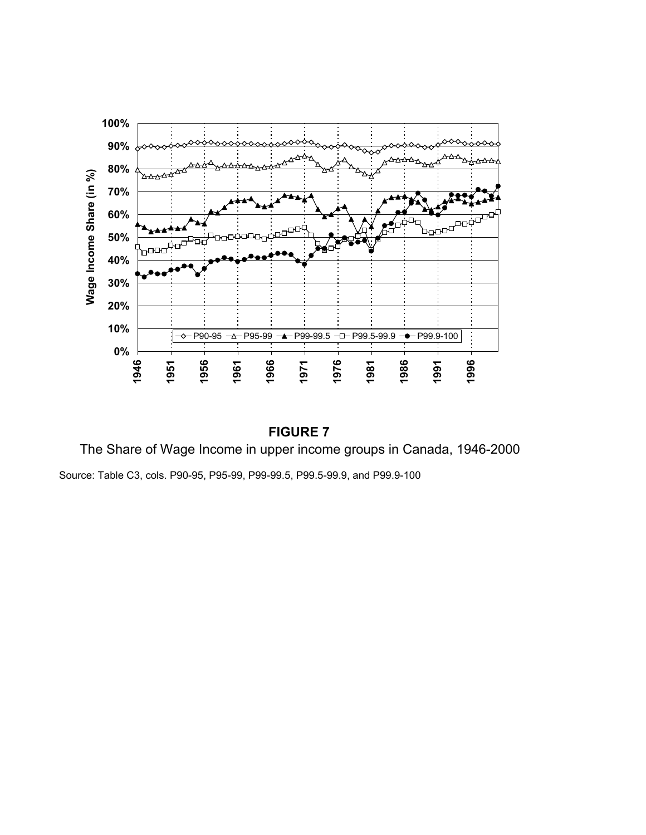

#### **FIGURE 7**

The Share of Wage Income in upper income groups in Canada, 1946-2000

Source: Table C3, cols. P90-95, P95-99, P99-99.5, P99.5-99.9, and P99.9-100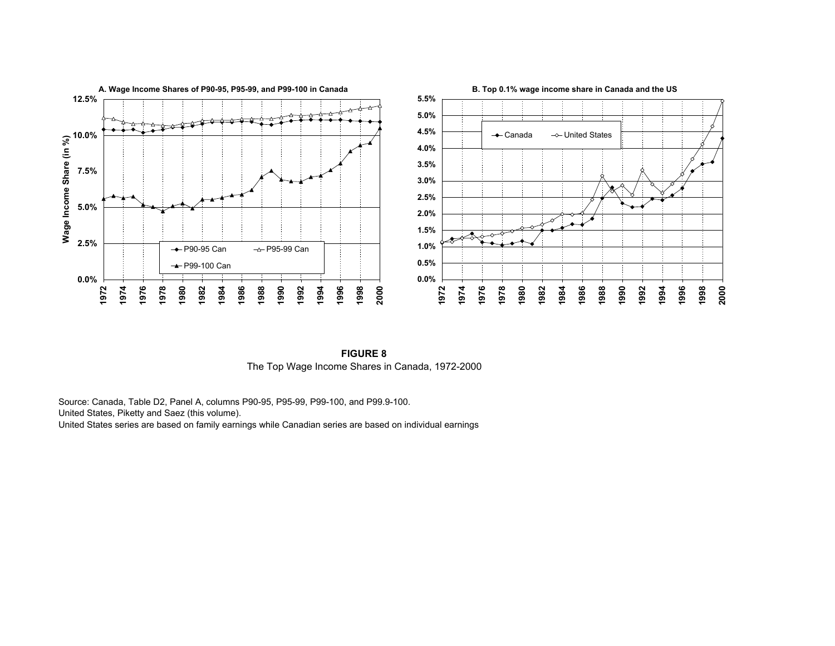

**FIGURE 8**The Top Wage Income Shares in Canada, 1972-2000

Source: Canada, Table D2, Panel A, columns P90-95, P95-99, P99-100, and P99.9-100. United States, Piketty and Saez (this volume). United States series are based on family earnings while Canadian series are based on individual earnings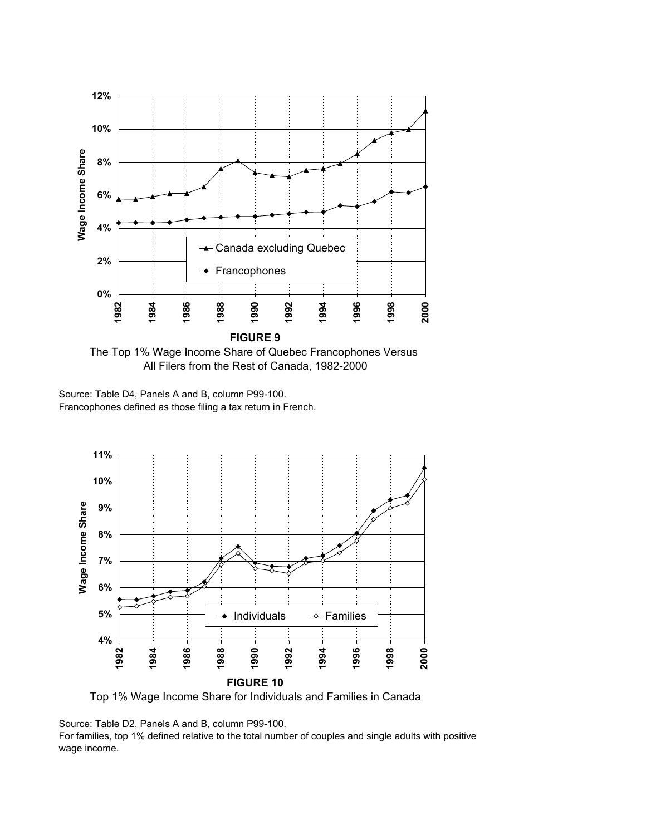

The Top 1% Wage Income Share of Quebec Francophones Versus All Filers from the Rest of Canada, 1982-2000

Source: Table D4, Panels A and B, column P99-100. Francophones defined as those filing a tax return in French.



Top 1% Wage Income Share for Individuals and Families in Canada

Source: Table D2, Panels A and B, column P99-100.

For families, top 1% defined relative to the total number of couples and single adults with positive wage income.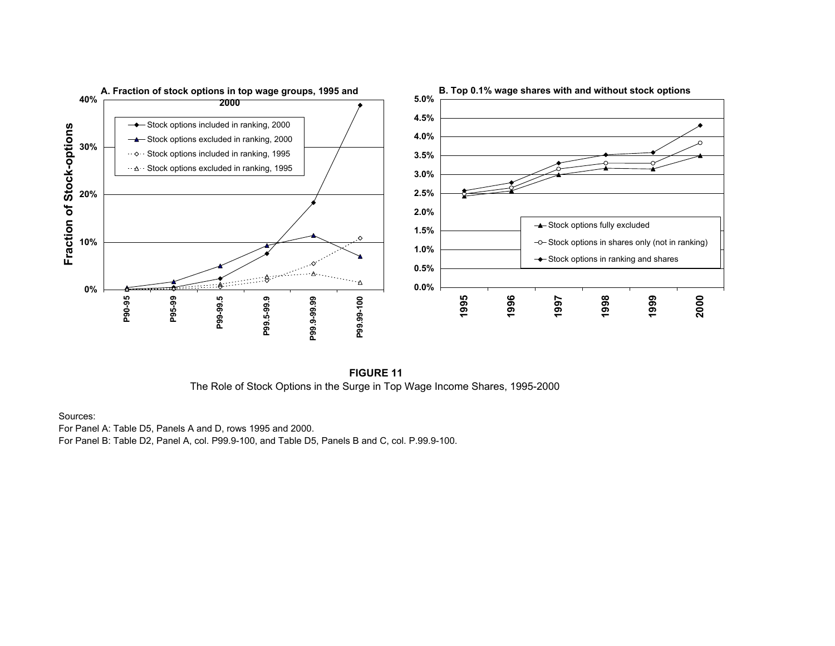

**FIGURE 11**The Role of Stock Options in the Surge in Top Wage Income Shares, 1995-2000

#### Sources:

For Panel A: Table D5, Panels A and D, rows 1995 and 2000.

For Panel B: Table D2, Panel A, col. P99.9-100, and Table D5, Panels B and C, col. P.99.9-100.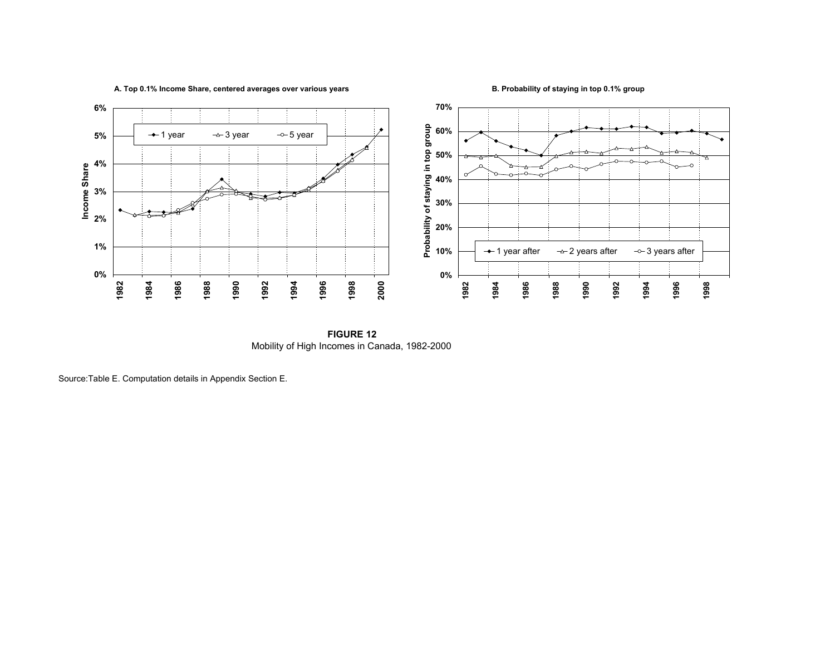#### **A. Top 0.1% Income Share, centered averages over various years**

**B. Probability of staying in top 0.1% group**



**FIGURE 12** Mobility of High Incomes in Canada, 1982-2000

Source:Table E. Computation details in Appendix Section E.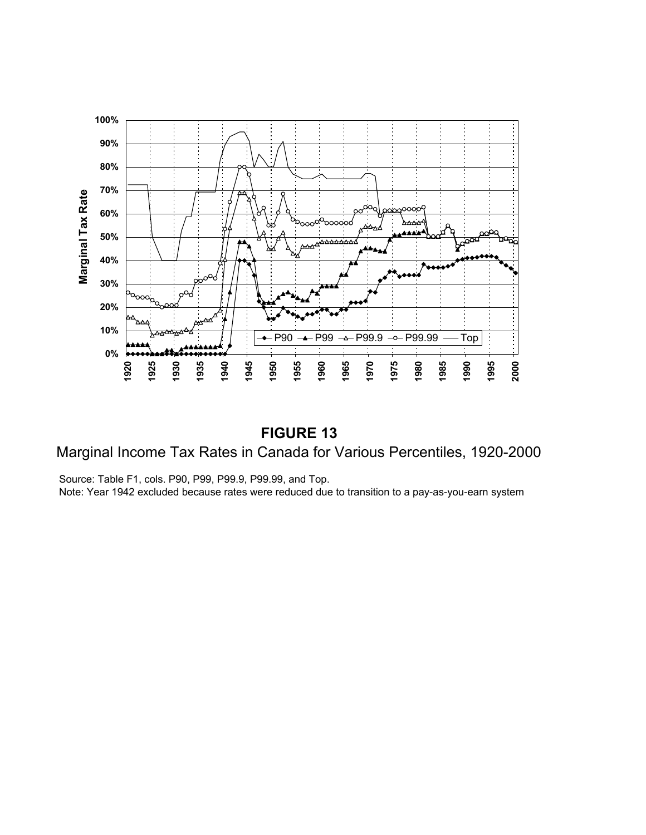

# **FIGURE 13**

Marginal Income Tax Rates in Canada for Various Percentiles, 1920-2000

Source: Table F1, cols. P90, P99, P99.9, P99.99, and Top. Note: Year 1942 excluded because rates were reduced due to transition to a pay-as-you-earn system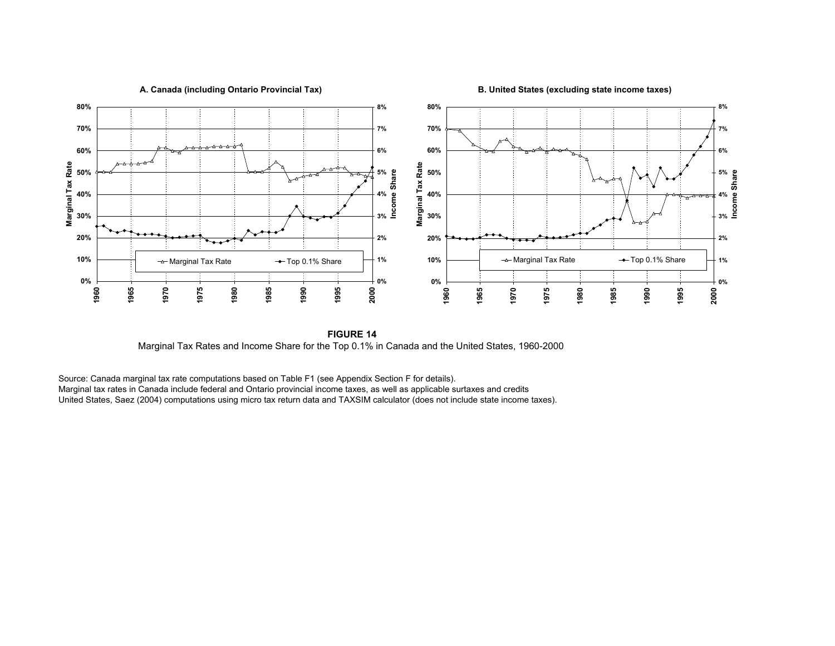

**B. United States (excluding state income taxes)**



**FIGURE 14** Marginal Tax Rates and Income Share for the Top 0.1% in Canada and the United States, 1960-2000

Source: Canada marginal tax rate computations based on Table F1 (see Appendix Section F for details).

Marginal tax rates in Canada include federal and Ontario provincial income taxes, as well as applicable surtaxes and credits United States, Saez (2004) computations using micro tax return data and TAXSIM calculator (does not include state income taxes).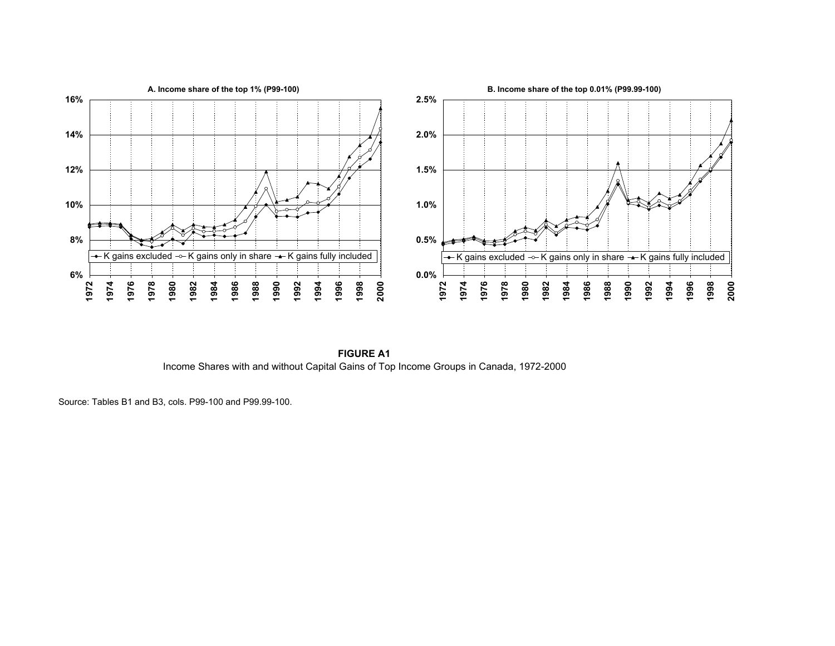



Source: Tables B1 and B3, cols. P99-100 and P99.99-100.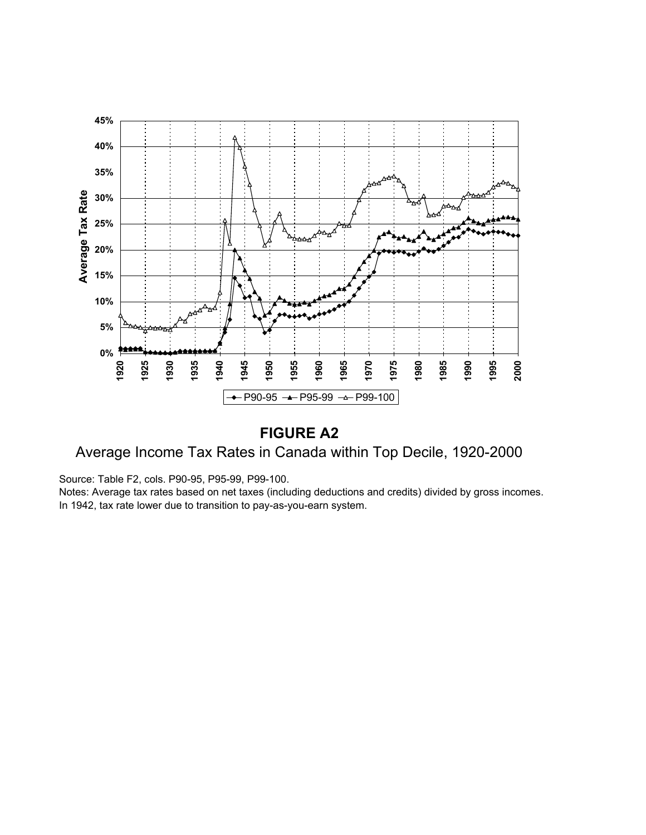

### **FIGURE A2**

# Average Income Tax Rates in Canada within Top Decile, 1920-2000

Source: Table F2, cols. P90-95, P95-99, P99-100.

Notes: Average tax rates based on net taxes (including deductions and credits) divided by gross incomes. In 1942, tax rate lower due to transition to pay-as-you-earn system.